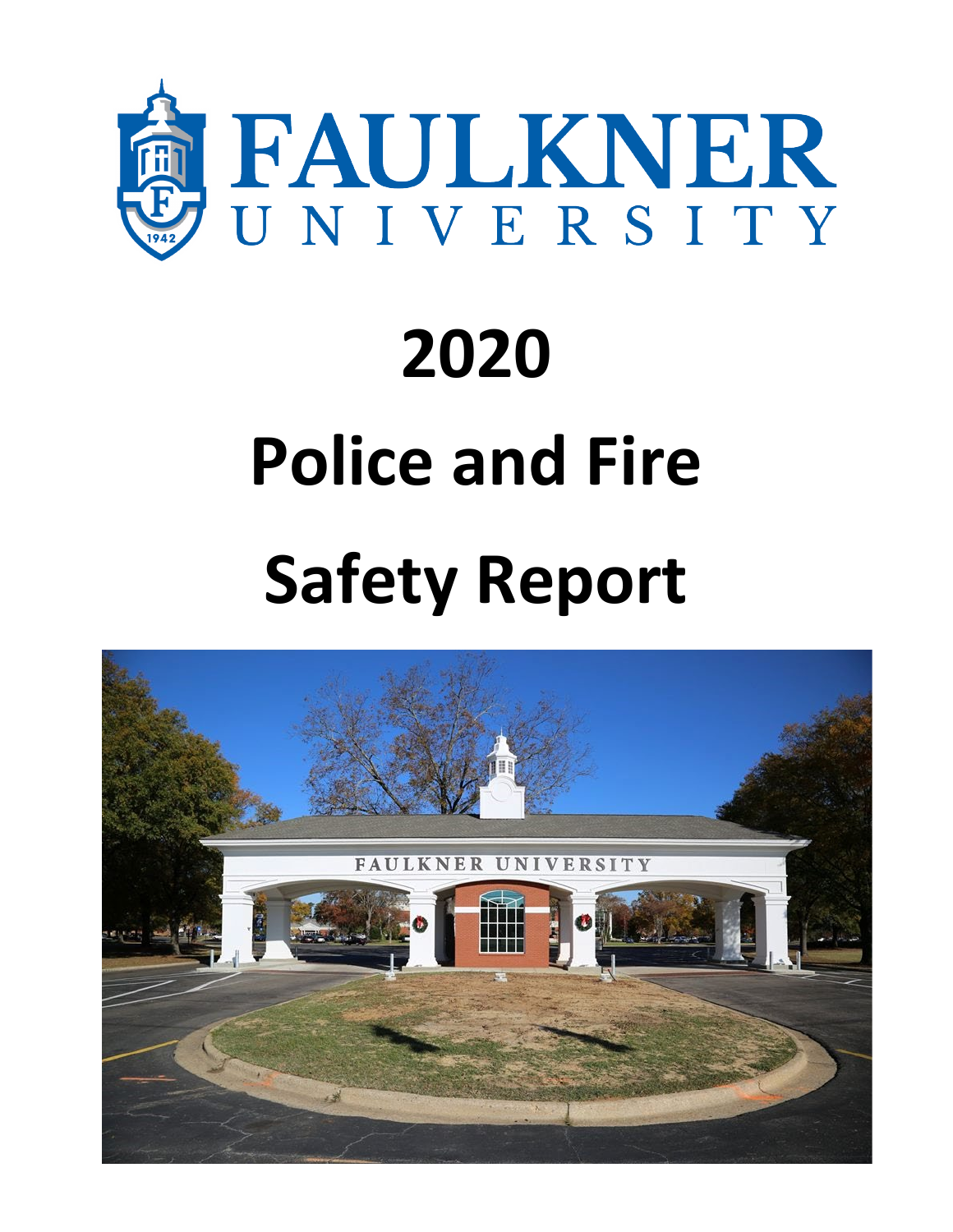

# **2020 Police and Fire Safety Report**

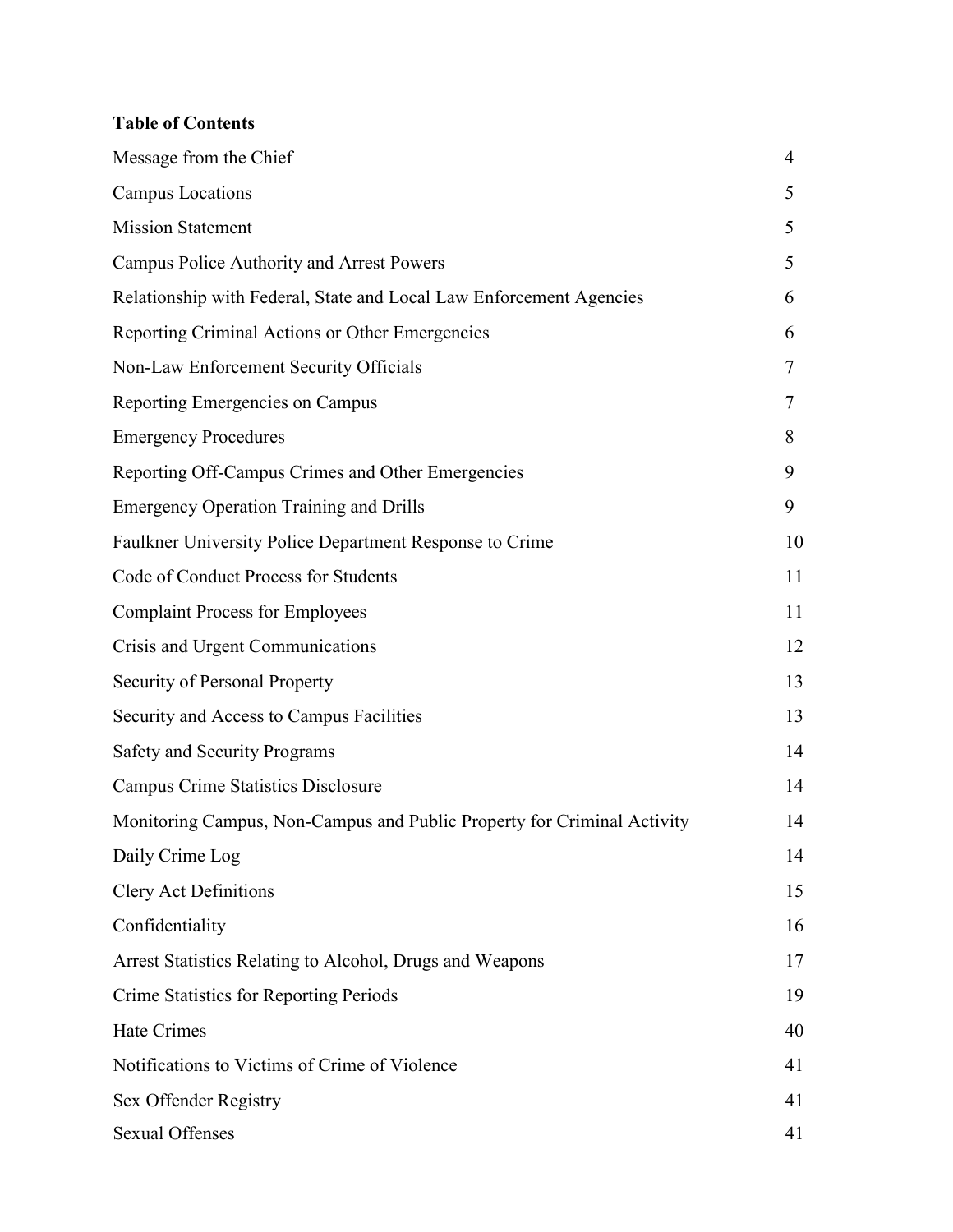# **Table of Contents**

| Message from the Chief                                                  | $\overline{4}$ |
|-------------------------------------------------------------------------|----------------|
| Campus Locations                                                        | 5              |
| <b>Mission Statement</b>                                                | 5              |
| Campus Police Authority and Arrest Powers                               | 5              |
| Relationship with Federal, State and Local Law Enforcement Agencies     | 6              |
| Reporting Criminal Actions or Other Emergencies                         | 6              |
| Non-Law Enforcement Security Officials                                  | 7              |
| Reporting Emergencies on Campus                                         | 7              |
| <b>Emergency Procedures</b>                                             | 8              |
| Reporting Off-Campus Crimes and Other Emergencies                       | 9              |
| <b>Emergency Operation Training and Drills</b>                          | 9              |
| Faulkner University Police Department Response to Crime                 | 10             |
| Code of Conduct Process for Students                                    | 11             |
| <b>Complaint Process for Employees</b>                                  | 11             |
| Crisis and Urgent Communications                                        | 12             |
| Security of Personal Property                                           | 13             |
| Security and Access to Campus Facilities                                | 13             |
| <b>Safety and Security Programs</b>                                     | 14             |
| <b>Campus Crime Statistics Disclosure</b>                               | 14             |
| Monitoring Campus, Non-Campus and Public Property for Criminal Activity | 14             |
| Daily Crime Log                                                         | 14             |
| <b>Clery Act Definitions</b>                                            | 15             |
| Confidentiality                                                         | 16             |
| Arrest Statistics Relating to Alcohol, Drugs and Weapons                | 17             |
| Crime Statistics for Reporting Periods                                  | 19             |
| Hate Crimes                                                             | 40             |
| Notifications to Victims of Crime of Violence                           | 41             |
| Sex Offender Registry                                                   | 41             |
| <b>Sexual Offenses</b>                                                  | 41             |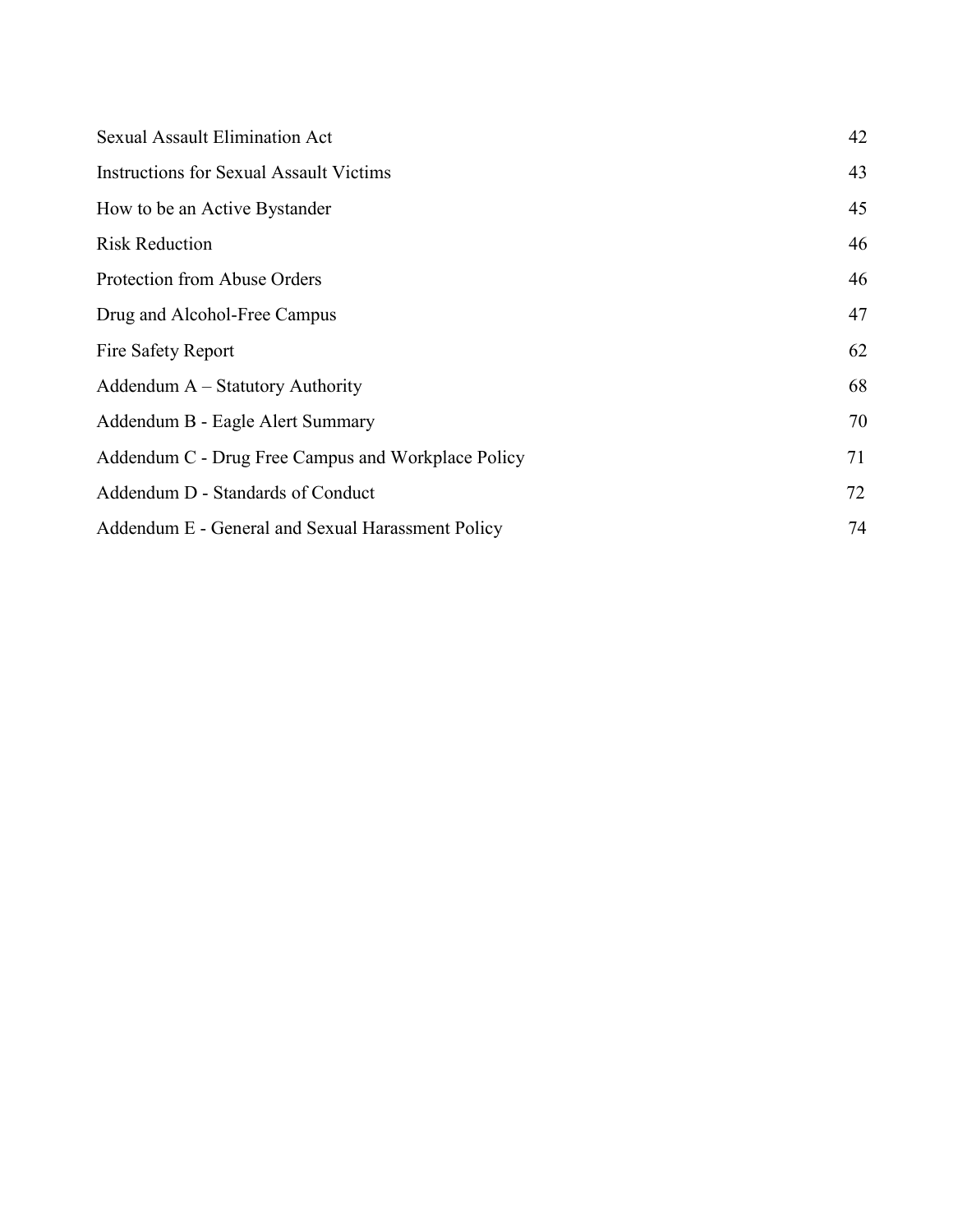| <b>Sexual Assault Elimination Act</b>              | 42 |
|----------------------------------------------------|----|
| <b>Instructions for Sexual Assault Victims</b>     | 43 |
| How to be an Active Bystander                      | 45 |
| <b>Risk Reduction</b>                              | 46 |
| Protection from Abuse Orders                       | 46 |
| Drug and Alcohol-Free Campus                       | 47 |
| Fire Safety Report                                 | 62 |
| Addendum A - Statutory Authority                   | 68 |
| Addendum B - Eagle Alert Summary                   | 70 |
| Addendum C - Drug Free Campus and Workplace Policy | 71 |
| Addendum D - Standards of Conduct                  | 72 |
| Addendum E - General and Sexual Harassment Policy  | 74 |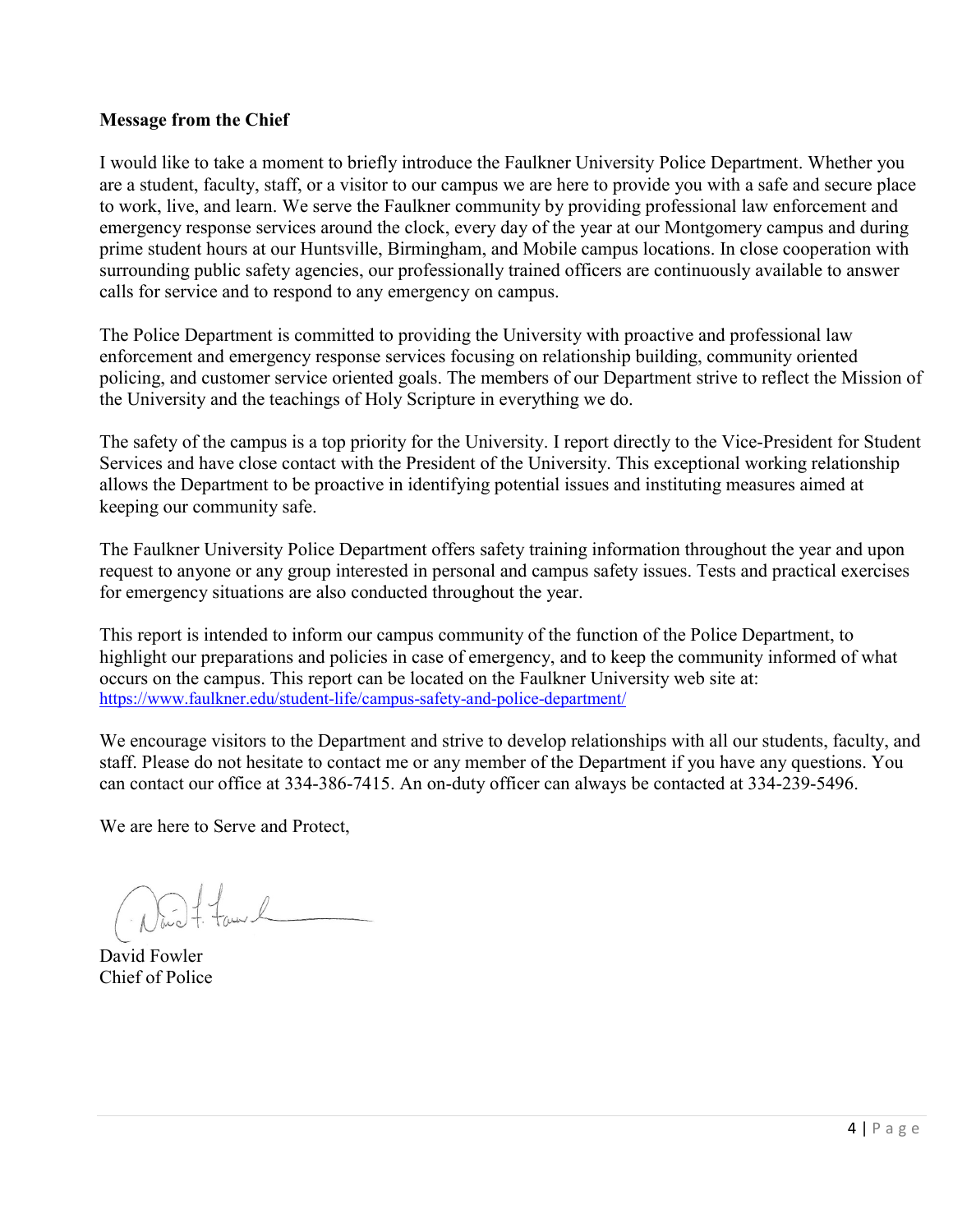## **Message from the Chief**

I would like to take a moment to briefly introduce the Faulkner University Police Department. Whether you are a student, faculty, staff, or a visitor to our campus we are here to provide you with a safe and secure place to work, live, and learn. We serve the Faulkner community by providing professional law enforcement and emergency response services around the clock, every day of the year at our Montgomery campus and during prime student hours at our Huntsville, Birmingham, and Mobile campus locations. In close cooperation with surrounding public safety agencies, our professionally trained officers are continuously available to answer calls for service and to respond to any emergency on campus.

The Police Department is committed to providing the University with proactive and professional law enforcement and emergency response services focusing on relationship building, community oriented policing, and customer service oriented goals. The members of our Department strive to reflect the Mission of the University and the teachings of Holy Scripture in everything we do.

The safety of the campus is a top priority for the University. I report directly to the Vice-President for Student Services and have close contact with the President of the University. This exceptional working relationship allows the Department to be proactive in identifying potential issues and instituting measures aimed at keeping our community safe.

The Faulkner University Police Department offers safety training information throughout the year and upon request to anyone or any group interested in personal and campus safety issues. Tests and practical exercises for emergency situations are also conducted throughout the year.

This report is intended to inform our campus community of the function of the Police Department, to highlight our preparations and policies in case of emergency, and to keep the community informed of what occurs on the campus. This report can be located on the Faulkner University web site at: <https://www.faulkner.edu/student-life/campus-safety-and-police-department/>

We encourage visitors to the Department and strive to develop relationships with all our students, faculty, and staff. Please do not hesitate to contact me or any member of the Department if you have any questions. You can contact our office at 334-386-7415. An on-duty officer can always be contacted at 334-239-5496.

We are here to Serve and Protect,

Now f. famil

David Fowler Chief of Police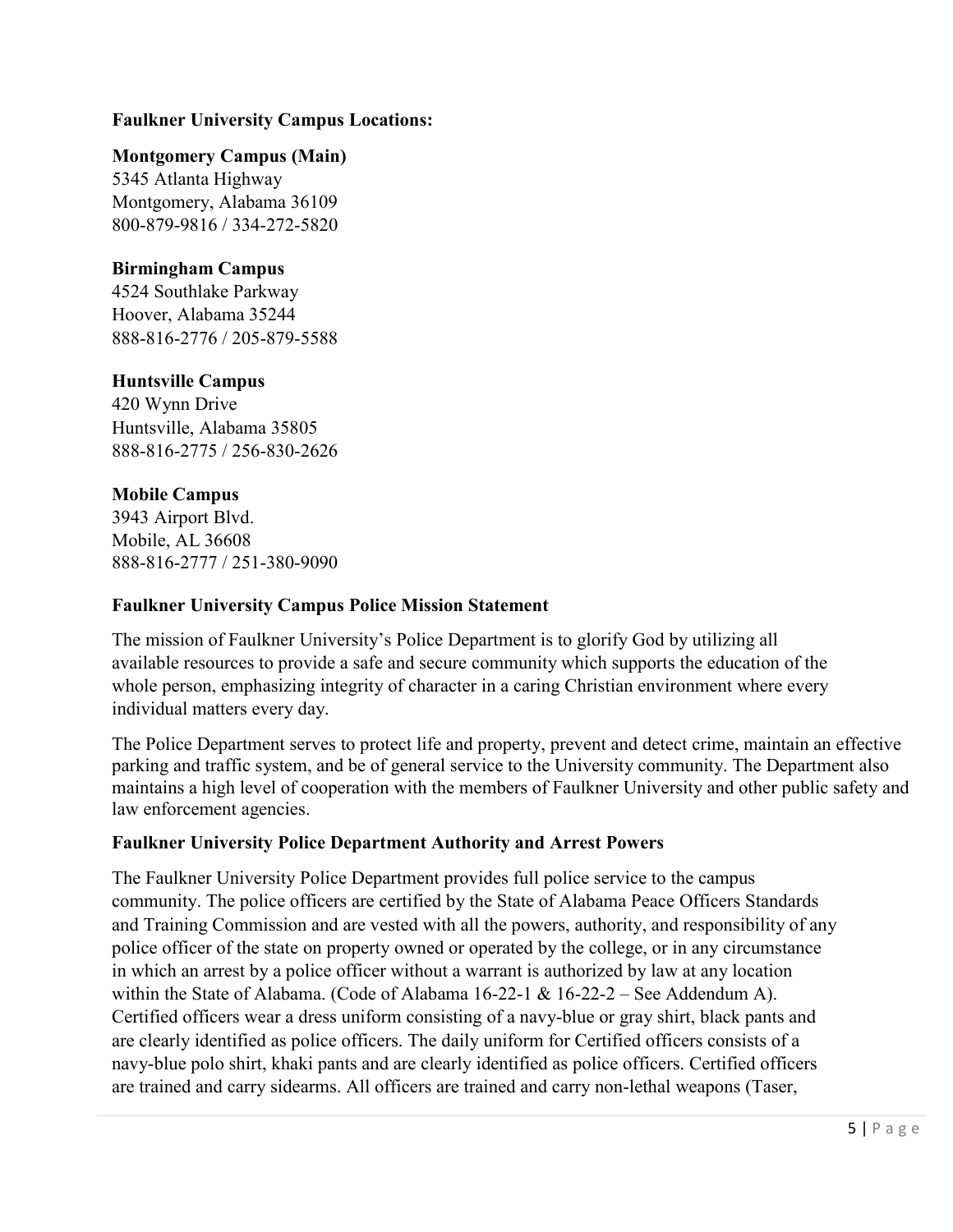# **Faulkner University Campus Locations:**

**Montgomery Campus (Main)**

5345 Atlanta Highway Montgomery, Alabama 36109 800-879-9816 / 334-272-5820

# **Birmingham Campus**

4524 Southlake Parkway Hoover, Alabama 35244 888-816-2776 / 205-879-5588

# **Huntsville Campus**

420 Wynn Drive Huntsville, Alabama 35805 888-816-2775 / 256-830-2626

# **Mobile Campus**

3943 Airport Blvd. Mobile, AL 36608 888-816-2777 / 251-380-9090

#### **Faulkner University Campus Police Mission Statement**

The mission of Faulkner University's Police Department is to glorify God by utilizing all available resources to provide a safe and secure community which supports the education of the whole person, emphasizing integrity of character in a caring Christian environment where every individual matters every day.

The Police Department serves to protect life and property, prevent and detect crime, maintain an effective parking and traffic system, and be of general service to the University community. The Department also maintains a high level of cooperation with the members of Faulkner University and other public safety and law enforcement agencies.

# **Faulkner University Police Department Authority and Arrest Powers**

The Faulkner University Police Department provides full police service to the campus community. The police officers are certified by the State of Alabama Peace Officers Standards and Training Commission and are vested with all the powers, authority, and responsibility of any police officer of the state on property owned or operated by the college, or in any circumstance in which an arrest by a police officer without a warrant is authorized by law at any location within the State of Alabama. (Code of Alabama 16-22-1 & 16-22-2 – See Addendum A). Certified officers wear a dress uniform consisting of a navy-blue or gray shirt, black pants and are clearly identified as police officers. The daily uniform for Certified officers consists of a navy-blue polo shirt, khaki pants and are clearly identified as police officers. Certified officers are trained and carry sidearms. All officers are trained and carry non-lethal weapons (Taser,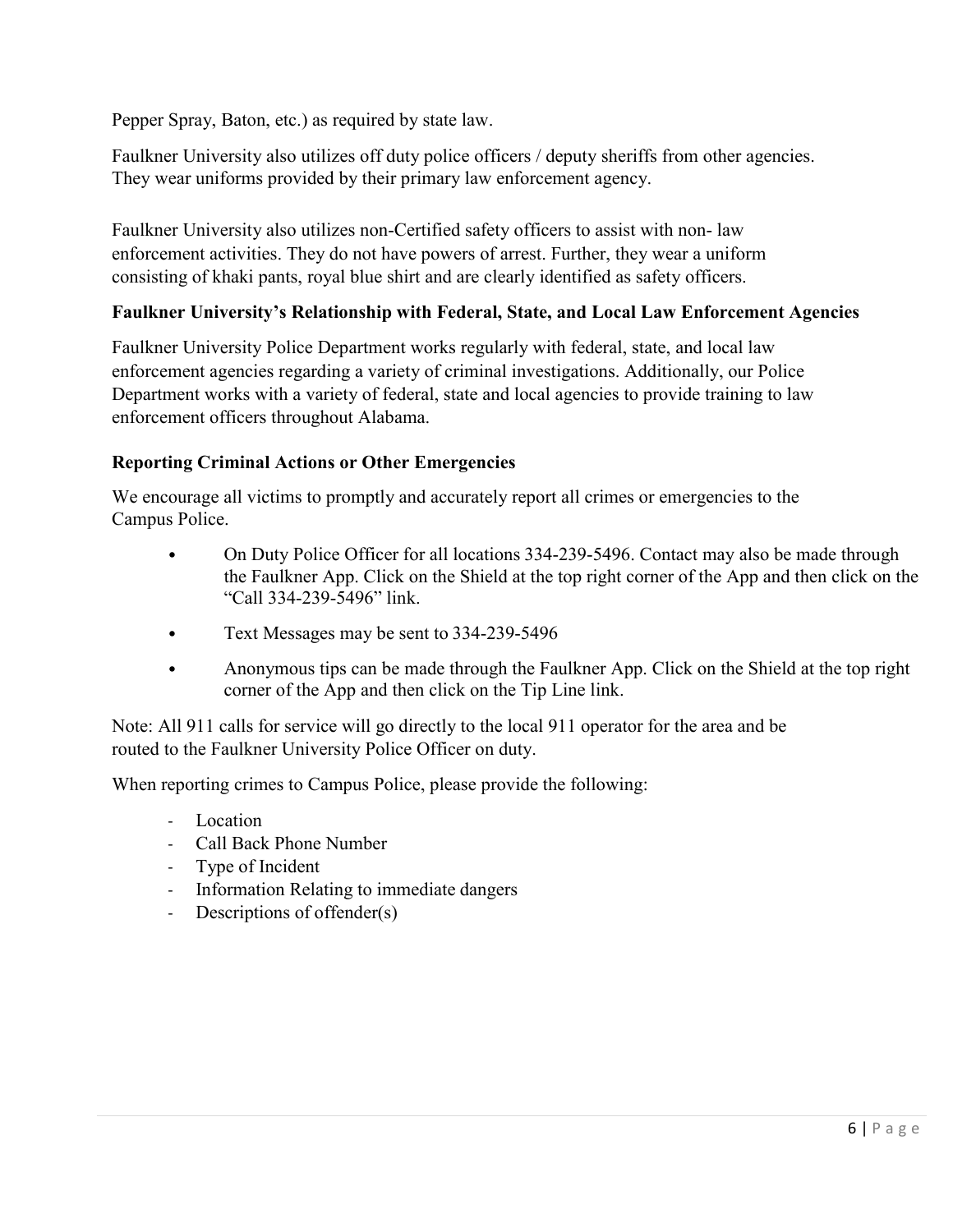Pepper Spray, Baton, etc.) as required by state law.

Faulkner University also utilizes off duty police officers / deputy sheriffs from other agencies. They wear uniforms provided by their primary law enforcement agency.

Faulkner University also utilizes non-Certified safety officers to assist with non- law enforcement activities. They do not have powers of arrest. Further, they wear a uniform consisting of khaki pants, royal blue shirt and are clearly identified as safety officers.

# **Faulkner University's Relationship with Federal, State, and Local Law Enforcement Agencies**

Faulkner University Police Department works regularly with federal, state, and local law enforcement agencies regarding a variety of criminal investigations. Additionally, our Police Department works with a variety of federal, state and local agencies to provide training to law enforcement officers throughout Alabama.

# **Reporting Criminal Actions or Other Emergencies**

We encourage all victims to promptly and accurately report all crimes or emergencies to the Campus Police.

- On Duty Police Officer for all locations 334-239-5496. Contact may also be made through the Faulkner App. Click on the Shield at the top right corner of the App and then click on the "Call 334-239-5496" link.
- Text Messages may be sent to 334-239-5496
- Anonymous tips can be made through the Faulkner App. Click on the Shield at the top right corner of the App and then click on the Tip Line link.

Note: All 911 calls for service will go directly to the local 911 operator for the area and be routed to the Faulkner University Police Officer on duty.

When reporting crimes to Campus Police, please provide the following:

- Location
- Call Back Phone Number
- Type of Incident
- Information Relating to immediate dangers
- Descriptions of offender(s)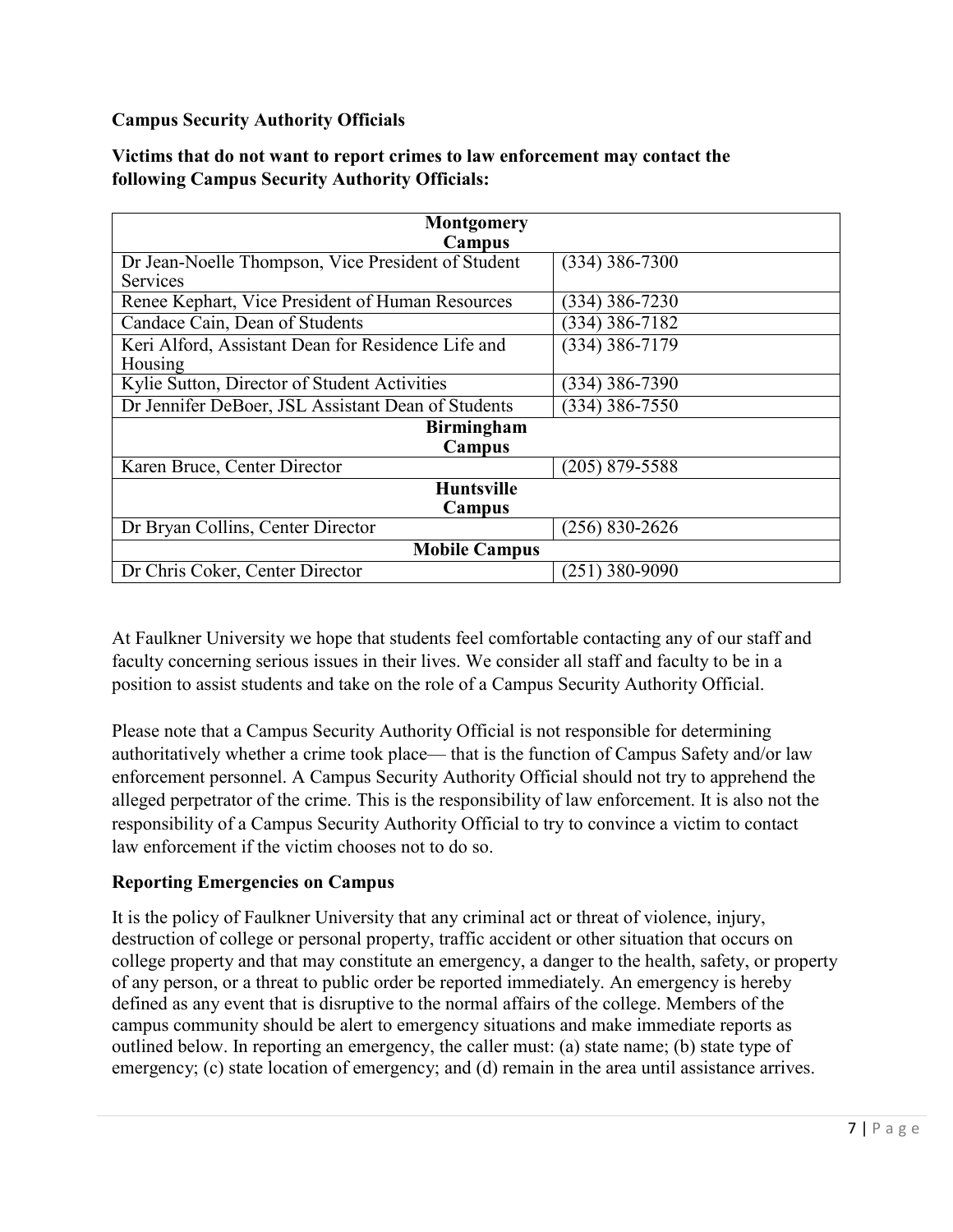# **Campus Security Authority Officials**

| Victims that do not want to report crimes to law enforcement may contact the |  |
|------------------------------------------------------------------------------|--|
| <b>following Campus Security Authority Officials:</b>                        |  |

| <b>Montgomery</b>                                  |                    |  |  |  |  |  |  |
|----------------------------------------------------|--------------------|--|--|--|--|--|--|
| Campus                                             |                    |  |  |  |  |  |  |
| Dr Jean-Noelle Thompson, Vice President of Student | $(334)$ 386-7300   |  |  |  |  |  |  |
| <b>Services</b>                                    |                    |  |  |  |  |  |  |
| Renee Kephart, Vice President of Human Resources   | (334) 386-7230     |  |  |  |  |  |  |
| Candace Cain, Dean of Students                     | (334) 386-7182     |  |  |  |  |  |  |
| Keri Alford, Assistant Dean for Residence Life and | $(334)$ 386-7179   |  |  |  |  |  |  |
| Housing                                            |                    |  |  |  |  |  |  |
| Kylie Sutton, Director of Student Activities       | (334) 386-7390     |  |  |  |  |  |  |
| Dr Jennifer DeBoer, JSL Assistant Dean of Students | $(334)$ 386-7550   |  |  |  |  |  |  |
| <b>Birmingham</b>                                  |                    |  |  |  |  |  |  |
| Campus                                             |                    |  |  |  |  |  |  |
| Karen Bruce, Center Director                       | $(205)$ 879-5588   |  |  |  |  |  |  |
| <b>Huntsville</b>                                  |                    |  |  |  |  |  |  |
| Campus                                             |                    |  |  |  |  |  |  |
| Dr Bryan Collins, Center Director                  | $(256) 830 - 2626$ |  |  |  |  |  |  |
| <b>Mobile Campus</b>                               |                    |  |  |  |  |  |  |
| Dr Chris Coker, Center Director                    | $(251)$ 380-9090   |  |  |  |  |  |  |

At Faulkner University we hope that students feel comfortable contacting any of our staff and faculty concerning serious issues in their lives. We consider all staff and faculty to be in a position to assist students and take on the role of a Campus Security Authority Official.

Please note that a Campus Security Authority Official is not responsible for determining authoritatively whether a crime took place— that is the function of Campus Safety and/or law enforcement personnel. A Campus Security Authority Official should not try to apprehend the alleged perpetrator of the crime. This is the responsibility of law enforcement. It is also not the responsibility of a Campus Security Authority Official to try to convince a victim to contact law enforcement if the victim chooses not to do so.

# **Reporting Emergencies on Campus**

It is the policy of Faulkner University that any criminal act or threat of violence, injury, destruction of college or personal property, traffic accident or other situation that occurs on college property and that may constitute an emergency, a danger to the health, safety, or property of any person, or a threat to public order be reported immediately. An emergency is hereby defined as any event that is disruptive to the normal affairs of the college. Members of the campus community should be alert to emergency situations and make immediate reports as outlined below. In reporting an emergency, the caller must: (a) state name; (b) state type of emergency; (c) state location of emergency; and (d) remain in the area until assistance arrives.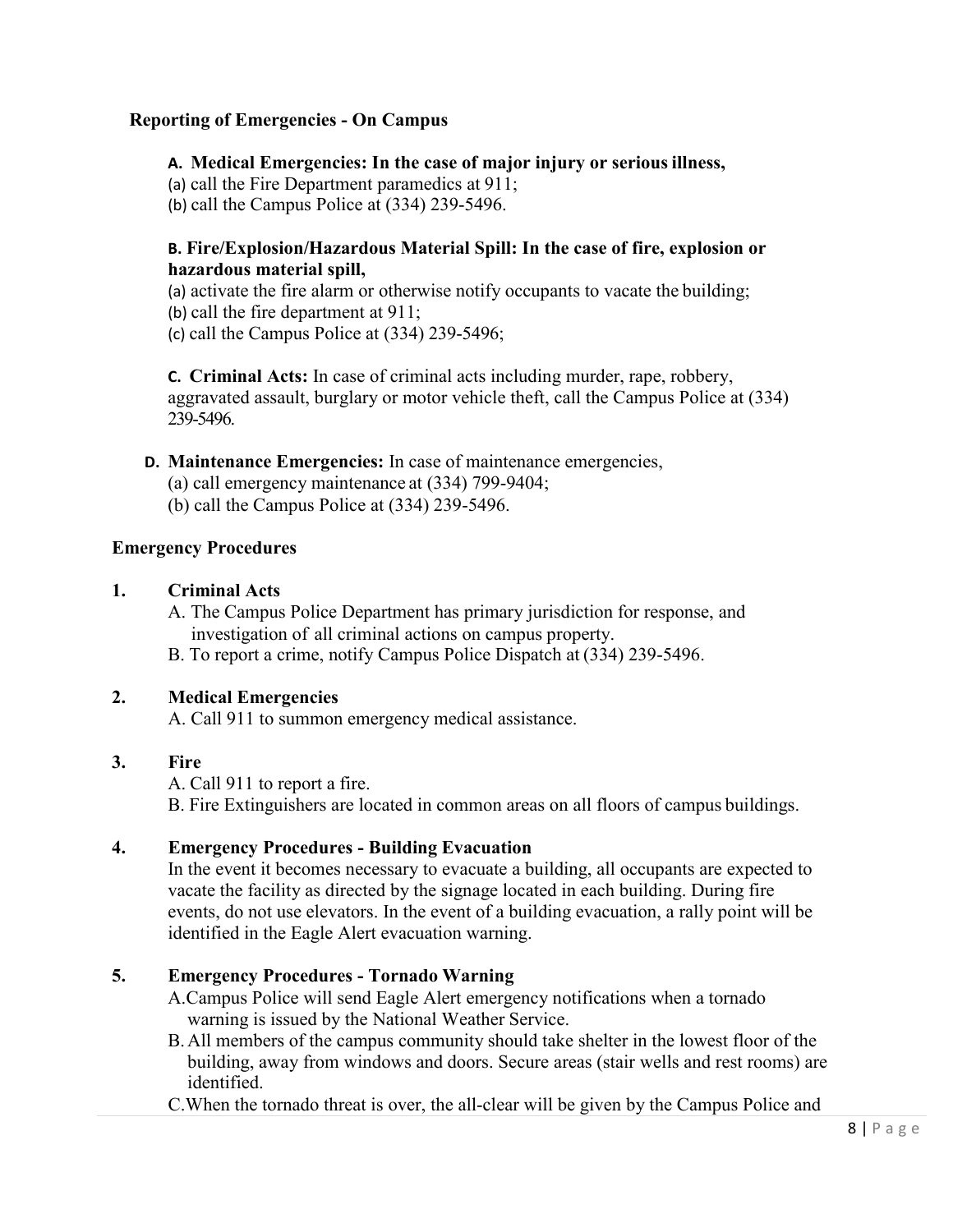# **Reporting of Emergencies - On Campus**

**A. Medical Emergencies: In the case of major injury or serious illness,**

(a) call the Fire Department paramedics at 911;

(b) call the Campus Police at (334) 239-5496.

## **B. Fire/Explosion/Hazardous Material Spill: In the case of fire, explosion or hazardous material spill,**

(a) activate the fire alarm or otherwise notify occupants to vacate the building;

(b) call the fire department at 911;

(c) call the Campus Police at (334) 239-5496;

**C. Criminal Acts:** In case of criminal acts including murder, rape, robbery, aggravated assault, burglary or motor vehicle theft, call the Campus Police at (334) 239-5496.

# **D. Maintenance Emergencies:** In case of maintenance emergencies,

(a) call emergency maintenance at (334) 799-9404;

(b) call the Campus Police at (334) 239-5496.

#### **Emergency Procedures**

## **1. Criminal Acts**

A. The Campus Police Department has primary jurisdiction for response, and investigation of all criminal actions on campus property.

B. To report a crime, notify Campus Police Dispatch at (334) 239-5496.

# **2. Medical Emergencies**

A. Call 911 to summon emergency medical assistance.

# **3. Fire**

A. Call 911 to report a fire.

B. Fire Extinguishers are located in common areas on all floors of campus buildings.

# **4. Emergency Procedures - Building Evacuation**

In the event it becomes necessary to evacuate a building, all occupants are expected to vacate the facility as directed by the signage located in each building. During fire events, do not use elevators. In the event of a building evacuation, a rally point will be identified in the Eagle Alert evacuation warning.

# **5. Emergency Procedures - Tornado Warning**

A.Campus Police will send Eagle Alert emergency notifications when a tornado warning is issued by the National Weather Service.

B.All members of the campus community should take shelter in the lowest floor of the building, away from windows and doors. Secure areas (stair wells and rest rooms) are identified.

C.When the tornado threat is over, the all-clear will be given by the Campus Police and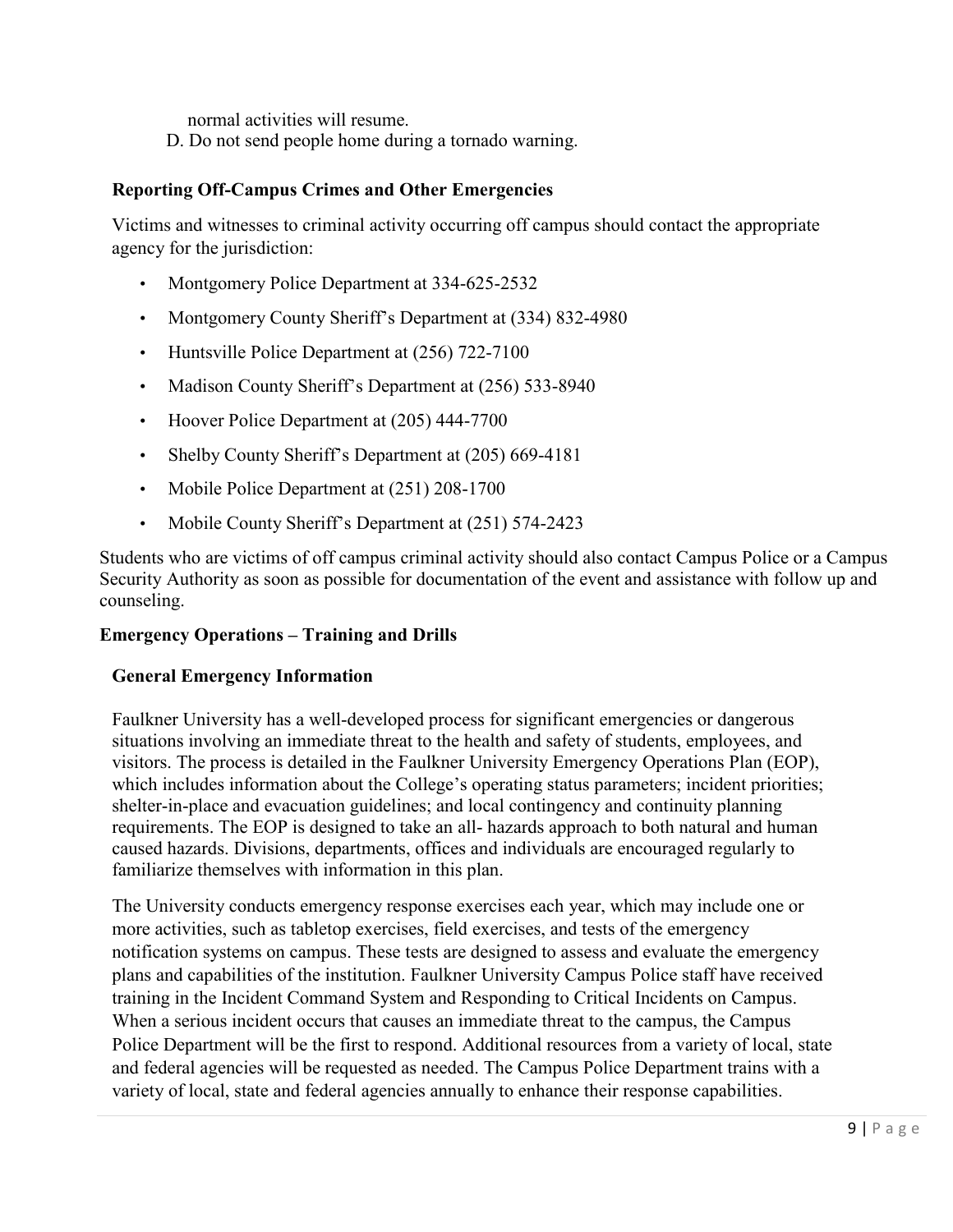normal activities will resume.

D. Do not send people home during a tornado warning.

## **Reporting Off-Campus Crimes and Other Emergencies**

Victims and witnesses to criminal activity occurring off campus should contact the appropriate agency for the jurisdiction:

- Montgomery Police Department at 334-625-2532
- Montgomery County Sheriff's Department at (334) 832-4980
- Huntsville Police Department at (256) 722-7100
- Madison County Sheriff's Department at (256) 533-8940
- Hoover Police Department at (205) 444-7700
- Shelby County Sheriff's Department at (205) 669-4181
- Mobile Police Department at (251) 208-1700
- Mobile County Sheriff's Department at (251) 574-2423

Students who are victims of off campus criminal activity should also contact Campus Police or a Campus Security Authority as soon as possible for documentation of the event and assistance with follow up and counseling.

#### **Emergency Operations – Training and Drills**

#### **General Emergency Information**

Faulkner University has a well-developed process for significant emergencies or dangerous situations involving an immediate threat to the health and safety of students, employees, and visitors. The process is detailed in the Faulkner University Emergency Operations Plan (EOP), which includes information about the College's operating status parameters; incident priorities; shelter-in-place and evacuation guidelines; and local contingency and continuity planning requirements. The EOP is designed to take an all- hazards approach to both natural and human caused hazards. Divisions, departments, offices and individuals are encouraged regularly to familiarize themselves with information in this plan.

The University conducts emergency response exercises each year, which may include one or more activities, such as tabletop exercises, field exercises, and tests of the emergency notification systems on campus. These tests are designed to assess and evaluate the emergency plans and capabilities of the institution. Faulkner University Campus Police staff have received training in the Incident Command System and Responding to Critical Incidents on Campus. When a serious incident occurs that causes an immediate threat to the campus, the Campus Police Department will be the first to respond. Additional resources from a variety of local, state and federal agencies will be requested as needed. The Campus Police Department trains with a variety of local, state and federal agencies annually to enhance their response capabilities.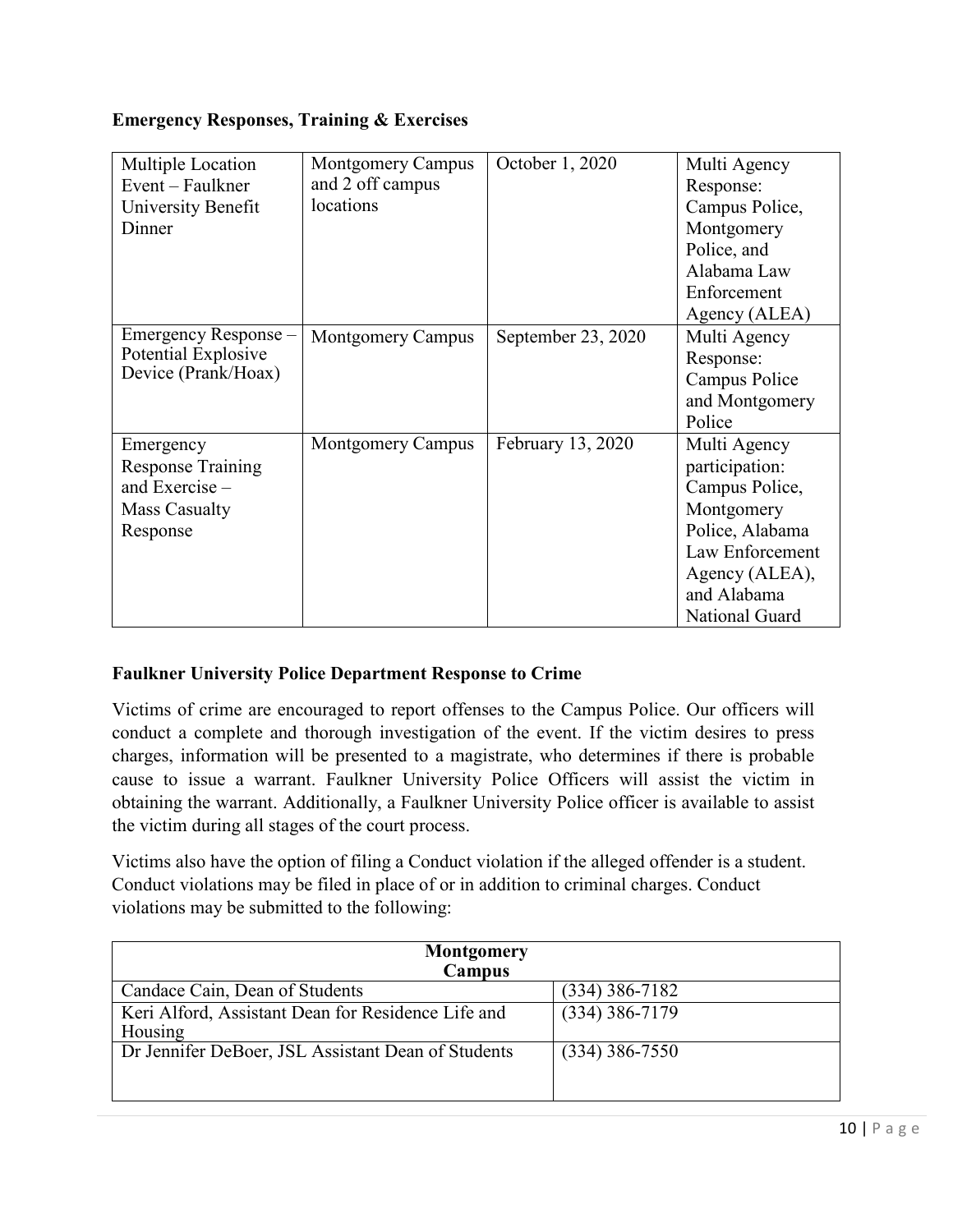# **Emergency Responses, Training & Exercises**

| Multiple Location<br>Event – Faulkner<br>University Benefit<br>Dinner                       | <b>Montgomery Campus</b><br>and 2 off campus<br>locations | October 1, 2020    | Multi Agency<br>Response:<br>Campus Police,<br>Montgomery<br>Police, and<br>Alabama Law<br>Enforcement<br>Agency (ALEA)                                 |
|---------------------------------------------------------------------------------------------|-----------------------------------------------------------|--------------------|---------------------------------------------------------------------------------------------------------------------------------------------------------|
| Emergency Response –<br>Potential Explosive<br>Device (Prank/Hoax)                          | <b>Montgomery Campus</b>                                  | September 23, 2020 | Multi Agency<br>Response:<br>Campus Police<br>and Montgomery<br>Police                                                                                  |
| Emergency<br><b>Response Training</b><br>and Exercise -<br><b>Mass Casualty</b><br>Response | <b>Montgomery Campus</b>                                  | February 13, 2020  | Multi Agency<br>participation:<br>Campus Police,<br>Montgomery<br>Police, Alabama<br>Law Enforcement<br>Agency (ALEA),<br>and Alabama<br>National Guard |

# **Faulkner University Police Department Response to Crime**

Victims of crime are encouraged to report offenses to the Campus Police. Our officers will conduct a complete and thorough investigation of the event. If the victim desires to press charges, information will be presented to a magistrate, who determines if there is probable cause to issue a warrant. Faulkner University Police Officers will assist the victim in obtaining the warrant. Additionally, a Faulkner University Police officer is available to assist the victim during all stages of the court process.

Victims also have the option of filing a Conduct violation if the alleged offender is a student. Conduct violations may be filed in place of or in addition to criminal charges. Conduct violations may be submitted to the following:

| <b>Montgomery</b><br>Campus                                   |                  |
|---------------------------------------------------------------|------------------|
| Candace Cain, Dean of Students                                | $(334)$ 386-7182 |
| Keri Alford, Assistant Dean for Residence Life and<br>Housing | $(334)$ 386-7179 |
| Dr Jennifer DeBoer, JSL Assistant Dean of Students            | $(334)$ 386-7550 |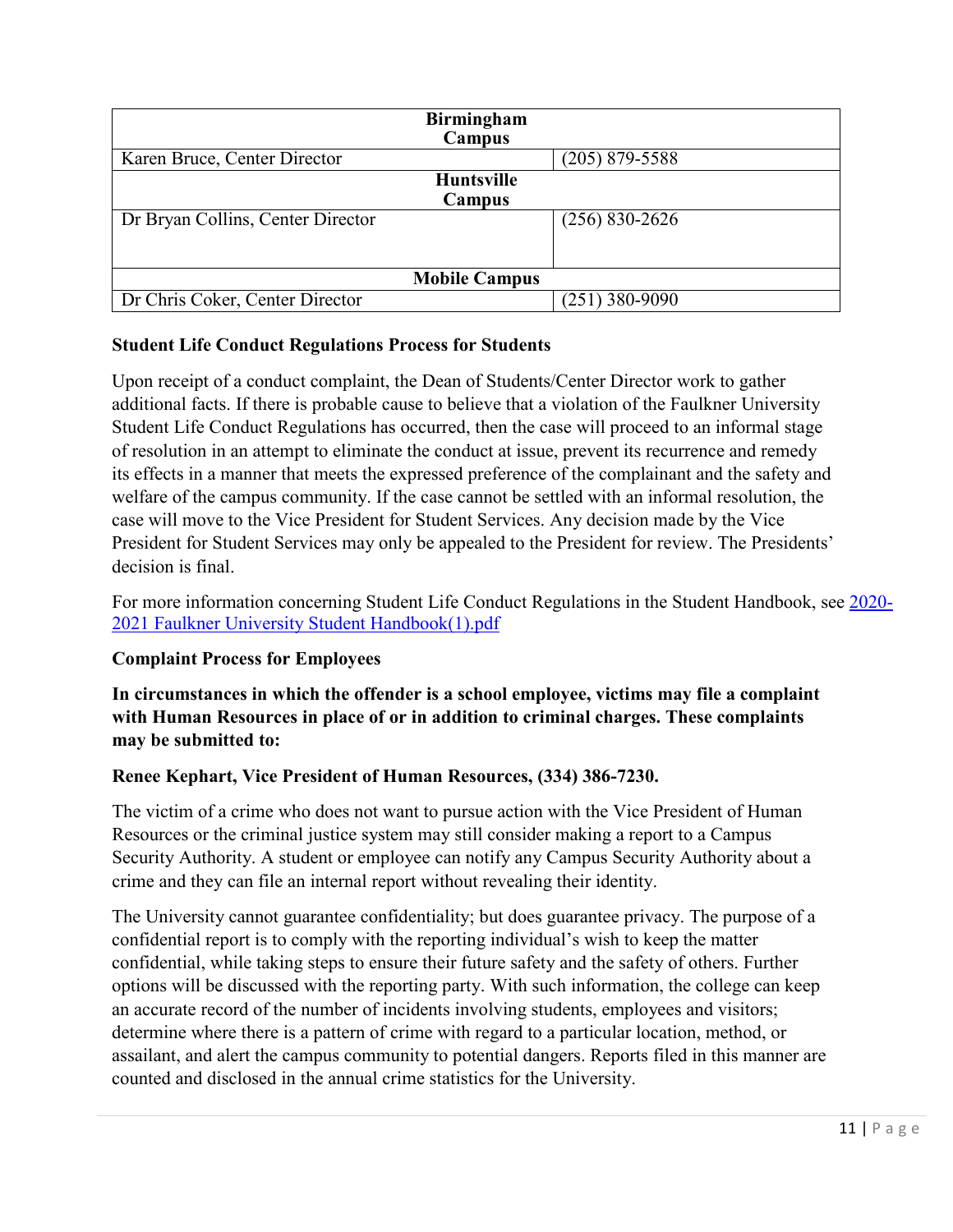| <b>Birmingham</b><br>Campus       |                    |  |  |  |  |
|-----------------------------------|--------------------|--|--|--|--|
| Karen Bruce, Center Director      | $(205)$ 879-5588   |  |  |  |  |
| <b>Huntsville</b>                 |                    |  |  |  |  |
| Campus                            |                    |  |  |  |  |
| Dr Bryan Collins, Center Director | $(256) 830 - 2626$ |  |  |  |  |
|                                   |                    |  |  |  |  |
|                                   |                    |  |  |  |  |
| <b>Mobile Campus</b>              |                    |  |  |  |  |
| Dr Chris Coker, Center Director   | $(251)$ 380-9090   |  |  |  |  |

#### **Student Life Conduct Regulations Process for Students**

Upon receipt of a conduct complaint, the Dean of Students/Center Director work to gather additional facts. If there is probable cause to believe that a violation of the Faulkner University Student Life Conduct Regulations has occurred, then the case will proceed to an informal stage of resolution in an attempt to eliminate the conduct at issue, prevent its recurrence and remedy its effects in a manner that meets the expressed preference of the complainant and the safety and welfare of the campus community. If the case cannot be settled with an informal resolution, the case will move to the Vice President for Student Services. Any decision made by the Vice President for Student Services may only be appealed to the President for review. The Presidents' decision is final.

For more information concerning Student Life Conduct Regulations in the Student Handbook, see [2020-](https://www.faulkner.edu/wp-content/uploads/2020-2021%20Faulkner%20University%20Student%20Handbook(1).pdf) [2021 Faulkner University Student Handbook\(1\).pdf](https://www.faulkner.edu/wp-content/uploads/2020-2021%20Faulkner%20University%20Student%20Handbook(1).pdf)

# **Complaint Process for Employees**

**In circumstances in which the offender is a school employee, victims may file a complaint with Human Resources in place of or in addition to criminal charges. These complaints may be submitted to:**

#### **Renee Kephart, Vice President of Human Resources, (334) 386-7230.**

The victim of a crime who does not want to pursue action with the Vice President of Human Resources or the criminal justice system may still consider making a report to a Campus Security Authority. A student or employee can notify any Campus Security Authority about a crime and they can file an internal report without revealing their identity.

The University cannot guarantee confidentiality; but does guarantee privacy. The purpose of a confidential report is to comply with the reporting individual's wish to keep the matter confidential, while taking steps to ensure their future safety and the safety of others. Further options will be discussed with the reporting party. With such information, the college can keep an accurate record of the number of incidents involving students, employees and visitors; determine where there is a pattern of crime with regard to a particular location, method, or assailant, and alert the campus community to potential dangers. Reports filed in this manner are counted and disclosed in the annual crime statistics for the University.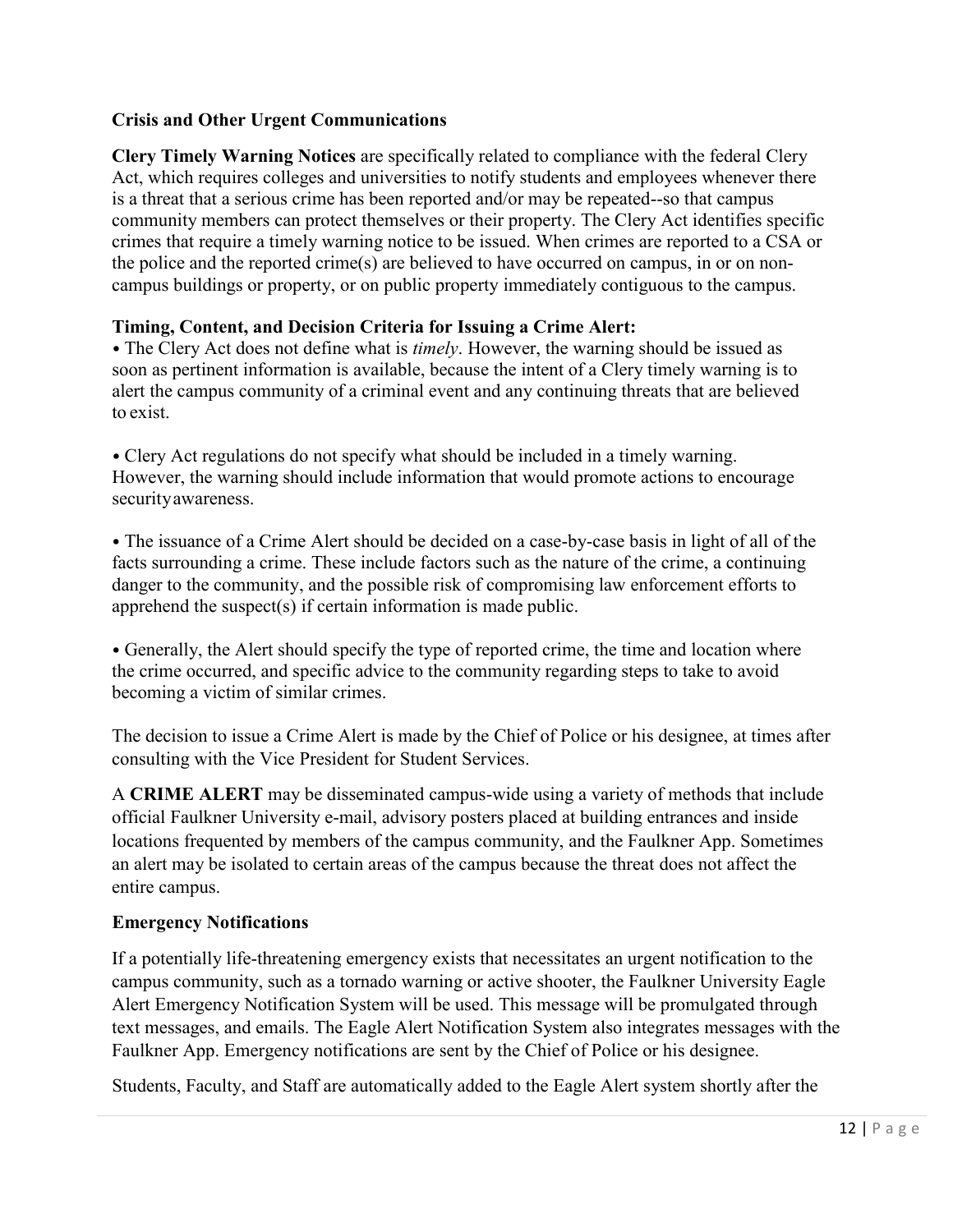# **Crisis and Other Urgent Communications**

**Clery Timely Warning Notices** are specifically related to compliance with the federal Clery Act, which requires colleges and universities to notify students and employees whenever there is a threat that a serious crime has been reported and/or may be repeated--so that campus community members can protect themselves or their property. The Clery Act identifies specific crimes that require a timely warning notice to be issued. When crimes are reported to a CSA or the police and the reported crime(s) are believed to have occurred on campus, in or on noncampus buildings or property, or on public property immediately contiguous to the campus.

# **Timing, Content, and Decision Criteria for Issuing a Crime Alert:**

• The Clery Act does not define what is *timely*. However, the warning should be issued as soon as pertinent information is available, because the intent of a Clery timely warning is to alert the campus community of a criminal event and any continuing threats that are believed to exist.

• Clery Act regulations do not specify what should be included in a timely warning. However, the warning should include information that would promote actions to encourage securityawareness.

• The issuance of a Crime Alert should be decided on a case-by-case basis in light of all of the facts surrounding a crime. These include factors such as the nature of the crime, a continuing danger to the community, and the possible risk of compromising law enforcement efforts to apprehend the suspect(s) if certain information is made public.

• Generally, the Alert should specify the type of reported crime, the time and location where the crime occurred, and specific advice to the community regarding steps to take to avoid becoming a victim of similar crimes.

The decision to issue a Crime Alert is made by the Chief of Police or his designee, at times after consulting with the Vice President for Student Services.

A **CRIME ALERT** may be disseminated campus-wide using a variety of methods that include official Faulkner University e-mail, advisory posters placed at building entrances and inside locations frequented by members of the campus community, and the Faulkner App. Sometimes an alert may be isolated to certain areas of the campus because the threat does not affect the entire campus.

# **Emergency Notifications**

If a potentially life-threatening emergency exists that necessitates an urgent notification to the campus community, such as a tornado warning or active shooter, the Faulkner University Eagle Alert Emergency Notification System will be used. This message will be promulgated through text messages, and emails. The Eagle Alert Notification System also integrates messages with the Faulkner App. Emergency notifications are sent by the Chief of Police or his designee.

Students, Faculty, and Staff are automatically added to the Eagle Alert system shortly after the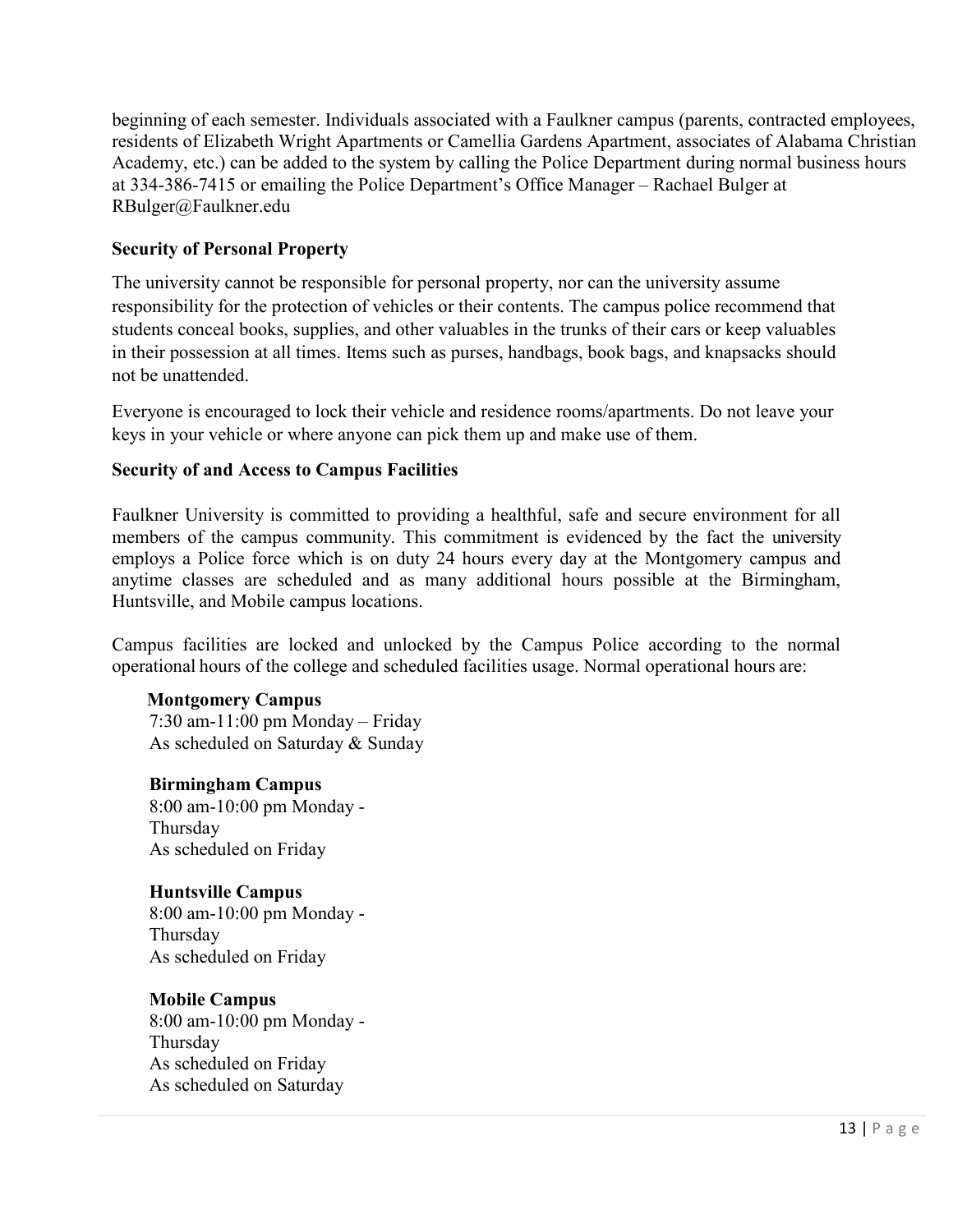beginning of each semester. Individuals associated with a Faulkner campus (parents, contracted employees, residents of Elizabeth Wright Apartments or Camellia Gardens Apartment, associates of Alabama Christian Academy, etc.) can be added to the system by calling the Police Department during normal business hours at 334-386-7415 or emailing the Police Department's Office Manager – Rachael Bulger at RBulger@Faulkner.edu

# **Security of Personal Property**

The university cannot be responsible for personal property, nor can the university assume responsibility for the protection of vehicles or their contents. The campus police recommend that students conceal books, supplies, and other valuables in the trunks of their cars or keep valuables in their possession at all times. Items such as purses, handbags, book bags, and knapsacks should not be unattended.

Everyone is encouraged to lock their vehicle and residence rooms/apartments. Do not leave your keys in your vehicle or where anyone can pick them up and make use of them.

# **Security of and Access to Campus Facilities**

Faulkner University is committed to providing a healthful, safe and secure environment for all members of the campus community. This commitment is evidenced by the fact the university employs a Police force which is on duty 24 hours every day at the Montgomery campus and anytime classes are scheduled and as many additional hours possible at the Birmingham, Huntsville, and Mobile campus locations.

Campus facilities are locked and unlocked by the Campus Police according to the normal operational hours of the college and scheduled facilities usage. Normal operational hours are:

# **Montgomery Campus**

7:30 am-11:00 pm Monday – Friday As scheduled on Saturday & Sunday

# **Birmingham Campus**

8:00 am-10:00 pm Monday - Thursday As scheduled on Friday

# **Huntsville Campus**

8:00 am-10:00 pm Monday - Thursday As scheduled on Friday

# **Mobile Campus**

8:00 am-10:00 pm Monday - Thursday As scheduled on Friday As scheduled on Saturday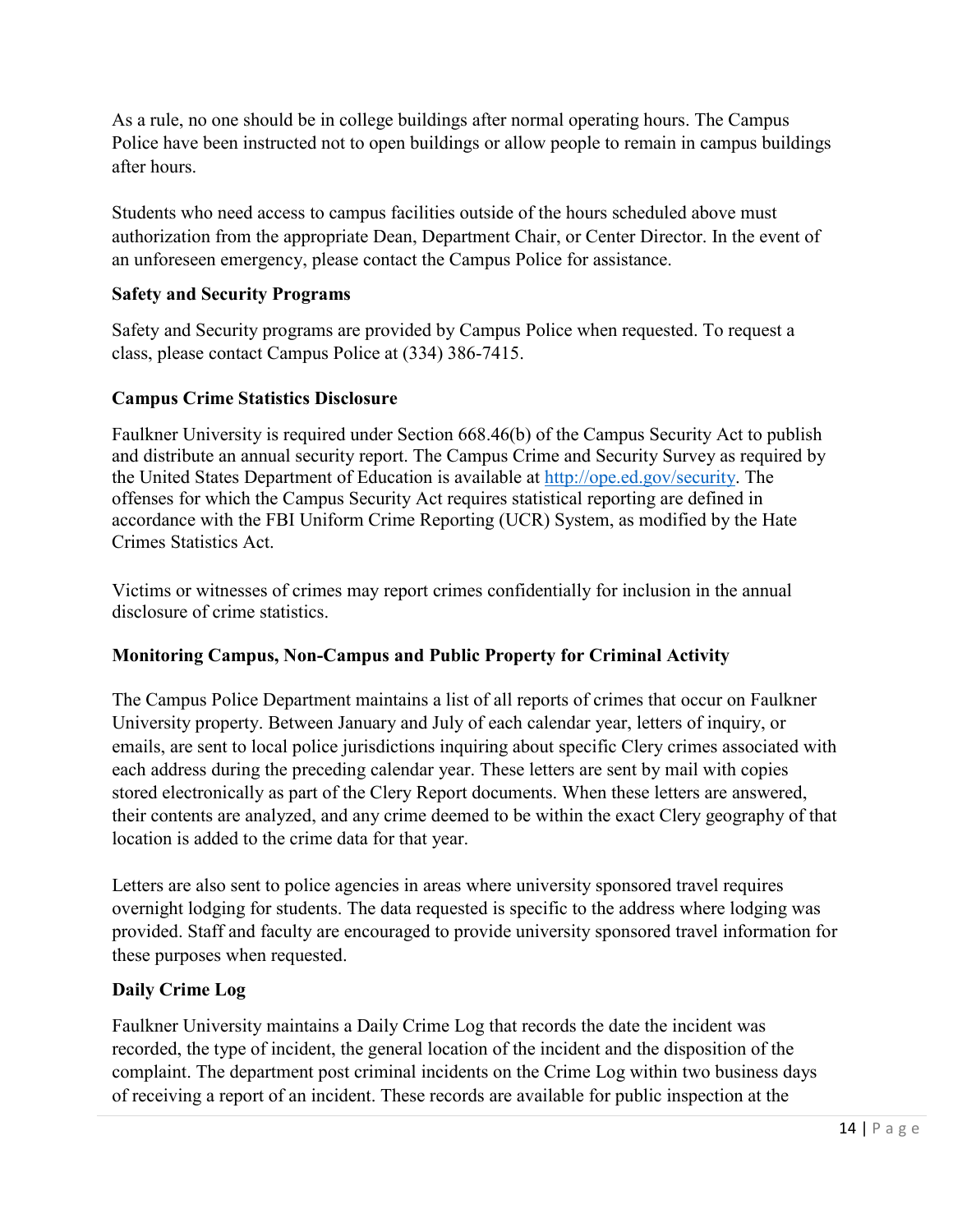As a rule, no one should be in college buildings after normal operating hours. The Campus Police have been instructed not to open buildings or allow people to remain in campus buildings after hours.

Students who need access to campus facilities outside of the hours scheduled above must authorization from the appropriate Dean, Department Chair, or Center Director. In the event of an unforeseen emergency, please contact the Campus Police for assistance.

# **Safety and Security Programs**

Safety and Security programs are provided by Campus Police when requested. To request a class, please contact Campus Police at (334) 386-7415.

# **Campus Crime Statistics Disclosure**

Faulkner University is required under Section 668.46(b) of the Campus Security Act to publish and distribute an annual security report. The Campus Crime and Security Survey as required by the United States Department of Education is available at [http://ope.ed.gov/security.](http://ope.ed.gov/security) The offenses for which the Campus Security Act requires statistical reporting are defined in accordance with the FBI Uniform Crime Reporting (UCR) System, as modified by the Hate Crimes Statistics Act.

Victims or witnesses of crimes may report crimes confidentially for inclusion in the annual disclosure of crime statistics.

# **Monitoring Campus, Non-Campus and Public Property for Criminal Activity**

The Campus Police Department maintains a list of all reports of crimes that occur on Faulkner University property. Between January and July of each calendar year, letters of inquiry, or emails, are sent to local police jurisdictions inquiring about specific Clery crimes associated with each address during the preceding calendar year. These letters are sent by mail with copies stored electronically as part of the Clery Report documents. When these letters are answered, their contents are analyzed, and any crime deemed to be within the exact Clery geography of that location is added to the crime data for that year.

Letters are also sent to police agencies in areas where university sponsored travel requires overnight lodging for students. The data requested is specific to the address where lodging was provided. Staff and faculty are encouraged to provide university sponsored travel information for these purposes when requested.

# **Daily Crime Log**

Faulkner University maintains a Daily Crime Log that records the date the incident was recorded, the type of incident, the general location of the incident and the disposition of the complaint. The department post criminal incidents on the Crime Log within two business days of receiving a report of an incident. These records are available for public inspection at the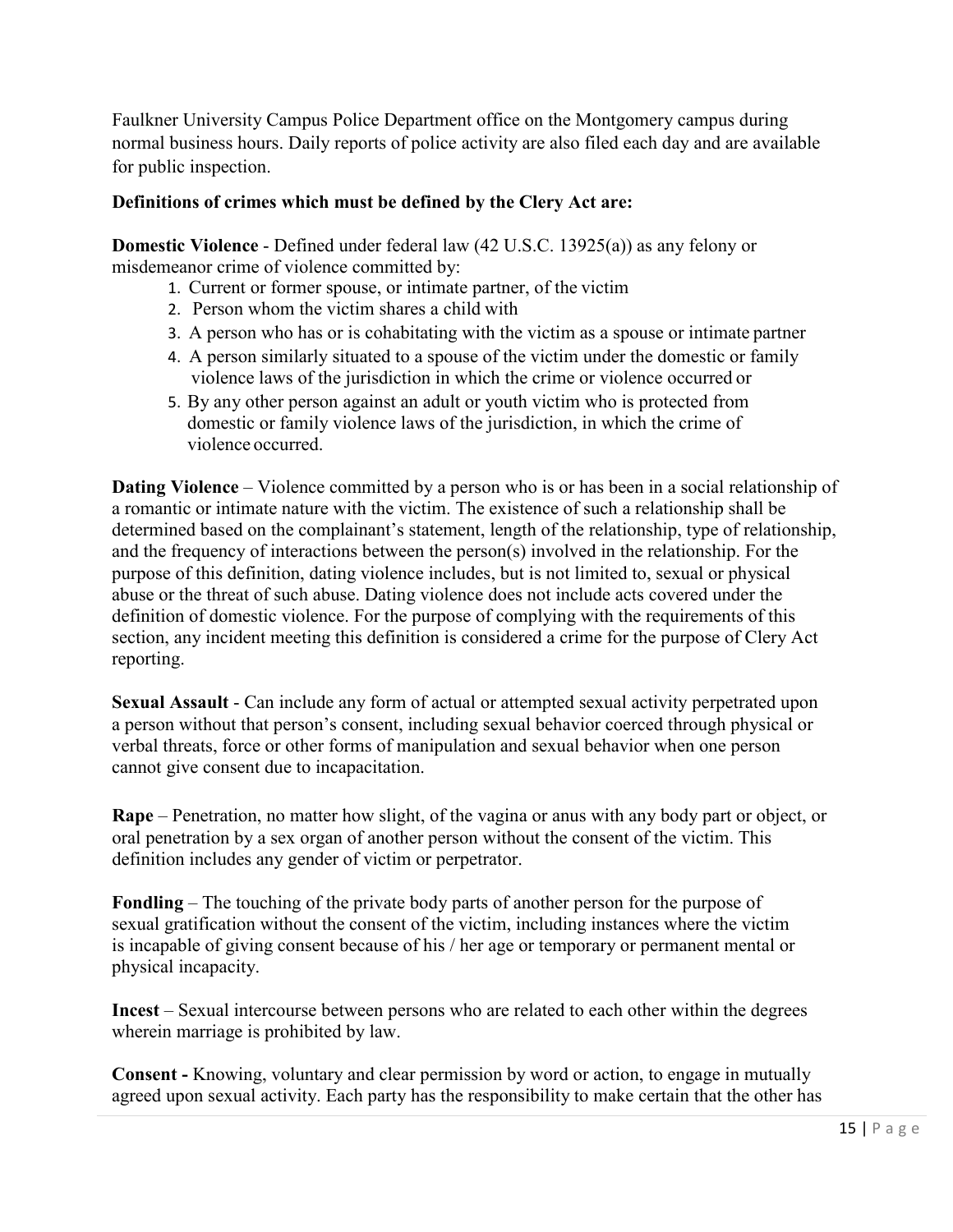Faulkner University Campus Police Department office on the Montgomery campus during normal business hours. Daily reports of police activity are also filed each day and are available for public inspection.

## **Definitions of crimes which must be defined by the Clery Act are:**

**Domestic Violence** - Defined under federal law (42 U.S.C. 13925(a)) as any felony or misdemeanor crime of violence committed by:

- 1. Current or former spouse, or intimate partner, of the victim
- 2. Person whom the victim shares a child with
- 3. A person who has or is cohabitating with the victim as a spouse or intimate partner
- 4. A person similarly situated to a spouse of the victim under the domestic or family violence laws of the jurisdiction in which the crime or violence occurred or
- 5. By any other person against an adult or youth victim who is protected from domestic or family violence laws of the jurisdiction, in which the crime of violence occurred.

**Dating Violence** – Violence committed by a person who is or has been in a social relationship of a romantic or intimate nature with the victim. The existence of such a relationship shall be determined based on the complainant's statement, length of the relationship, type of relationship, and the frequency of interactions between the person(s) involved in the relationship. For the purpose of this definition, dating violence includes, but is not limited to, sexual or physical abuse or the threat of such abuse. Dating violence does not include acts covered under the definition of domestic violence. For the purpose of complying with the requirements of this section, any incident meeting this definition is considered a crime for the purpose of Clery Act reporting.

**Sexual Assault** - Can include any form of actual or attempted sexual activity perpetrated upon a person without that person's consent, including sexual behavior coerced through physical or verbal threats, force or other forms of manipulation and sexual behavior when one person cannot give consent due to incapacitation.

**Rape** – Penetration, no matter how slight, of the vagina or anus with any body part or object, or oral penetration by a sex organ of another person without the consent of the victim. This definition includes any gender of victim or perpetrator.

**Fondling** – The touching of the private body parts of another person for the purpose of sexual gratification without the consent of the victim, including instances where the victim is incapable of giving consent because of his / her age or temporary or permanent mental or physical incapacity.

**Incest** – Sexual intercourse between persons who are related to each other within the degrees wherein marriage is prohibited by law.

**Consent -** Knowing, voluntary and clear permission by word or action, to engage in mutually agreed upon sexual activity. Each party has the responsibility to make certain that the other has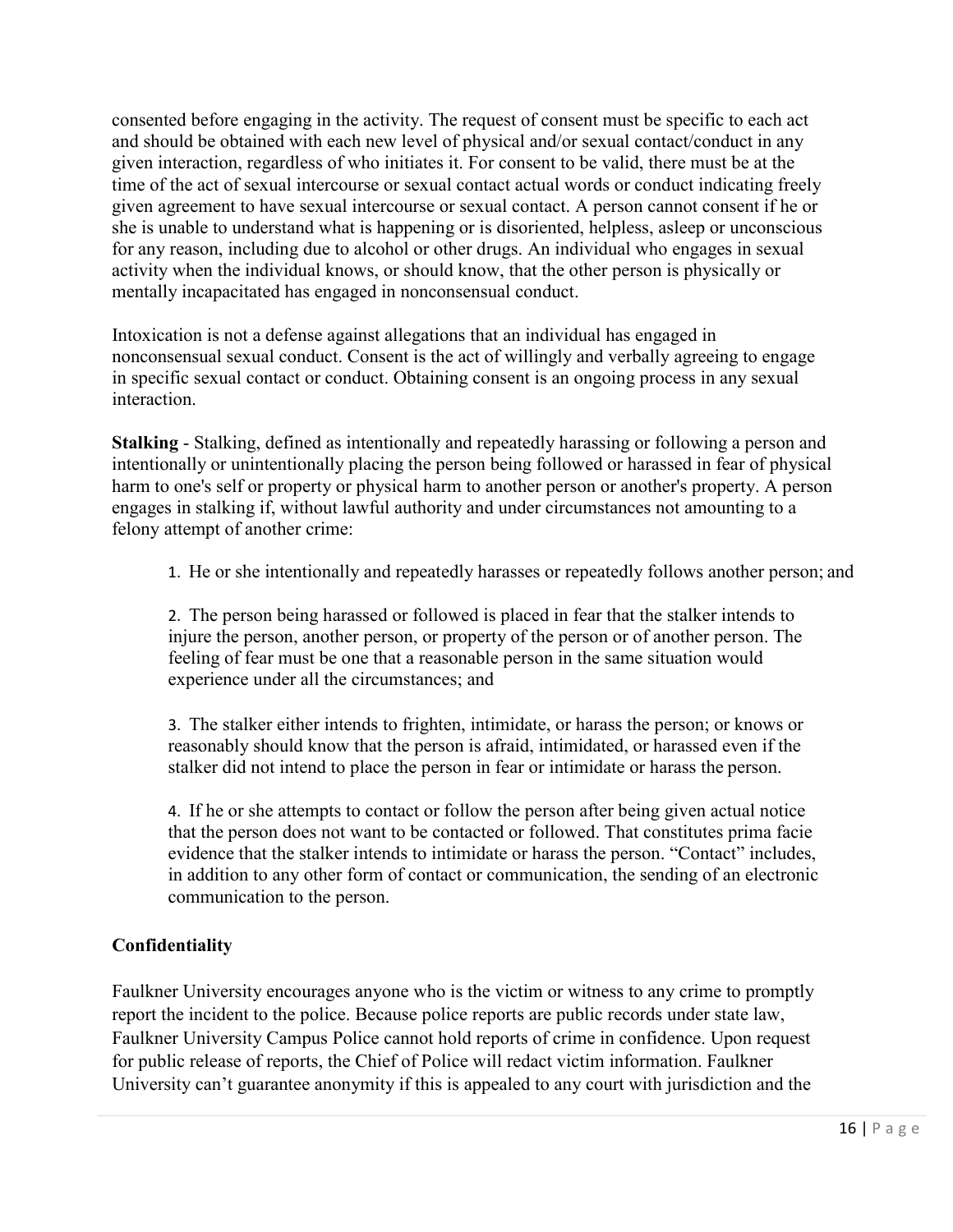consented before engaging in the activity. The request of consent must be specific to each act and should be obtained with each new level of physical and/or sexual contact/conduct in any given interaction, regardless of who initiates it. For consent to be valid, there must be at the time of the act of sexual intercourse or sexual contact actual words or conduct indicating freely given agreement to have sexual intercourse or sexual contact. A person cannot consent if he or she is unable to understand what is happening or is disoriented, helpless, asleep or unconscious for any reason, including due to alcohol or other drugs. An individual who engages in sexual activity when the individual knows, or should know, that the other person is physically or mentally incapacitated has engaged in nonconsensual conduct.

Intoxication is not a defense against allegations that an individual has engaged in nonconsensual sexual conduct. Consent is the act of willingly and verbally agreeing to engage in specific sexual contact or conduct. Obtaining consent is an ongoing process in any sexual interaction.

**Stalking** - Stalking, defined as intentionally and repeatedly harassing or following a person and intentionally or unintentionally placing the person being followed or harassed in fear of physical harm to one's self or property or physical harm to another person or another's property. A person engages in stalking if, without lawful authority and under circumstances not amounting to a felony attempt of another crime:

1. He or she intentionally and repeatedly harasses or repeatedly follows another person; and

2. The person being harassed or followed is placed in fear that the stalker intends to injure the person, another person, or property of the person or of another person. The feeling of fear must be one that a reasonable person in the same situation would experience under all the circumstances; and

3. The stalker either intends to frighten, intimidate, or harass the person; or knows or reasonably should know that the person is afraid, intimidated, or harassed even if the stalker did not intend to place the person in fear or intimidate or harass the person.

4. If he or she attempts to contact or follow the person after being given actual notice that the person does not want to be contacted or followed. That constitutes prima facie evidence that the stalker intends to intimidate or harass the person. "Contact" includes, in addition to any other form of contact or communication, the sending of an electronic communication to the person.

# **Confidentiality**

Faulkner University encourages anyone who is the victim or witness to any crime to promptly report the incident to the police. Because police reports are public records under state law, Faulkner University Campus Police cannot hold reports of crime in confidence. Upon request for public release of reports, the Chief of Police will redact victim information. Faulkner University can't guarantee anonymity if this is appealed to any court with jurisdiction and the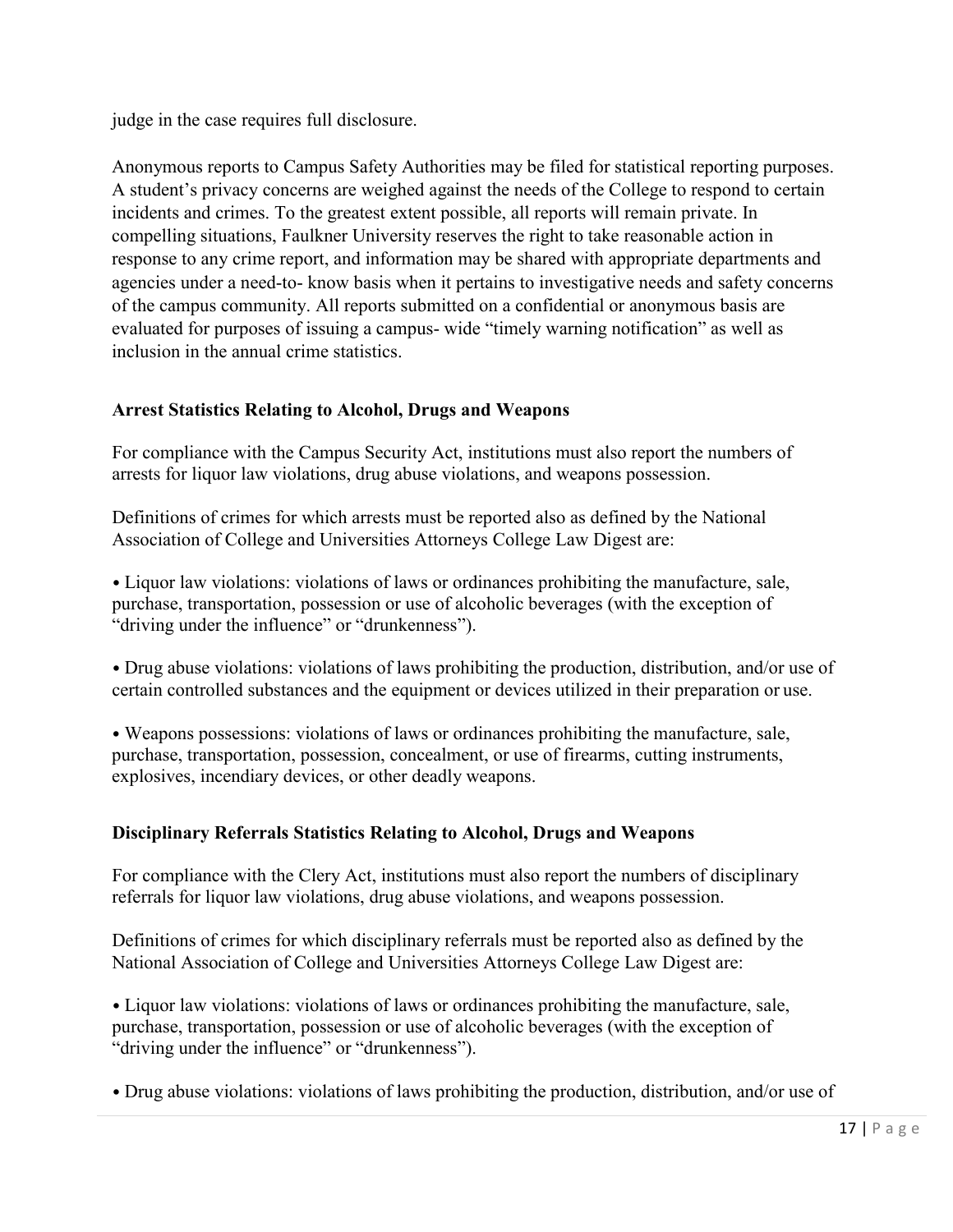judge in the case requires full disclosure.

Anonymous reports to Campus Safety Authorities may be filed for statistical reporting purposes. A student's privacy concerns are weighed against the needs of the College to respond to certain incidents and crimes. To the greatest extent possible, all reports will remain private. In compelling situations, Faulkner University reserves the right to take reasonable action in response to any crime report, and information may be shared with appropriate departments and agencies under a need-to- know basis when it pertains to investigative needs and safety concerns of the campus community. All reports submitted on a confidential or anonymous basis are evaluated for purposes of issuing a campus- wide "timely warning notification" as well as inclusion in the annual crime statistics.

# **Arrest Statistics Relating to Alcohol, Drugs and Weapons**

For compliance with the Campus Security Act, institutions must also report the numbers of arrests for liquor law violations, drug abuse violations, and weapons possession.

Definitions of crimes for which arrests must be reported also as defined by the National Association of College and Universities Attorneys College Law Digest are:

• Liquor law violations: violations of laws or ordinances prohibiting the manufacture, sale, purchase, transportation, possession or use of alcoholic beverages (with the exception of "driving under the influence" or "drunkenness").

• Drug abuse violations: violations of laws prohibiting the production, distribution, and/or use of certain controlled substances and the equipment or devices utilized in their preparation or use.

• Weapons possessions: violations of laws or ordinances prohibiting the manufacture, sale, purchase, transportation, possession, concealment, or use of firearms, cutting instruments, explosives, incendiary devices, or other deadly weapons.

# **Disciplinary Referrals Statistics Relating to Alcohol, Drugs and Weapons**

For compliance with the Clery Act, institutions must also report the numbers of disciplinary referrals for liquor law violations, drug abuse violations, and weapons possession.

Definitions of crimes for which disciplinary referrals must be reported also as defined by the National Association of College and Universities Attorneys College Law Digest are:

• Liquor law violations: violations of laws or ordinances prohibiting the manufacture, sale, purchase, transportation, possession or use of alcoholic beverages (with the exception of "driving under the influence" or "drunkenness").

• Drug abuse violations: violations of laws prohibiting the production, distribution, and/or use of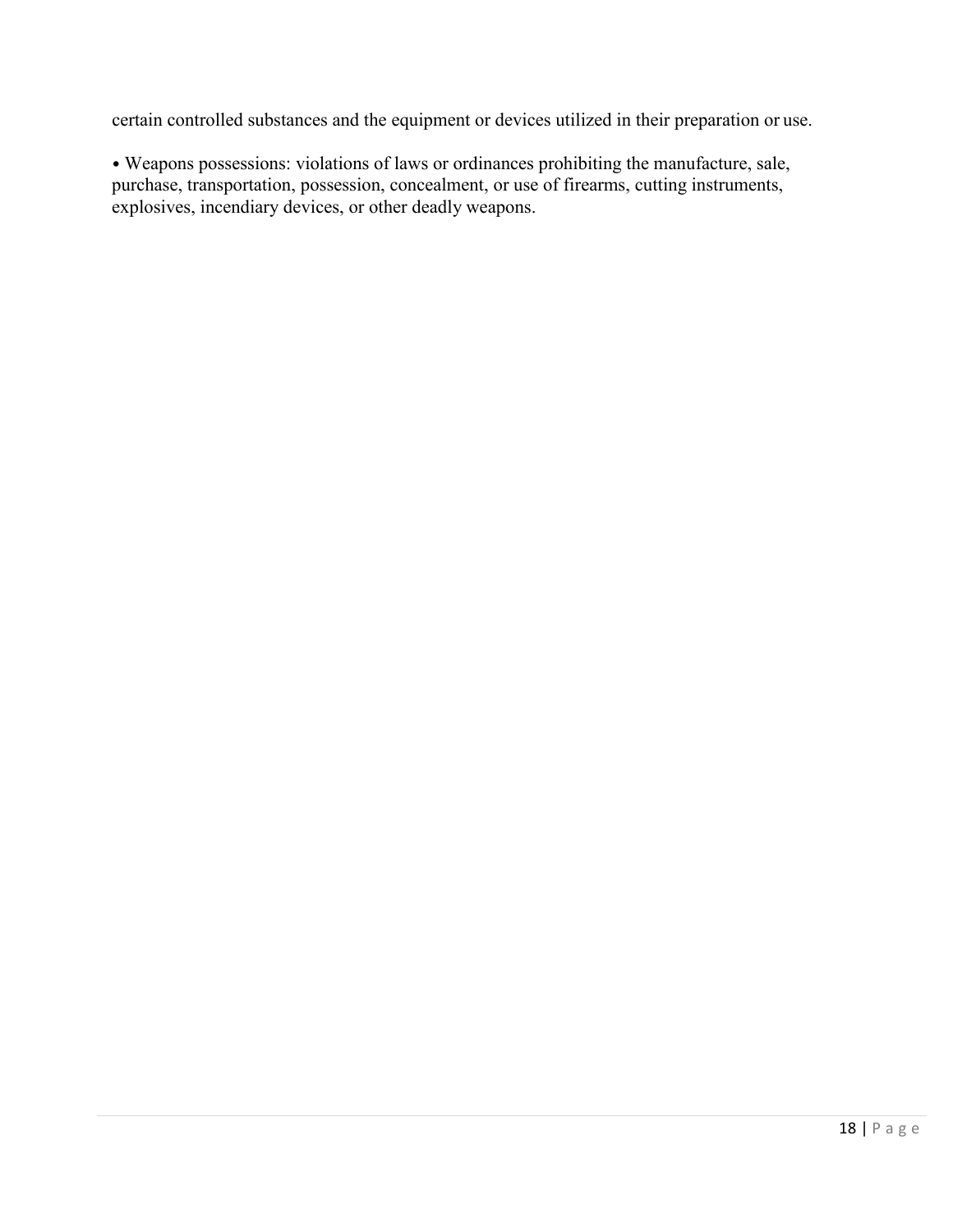certain controlled substances and the equipment or devices utilized in their preparation or use.

• Weapons possessions: violations of laws or ordinances prohibiting the manufacture, sale, purchase, transportation, possession, concealment, or use of firearms, cutting instruments, explosives, incendiary devices, or other deadly weapons.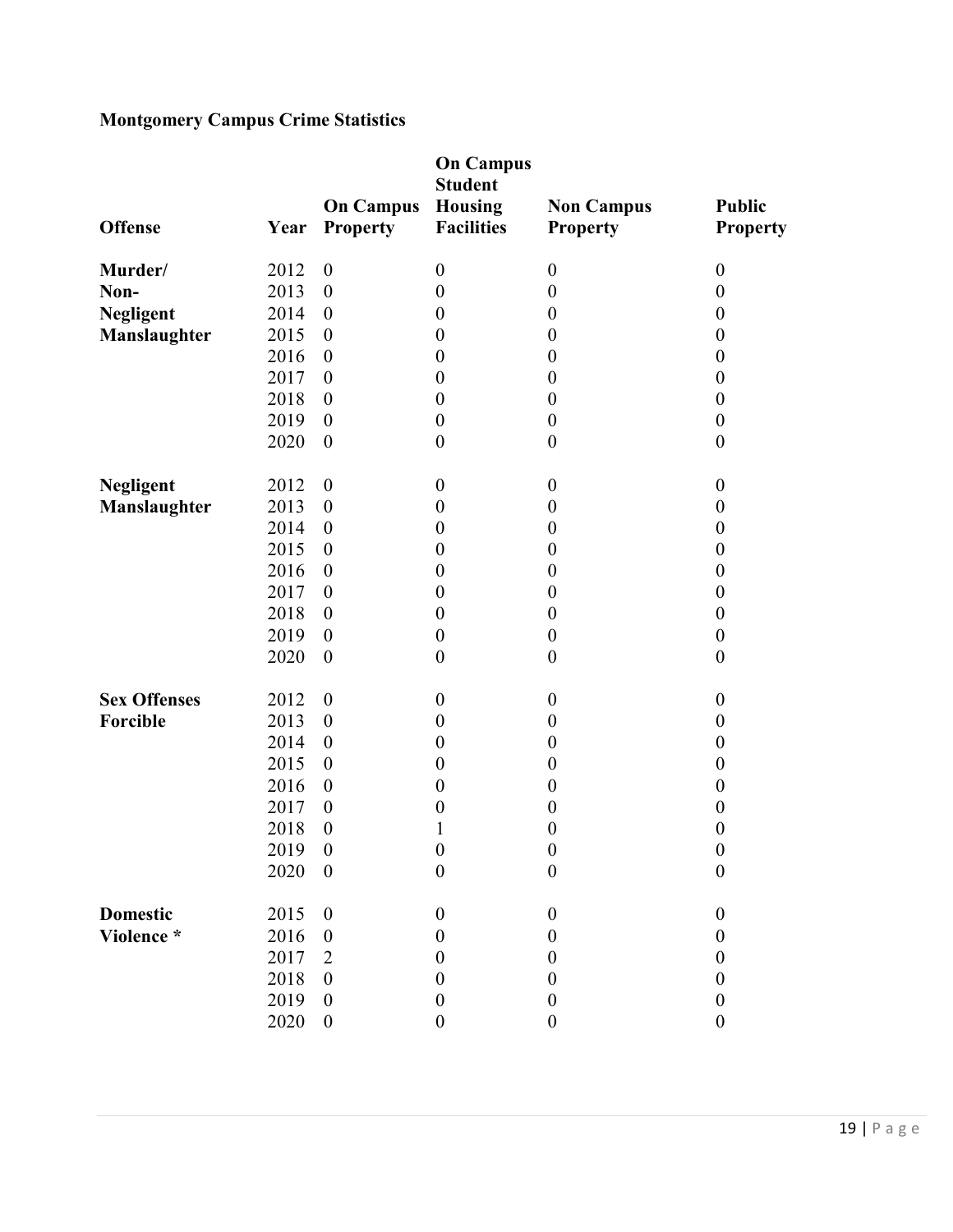# **Montgomery Campus Crime Statistics**

| <b>Offense</b>      | Year | <b>On Campus</b><br><b>Property</b> | <b>On Campus</b><br><b>Student</b><br><b>Housing</b><br><b>Facilities</b> | <b>Non Campus</b><br><b>Property</b> | <b>Public</b><br><b>Property</b> |
|---------------------|------|-------------------------------------|---------------------------------------------------------------------------|--------------------------------------|----------------------------------|
| Murder/             | 2012 | $\boldsymbol{0}$                    | $\boldsymbol{0}$                                                          | $\boldsymbol{0}$                     | $\boldsymbol{0}$                 |
| Non-                | 2013 | $\boldsymbol{0}$                    | $\boldsymbol{0}$                                                          | $\boldsymbol{0}$                     | $\boldsymbol{0}$                 |
| <b>Negligent</b>    | 2014 | $\boldsymbol{0}$                    | $\boldsymbol{0}$                                                          | $\boldsymbol{0}$                     | $\boldsymbol{0}$                 |
| Manslaughter        | 2015 | $\boldsymbol{0}$                    | $\boldsymbol{0}$                                                          | $\boldsymbol{0}$                     | $\boldsymbol{0}$                 |
|                     | 2016 | $\boldsymbol{0}$                    | $\boldsymbol{0}$                                                          | $\boldsymbol{0}$                     | $\boldsymbol{0}$                 |
|                     | 2017 | $\boldsymbol{0}$                    | $\boldsymbol{0}$                                                          | $\boldsymbol{0}$                     | $\boldsymbol{0}$                 |
|                     | 2018 | $\boldsymbol{0}$                    | $\boldsymbol{0}$                                                          | $\boldsymbol{0}$                     | $\boldsymbol{0}$                 |
|                     | 2019 | $\boldsymbol{0}$                    | $\boldsymbol{0}$                                                          | $\boldsymbol{0}$                     | $\boldsymbol{0}$                 |
|                     | 2020 | $\boldsymbol{0}$                    | $\boldsymbol{0}$                                                          | $\boldsymbol{0}$                     | $\boldsymbol{0}$                 |
| <b>Negligent</b>    | 2012 | $\boldsymbol{0}$                    | $\boldsymbol{0}$                                                          | $\boldsymbol{0}$                     | $\boldsymbol{0}$                 |
| Manslaughter        | 2013 | $\boldsymbol{0}$                    | $\boldsymbol{0}$                                                          | $\boldsymbol{0}$                     | $\boldsymbol{0}$                 |
|                     | 2014 | $\boldsymbol{0}$                    | $\boldsymbol{0}$                                                          | $\boldsymbol{0}$                     | $\boldsymbol{0}$                 |
|                     | 2015 | $\boldsymbol{0}$                    | $\boldsymbol{0}$                                                          | $\boldsymbol{0}$                     | $\boldsymbol{0}$                 |
|                     | 2016 | $\boldsymbol{0}$                    | $\boldsymbol{0}$                                                          | $\boldsymbol{0}$                     | $\boldsymbol{0}$                 |
|                     | 2017 | $\boldsymbol{0}$                    | $\boldsymbol{0}$                                                          | $\boldsymbol{0}$                     | $\boldsymbol{0}$                 |
|                     | 2018 | $\boldsymbol{0}$                    | $\boldsymbol{0}$                                                          | $\boldsymbol{0}$                     | $\boldsymbol{0}$                 |
|                     | 2019 | $\boldsymbol{0}$                    | $\boldsymbol{0}$                                                          | $\boldsymbol{0}$                     | $\boldsymbol{0}$                 |
|                     | 2020 | $\boldsymbol{0}$                    | $\boldsymbol{0}$                                                          | $\boldsymbol{0}$                     | $\boldsymbol{0}$                 |
| <b>Sex Offenses</b> | 2012 | $\boldsymbol{0}$                    | $\boldsymbol{0}$                                                          | $\boldsymbol{0}$                     | $\boldsymbol{0}$                 |
| Forcible            | 2013 | $\boldsymbol{0}$                    | $\boldsymbol{0}$                                                          | $\boldsymbol{0}$                     | $\boldsymbol{0}$                 |
|                     | 2014 | $\boldsymbol{0}$                    | $\boldsymbol{0}$                                                          | $\boldsymbol{0}$                     | $\boldsymbol{0}$                 |
|                     | 2015 | $\boldsymbol{0}$                    | $\boldsymbol{0}$                                                          | $\boldsymbol{0}$                     | $\boldsymbol{0}$                 |
|                     | 2016 | $\boldsymbol{0}$                    | $\boldsymbol{0}$                                                          | $\boldsymbol{0}$                     | $\boldsymbol{0}$                 |
|                     | 2017 | $\boldsymbol{0}$                    | $\boldsymbol{0}$                                                          | $\boldsymbol{0}$                     | $\boldsymbol{0}$                 |
|                     | 2018 | $\boldsymbol{0}$                    | 1                                                                         | $\boldsymbol{0}$                     | $\boldsymbol{0}$                 |
|                     | 2019 | $\boldsymbol{0}$                    | $\boldsymbol{0}$                                                          | $\boldsymbol{0}$                     | $\boldsymbol{0}$                 |
|                     | 2020 | $\boldsymbol{0}$                    | $\boldsymbol{0}$                                                          | $\boldsymbol{0}$                     | $\boldsymbol{0}$                 |
| <b>Domestic</b>     | 2015 | $\boldsymbol{0}$                    | $\boldsymbol{0}$                                                          | $\boldsymbol{0}$                     | $\boldsymbol{0}$                 |
| Violence *          | 2016 | $\boldsymbol{0}$                    | 0                                                                         | $\boldsymbol{0}$                     | $\boldsymbol{0}$                 |
|                     | 2017 | 2                                   | 0                                                                         | $\theta$                             | $\boldsymbol{0}$                 |
|                     | 2018 | $\boldsymbol{0}$                    | 0                                                                         | $\boldsymbol{0}$                     | $\boldsymbol{0}$                 |
|                     | 2019 | $\boldsymbol{0}$                    | $\boldsymbol{0}$                                                          | $\boldsymbol{0}$                     | $\boldsymbol{0}$                 |
|                     | 2020 | $\boldsymbol{0}$                    | $\boldsymbol{0}$                                                          | $\boldsymbol{0}$                     | $\boldsymbol{0}$                 |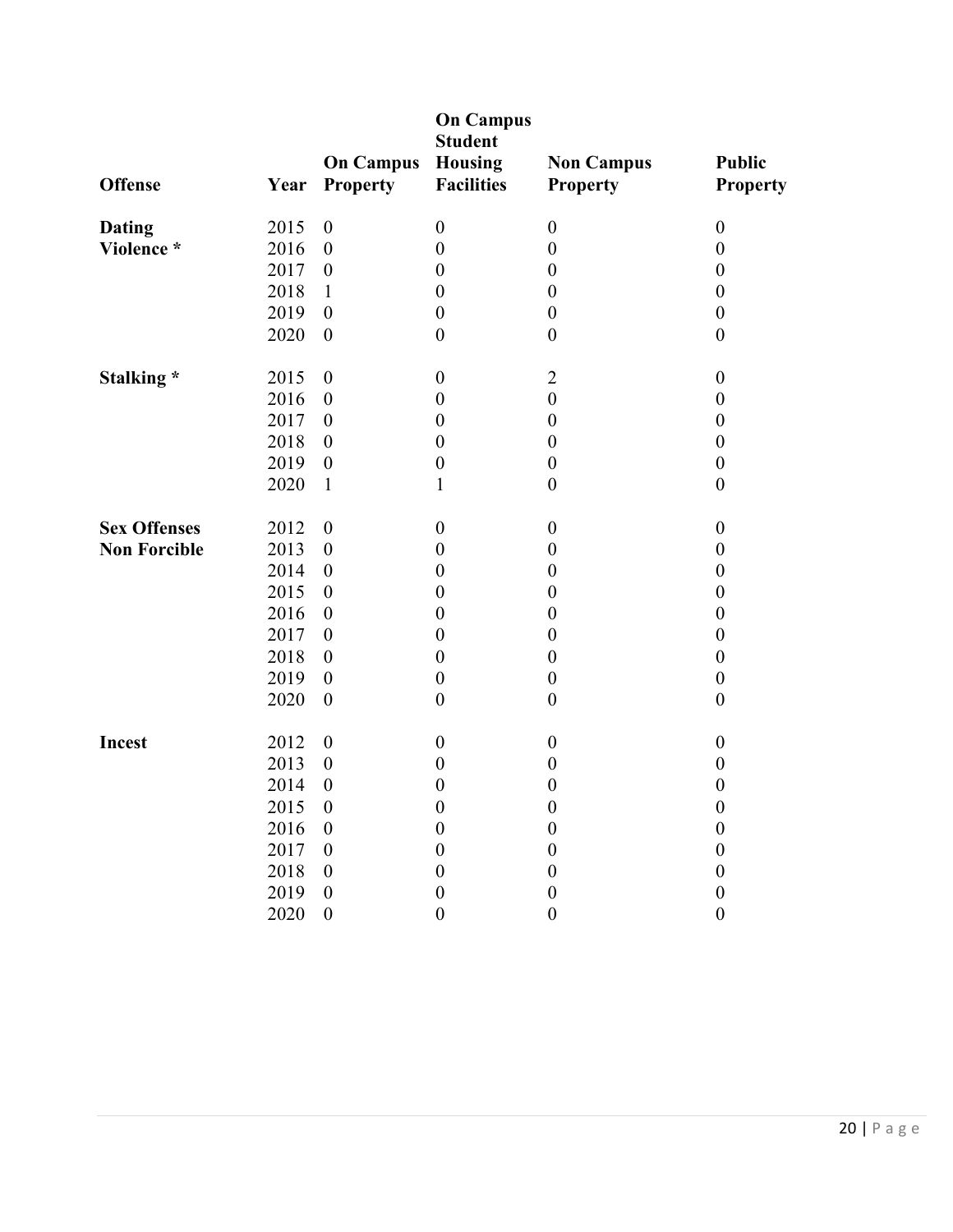| <b>Offense</b>      | Year | <b>On Campus</b><br><b>Property</b> | <b>On Campus</b><br><b>Student</b><br><b>Housing</b><br><b>Facilities</b> | <b>Non Campus</b><br><b>Property</b> | <b>Public</b><br><b>Property</b> |
|---------------------|------|-------------------------------------|---------------------------------------------------------------------------|--------------------------------------|----------------------------------|
| <b>Dating</b>       | 2015 | $\boldsymbol{0}$                    | $\boldsymbol{0}$                                                          | $\boldsymbol{0}$                     | $\boldsymbol{0}$                 |
| Violence *          | 2016 | $\boldsymbol{0}$                    | $\boldsymbol{0}$                                                          | $\boldsymbol{0}$                     | $\boldsymbol{0}$                 |
|                     | 2017 | $\boldsymbol{0}$                    | $\boldsymbol{0}$                                                          | $\boldsymbol{0}$                     | $\boldsymbol{0}$                 |
|                     | 2018 | $\mathbf{1}$                        | $\boldsymbol{0}$                                                          | $\boldsymbol{0}$                     | $\boldsymbol{0}$                 |
|                     | 2019 | $\boldsymbol{0}$                    | $\boldsymbol{0}$                                                          | $\boldsymbol{0}$                     | $\boldsymbol{0}$                 |
|                     | 2020 | $\boldsymbol{0}$                    | $\boldsymbol{0}$                                                          | $\boldsymbol{0}$                     | $\boldsymbol{0}$                 |
| Stalking*           | 2015 | $\boldsymbol{0}$                    | $\boldsymbol{0}$                                                          | $\overline{2}$                       | $\boldsymbol{0}$                 |
|                     | 2016 | $\boldsymbol{0}$                    | $\boldsymbol{0}$                                                          | $\boldsymbol{0}$                     | $\boldsymbol{0}$                 |
|                     | 2017 | $\boldsymbol{0}$                    | $\boldsymbol{0}$                                                          | $\boldsymbol{0}$                     | $\boldsymbol{0}$                 |
|                     | 2018 | $\boldsymbol{0}$                    | $\boldsymbol{0}$                                                          | $\boldsymbol{0}$                     | $\boldsymbol{0}$                 |
|                     | 2019 | $\boldsymbol{0}$                    | $\boldsymbol{0}$                                                          | $\boldsymbol{0}$                     | $\boldsymbol{0}$                 |
|                     | 2020 | $\mathbf{1}$                        | $\mathbf{1}$                                                              | $\boldsymbol{0}$                     | $\boldsymbol{0}$                 |
| <b>Sex Offenses</b> | 2012 | $\boldsymbol{0}$                    | $\boldsymbol{0}$                                                          | $\boldsymbol{0}$                     | $\boldsymbol{0}$                 |
| <b>Non Forcible</b> | 2013 | $\boldsymbol{0}$                    | $\boldsymbol{0}$                                                          | $\boldsymbol{0}$                     | $\boldsymbol{0}$                 |
|                     | 2014 | $\boldsymbol{0}$                    | $\boldsymbol{0}$                                                          | $\boldsymbol{0}$                     | $\boldsymbol{0}$                 |
|                     | 2015 | $\boldsymbol{0}$                    | $\boldsymbol{0}$                                                          | $\boldsymbol{0}$                     | $\boldsymbol{0}$                 |
|                     | 2016 | $\boldsymbol{0}$                    | $\boldsymbol{0}$                                                          | $\boldsymbol{0}$                     | $\boldsymbol{0}$                 |
|                     | 2017 | $\boldsymbol{0}$                    | $\boldsymbol{0}$                                                          | $\boldsymbol{0}$                     | $\boldsymbol{0}$                 |
|                     | 2018 | $\boldsymbol{0}$                    | $\boldsymbol{0}$                                                          | $\boldsymbol{0}$                     | $\boldsymbol{0}$                 |
|                     | 2019 | $\boldsymbol{0}$                    | $\boldsymbol{0}$                                                          | $\boldsymbol{0}$                     | $\boldsymbol{0}$                 |
|                     | 2020 | $\boldsymbol{0}$                    | $\boldsymbol{0}$                                                          | $\boldsymbol{0}$                     | $\boldsymbol{0}$                 |
| Incest              | 2012 | $\boldsymbol{0}$                    | $\boldsymbol{0}$                                                          | $\boldsymbol{0}$                     | $\boldsymbol{0}$                 |
|                     | 2013 | $\boldsymbol{0}$                    | $\boldsymbol{0}$                                                          | $\boldsymbol{0}$                     | $\boldsymbol{0}$                 |
|                     | 2014 | $\boldsymbol{0}$                    | $\boldsymbol{0}$                                                          | $\boldsymbol{0}$                     | $\boldsymbol{0}$                 |
|                     | 2015 | $\boldsymbol{0}$                    | $\boldsymbol{0}$                                                          | $\boldsymbol{0}$                     | $\boldsymbol{0}$                 |
|                     | 2016 | $\boldsymbol{0}$                    | $\boldsymbol{0}$                                                          | $\boldsymbol{0}$                     | $\boldsymbol{0}$                 |
|                     | 2017 | $\boldsymbol{0}$                    | $\boldsymbol{0}$                                                          | $\boldsymbol{0}$                     | $\boldsymbol{0}$                 |
|                     | 2018 | $\boldsymbol{0}$                    | $\boldsymbol{0}$                                                          | $\boldsymbol{0}$                     | $\boldsymbol{0}$                 |
|                     | 2019 | $\boldsymbol{0}$                    | $\boldsymbol{0}$                                                          | $\boldsymbol{0}$                     | $\boldsymbol{0}$                 |
|                     | 2020 | $\mathbf{0}$                        | $\boldsymbol{0}$                                                          | $\boldsymbol{0}$                     | $\mathbf{0}$                     |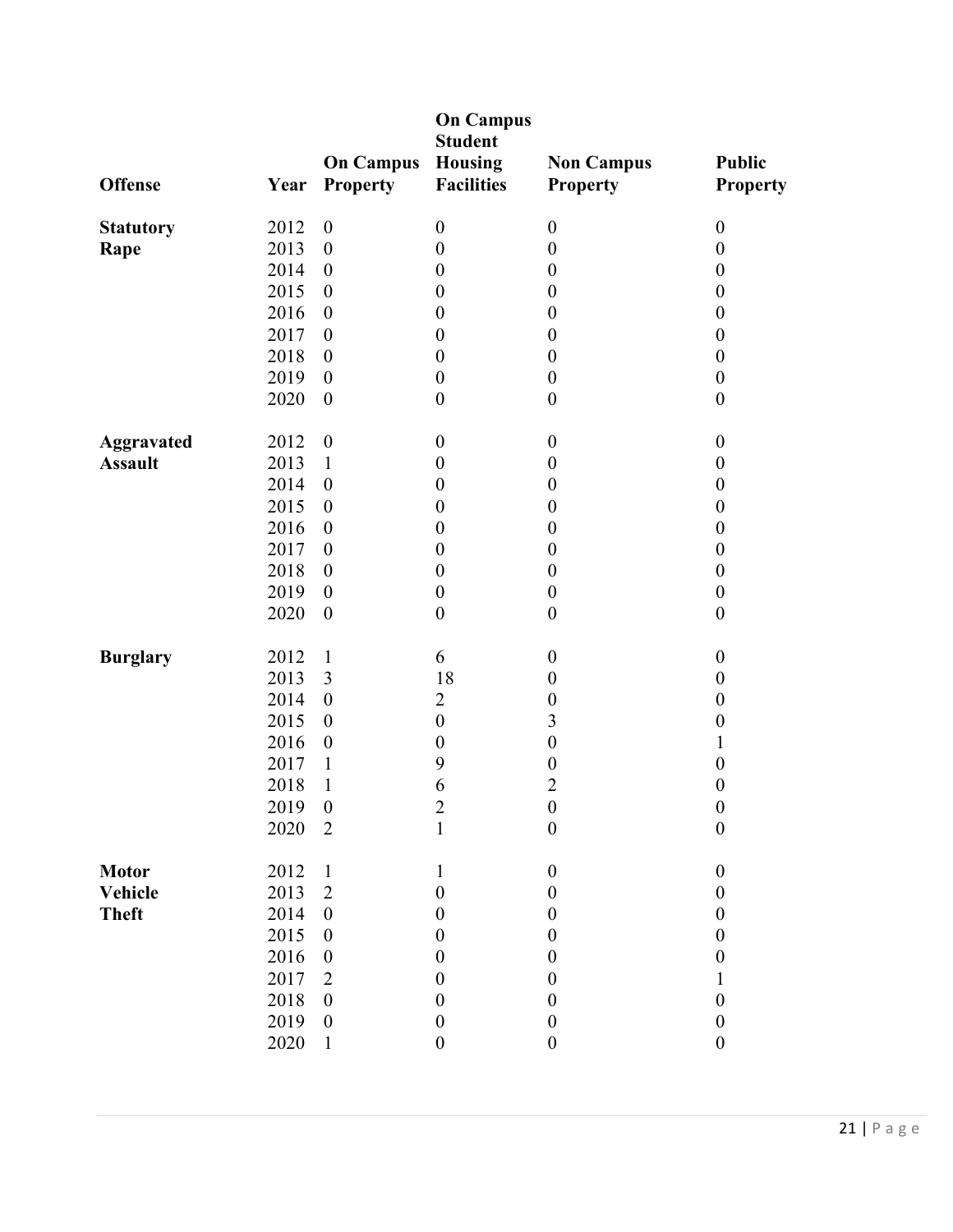|                   |      |                                     | <b>On Campus</b><br><b>Student</b>  |                                      |                                  |
|-------------------|------|-------------------------------------|-------------------------------------|--------------------------------------|----------------------------------|
| <b>Offense</b>    | Year | <b>On Campus</b><br><b>Property</b> | <b>Housing</b><br><b>Facilities</b> | <b>Non Campus</b><br><b>Property</b> | <b>Public</b><br><b>Property</b> |
| <b>Statutory</b>  | 2012 | $\boldsymbol{0}$                    | $\boldsymbol{0}$                    | $\boldsymbol{0}$                     | $\boldsymbol{0}$                 |
| Rape              | 2013 | $\boldsymbol{0}$                    | $\boldsymbol{0}$                    | $\boldsymbol{0}$                     | $\boldsymbol{0}$                 |
|                   | 2014 | $\boldsymbol{0}$                    | $\boldsymbol{0}$                    | $\boldsymbol{0}$                     | $\boldsymbol{0}$                 |
|                   | 2015 | $\boldsymbol{0}$                    | $\boldsymbol{0}$                    | $\boldsymbol{0}$                     | $\boldsymbol{0}$                 |
|                   | 2016 | $\boldsymbol{0}$                    | $\boldsymbol{0}$                    | $\boldsymbol{0}$                     | $\boldsymbol{0}$                 |
|                   | 2017 | $\boldsymbol{0}$                    | $\boldsymbol{0}$                    | $\boldsymbol{0}$                     | $\boldsymbol{0}$                 |
|                   | 2018 | $\boldsymbol{0}$                    | $\boldsymbol{0}$                    | $\boldsymbol{0}$                     | $\boldsymbol{0}$                 |
|                   | 2019 | $\boldsymbol{0}$                    | $\boldsymbol{0}$                    | $\boldsymbol{0}$                     | $\boldsymbol{0}$                 |
|                   | 2020 | $\boldsymbol{0}$                    | $\boldsymbol{0}$                    | $\boldsymbol{0}$                     | $\boldsymbol{0}$                 |
| <b>Aggravated</b> | 2012 | $\boldsymbol{0}$                    | $\boldsymbol{0}$                    | $\boldsymbol{0}$                     | $\boldsymbol{0}$                 |
| <b>Assault</b>    | 2013 | $\mathbf{1}$                        | $\boldsymbol{0}$                    | $\boldsymbol{0}$                     | $\boldsymbol{0}$                 |
|                   | 2014 | $\boldsymbol{0}$                    | $\boldsymbol{0}$                    | $\boldsymbol{0}$                     | $\boldsymbol{0}$                 |
|                   | 2015 | $\boldsymbol{0}$                    | $\boldsymbol{0}$                    | $\boldsymbol{0}$                     | $\boldsymbol{0}$                 |
|                   | 2016 | $\boldsymbol{0}$                    | $\boldsymbol{0}$                    | $\boldsymbol{0}$                     | $\boldsymbol{0}$                 |
|                   | 2017 | $\boldsymbol{0}$                    | $\boldsymbol{0}$                    | $\boldsymbol{0}$                     | $\boldsymbol{0}$                 |
|                   | 2018 | $\boldsymbol{0}$                    | $\boldsymbol{0}$                    | $\boldsymbol{0}$                     | $\boldsymbol{0}$                 |
|                   | 2019 | $\boldsymbol{0}$                    | $\boldsymbol{0}$                    | $\boldsymbol{0}$                     | $\boldsymbol{0}$                 |
|                   | 2020 | $\boldsymbol{0}$                    | $\boldsymbol{0}$                    | $\boldsymbol{0}$                     | $\boldsymbol{0}$                 |
| <b>Burglary</b>   | 2012 | $\mathbf{1}$                        | 6                                   | $\boldsymbol{0}$                     | $\boldsymbol{0}$                 |
|                   | 2013 | 3                                   | 18                                  | $\boldsymbol{0}$                     | $\boldsymbol{0}$                 |
|                   | 2014 | $\boldsymbol{0}$                    | $\overline{2}$                      | $\boldsymbol{0}$                     | $\boldsymbol{0}$                 |
|                   | 2015 | $\boldsymbol{0}$                    | $\boldsymbol{0}$                    | $\overline{\mathbf{3}}$              | $\boldsymbol{0}$                 |
|                   | 2016 | $\boldsymbol{0}$                    | $\boldsymbol{0}$                    | $\boldsymbol{0}$                     | $\mathbf{1}$                     |
|                   | 2017 | $\mathbf{1}$                        | 9                                   | $\boldsymbol{0}$                     | $\boldsymbol{0}$                 |
|                   | 2018 | $\mathbf{1}$                        | 6                                   | $\overline{c}$                       | $\boldsymbol{0}$                 |
|                   | 2019 | $\boldsymbol{0}$                    | $\overline{2}$                      | $\boldsymbol{0}$                     | $\boldsymbol{0}$                 |
|                   | 2020 | $\overline{2}$                      | 1                                   | $\boldsymbol{0}$                     | $\boldsymbol{0}$                 |
| <b>Motor</b>      | 2012 | $\mathbf{1}$                        | $\mathbf{1}$                        | $\boldsymbol{0}$                     | $\boldsymbol{0}$                 |
| Vehicle           | 2013 | $\overline{2}$                      | $\boldsymbol{0}$                    | $\boldsymbol{0}$                     | $\boldsymbol{0}$                 |
| <b>Theft</b>      | 2014 | $\boldsymbol{0}$                    | $\boldsymbol{0}$                    | $\boldsymbol{0}$                     | $\boldsymbol{0}$                 |
|                   | 2015 | $\boldsymbol{0}$                    | $\boldsymbol{0}$                    | $\boldsymbol{0}$                     | $\boldsymbol{0}$                 |
|                   | 2016 | $\boldsymbol{0}$                    | $\boldsymbol{0}$                    | $\boldsymbol{0}$                     | $\boldsymbol{0}$                 |
|                   | 2017 | $\overline{2}$                      | $\boldsymbol{0}$                    | $\boldsymbol{0}$                     | 1                                |
|                   | 2018 | $\boldsymbol{0}$                    | $\boldsymbol{0}$                    | $\boldsymbol{0}$                     | $\boldsymbol{0}$                 |
|                   | 2019 | $\boldsymbol{0}$                    | $\boldsymbol{0}$                    | $\boldsymbol{0}$                     | $\boldsymbol{0}$                 |
|                   | 2020 | $\mathbf{1}$                        | $\boldsymbol{0}$                    | $\boldsymbol{0}$                     | $\boldsymbol{0}$                 |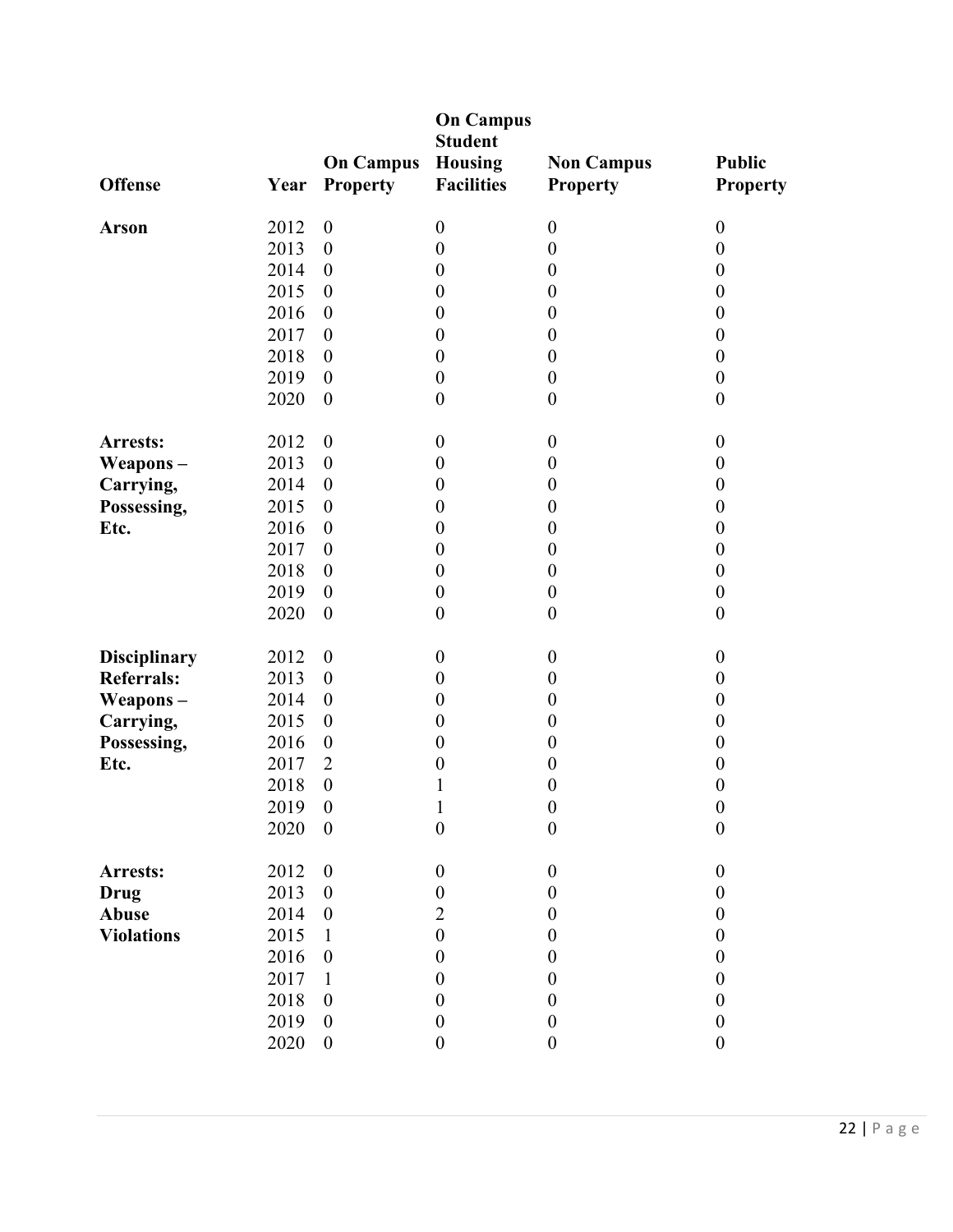|                     |      |                                     | <b>On Campus</b><br><b>Student</b>  |                                      |                                  |
|---------------------|------|-------------------------------------|-------------------------------------|--------------------------------------|----------------------------------|
| <b>Offense</b>      | Year | <b>On Campus</b><br><b>Property</b> | <b>Housing</b><br><b>Facilities</b> | <b>Non Campus</b><br><b>Property</b> | <b>Public</b><br><b>Property</b> |
| <b>Arson</b>        | 2012 | $\boldsymbol{0}$                    | $\boldsymbol{0}$                    | $\boldsymbol{0}$                     | $\boldsymbol{0}$                 |
|                     | 2013 | $\boldsymbol{0}$                    | $\boldsymbol{0}$                    | $\boldsymbol{0}$                     | $\boldsymbol{0}$                 |
|                     | 2014 | $\boldsymbol{0}$                    | $\boldsymbol{0}$                    | $\boldsymbol{0}$                     | $\boldsymbol{0}$                 |
|                     | 2015 | $\boldsymbol{0}$                    | $\boldsymbol{0}$                    | $\boldsymbol{0}$                     | $\boldsymbol{0}$                 |
|                     | 2016 | $\boldsymbol{0}$                    | $\boldsymbol{0}$                    | $\boldsymbol{0}$                     | $\boldsymbol{0}$                 |
|                     | 2017 | $\boldsymbol{0}$                    | $\boldsymbol{0}$                    | $\boldsymbol{0}$                     | $\boldsymbol{0}$                 |
|                     | 2018 | $\boldsymbol{0}$                    | $\boldsymbol{0}$                    | $\boldsymbol{0}$                     | $\boldsymbol{0}$                 |
|                     | 2019 | $\boldsymbol{0}$                    | $\boldsymbol{0}$                    | $\boldsymbol{0}$                     | $\boldsymbol{0}$                 |
|                     | 2020 | $\boldsymbol{0}$                    | $\boldsymbol{0}$                    | $\boldsymbol{0}$                     | $\boldsymbol{0}$                 |
| Arrests:            | 2012 | $\boldsymbol{0}$                    | $\boldsymbol{0}$                    | $\boldsymbol{0}$                     | $\boldsymbol{0}$                 |
| Weapons-            | 2013 | $\boldsymbol{0}$                    | $\boldsymbol{0}$                    | $\boldsymbol{0}$                     | $\boldsymbol{0}$                 |
| Carrying,           | 2014 | $\boldsymbol{0}$                    | $\boldsymbol{0}$                    | $\boldsymbol{0}$                     | $\boldsymbol{0}$                 |
| Possessing,         | 2015 | $\boldsymbol{0}$                    | $\boldsymbol{0}$                    | $\boldsymbol{0}$                     | $\boldsymbol{0}$                 |
| Etc.                | 2016 | $\boldsymbol{0}$                    | $\boldsymbol{0}$                    | $\boldsymbol{0}$                     | $\boldsymbol{0}$                 |
|                     | 2017 | $\boldsymbol{0}$                    | $\boldsymbol{0}$                    | $\boldsymbol{0}$                     | $\boldsymbol{0}$                 |
|                     | 2018 | $\boldsymbol{0}$                    | $\boldsymbol{0}$                    | $\boldsymbol{0}$                     | $\boldsymbol{0}$                 |
|                     | 2019 | $\boldsymbol{0}$                    | $\boldsymbol{0}$                    | $\boldsymbol{0}$                     | $\boldsymbol{0}$                 |
|                     | 2020 | $\boldsymbol{0}$                    | $\boldsymbol{0}$                    | $\boldsymbol{0}$                     | $\boldsymbol{0}$                 |
| <b>Disciplinary</b> | 2012 | $\boldsymbol{0}$                    | $\boldsymbol{0}$                    | $\boldsymbol{0}$                     | $\boldsymbol{0}$                 |
| <b>Referrals:</b>   | 2013 | $\boldsymbol{0}$                    | $\boldsymbol{0}$                    | $\boldsymbol{0}$                     | $\boldsymbol{0}$                 |
| Weapons-            | 2014 | $\boldsymbol{0}$                    | $\boldsymbol{0}$                    | $\boldsymbol{0}$                     | $\boldsymbol{0}$                 |
| Carrying,           | 2015 | $\boldsymbol{0}$                    | $\boldsymbol{0}$                    | $\boldsymbol{0}$                     | $\boldsymbol{0}$                 |
| Possessing,         | 2016 | $\boldsymbol{0}$                    | $\boldsymbol{0}$                    | $\boldsymbol{0}$                     | $\boldsymbol{0}$                 |
| Etc.                | 2017 | $\overline{2}$                      | $\boldsymbol{0}$                    | $\boldsymbol{0}$                     | $\boldsymbol{0}$                 |
|                     | 2018 | $\boldsymbol{0}$                    | 1                                   | $\boldsymbol{0}$                     | $\boldsymbol{0}$                 |
|                     | 2019 | $\boldsymbol{0}$                    | $\mathbf{1}$                        | $\boldsymbol{0}$                     | $\boldsymbol{0}$                 |
|                     | 2020 | $\boldsymbol{0}$                    | $\boldsymbol{0}$                    | $\boldsymbol{0}$                     | $\boldsymbol{0}$                 |
| Arrests:            | 2012 | $\boldsymbol{0}$                    | $\boldsymbol{0}$                    | $\boldsymbol{0}$                     | $\boldsymbol{0}$                 |
| <b>Drug</b>         | 2013 | $\boldsymbol{0}$                    | $\boldsymbol{0}$                    | $\boldsymbol{0}$                     | $\boldsymbol{0}$                 |
| Abuse               | 2014 | $\boldsymbol{0}$                    | 2                                   | $\boldsymbol{0}$                     | $\boldsymbol{0}$                 |
| <b>Violations</b>   | 2015 | 1                                   | $\boldsymbol{0}$                    | $\boldsymbol{0}$                     | $\boldsymbol{0}$                 |
|                     | 2016 | $\boldsymbol{0}$                    | $\boldsymbol{0}$                    | $\boldsymbol{0}$                     | $\boldsymbol{0}$                 |
|                     | 2017 | 1                                   | $\theta$                            | $\boldsymbol{0}$                     | $\boldsymbol{0}$                 |
|                     | 2018 | $\boldsymbol{0}$                    | $\boldsymbol{0}$                    | $\boldsymbol{0}$                     | $\boldsymbol{0}$                 |
|                     | 2019 | $\boldsymbol{0}$                    | $\boldsymbol{0}$                    | $\boldsymbol{0}$                     | $\boldsymbol{0}$                 |
|                     | 2020 | $\boldsymbol{0}$                    | $\boldsymbol{0}$                    | $\boldsymbol{0}$                     | $\boldsymbol{0}$                 |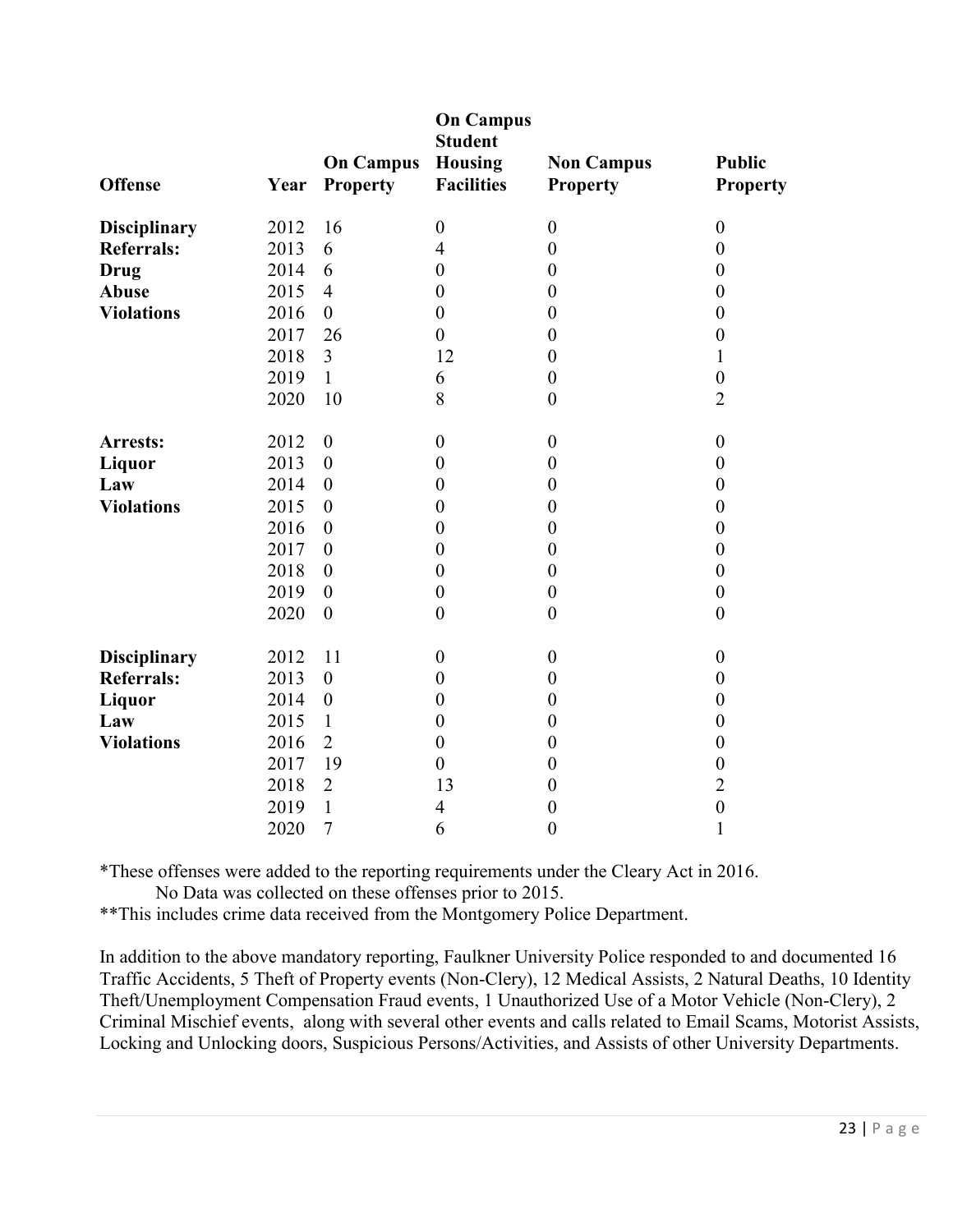| <b>Offense</b>      | Year | <b>On Campus</b><br><b>Property</b> | <b>On Campus</b><br><b>Student</b><br><b>Housing</b><br><b>Facilities</b> | <b>Non Campus</b><br><b>Property</b> | <b>Public</b><br><b>Property</b> |
|---------------------|------|-------------------------------------|---------------------------------------------------------------------------|--------------------------------------|----------------------------------|
| <b>Disciplinary</b> | 2012 | 16                                  | $\boldsymbol{0}$                                                          | $\boldsymbol{0}$                     | $\boldsymbol{0}$                 |
| <b>Referrals:</b>   | 2013 | 6                                   | $\overline{4}$                                                            | $\boldsymbol{0}$                     | $\boldsymbol{0}$                 |
| <b>Drug</b>         | 2014 | 6                                   | $\boldsymbol{0}$                                                          | $\boldsymbol{0}$                     | $\boldsymbol{0}$                 |
| <b>Abuse</b>        | 2015 | $\overline{4}$                      | $\boldsymbol{0}$                                                          | $\boldsymbol{0}$                     | $\boldsymbol{0}$                 |
| <b>Violations</b>   | 2016 | $\boldsymbol{0}$                    | $\boldsymbol{0}$                                                          | $\boldsymbol{0}$                     | $\boldsymbol{0}$                 |
|                     | 2017 | 26                                  | $\boldsymbol{0}$                                                          | $\boldsymbol{0}$                     | $\boldsymbol{0}$                 |
|                     | 2018 | $\overline{3}$                      | 12                                                                        | $\boldsymbol{0}$                     | $\mathbf{1}$                     |
|                     | 2019 | $\mathbf{1}$                        | 6                                                                         | $\boldsymbol{0}$                     | $\boldsymbol{0}$                 |
|                     | 2020 | 10                                  | 8                                                                         | $\boldsymbol{0}$                     | $\overline{2}$                   |
| Arrests:            | 2012 | $\boldsymbol{0}$                    | $\boldsymbol{0}$                                                          | $\boldsymbol{0}$                     | $\boldsymbol{0}$                 |
| <b>Liquor</b>       | 2013 | $\boldsymbol{0}$                    | $\boldsymbol{0}$                                                          | $\boldsymbol{0}$                     | $\boldsymbol{0}$                 |
| Law                 | 2014 | $\boldsymbol{0}$                    | $\boldsymbol{0}$                                                          | $\boldsymbol{0}$                     | $\boldsymbol{0}$                 |
| <b>Violations</b>   | 2015 | $\boldsymbol{0}$                    | $\boldsymbol{0}$                                                          | $\boldsymbol{0}$                     | $\boldsymbol{0}$                 |
|                     | 2016 | $\boldsymbol{0}$                    | $\boldsymbol{0}$                                                          | $\boldsymbol{0}$                     | $\boldsymbol{0}$                 |
|                     | 2017 | $\boldsymbol{0}$                    | $\boldsymbol{0}$                                                          | $\boldsymbol{0}$                     | $\boldsymbol{0}$                 |
|                     | 2018 | $\overline{0}$                      | $\boldsymbol{0}$                                                          | $\boldsymbol{0}$                     | $\boldsymbol{0}$                 |
|                     | 2019 | $\theta$                            | $\boldsymbol{0}$                                                          | $\boldsymbol{0}$                     | $\boldsymbol{0}$                 |
|                     | 2020 | $\boldsymbol{0}$                    | $\boldsymbol{0}$                                                          | $\boldsymbol{0}$                     | $\boldsymbol{0}$                 |
| <b>Disciplinary</b> | 2012 | 11                                  | $\boldsymbol{0}$                                                          | $\boldsymbol{0}$                     | $\boldsymbol{0}$                 |
| <b>Referrals:</b>   | 2013 | $\boldsymbol{0}$                    | $\boldsymbol{0}$                                                          | $\boldsymbol{0}$                     | $\boldsymbol{0}$                 |
| <b>Liquor</b>       | 2014 | $\boldsymbol{0}$                    | $\boldsymbol{0}$                                                          | $\boldsymbol{0}$                     | $\boldsymbol{0}$                 |
| Law                 | 2015 | $\mathbf{1}$                        | $\boldsymbol{0}$                                                          | $\boldsymbol{0}$                     | $\boldsymbol{0}$                 |
| <b>Violations</b>   | 2016 | $\overline{2}$                      | $\boldsymbol{0}$                                                          | $\boldsymbol{0}$                     | $\boldsymbol{0}$                 |
|                     | 2017 | 19                                  | $\theta$                                                                  | $\theta$                             | $\boldsymbol{0}$                 |
|                     | 2018 | $\overline{2}$                      | 13                                                                        | $\boldsymbol{0}$                     | $\overline{2}$                   |
|                     | 2019 | $\mathbf{1}$                        | 4                                                                         | $\boldsymbol{0}$                     | $\boldsymbol{0}$                 |
|                     | 2020 | $\overline{7}$                      | 6                                                                         | $\boldsymbol{0}$                     | 1                                |

\*These offenses were added to the reporting requirements under the Cleary Act in 2016.

No Data was collected on these offenses prior to 2015.

\*\*This includes crime data received from the Montgomery Police Department.

In addition to the above mandatory reporting, Faulkner University Police responded to and documented 16 Traffic Accidents, 5 Theft of Property events (Non-Clery), 12 Medical Assists, 2 Natural Deaths, 10 Identity Theft/Unemployment Compensation Fraud events, 1 Unauthorized Use of a Motor Vehicle (Non-Clery), 2 Criminal Mischief events, along with several other events and calls related to Email Scams, Motorist Assists, Locking and Unlocking doors, Suspicious Persons/Activities, and Assists of other University Departments.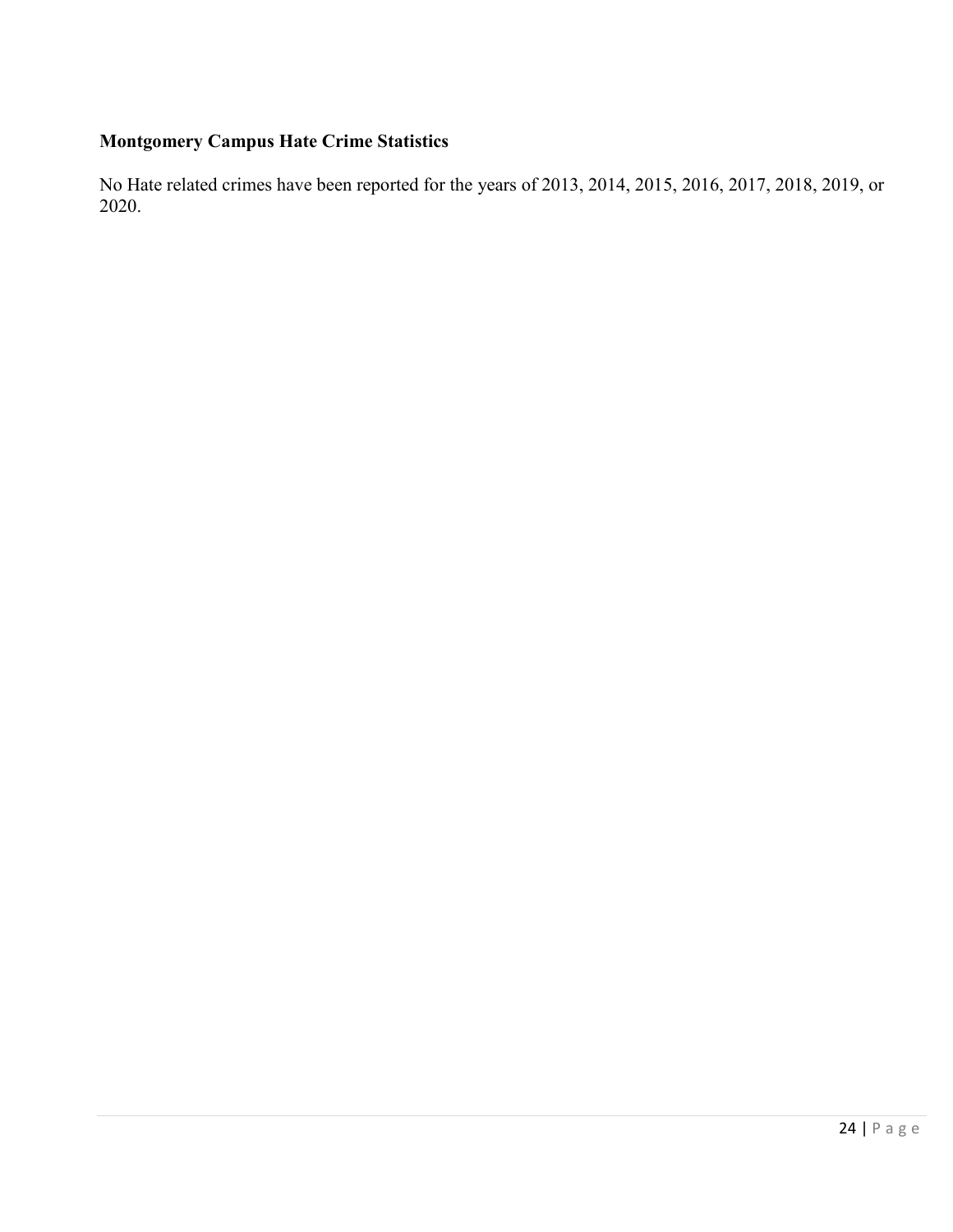# **Montgomery Campus Hate Crime Statistics**

No Hate related crimes have been reported for the years of 2013, 2014, 2015, 2016, 2017, 2018, 2019, or 2020.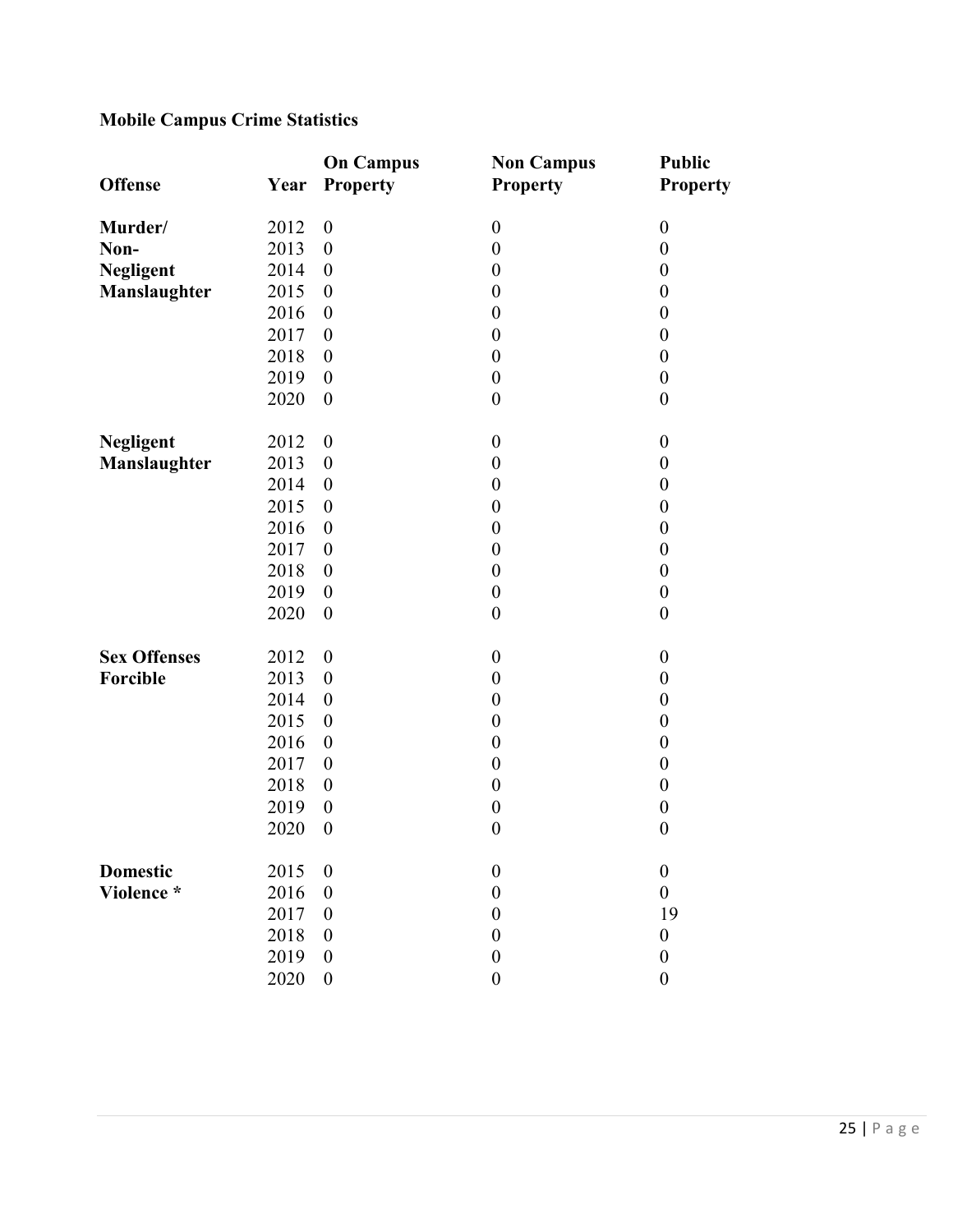# **Mobile Campus Crime Statistics**

| <b>Offense</b>      | Year | <b>On Campus</b><br>Property | <b>Non Campus</b><br><b>Property</b> | <b>Public</b><br><b>Property</b> |
|---------------------|------|------------------------------|--------------------------------------|----------------------------------|
|                     |      |                              |                                      |                                  |
| Murder/             | 2012 | $\boldsymbol{0}$             | $\boldsymbol{0}$                     | $\boldsymbol{0}$                 |
| Non-                | 2013 | $\boldsymbol{0}$             | $\boldsymbol{0}$                     | $\boldsymbol{0}$                 |
| <b>Negligent</b>    | 2014 | $\boldsymbol{0}$             | $\boldsymbol{0}$                     | $\boldsymbol{0}$                 |
| Manslaughter        | 2015 | $\boldsymbol{0}$             | $\boldsymbol{0}$                     | $\boldsymbol{0}$                 |
|                     | 2016 | $\boldsymbol{0}$             | $\boldsymbol{0}$                     | $\boldsymbol{0}$                 |
|                     | 2017 | $\boldsymbol{0}$             | $\boldsymbol{0}$                     | $\boldsymbol{0}$                 |
|                     | 2018 | $\boldsymbol{0}$             | $\boldsymbol{0}$                     | $\boldsymbol{0}$                 |
|                     | 2019 | $\boldsymbol{0}$             | $\boldsymbol{0}$                     | $\boldsymbol{0}$                 |
|                     | 2020 | $\boldsymbol{0}$             | $\boldsymbol{0}$                     | $\boldsymbol{0}$                 |
| <b>Negligent</b>    | 2012 | $\boldsymbol{0}$             | $\boldsymbol{0}$                     | $\boldsymbol{0}$                 |
| Manslaughter        | 2013 | $\boldsymbol{0}$             | $\boldsymbol{0}$                     | $\boldsymbol{0}$                 |
|                     | 2014 | $\boldsymbol{0}$             | $\boldsymbol{0}$                     | $\boldsymbol{0}$                 |
|                     | 2015 | $\boldsymbol{0}$             | $\boldsymbol{0}$                     | $\boldsymbol{0}$                 |
|                     | 2016 | $\boldsymbol{0}$             | $\boldsymbol{0}$                     | $\boldsymbol{0}$                 |
|                     | 2017 | $\boldsymbol{0}$             | $\boldsymbol{0}$                     | $\boldsymbol{0}$                 |
|                     | 2018 | $\boldsymbol{0}$             | $\boldsymbol{0}$                     | $\boldsymbol{0}$                 |
|                     | 2019 | $\boldsymbol{0}$             | $\boldsymbol{0}$                     | $\boldsymbol{0}$                 |
|                     | 2020 | $\boldsymbol{0}$             | $\boldsymbol{0}$                     | $\boldsymbol{0}$                 |
| <b>Sex Offenses</b> | 2012 | $\boldsymbol{0}$             | $\boldsymbol{0}$                     | $\boldsymbol{0}$                 |
| Forcible            | 2013 | $\boldsymbol{0}$             | $\boldsymbol{0}$                     | $\boldsymbol{0}$                 |
|                     | 2014 | $\boldsymbol{0}$             | $\boldsymbol{0}$                     | $\boldsymbol{0}$                 |
|                     | 2015 | $\boldsymbol{0}$             | $\boldsymbol{0}$                     | $\boldsymbol{0}$                 |
|                     | 2016 | $\boldsymbol{0}$             | $\boldsymbol{0}$                     | $\boldsymbol{0}$                 |
|                     | 2017 | $\boldsymbol{0}$             | $\boldsymbol{0}$                     | $\boldsymbol{0}$                 |
|                     | 2018 | $\boldsymbol{0}$             | $\boldsymbol{0}$                     | $\boldsymbol{0}$                 |
|                     | 2019 | $\boldsymbol{0}$             | $\boldsymbol{0}$                     | $\boldsymbol{0}$                 |
|                     | 2020 | $\boldsymbol{0}$             | $\boldsymbol{0}$                     | $\boldsymbol{0}$                 |
| <b>Domestic</b>     | 2015 | $\boldsymbol{0}$             | $\boldsymbol{0}$                     | $\boldsymbol{0}$                 |
| Violence *          | 2016 | $\boldsymbol{0}$             | $\boldsymbol{0}$                     | $\boldsymbol{0}$                 |
|                     | 2017 | $\boldsymbol{0}$             | $\boldsymbol{0}$                     | 19                               |
|                     | 2018 | $\boldsymbol{0}$             | $\boldsymbol{0}$                     | $\boldsymbol{0}$                 |
|                     | 2019 | $\boldsymbol{0}$             | $\boldsymbol{0}$                     | $\boldsymbol{0}$                 |
|                     | 2020 | $\boldsymbol{0}$             | $\boldsymbol{0}$                     | $\boldsymbol{0}$                 |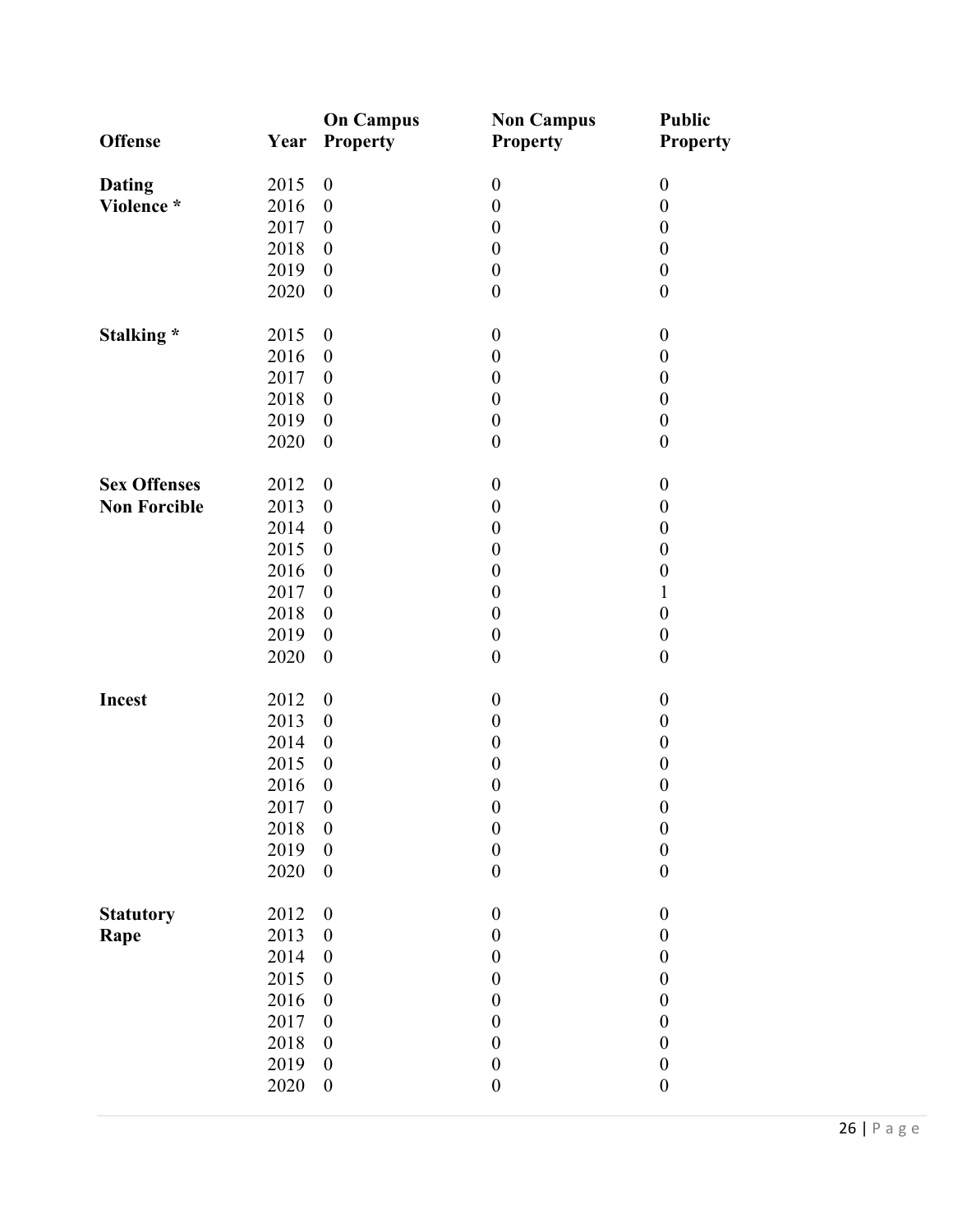|                     |      | <b>On Campus</b>         | <b>Non Campus</b> | <b>Public</b>    |
|---------------------|------|--------------------------|-------------------|------------------|
| <b>Offense</b>      | Year | <b>Property</b>          | <b>Property</b>   | <b>Property</b>  |
| <b>Dating</b>       | 2015 | $\boldsymbol{0}$         | $\boldsymbol{0}$  | $\boldsymbol{0}$ |
| Violence *          | 2016 | $\boldsymbol{0}$         | $\boldsymbol{0}$  | $\boldsymbol{0}$ |
|                     | 2017 | $\boldsymbol{0}$         | $\boldsymbol{0}$  | $\boldsymbol{0}$ |
|                     | 2018 | $\boldsymbol{0}$         | $\boldsymbol{0}$  | $\boldsymbol{0}$ |
|                     | 2019 | $\boldsymbol{0}$         | $\boldsymbol{0}$  | $\boldsymbol{0}$ |
|                     | 2020 | $\boldsymbol{0}$         | $\boldsymbol{0}$  | $\boldsymbol{0}$ |
| Stalking *          | 2015 | $\boldsymbol{0}$         | $\boldsymbol{0}$  | $\boldsymbol{0}$ |
|                     | 2016 | $\boldsymbol{0}$         | $\boldsymbol{0}$  | $\boldsymbol{0}$ |
|                     | 2017 | $\boldsymbol{0}$         | $\boldsymbol{0}$  | $\boldsymbol{0}$ |
|                     | 2018 | $\boldsymbol{0}$         | $\boldsymbol{0}$  | $\boldsymbol{0}$ |
|                     | 2019 | $\boldsymbol{0}$         | $\boldsymbol{0}$  | $\boldsymbol{0}$ |
|                     | 2020 | $\boldsymbol{0}$         | $\boldsymbol{0}$  | $\boldsymbol{0}$ |
| <b>Sex Offenses</b> | 2012 | $\boldsymbol{0}$         | $\boldsymbol{0}$  | $\boldsymbol{0}$ |
| <b>Non Forcible</b> | 2013 | $\boldsymbol{0}$         | $\boldsymbol{0}$  | $\boldsymbol{0}$ |
|                     | 2014 | $\boldsymbol{0}$         | $\boldsymbol{0}$  | $\boldsymbol{0}$ |
|                     | 2015 | $\boldsymbol{0}$         | $\boldsymbol{0}$  | $\boldsymbol{0}$ |
|                     | 2016 | $\boldsymbol{0}$         | $\boldsymbol{0}$  | $\boldsymbol{0}$ |
|                     | 2017 | $\boldsymbol{0}$         | $\boldsymbol{0}$  | $\mathbf{1}$     |
|                     |      |                          |                   |                  |
|                     | 2018 | $\boldsymbol{0}$         | $\boldsymbol{0}$  | $\boldsymbol{0}$ |
|                     | 2019 | $\boldsymbol{0}$         | $\boldsymbol{0}$  | $\boldsymbol{0}$ |
|                     | 2020 | $\boldsymbol{0}$         | $\boldsymbol{0}$  | $\boldsymbol{0}$ |
| Incest              | 2012 | $\boldsymbol{0}$         | $\boldsymbol{0}$  | $\boldsymbol{0}$ |
|                     | 2013 | $\boldsymbol{0}$         | $\boldsymbol{0}$  | $\boldsymbol{0}$ |
|                     | 2014 | $\boldsymbol{0}$         | $\boldsymbol{0}$  | $\boldsymbol{0}$ |
|                     | 2015 | $\boldsymbol{0}$         | $\boldsymbol{0}$  | $\boldsymbol{0}$ |
|                     | 2016 | $\boldsymbol{0}$         | $\boldsymbol{0}$  | $\boldsymbol{0}$ |
|                     | 2017 | $\overline{\phantom{0}}$ | $\boldsymbol{0}$  | $\boldsymbol{0}$ |
|                     | 2018 | $\boldsymbol{0}$         | $\boldsymbol{0}$  | $\boldsymbol{0}$ |
|                     | 2019 | $\boldsymbol{0}$         | $\boldsymbol{0}$  | $\boldsymbol{0}$ |
|                     | 2020 | $\boldsymbol{0}$         | $\boldsymbol{0}$  | $\boldsymbol{0}$ |
| <b>Statutory</b>    | 2012 | $\boldsymbol{0}$         | $\boldsymbol{0}$  | $\boldsymbol{0}$ |
| Rape                | 2013 | $\boldsymbol{0}$         | $\boldsymbol{0}$  | $\boldsymbol{0}$ |
|                     | 2014 | $\boldsymbol{0}$         | $\boldsymbol{0}$  | $\boldsymbol{0}$ |
|                     | 2015 | $\boldsymbol{0}$         | $\boldsymbol{0}$  | $\boldsymbol{0}$ |
|                     | 2016 | $\boldsymbol{0}$         | $\boldsymbol{0}$  | $\boldsymbol{0}$ |
|                     | 2017 | $\boldsymbol{0}$         | $\boldsymbol{0}$  | $\boldsymbol{0}$ |
|                     | 2018 | $\boldsymbol{0}$         | $\boldsymbol{0}$  | $\boldsymbol{0}$ |
|                     | 2019 |                          |                   |                  |
|                     |      | $\boldsymbol{0}$         | $\boldsymbol{0}$  | $\boldsymbol{0}$ |
|                     | 2020 | $\boldsymbol{0}$         | $\boldsymbol{0}$  | $\boldsymbol{0}$ |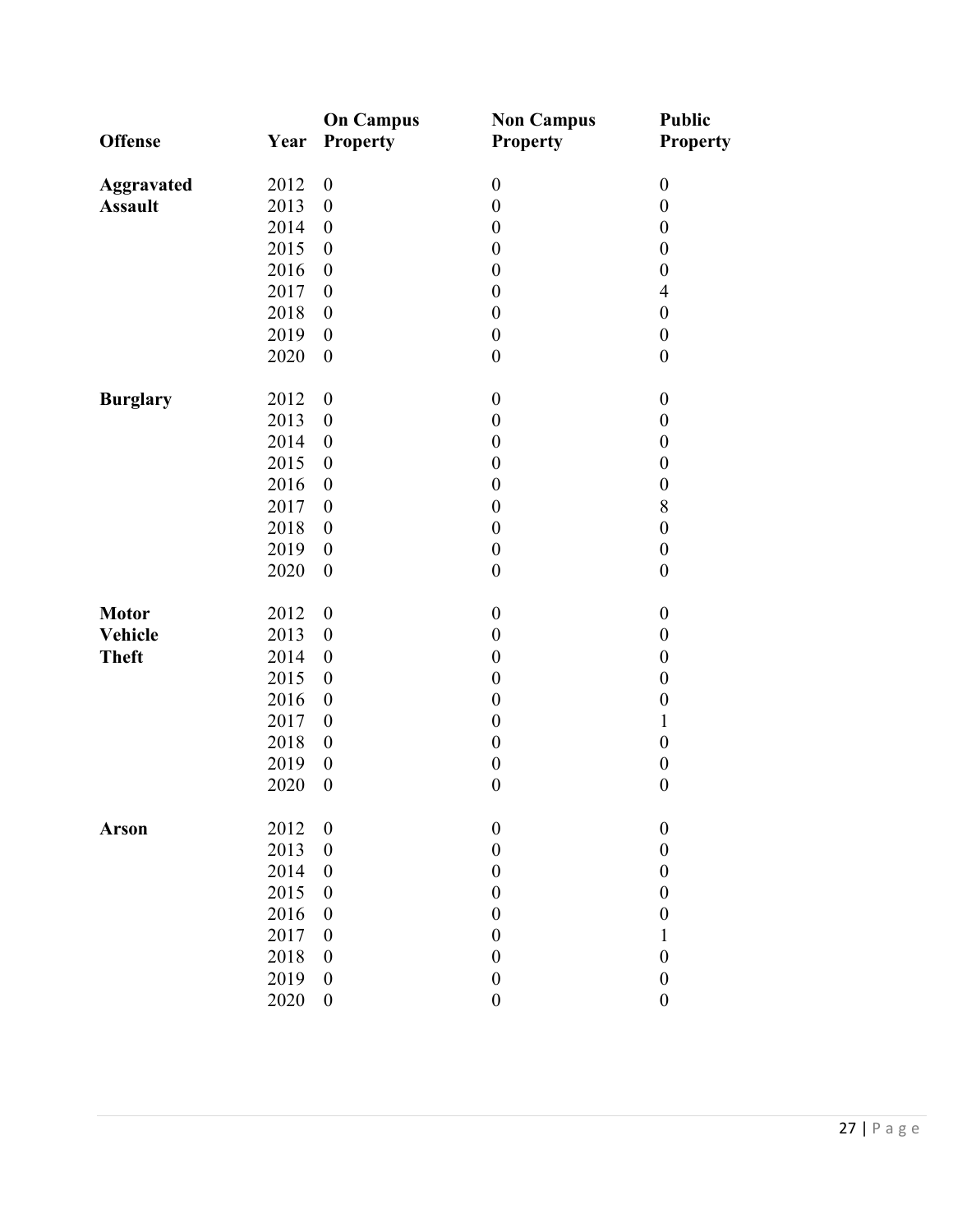| <b>Offense</b>    | Year | <b>On Campus</b><br>Property | <b>Non Campus</b><br><b>Property</b> | <b>Public</b><br><b>Property</b> |
|-------------------|------|------------------------------|--------------------------------------|----------------------------------|
| <b>Aggravated</b> | 2012 | $\boldsymbol{0}$             | $\boldsymbol{0}$                     | $\boldsymbol{0}$                 |
| <b>Assault</b>    | 2013 | $\boldsymbol{0}$             | $\boldsymbol{0}$                     | $\boldsymbol{0}$                 |
|                   | 2014 | $\boldsymbol{0}$             | $\boldsymbol{0}$                     | $\boldsymbol{0}$                 |
|                   | 2015 | $\boldsymbol{0}$             | $\boldsymbol{0}$                     | $\boldsymbol{0}$                 |
|                   | 2016 | $\boldsymbol{0}$             | $\boldsymbol{0}$                     | $\boldsymbol{0}$                 |
|                   | 2017 | $\boldsymbol{0}$             | $\boldsymbol{0}$                     | $\overline{4}$                   |
|                   | 2018 | $\boldsymbol{0}$             | $\boldsymbol{0}$                     | $\boldsymbol{0}$                 |
|                   | 2019 | $\boldsymbol{0}$             | $\boldsymbol{0}$                     | $\boldsymbol{0}$                 |
|                   | 2020 | $\boldsymbol{0}$             | $\boldsymbol{0}$                     | $\boldsymbol{0}$                 |
| <b>Burglary</b>   | 2012 | $\boldsymbol{0}$             | $\boldsymbol{0}$                     | $\boldsymbol{0}$                 |
|                   | 2013 | $\boldsymbol{0}$             | $\boldsymbol{0}$                     | $\boldsymbol{0}$                 |
|                   | 2014 | $\boldsymbol{0}$             | $\boldsymbol{0}$                     | $\boldsymbol{0}$                 |
|                   | 2015 | $\boldsymbol{0}$             | $\boldsymbol{0}$                     | $\boldsymbol{0}$                 |
|                   | 2016 | $\boldsymbol{0}$             | $\boldsymbol{0}$                     | $\boldsymbol{0}$                 |
|                   | 2017 | $\boldsymbol{0}$             | $\boldsymbol{0}$                     | 8                                |
|                   | 2018 | $\boldsymbol{0}$             | $\boldsymbol{0}$                     | $\boldsymbol{0}$                 |
|                   | 2019 | $\boldsymbol{0}$             | $\boldsymbol{0}$                     | $\boldsymbol{0}$                 |
|                   | 2020 | $\boldsymbol{0}$             | $\boldsymbol{0}$                     | $\boldsymbol{0}$                 |
| <b>Motor</b>      | 2012 | $\boldsymbol{0}$             | $\boldsymbol{0}$                     | $\boldsymbol{0}$                 |
| <b>Vehicle</b>    | 2013 | $\boldsymbol{0}$             | $\boldsymbol{0}$                     | $\boldsymbol{0}$                 |
| <b>Theft</b>      | 2014 | $\boldsymbol{0}$             | $\boldsymbol{0}$                     | $\boldsymbol{0}$                 |
|                   | 2015 | $\boldsymbol{0}$             | $\boldsymbol{0}$                     | $\boldsymbol{0}$                 |
|                   | 2016 | $\boldsymbol{0}$             | $\boldsymbol{0}$                     | $\boldsymbol{0}$                 |
|                   | 2017 | $\boldsymbol{0}$             | $\boldsymbol{0}$                     | $\mathbf{1}$                     |
|                   | 2018 | $\boldsymbol{0}$             | $\boldsymbol{0}$                     | $\boldsymbol{0}$                 |
|                   | 2019 | $\boldsymbol{0}$             | $\boldsymbol{0}$                     | $\boldsymbol{0}$                 |
|                   | 2020 | $\boldsymbol{0}$             | $\boldsymbol{0}$                     | $\boldsymbol{0}$                 |
| <b>Arson</b>      | 2012 | $\boldsymbol{0}$             | $\boldsymbol{0}$                     | $\boldsymbol{0}$                 |
|                   | 2013 | $\boldsymbol{0}$             | $\boldsymbol{0}$                     | $\boldsymbol{0}$                 |
|                   | 2014 | $\boldsymbol{0}$             | $\boldsymbol{0}$                     | $\boldsymbol{0}$                 |
|                   | 2015 | $\boldsymbol{0}$             | $\boldsymbol{0}$                     | $\boldsymbol{0}$                 |
|                   | 2016 | $\boldsymbol{0}$             | $\boldsymbol{0}$                     | $\boldsymbol{0}$                 |
|                   | 2017 | $\boldsymbol{0}$             | $\boldsymbol{0}$                     | $\mathbf{1}$                     |
|                   | 2018 | $\boldsymbol{0}$             | $\boldsymbol{0}$                     | $\boldsymbol{0}$                 |
|                   | 2019 | $\boldsymbol{0}$             | $\boldsymbol{0}$                     | $\boldsymbol{0}$                 |
|                   | 2020 | $\boldsymbol{0}$             | $\boldsymbol{0}$                     | $\boldsymbol{0}$                 |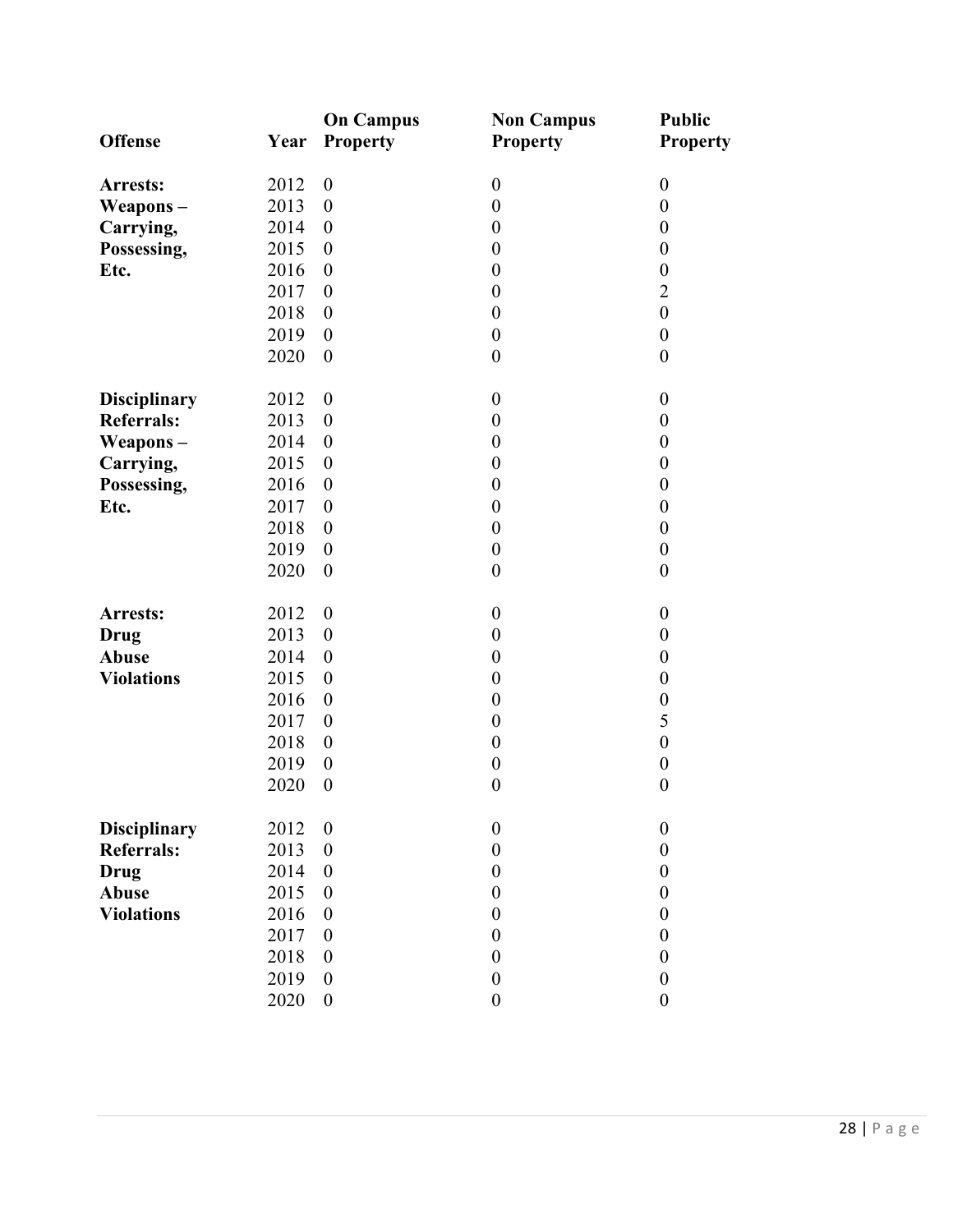| <b>Offense</b>      | Year | <b>On Campus</b><br><b>Property</b> | <b>Non Campus</b><br><b>Property</b> | <b>Public</b><br><b>Property</b> |
|---------------------|------|-------------------------------------|--------------------------------------|----------------------------------|
| Arrests:            | 2012 | $\boldsymbol{0}$                    | $\boldsymbol{0}$                     | $\boldsymbol{0}$                 |
| Weapons-            | 2013 | $\boldsymbol{0}$                    | $\boldsymbol{0}$                     | $\boldsymbol{0}$                 |
| Carrying,           | 2014 | $\boldsymbol{0}$                    | $\boldsymbol{0}$                     | $\boldsymbol{0}$                 |
| Possessing,         | 2015 | $\boldsymbol{0}$                    | $\boldsymbol{0}$                     | $\boldsymbol{0}$                 |
| Etc.                | 2016 | $\boldsymbol{0}$                    | $\boldsymbol{0}$                     | $\boldsymbol{0}$                 |
|                     | 2017 | $\boldsymbol{0}$                    | $\boldsymbol{0}$                     | $\overline{2}$                   |
|                     | 2018 | $\boldsymbol{0}$                    | $\boldsymbol{0}$                     | $\boldsymbol{0}$                 |
|                     | 2019 | $\boldsymbol{0}$                    | $\boldsymbol{0}$                     | $\boldsymbol{0}$                 |
|                     | 2020 | $\boldsymbol{0}$                    | $\boldsymbol{0}$                     | $\boldsymbol{0}$                 |
| <b>Disciplinary</b> | 2012 | $\boldsymbol{0}$                    | $\boldsymbol{0}$                     | $\boldsymbol{0}$                 |
| <b>Referrals:</b>   | 2013 | $\boldsymbol{0}$                    | $\boldsymbol{0}$                     | $\boldsymbol{0}$                 |
| Weapons-            | 2014 | $\boldsymbol{0}$                    | $\boldsymbol{0}$                     | $\boldsymbol{0}$                 |
| Carrying,           | 2015 | $\boldsymbol{0}$                    | $\boldsymbol{0}$                     | $\boldsymbol{0}$                 |
| Possessing,         | 2016 | $\boldsymbol{0}$                    | $\boldsymbol{0}$                     | $\boldsymbol{0}$                 |
| Etc.                | 2017 | $\boldsymbol{0}$                    | $\boldsymbol{0}$                     | $\boldsymbol{0}$                 |
|                     | 2018 | $\boldsymbol{0}$                    | $\boldsymbol{0}$                     | $\boldsymbol{0}$                 |
|                     | 2019 | $\boldsymbol{0}$                    | $\boldsymbol{0}$                     | $\boldsymbol{0}$                 |
|                     | 2020 | $\boldsymbol{0}$                    | $\boldsymbol{0}$                     | $\boldsymbol{0}$                 |
| Arrests:            | 2012 | $\boldsymbol{0}$                    | $\boldsymbol{0}$                     | $\boldsymbol{0}$                 |
| <b>Drug</b>         | 2013 | $\boldsymbol{0}$                    | $\boldsymbol{0}$                     | $\boldsymbol{0}$                 |
| <b>Abuse</b>        | 2014 | $\boldsymbol{0}$                    | $\boldsymbol{0}$                     | $\boldsymbol{0}$                 |
| <b>Violations</b>   | 2015 | $\boldsymbol{0}$                    | $\boldsymbol{0}$                     | $\boldsymbol{0}$                 |
|                     | 2016 | $\boldsymbol{0}$                    | $\boldsymbol{0}$                     | $\boldsymbol{0}$                 |
|                     | 2017 | $\boldsymbol{0}$                    | $\boldsymbol{0}$                     | 5                                |
|                     | 2018 | $\boldsymbol{0}$                    | $\boldsymbol{0}$                     | $\boldsymbol{0}$                 |
|                     | 2019 | $\boldsymbol{0}$                    | $\boldsymbol{0}$                     | $\boldsymbol{0}$                 |
|                     | 2020 | $\boldsymbol{0}$                    | $\boldsymbol{0}$                     | $\boldsymbol{0}$                 |
| <b>Disciplinary</b> | 2012 | $\boldsymbol{0}$                    | $\boldsymbol{0}$                     | $\boldsymbol{0}$                 |
| <b>Referrals:</b>   | 2013 | $\boldsymbol{0}$                    | $\boldsymbol{0}$                     | $\boldsymbol{0}$                 |
| Drug                | 2014 | $\boldsymbol{0}$                    | $\boldsymbol{0}$                     | $\boldsymbol{0}$                 |
| Abuse               | 2015 | $\boldsymbol{0}$                    | $\boldsymbol{0}$                     | $\boldsymbol{0}$                 |
| <b>Violations</b>   | 2016 | $\boldsymbol{0}$                    | $\boldsymbol{0}$                     | $\boldsymbol{0}$                 |
|                     | 2017 | $\boldsymbol{0}$                    | $\boldsymbol{0}$                     | $\boldsymbol{0}$                 |
|                     | 2018 | $\boldsymbol{0}$                    | $\boldsymbol{0}$                     | $\boldsymbol{0}$                 |
|                     | 2019 | $\boldsymbol{0}$                    | $\boldsymbol{0}$                     | $\boldsymbol{0}$                 |
|                     | 2020 | $\boldsymbol{0}$                    | $\boldsymbol{0}$                     | $\boldsymbol{0}$                 |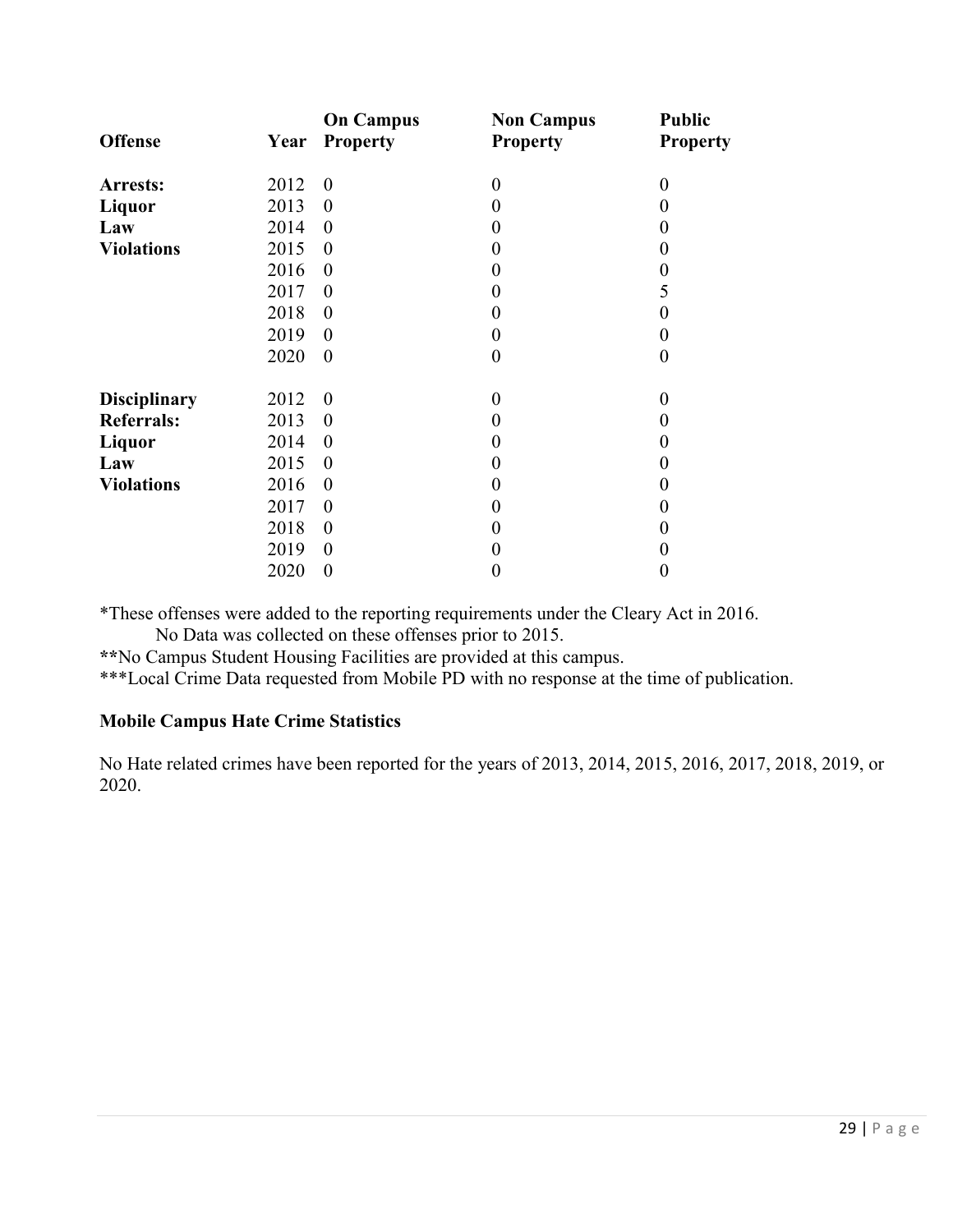| <b>Offense</b>      | Year | <b>On Campus</b><br><b>Property</b> | <b>Non Campus</b><br><b>Property</b> | <b>Public</b><br><b>Property</b> |
|---------------------|------|-------------------------------------|--------------------------------------|----------------------------------|
|                     |      |                                     |                                      |                                  |
| Arrests:            | 2012 | $\boldsymbol{0}$                    | $\boldsymbol{0}$                     | $\boldsymbol{0}$                 |
| Liquor              | 2013 | $\boldsymbol{0}$                    | $\boldsymbol{0}$                     | 0                                |
| Law                 | 2014 | $\theta$                            | $\boldsymbol{0}$                     | $_{0}$                           |
| <b>Violations</b>   | 2015 | $\theta$                            | $\boldsymbol{0}$                     | 0                                |
|                     | 2016 | $\boldsymbol{0}$                    | $\boldsymbol{0}$                     | 0                                |
|                     | 2017 | $\boldsymbol{0}$                    | 0                                    | 5                                |
|                     | 2018 | $\theta$                            | $\boldsymbol{0}$                     | 0                                |
|                     | 2019 | $\boldsymbol{0}$                    | $\boldsymbol{0}$                     | 0                                |
|                     | 2020 | $\boldsymbol{0}$                    | $\boldsymbol{0}$                     | $\theta$                         |
|                     |      |                                     |                                      |                                  |
| <b>Disciplinary</b> | 2012 | $\theta$                            | $\overline{0}$                       | $\Omega$                         |
| <b>Referrals:</b>   | 2013 | $\boldsymbol{0}$                    | $\boldsymbol{0}$                     | $\theta$                         |
| Liquor              | 2014 | $\theta$                            | $\boldsymbol{0}$                     | 0                                |
| Law                 | 2015 | $\boldsymbol{0}$                    | $\boldsymbol{0}$                     | 0                                |
| <b>Violations</b>   | 2016 | $\boldsymbol{0}$                    | $\boldsymbol{0}$                     | 0                                |
|                     | 2017 | $\theta$                            | $\boldsymbol{0}$                     | 0                                |
|                     | 2018 | $\boldsymbol{0}$                    | $\boldsymbol{0}$                     | 0                                |
|                     | 2019 | $\boldsymbol{0}$                    | $\boldsymbol{0}$                     | 0                                |
|                     | 2020 | $\boldsymbol{0}$                    | $\boldsymbol{0}$                     | 0                                |

\*These offenses were added to the reporting requirements under the Cleary Act in 2016.

No Data was collected on these offenses prior to 2015.

**\*\***No Campus Student Housing Facilities are provided at this campus.

\*\*\*Local Crime Data requested from Mobile PD with no response at the time of publication.

# **Mobile Campus Hate Crime Statistics**

No Hate related crimes have been reported for the years of 2013, 2014, 2015, 2016, 2017, 2018, 2019, or 2020.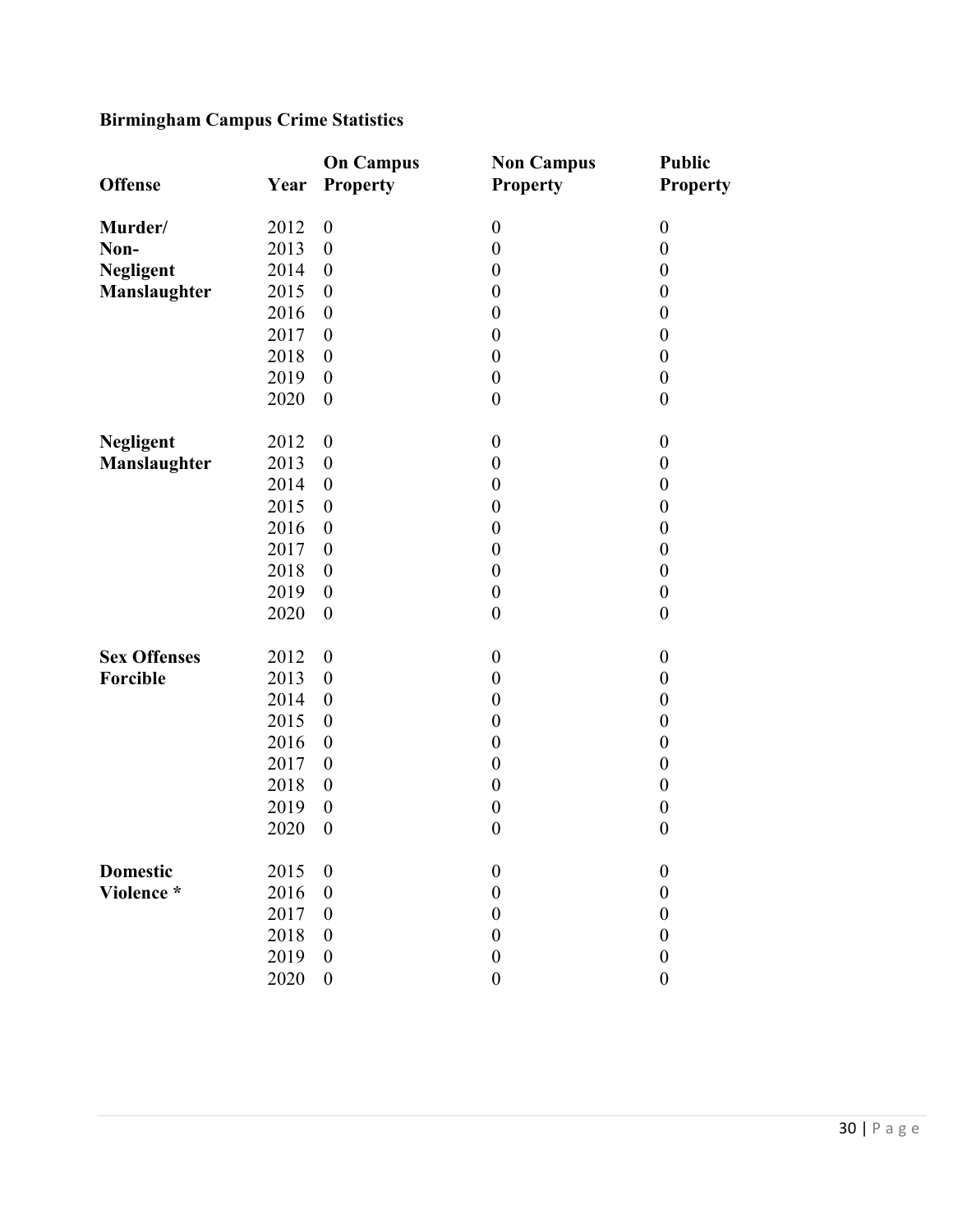# **Birmingham Campus Crime Statistics**

|                     |      | <b>On Campus</b> | <b>Non Campus</b> | <b>Public</b>    |
|---------------------|------|------------------|-------------------|------------------|
| <b>Offense</b>      | Year | <b>Property</b>  | <b>Property</b>   | <b>Property</b>  |
| Murder/             | 2012 | $\boldsymbol{0}$ | $\boldsymbol{0}$  | $\boldsymbol{0}$ |
| Non-                | 2013 | $\boldsymbol{0}$ | $\boldsymbol{0}$  | $\boldsymbol{0}$ |
| <b>Negligent</b>    | 2014 | $\boldsymbol{0}$ | $\boldsymbol{0}$  | $\boldsymbol{0}$ |
| Manslaughter        | 2015 | $\boldsymbol{0}$ | $\boldsymbol{0}$  | $\boldsymbol{0}$ |
|                     | 2016 | $\boldsymbol{0}$ | $\boldsymbol{0}$  | $\boldsymbol{0}$ |
|                     | 2017 | $\boldsymbol{0}$ | $\boldsymbol{0}$  | $\boldsymbol{0}$ |
|                     | 2018 | $\boldsymbol{0}$ | $\boldsymbol{0}$  | $\boldsymbol{0}$ |
|                     | 2019 | $\boldsymbol{0}$ | $\boldsymbol{0}$  | $\boldsymbol{0}$ |
|                     | 2020 | $\boldsymbol{0}$ | $\boldsymbol{0}$  | $\boldsymbol{0}$ |
| <b>Negligent</b>    | 2012 | $\boldsymbol{0}$ | $\boldsymbol{0}$  | $\boldsymbol{0}$ |
| Manslaughter        | 2013 | $\boldsymbol{0}$ | $\boldsymbol{0}$  | $\boldsymbol{0}$ |
|                     | 2014 | $\boldsymbol{0}$ | $\boldsymbol{0}$  | $\boldsymbol{0}$ |
|                     | 2015 | $\boldsymbol{0}$ | $\boldsymbol{0}$  | $\boldsymbol{0}$ |
|                     | 2016 | $\boldsymbol{0}$ | $\boldsymbol{0}$  | $\boldsymbol{0}$ |
|                     | 2017 | $\boldsymbol{0}$ | $\boldsymbol{0}$  | $\boldsymbol{0}$ |
|                     | 2018 | $\boldsymbol{0}$ | $\boldsymbol{0}$  | $\boldsymbol{0}$ |
|                     | 2019 | $\boldsymbol{0}$ | $\boldsymbol{0}$  | $\boldsymbol{0}$ |
|                     | 2020 | $\boldsymbol{0}$ | $\boldsymbol{0}$  | $\boldsymbol{0}$ |
| <b>Sex Offenses</b> | 2012 | $\boldsymbol{0}$ | $\boldsymbol{0}$  | $\boldsymbol{0}$ |
| Forcible            | 2013 | $\boldsymbol{0}$ | $\boldsymbol{0}$  | $\boldsymbol{0}$ |
|                     | 2014 | $\boldsymbol{0}$ | $\boldsymbol{0}$  | $\boldsymbol{0}$ |
|                     | 2015 | $\boldsymbol{0}$ | $\boldsymbol{0}$  | $\boldsymbol{0}$ |
|                     | 2016 | $\boldsymbol{0}$ | $\boldsymbol{0}$  | $\boldsymbol{0}$ |
|                     | 2017 | $\boldsymbol{0}$ | $\boldsymbol{0}$  | $\boldsymbol{0}$ |
|                     | 2018 | $\boldsymbol{0}$ | $\boldsymbol{0}$  | $\boldsymbol{0}$ |
|                     | 2019 | $\boldsymbol{0}$ | $\boldsymbol{0}$  | $\boldsymbol{0}$ |
|                     | 2020 | $\boldsymbol{0}$ | $\boldsymbol{0}$  | $\boldsymbol{0}$ |
| <b>Domestic</b>     | 2015 | $\boldsymbol{0}$ | $\boldsymbol{0}$  | $\boldsymbol{0}$ |
| Violence *          | 2016 | $\boldsymbol{0}$ | $\boldsymbol{0}$  | $\boldsymbol{0}$ |
|                     | 2017 | $\boldsymbol{0}$ | $\boldsymbol{0}$  | $\boldsymbol{0}$ |
|                     | 2018 | $\boldsymbol{0}$ | $\boldsymbol{0}$  | $\boldsymbol{0}$ |
|                     | 2019 | $\boldsymbol{0}$ | $\boldsymbol{0}$  | $\boldsymbol{0}$ |
|                     | 2020 | $\boldsymbol{0}$ | $\boldsymbol{0}$  | $\boldsymbol{0}$ |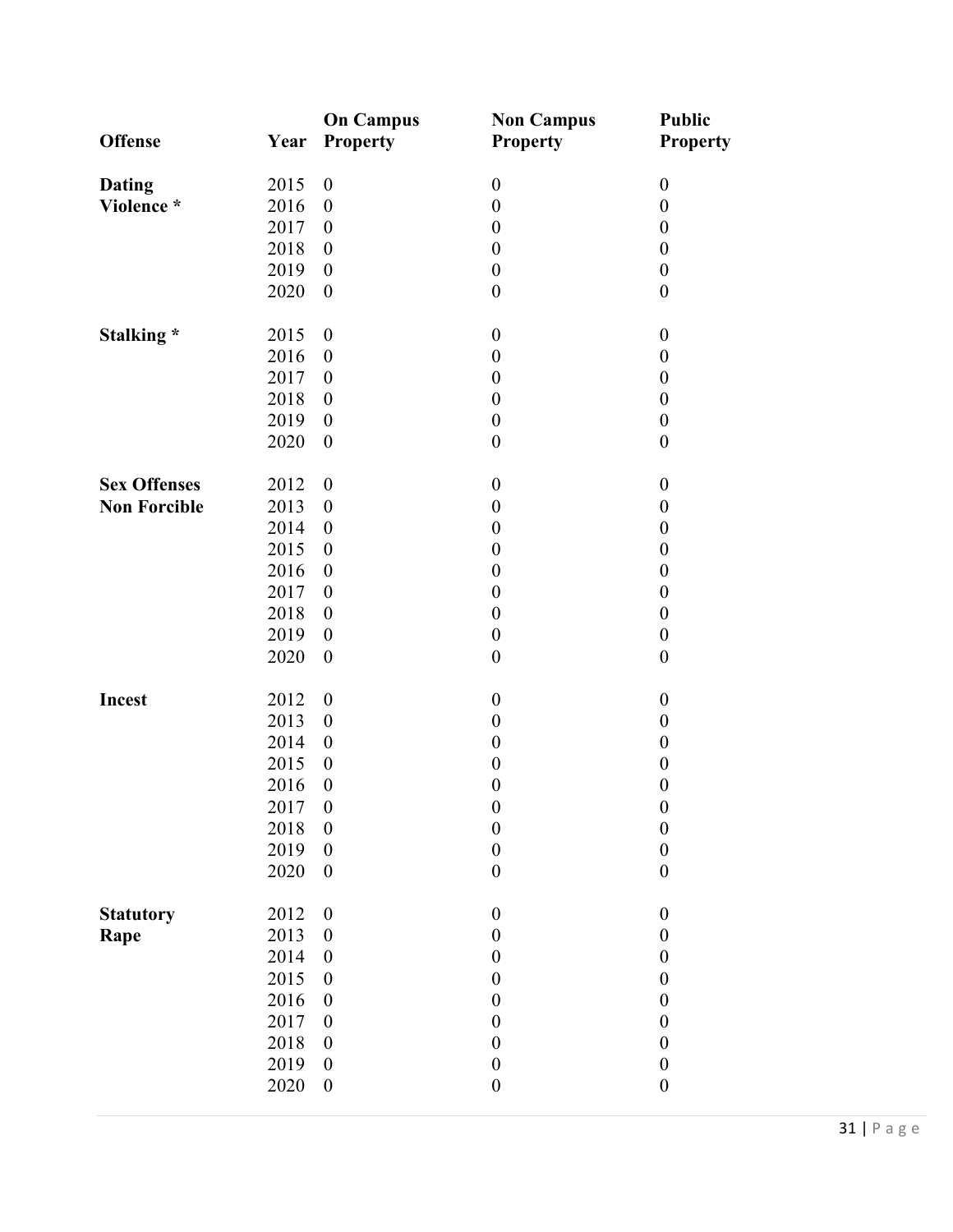|                     |      | <b>On Campus</b>         | <b>Non Campus</b> | <b>Public</b>    |
|---------------------|------|--------------------------|-------------------|------------------|
| <b>Offense</b>      | Year | <b>Property</b>          | <b>Property</b>   | <b>Property</b>  |
| <b>Dating</b>       | 2015 | $\boldsymbol{0}$         | $\boldsymbol{0}$  | $\boldsymbol{0}$ |
| Violence *          | 2016 | $\boldsymbol{0}$         | $\boldsymbol{0}$  | $\boldsymbol{0}$ |
|                     | 2017 | $\boldsymbol{0}$         | $\boldsymbol{0}$  | $\boldsymbol{0}$ |
|                     | 2018 | $\boldsymbol{0}$         | $\boldsymbol{0}$  | $\boldsymbol{0}$ |
|                     | 2019 | $\boldsymbol{0}$         | $\boldsymbol{0}$  | $\boldsymbol{0}$ |
|                     | 2020 | $\boldsymbol{0}$         | $\boldsymbol{0}$  | $\boldsymbol{0}$ |
| Stalking *          | 2015 | $\boldsymbol{0}$         | $\boldsymbol{0}$  | $\boldsymbol{0}$ |
|                     | 2016 | $\boldsymbol{0}$         | $\boldsymbol{0}$  | $\boldsymbol{0}$ |
|                     | 2017 | $\boldsymbol{0}$         | $\boldsymbol{0}$  | $\boldsymbol{0}$ |
|                     | 2018 | $\boldsymbol{0}$         | $\boldsymbol{0}$  | $\boldsymbol{0}$ |
|                     | 2019 | $\boldsymbol{0}$         | $\boldsymbol{0}$  | $\boldsymbol{0}$ |
|                     | 2020 | $\boldsymbol{0}$         | $\boldsymbol{0}$  | $\boldsymbol{0}$ |
| <b>Sex Offenses</b> | 2012 | $\boldsymbol{0}$         | $\boldsymbol{0}$  | $\boldsymbol{0}$ |
| <b>Non Forcible</b> | 2013 | $\boldsymbol{0}$         | $\boldsymbol{0}$  | $\boldsymbol{0}$ |
|                     | 2014 | $\boldsymbol{0}$         | $\boldsymbol{0}$  | $\boldsymbol{0}$ |
|                     | 2015 | $\boldsymbol{0}$         | $\boldsymbol{0}$  | $\boldsymbol{0}$ |
|                     | 2016 | $\boldsymbol{0}$         | $\boldsymbol{0}$  | $\boldsymbol{0}$ |
|                     | 2017 | $\boldsymbol{0}$         | $\boldsymbol{0}$  | $\boldsymbol{0}$ |
|                     | 2018 | $\boldsymbol{0}$         | $\boldsymbol{0}$  | $\boldsymbol{0}$ |
|                     | 2019 | $\boldsymbol{0}$         | $\boldsymbol{0}$  | $\boldsymbol{0}$ |
|                     | 2020 | $\boldsymbol{0}$         | $\boldsymbol{0}$  | $\boldsymbol{0}$ |
|                     |      |                          |                   |                  |
| Incest              | 2012 | $\boldsymbol{0}$         | $\boldsymbol{0}$  | $\boldsymbol{0}$ |
|                     | 2013 | $\boldsymbol{0}$         | $\boldsymbol{0}$  | $\boldsymbol{0}$ |
|                     | 2014 | $\boldsymbol{0}$         | $\boldsymbol{0}$  | $\boldsymbol{0}$ |
|                     | 2015 | $\boldsymbol{0}$         | $\boldsymbol{0}$  | $\boldsymbol{0}$ |
|                     | 2016 | $\boldsymbol{0}$         | $\boldsymbol{0}$  | $\boldsymbol{0}$ |
|                     | 2017 | $\overline{\phantom{0}}$ | $\boldsymbol{0}$  | $\boldsymbol{0}$ |
|                     | 2018 | $\boldsymbol{0}$         | $\boldsymbol{0}$  | $\boldsymbol{0}$ |
|                     | 2019 | $\boldsymbol{0}$         | $\boldsymbol{0}$  | $\boldsymbol{0}$ |
|                     | 2020 | $\boldsymbol{0}$         | $\boldsymbol{0}$  | $\boldsymbol{0}$ |
| <b>Statutory</b>    | 2012 | $\boldsymbol{0}$         | $\boldsymbol{0}$  | $\boldsymbol{0}$ |
| Rape                | 2013 | $\boldsymbol{0}$         | $\boldsymbol{0}$  | $\boldsymbol{0}$ |
|                     | 2014 | $\boldsymbol{0}$         | $\boldsymbol{0}$  | $\boldsymbol{0}$ |
|                     | 2015 | $\boldsymbol{0}$         | $\boldsymbol{0}$  | $\boldsymbol{0}$ |
|                     | 2016 | $\boldsymbol{0}$         | $\boldsymbol{0}$  | $\boldsymbol{0}$ |
|                     | 2017 | $\boldsymbol{0}$         | $\boldsymbol{0}$  | $\boldsymbol{0}$ |
|                     | 2018 | $\boldsymbol{0}$         | $\boldsymbol{0}$  | $\boldsymbol{0}$ |
|                     | 2019 | $\boldsymbol{0}$         | $\boldsymbol{0}$  | $\boldsymbol{0}$ |
|                     | 2020 | $\boldsymbol{0}$         | $\boldsymbol{0}$  | $\boldsymbol{0}$ |
|                     |      |                          |                   |                  |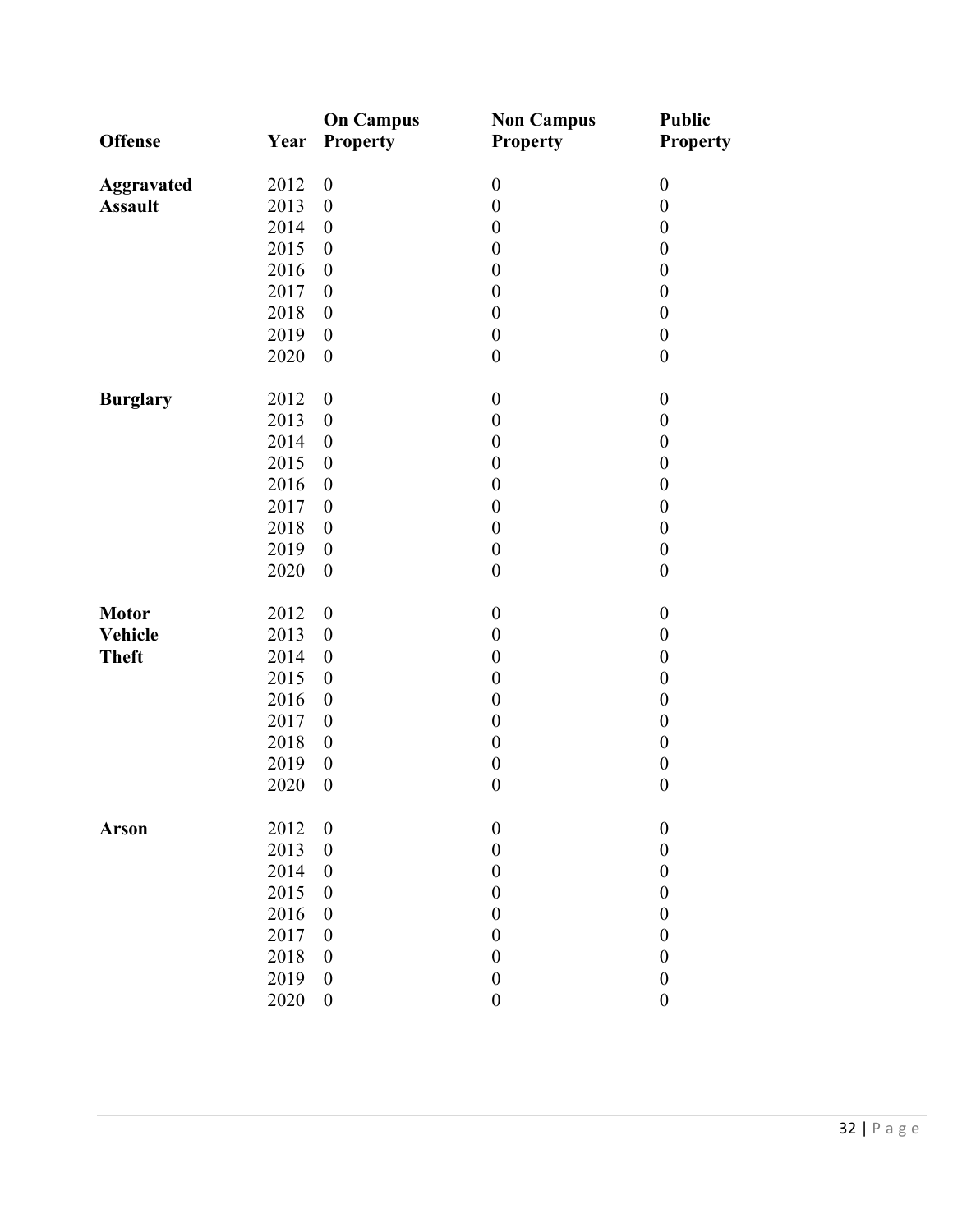| <b>Offense</b>    | Year | <b>On Campus</b><br>Property | <b>Non Campus</b><br>Property | <b>Public</b><br><b>Property</b> |
|-------------------|------|------------------------------|-------------------------------|----------------------------------|
| <b>Aggravated</b> | 2012 | $\boldsymbol{0}$             | $\boldsymbol{0}$              | $\boldsymbol{0}$                 |
| <b>Assault</b>    | 2013 | $\boldsymbol{0}$             | $\boldsymbol{0}$              | $\boldsymbol{0}$                 |
|                   | 2014 | $\boldsymbol{0}$             | $\boldsymbol{0}$              | $\boldsymbol{0}$                 |
|                   | 2015 | $\boldsymbol{0}$             | $\boldsymbol{0}$              | $\boldsymbol{0}$                 |
|                   | 2016 | $\boldsymbol{0}$             | $\boldsymbol{0}$              | $\boldsymbol{0}$                 |
|                   | 2017 | $\boldsymbol{0}$             | $\boldsymbol{0}$              | $\boldsymbol{0}$                 |
|                   | 2018 | $\boldsymbol{0}$             | $\boldsymbol{0}$              | $\boldsymbol{0}$                 |
|                   | 2019 | $\boldsymbol{0}$             | $\boldsymbol{0}$              | $\boldsymbol{0}$                 |
|                   | 2020 | $\boldsymbol{0}$             | $\boldsymbol{0}$              | $\boldsymbol{0}$                 |
| <b>Burglary</b>   | 2012 | $\boldsymbol{0}$             | $\boldsymbol{0}$              | $\boldsymbol{0}$                 |
|                   | 2013 | $\boldsymbol{0}$             | $\boldsymbol{0}$              | $\boldsymbol{0}$                 |
|                   | 2014 | $\boldsymbol{0}$             | $\boldsymbol{0}$              | $\boldsymbol{0}$                 |
|                   | 2015 | $\boldsymbol{0}$             | $\boldsymbol{0}$              | $\boldsymbol{0}$                 |
|                   | 2016 | $\boldsymbol{0}$             | $\boldsymbol{0}$              | $\boldsymbol{0}$                 |
|                   | 2017 | $\boldsymbol{0}$             | $\boldsymbol{0}$              | $\boldsymbol{0}$                 |
|                   | 2018 | $\boldsymbol{0}$             | $\boldsymbol{0}$              | $\boldsymbol{0}$                 |
|                   | 2019 | $\boldsymbol{0}$             | $\boldsymbol{0}$              | $\boldsymbol{0}$                 |
|                   | 2020 | $\boldsymbol{0}$             | $\boldsymbol{0}$              | $\boldsymbol{0}$                 |
| <b>Motor</b>      | 2012 | $\boldsymbol{0}$             | $\boldsymbol{0}$              | $\boldsymbol{0}$                 |
| <b>Vehicle</b>    | 2013 | $\boldsymbol{0}$             | $\boldsymbol{0}$              | $\boldsymbol{0}$                 |
| <b>Theft</b>      | 2014 | $\boldsymbol{0}$             | $\boldsymbol{0}$              | $\boldsymbol{0}$                 |
|                   | 2015 | $\boldsymbol{0}$             | $\boldsymbol{0}$              | $\boldsymbol{0}$                 |
|                   | 2016 | $\boldsymbol{0}$             | $\boldsymbol{0}$              | $\boldsymbol{0}$                 |
|                   | 2017 | $\boldsymbol{0}$             | $\boldsymbol{0}$              | $\boldsymbol{0}$                 |
|                   | 2018 | $\boldsymbol{0}$             | $\boldsymbol{0}$              | $\boldsymbol{0}$                 |
|                   | 2019 | $\boldsymbol{0}$             | $\boldsymbol{0}$              | $\boldsymbol{0}$                 |
|                   | 2020 | $\boldsymbol{0}$             | $\boldsymbol{0}$              | $\boldsymbol{0}$                 |
| <b>Arson</b>      | 2012 | $\boldsymbol{0}$             | $\boldsymbol{0}$              | $\boldsymbol{0}$                 |
|                   | 2013 | $\boldsymbol{0}$             | $\boldsymbol{0}$              | $\boldsymbol{0}$                 |
|                   | 2014 | $\boldsymbol{0}$             | $\boldsymbol{0}$              | $\boldsymbol{0}$                 |
|                   | 2015 | $\boldsymbol{0}$             | $\boldsymbol{0}$              | $\boldsymbol{0}$                 |
|                   | 2016 | $\boldsymbol{0}$             | $\boldsymbol{0}$              | $\boldsymbol{0}$                 |
|                   | 2017 | $\boldsymbol{0}$             | $\boldsymbol{0}$              | $\boldsymbol{0}$                 |
|                   | 2018 | $\boldsymbol{0}$             | $\boldsymbol{0}$              | $\boldsymbol{0}$                 |
|                   | 2019 | $\boldsymbol{0}$             | $\boldsymbol{0}$              | $\boldsymbol{0}$                 |
|                   | 2020 | $\boldsymbol{0}$             | $\boldsymbol{0}$              | $\boldsymbol{0}$                 |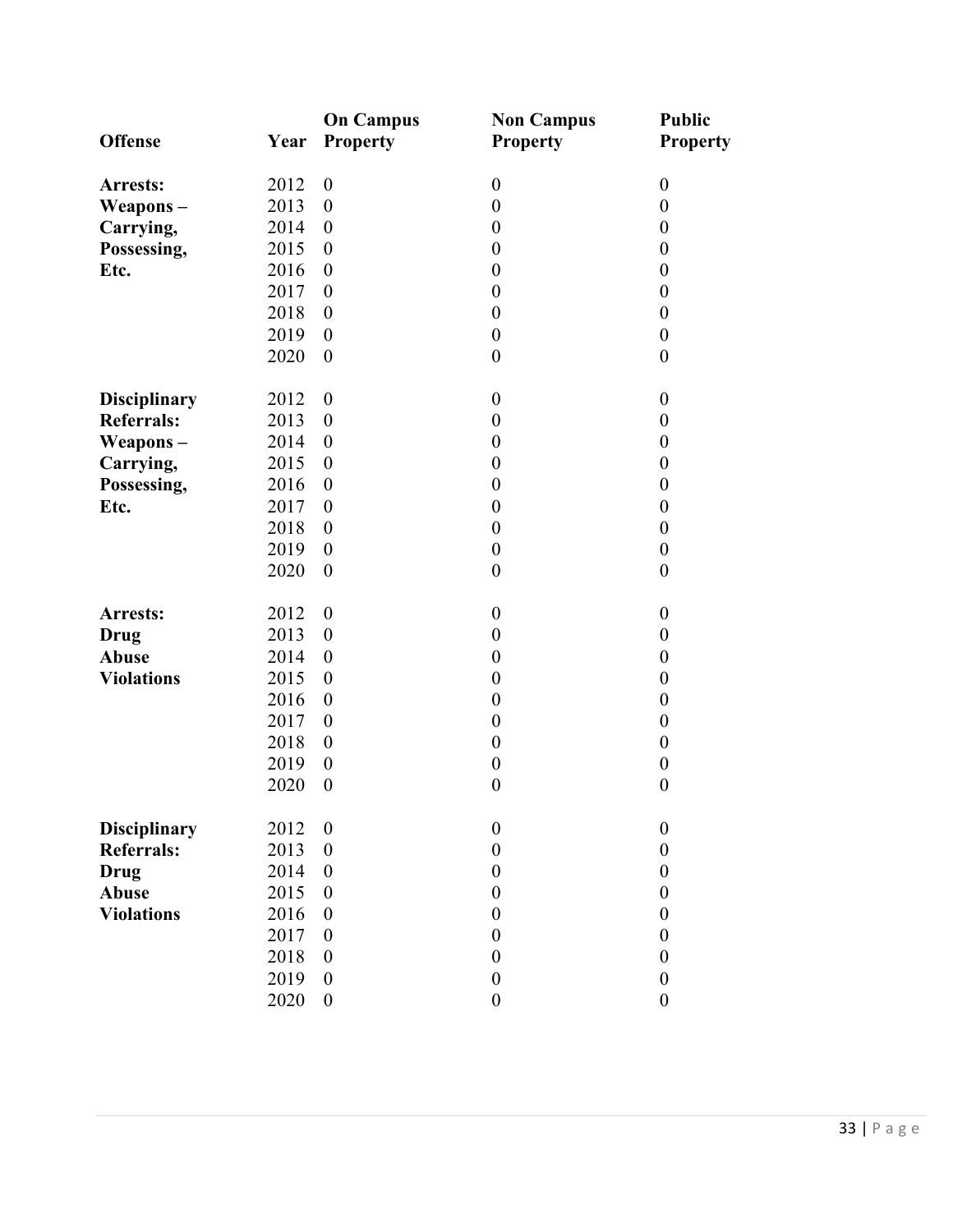|                     |      | <b>On Campus</b> | <b>Non Campus</b> | <b>Public</b>    |
|---------------------|------|------------------|-------------------|------------------|
| <b>Offense</b>      | Year | <b>Property</b>  | <b>Property</b>   | <b>Property</b>  |
|                     |      |                  |                   |                  |
| Arrests:            | 2012 | $\boldsymbol{0}$ | $\boldsymbol{0}$  | $\boldsymbol{0}$ |
| Weapons-            | 2013 | $\boldsymbol{0}$ | $\boldsymbol{0}$  | $\boldsymbol{0}$ |
| Carrying,           | 2014 | $\boldsymbol{0}$ | $\boldsymbol{0}$  | $\boldsymbol{0}$ |
| Possessing,         | 2015 | $\boldsymbol{0}$ | $\boldsymbol{0}$  | $\boldsymbol{0}$ |
| Etc.                | 2016 | $\boldsymbol{0}$ | $\boldsymbol{0}$  | $\boldsymbol{0}$ |
|                     | 2017 | $\boldsymbol{0}$ | $\boldsymbol{0}$  | $\boldsymbol{0}$ |
|                     | 2018 | $\boldsymbol{0}$ | $\boldsymbol{0}$  | $\boldsymbol{0}$ |
|                     | 2019 | $\boldsymbol{0}$ | $\boldsymbol{0}$  | $\boldsymbol{0}$ |
|                     | 2020 | $\boldsymbol{0}$ | $\boldsymbol{0}$  | $\boldsymbol{0}$ |
| <b>Disciplinary</b> | 2012 | $\boldsymbol{0}$ | $\boldsymbol{0}$  | $\boldsymbol{0}$ |
| <b>Referrals:</b>   | 2013 | $\boldsymbol{0}$ | $\boldsymbol{0}$  | $\boldsymbol{0}$ |
| Weapons-            | 2014 | $\boldsymbol{0}$ | $\boldsymbol{0}$  | $\boldsymbol{0}$ |
| Carrying,           | 2015 | $\boldsymbol{0}$ | $\boldsymbol{0}$  | $\boldsymbol{0}$ |
| Possessing,         | 2016 | $\boldsymbol{0}$ | $\boldsymbol{0}$  | $\boldsymbol{0}$ |
| Etc.                | 2017 | $\boldsymbol{0}$ | $\boldsymbol{0}$  | $\boldsymbol{0}$ |
|                     | 2018 | $\boldsymbol{0}$ | $\boldsymbol{0}$  | $\boldsymbol{0}$ |
|                     | 2019 | $\boldsymbol{0}$ | $\boldsymbol{0}$  | $\boldsymbol{0}$ |
|                     | 2020 | $\boldsymbol{0}$ | $\boldsymbol{0}$  | $\boldsymbol{0}$ |
| Arrests:            | 2012 | $\boldsymbol{0}$ | $\boldsymbol{0}$  | $\boldsymbol{0}$ |
| Drug                | 2013 | $\boldsymbol{0}$ | $\boldsymbol{0}$  | $\boldsymbol{0}$ |
| <b>Abuse</b>        | 2014 | $\boldsymbol{0}$ | $\boldsymbol{0}$  | $\boldsymbol{0}$ |
| <b>Violations</b>   | 2015 | $\boldsymbol{0}$ | $\boldsymbol{0}$  | $\boldsymbol{0}$ |
|                     | 2016 | $\boldsymbol{0}$ | $\boldsymbol{0}$  | $\boldsymbol{0}$ |
|                     | 2017 | $\boldsymbol{0}$ | $\boldsymbol{0}$  | $\boldsymbol{0}$ |
|                     | 2018 | $\boldsymbol{0}$ | $\boldsymbol{0}$  | $\boldsymbol{0}$ |
|                     | 2019 | $\boldsymbol{0}$ | $\boldsymbol{0}$  | $\boldsymbol{0}$ |
|                     | 2020 | $\boldsymbol{0}$ | $\boldsymbol{0}$  | $\boldsymbol{0}$ |
|                     |      |                  |                   |                  |
| <b>Disciplinary</b> | 2012 | $\boldsymbol{0}$ | $\boldsymbol{0}$  | $\boldsymbol{0}$ |
| <b>Referrals:</b>   | 2013 | $\boldsymbol{0}$ | $\boldsymbol{0}$  | $\boldsymbol{0}$ |
| <b>Drug</b>         | 2014 | $\boldsymbol{0}$ | $\boldsymbol{0}$  | $\boldsymbol{0}$ |
| Abuse               | 2015 | $\boldsymbol{0}$ | $\boldsymbol{0}$  | $\boldsymbol{0}$ |
| <b>Violations</b>   | 2016 | $\boldsymbol{0}$ | $\boldsymbol{0}$  | $\boldsymbol{0}$ |
|                     | 2017 | $\boldsymbol{0}$ | $\boldsymbol{0}$  | $\boldsymbol{0}$ |
|                     | 2018 | $\boldsymbol{0}$ | $\boldsymbol{0}$  | $\boldsymbol{0}$ |
|                     | 2019 | $\boldsymbol{0}$ | $\boldsymbol{0}$  | $\boldsymbol{0}$ |
|                     | 2020 | $\boldsymbol{0}$ | $\boldsymbol{0}$  | $\boldsymbol{0}$ |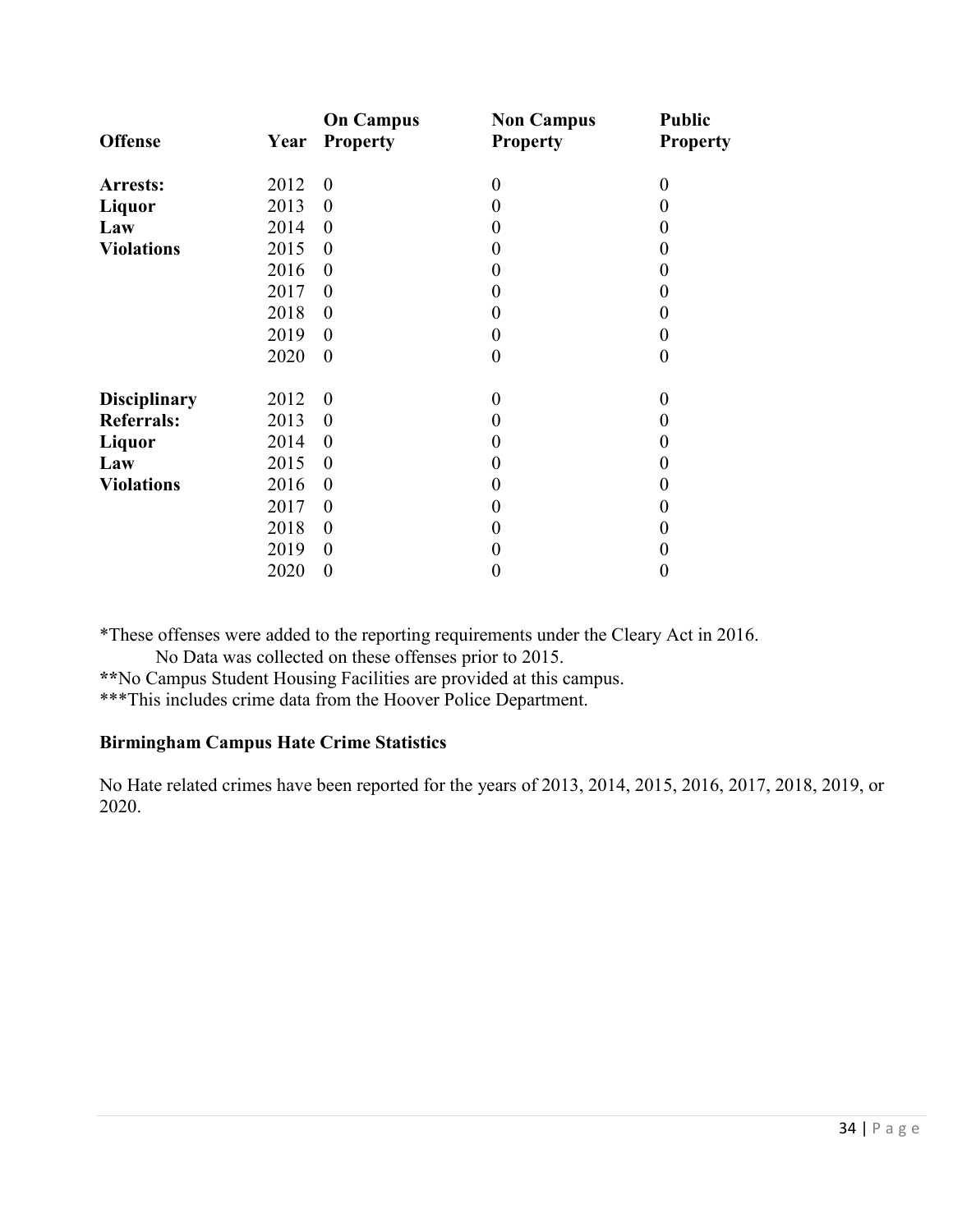|                     |      | <b>On Campus</b> | <b>Non Campus</b> | <b>Public</b>    |
|---------------------|------|------------------|-------------------|------------------|
| <b>Offense</b>      | Year | <b>Property</b>  | <b>Property</b>   | <b>Property</b>  |
| Arrests:            | 2012 | $\theta$         | $\boldsymbol{0}$  | $\boldsymbol{0}$ |
| Liquor              | 2013 | $\boldsymbol{0}$ | $\boldsymbol{0}$  | 0                |
| Law                 | 2014 | $\boldsymbol{0}$ | $\boldsymbol{0}$  | $_{0}$           |
| <b>Violations</b>   | 2015 | $\theta$         | $\boldsymbol{0}$  | $\Omega$         |
|                     | 2016 | $\boldsymbol{0}$ | 0                 | 0                |
|                     | 2017 | $\boldsymbol{0}$ | 0                 | $\theta$         |
|                     | 2018 | $\theta$         | $\boldsymbol{0}$  | 0                |
|                     | 2019 | $\theta$         | $\boldsymbol{0}$  | $\theta$         |
|                     | 2020 | $\theta$         | $\boldsymbol{0}$  | $\boldsymbol{0}$ |
|                     |      |                  |                   |                  |
| <b>Disciplinary</b> | 2012 | $\theta$         | $\boldsymbol{0}$  | 0                |
| <b>Referrals:</b>   | 2013 | $\theta$         | $\boldsymbol{0}$  | 0                |
| Liquor              | 2014 | $\theta$         | $\boldsymbol{0}$  | 0                |
| Law                 | 2015 | $\theta$         | $\boldsymbol{0}$  | $\Omega$         |
| <b>Violations</b>   | 2016 | $\overline{0}$   | $\boldsymbol{0}$  | 0                |
|                     | 2017 | $\theta$         | $\overline{0}$    | $_{0}$           |
|                     | 2018 | $\theta$         | $\boldsymbol{0}$  | 0                |
|                     | 2019 | $\theta$         | 0                 | 0                |
|                     | 2020 | $\theta$         | 0                 | $\theta$         |

\*These offenses were added to the reporting requirements under the Cleary Act in 2016.

No Data was collected on these offenses prior to 2015.

**\*\***No Campus Student Housing Facilities are provided at this campus.

\*\*\*This includes crime data from the Hoover Police Department.

# **Birmingham Campus Hate Crime Statistics**

No Hate related crimes have been reported for the years of 2013, 2014, 2015, 2016, 2017, 2018, 2019, or 2020.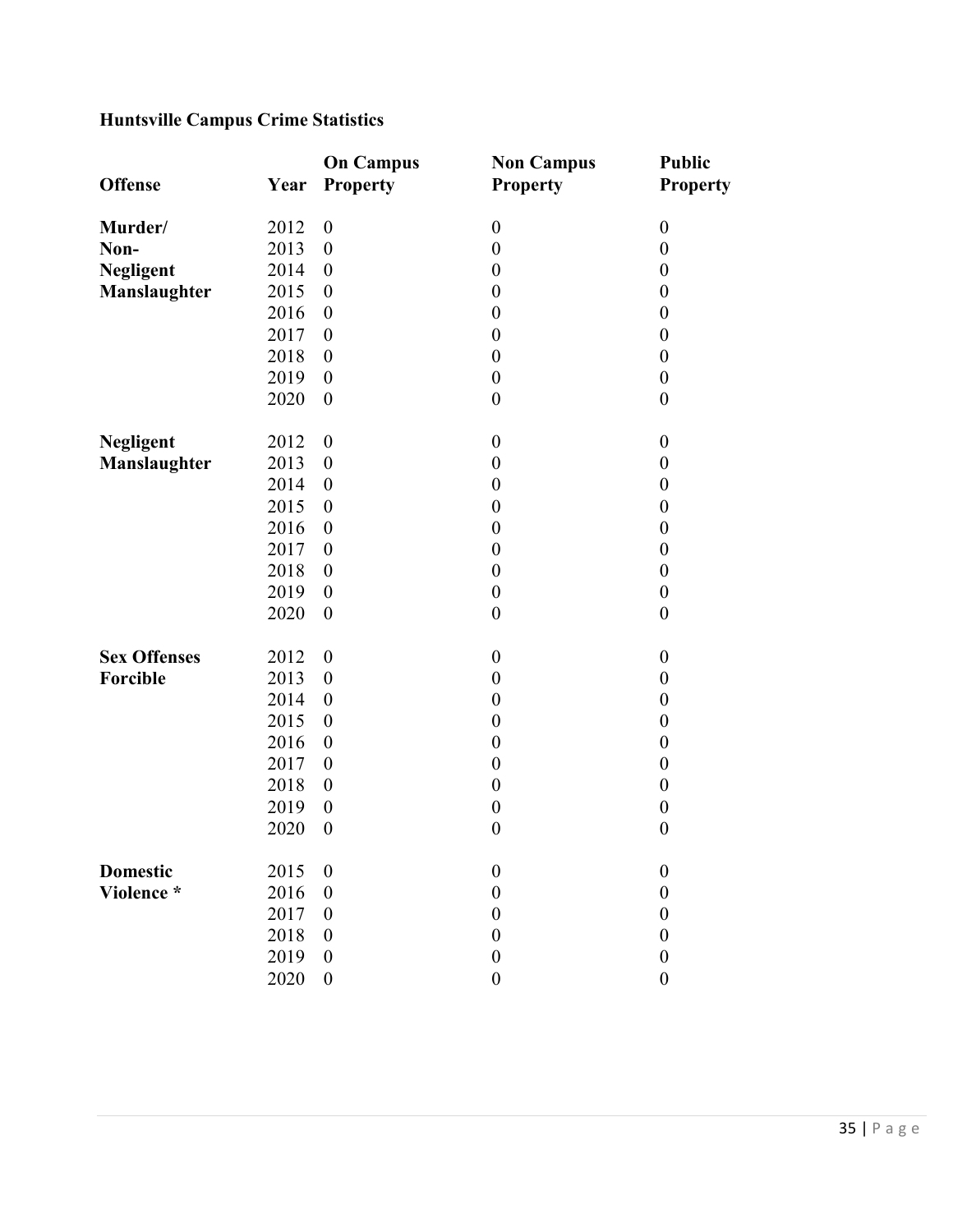# **Huntsville Campus Crime Statistics**

|                     |      | <b>On Campus</b> | <b>Non Campus</b> | <b>Public</b>    |
|---------------------|------|------------------|-------------------|------------------|
| <b>Offense</b>      | Year | <b>Property</b>  | <b>Property</b>   | <b>Property</b>  |
|                     |      |                  |                   |                  |
| Murder/             | 2012 | $\boldsymbol{0}$ | $\boldsymbol{0}$  | $\boldsymbol{0}$ |
| Non-                | 2013 | $\boldsymbol{0}$ | $\boldsymbol{0}$  | $\boldsymbol{0}$ |
| <b>Negligent</b>    | 2014 | $\boldsymbol{0}$ | $\boldsymbol{0}$  | $\boldsymbol{0}$ |
| Manslaughter        | 2015 | $\boldsymbol{0}$ | $\boldsymbol{0}$  | $\boldsymbol{0}$ |
|                     | 2016 | $\boldsymbol{0}$ | $\boldsymbol{0}$  | $\boldsymbol{0}$ |
|                     | 2017 | $\boldsymbol{0}$ | $\boldsymbol{0}$  | $\boldsymbol{0}$ |
|                     | 2018 | $\boldsymbol{0}$ | $\boldsymbol{0}$  | $\boldsymbol{0}$ |
|                     | 2019 | $\boldsymbol{0}$ | $\boldsymbol{0}$  | $\boldsymbol{0}$ |
|                     | 2020 | $\boldsymbol{0}$ | $\boldsymbol{0}$  | $\boldsymbol{0}$ |
|                     |      |                  |                   |                  |
| <b>Negligent</b>    | 2012 | $\boldsymbol{0}$ | $\boldsymbol{0}$  | $\boldsymbol{0}$ |
| Manslaughter        | 2013 | $\boldsymbol{0}$ | $\boldsymbol{0}$  | $\boldsymbol{0}$ |
|                     | 2014 | $\boldsymbol{0}$ | $\boldsymbol{0}$  | $\boldsymbol{0}$ |
|                     | 2015 | $\boldsymbol{0}$ | $\boldsymbol{0}$  | $\boldsymbol{0}$ |
|                     | 2016 | $\boldsymbol{0}$ | $\boldsymbol{0}$  | $\boldsymbol{0}$ |
|                     | 2017 | $\boldsymbol{0}$ | $\boldsymbol{0}$  | $\boldsymbol{0}$ |
|                     | 2018 | $\boldsymbol{0}$ | $\boldsymbol{0}$  | $\boldsymbol{0}$ |
|                     | 2019 | $\boldsymbol{0}$ | $\boldsymbol{0}$  | $\boldsymbol{0}$ |
|                     | 2020 | $\boldsymbol{0}$ | $\boldsymbol{0}$  | $\boldsymbol{0}$ |
|                     |      |                  |                   |                  |
| <b>Sex Offenses</b> | 2012 | $\boldsymbol{0}$ | $\boldsymbol{0}$  | $\boldsymbol{0}$ |
| Forcible            | 2013 | $\boldsymbol{0}$ | $\boldsymbol{0}$  | $\boldsymbol{0}$ |
|                     | 2014 | $\boldsymbol{0}$ | $\boldsymbol{0}$  | $\boldsymbol{0}$ |
|                     | 2015 | $\boldsymbol{0}$ | $\boldsymbol{0}$  | $\boldsymbol{0}$ |
|                     | 2016 | $\boldsymbol{0}$ | $\boldsymbol{0}$  | $\boldsymbol{0}$ |
|                     | 2017 | $\boldsymbol{0}$ | $\boldsymbol{0}$  | $\boldsymbol{0}$ |
|                     | 2018 | $\boldsymbol{0}$ | $\boldsymbol{0}$  | $\boldsymbol{0}$ |
|                     | 2019 | $\boldsymbol{0}$ | $\boldsymbol{0}$  | $\boldsymbol{0}$ |
|                     | 2020 | $\boldsymbol{0}$ | $\boldsymbol{0}$  | $\boldsymbol{0}$ |
|                     |      |                  |                   |                  |
| <b>Domestic</b>     | 2015 | $\boldsymbol{0}$ | $\boldsymbol{0}$  | $\boldsymbol{0}$ |
| Violence *          | 2016 | $\boldsymbol{0}$ | $\boldsymbol{0}$  | $\boldsymbol{0}$ |
|                     | 2017 | $\boldsymbol{0}$ | $\boldsymbol{0}$  | $\boldsymbol{0}$ |
|                     | 2018 | $\boldsymbol{0}$ | $\boldsymbol{0}$  | $\boldsymbol{0}$ |
|                     | 2019 | $\boldsymbol{0}$ | $\boldsymbol{0}$  | $\boldsymbol{0}$ |
|                     | 2020 | $\boldsymbol{0}$ | $\boldsymbol{0}$  | $\boldsymbol{0}$ |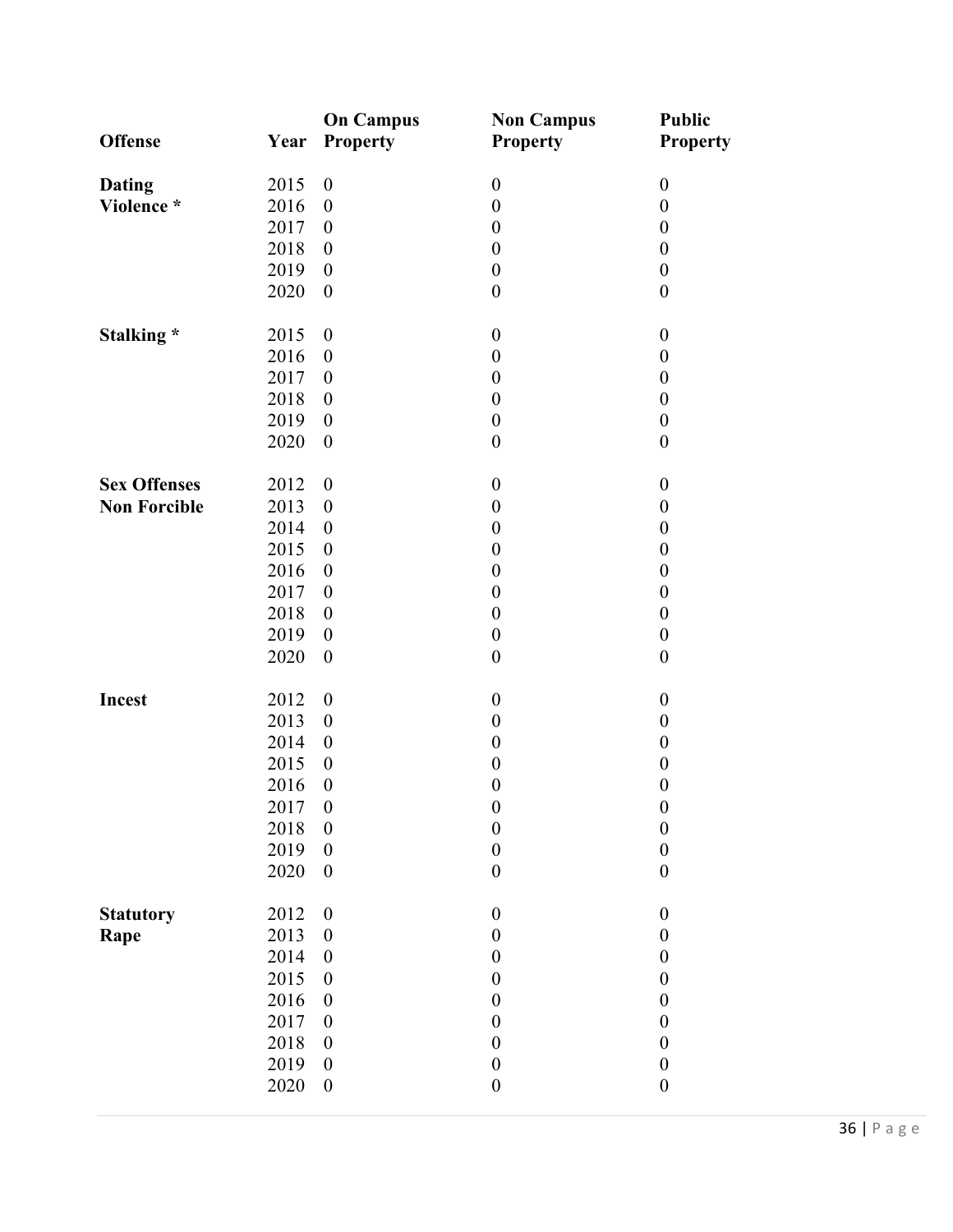|                     |      | <b>On Campus</b>         | <b>Non Campus</b> | <b>Public</b>    |
|---------------------|------|--------------------------|-------------------|------------------|
| <b>Offense</b>      | Year | <b>Property</b>          | <b>Property</b>   | <b>Property</b>  |
| <b>Dating</b>       | 2015 | $\boldsymbol{0}$         | $\boldsymbol{0}$  | $\boldsymbol{0}$ |
| Violence *          | 2016 | $\boldsymbol{0}$         | $\boldsymbol{0}$  | $\boldsymbol{0}$ |
|                     | 2017 | $\boldsymbol{0}$         | $\boldsymbol{0}$  | $\boldsymbol{0}$ |
|                     | 2018 | $\boldsymbol{0}$         | $\boldsymbol{0}$  | $\boldsymbol{0}$ |
|                     | 2019 | $\boldsymbol{0}$         | $\boldsymbol{0}$  | $\boldsymbol{0}$ |
|                     | 2020 | $\boldsymbol{0}$         | $\boldsymbol{0}$  | $\boldsymbol{0}$ |
| Stalking *          | 2015 | $\boldsymbol{0}$         | $\boldsymbol{0}$  | $\boldsymbol{0}$ |
|                     | 2016 | $\boldsymbol{0}$         | $\boldsymbol{0}$  | $\boldsymbol{0}$ |
|                     | 2017 | $\boldsymbol{0}$         | $\boldsymbol{0}$  | $\boldsymbol{0}$ |
|                     | 2018 | $\boldsymbol{0}$         | $\boldsymbol{0}$  | $\boldsymbol{0}$ |
|                     | 2019 | $\boldsymbol{0}$         | $\boldsymbol{0}$  | $\boldsymbol{0}$ |
|                     | 2020 | $\boldsymbol{0}$         | $\boldsymbol{0}$  | $\boldsymbol{0}$ |
| <b>Sex Offenses</b> | 2012 | $\boldsymbol{0}$         | $\boldsymbol{0}$  | $\boldsymbol{0}$ |
| <b>Non Forcible</b> | 2013 | $\boldsymbol{0}$         | $\boldsymbol{0}$  | $\boldsymbol{0}$ |
|                     | 2014 | $\boldsymbol{0}$         | $\boldsymbol{0}$  | $\boldsymbol{0}$ |
|                     | 2015 | $\boldsymbol{0}$         | $\boldsymbol{0}$  | $\boldsymbol{0}$ |
|                     | 2016 | $\boldsymbol{0}$         | $\boldsymbol{0}$  | $\boldsymbol{0}$ |
|                     | 2017 | $\boldsymbol{0}$         | $\boldsymbol{0}$  | $\boldsymbol{0}$ |
|                     | 2018 | $\boldsymbol{0}$         | $\boldsymbol{0}$  | $\boldsymbol{0}$ |
|                     | 2019 | $\boldsymbol{0}$         | $\boldsymbol{0}$  | $\boldsymbol{0}$ |
|                     | 2020 | $\boldsymbol{0}$         | $\boldsymbol{0}$  | $\boldsymbol{0}$ |
|                     |      |                          |                   |                  |
| Incest              | 2012 | $\boldsymbol{0}$         | $\boldsymbol{0}$  | $\boldsymbol{0}$ |
|                     | 2013 | $\boldsymbol{0}$         | $\boldsymbol{0}$  | $\boldsymbol{0}$ |
|                     | 2014 | $\boldsymbol{0}$         | $\boldsymbol{0}$  | $\boldsymbol{0}$ |
|                     | 2015 | $\boldsymbol{0}$         | $\boldsymbol{0}$  | $\boldsymbol{0}$ |
|                     | 2016 | $\boldsymbol{0}$         | $\boldsymbol{0}$  | $\boldsymbol{0}$ |
|                     | 2017 | $\overline{\phantom{0}}$ | $\boldsymbol{0}$  | $\boldsymbol{0}$ |
|                     | 2018 | $\boldsymbol{0}$         | $\boldsymbol{0}$  | $\boldsymbol{0}$ |
|                     | 2019 | $\boldsymbol{0}$         | $\boldsymbol{0}$  | $\boldsymbol{0}$ |
|                     | 2020 | $\boldsymbol{0}$         | $\boldsymbol{0}$  | $\boldsymbol{0}$ |
| <b>Statutory</b>    | 2012 | $\boldsymbol{0}$         | $\boldsymbol{0}$  | $\boldsymbol{0}$ |
| Rape                | 2013 | $\boldsymbol{0}$         | $\boldsymbol{0}$  | $\boldsymbol{0}$ |
|                     | 2014 | $\boldsymbol{0}$         | $\boldsymbol{0}$  | $\boldsymbol{0}$ |
|                     | 2015 | $\boldsymbol{0}$         | $\boldsymbol{0}$  | $\boldsymbol{0}$ |
|                     | 2016 | $\boldsymbol{0}$         | $\boldsymbol{0}$  | $\boldsymbol{0}$ |
|                     | 2017 | $\boldsymbol{0}$         | $\boldsymbol{0}$  | $\boldsymbol{0}$ |
|                     | 2018 | $\boldsymbol{0}$         | $\boldsymbol{0}$  | $\boldsymbol{0}$ |
|                     | 2019 | $\boldsymbol{0}$         | $\boldsymbol{0}$  | $\boldsymbol{0}$ |
|                     | 2020 | $\boldsymbol{0}$         | $\boldsymbol{0}$  | $\boldsymbol{0}$ |
|                     |      |                          |                   |                  |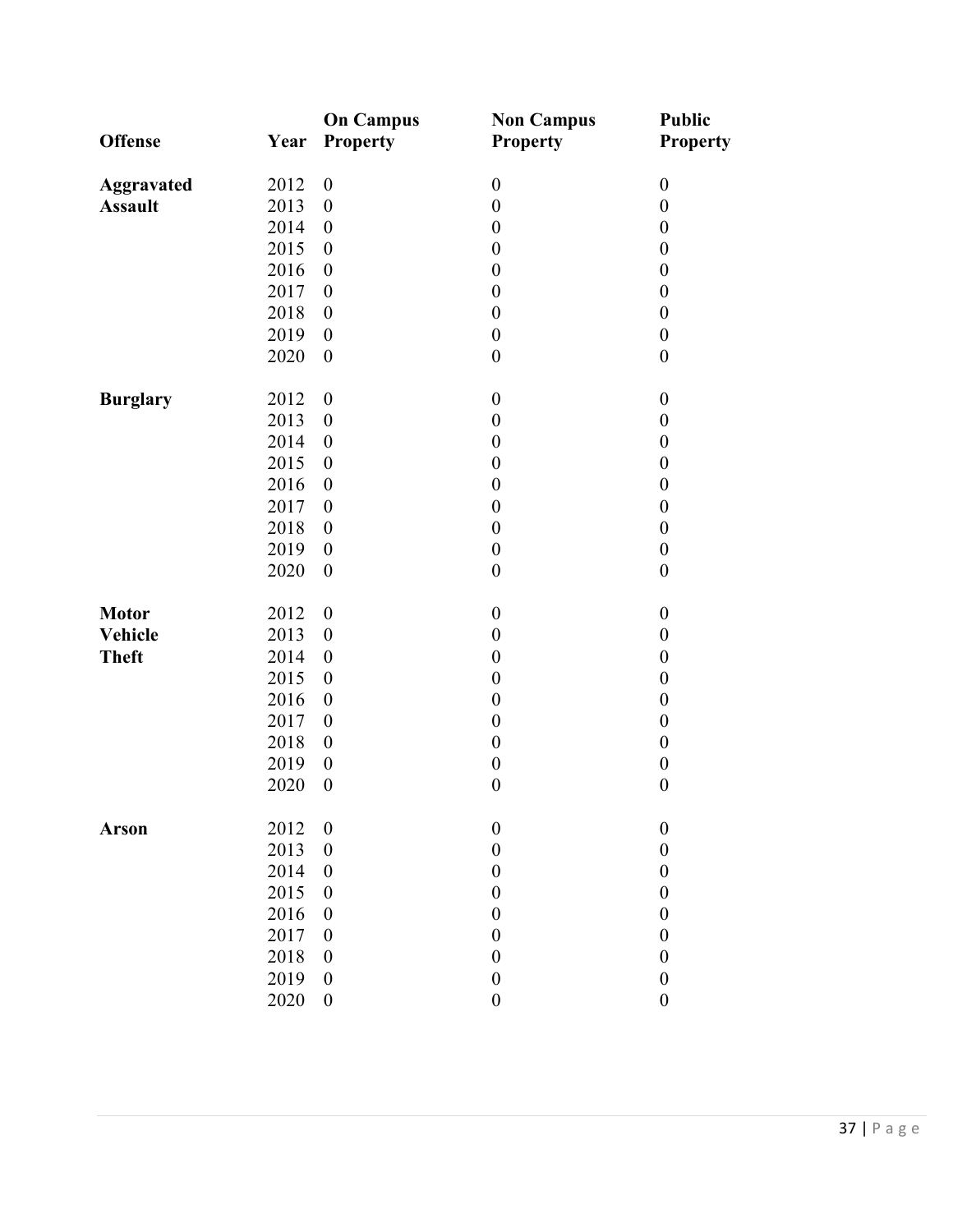| <b>Offense</b>    | Year | <b>On Campus</b><br>Property | <b>Non Campus</b><br>Property | <b>Public</b><br><b>Property</b> |
|-------------------|------|------------------------------|-------------------------------|----------------------------------|
| <b>Aggravated</b> | 2012 | $\boldsymbol{0}$             | $\boldsymbol{0}$              | $\boldsymbol{0}$                 |
| <b>Assault</b>    | 2013 | $\boldsymbol{0}$             | $\boldsymbol{0}$              | $\boldsymbol{0}$                 |
|                   | 2014 | $\boldsymbol{0}$             | $\boldsymbol{0}$              | $\boldsymbol{0}$                 |
|                   | 2015 | $\boldsymbol{0}$             | $\boldsymbol{0}$              | $\boldsymbol{0}$                 |
|                   | 2016 | $\boldsymbol{0}$             | $\boldsymbol{0}$              | $\boldsymbol{0}$                 |
|                   | 2017 | $\boldsymbol{0}$             | $\boldsymbol{0}$              | $\boldsymbol{0}$                 |
|                   | 2018 | $\boldsymbol{0}$             | $\boldsymbol{0}$              | $\boldsymbol{0}$                 |
|                   | 2019 | $\boldsymbol{0}$             | $\boldsymbol{0}$              | $\boldsymbol{0}$                 |
|                   | 2020 | $\boldsymbol{0}$             | $\boldsymbol{0}$              | $\boldsymbol{0}$                 |
| <b>Burglary</b>   | 2012 | $\boldsymbol{0}$             | $\boldsymbol{0}$              | $\boldsymbol{0}$                 |
|                   | 2013 | $\boldsymbol{0}$             | $\boldsymbol{0}$              | $\boldsymbol{0}$                 |
|                   | 2014 | $\boldsymbol{0}$             | $\boldsymbol{0}$              | $\boldsymbol{0}$                 |
|                   | 2015 | $\boldsymbol{0}$             | $\boldsymbol{0}$              | $\boldsymbol{0}$                 |
|                   | 2016 | $\boldsymbol{0}$             | $\boldsymbol{0}$              | $\boldsymbol{0}$                 |
|                   | 2017 | $\boldsymbol{0}$             | $\boldsymbol{0}$              | $\boldsymbol{0}$                 |
|                   | 2018 | $\boldsymbol{0}$             | $\boldsymbol{0}$              | $\boldsymbol{0}$                 |
|                   | 2019 | $\boldsymbol{0}$             | $\boldsymbol{0}$              | $\boldsymbol{0}$                 |
|                   | 2020 | $\boldsymbol{0}$             | $\boldsymbol{0}$              | $\boldsymbol{0}$                 |
| <b>Motor</b>      | 2012 | $\boldsymbol{0}$             | $\boldsymbol{0}$              | $\boldsymbol{0}$                 |
| <b>Vehicle</b>    | 2013 | $\boldsymbol{0}$             | $\boldsymbol{0}$              | $\boldsymbol{0}$                 |
| <b>Theft</b>      | 2014 | $\boldsymbol{0}$             | $\boldsymbol{0}$              | $\boldsymbol{0}$                 |
|                   | 2015 | $\boldsymbol{0}$             | $\boldsymbol{0}$              | $\boldsymbol{0}$                 |
|                   | 2016 | $\boldsymbol{0}$             | $\boldsymbol{0}$              | $\boldsymbol{0}$                 |
|                   | 2017 | $\boldsymbol{0}$             | $\boldsymbol{0}$              | $\boldsymbol{0}$                 |
|                   | 2018 | $\boldsymbol{0}$             | $\boldsymbol{0}$              | $\boldsymbol{0}$                 |
|                   | 2019 | $\boldsymbol{0}$             | $\boldsymbol{0}$              | $\boldsymbol{0}$                 |
|                   | 2020 | $\boldsymbol{0}$             | $\boldsymbol{0}$              | $\boldsymbol{0}$                 |
| <b>Arson</b>      | 2012 | $\boldsymbol{0}$             | $\boldsymbol{0}$              | $\boldsymbol{0}$                 |
|                   | 2013 | $\boldsymbol{0}$             | $\boldsymbol{0}$              | $\boldsymbol{0}$                 |
|                   | 2014 | $\boldsymbol{0}$             | $\boldsymbol{0}$              | $\boldsymbol{0}$                 |
|                   | 2015 | $\boldsymbol{0}$             | $\boldsymbol{0}$              | $\boldsymbol{0}$                 |
|                   | 2016 | $\boldsymbol{0}$             | $\boldsymbol{0}$              | $\boldsymbol{0}$                 |
|                   | 2017 | $\boldsymbol{0}$             | $\boldsymbol{0}$              | $\boldsymbol{0}$                 |
|                   | 2018 | $\boldsymbol{0}$             | $\boldsymbol{0}$              | $\boldsymbol{0}$                 |
|                   | 2019 | $\boldsymbol{0}$             | $\boldsymbol{0}$              | $\boldsymbol{0}$                 |
|                   | 2020 | $\boldsymbol{0}$             | $\boldsymbol{0}$              | $\boldsymbol{0}$                 |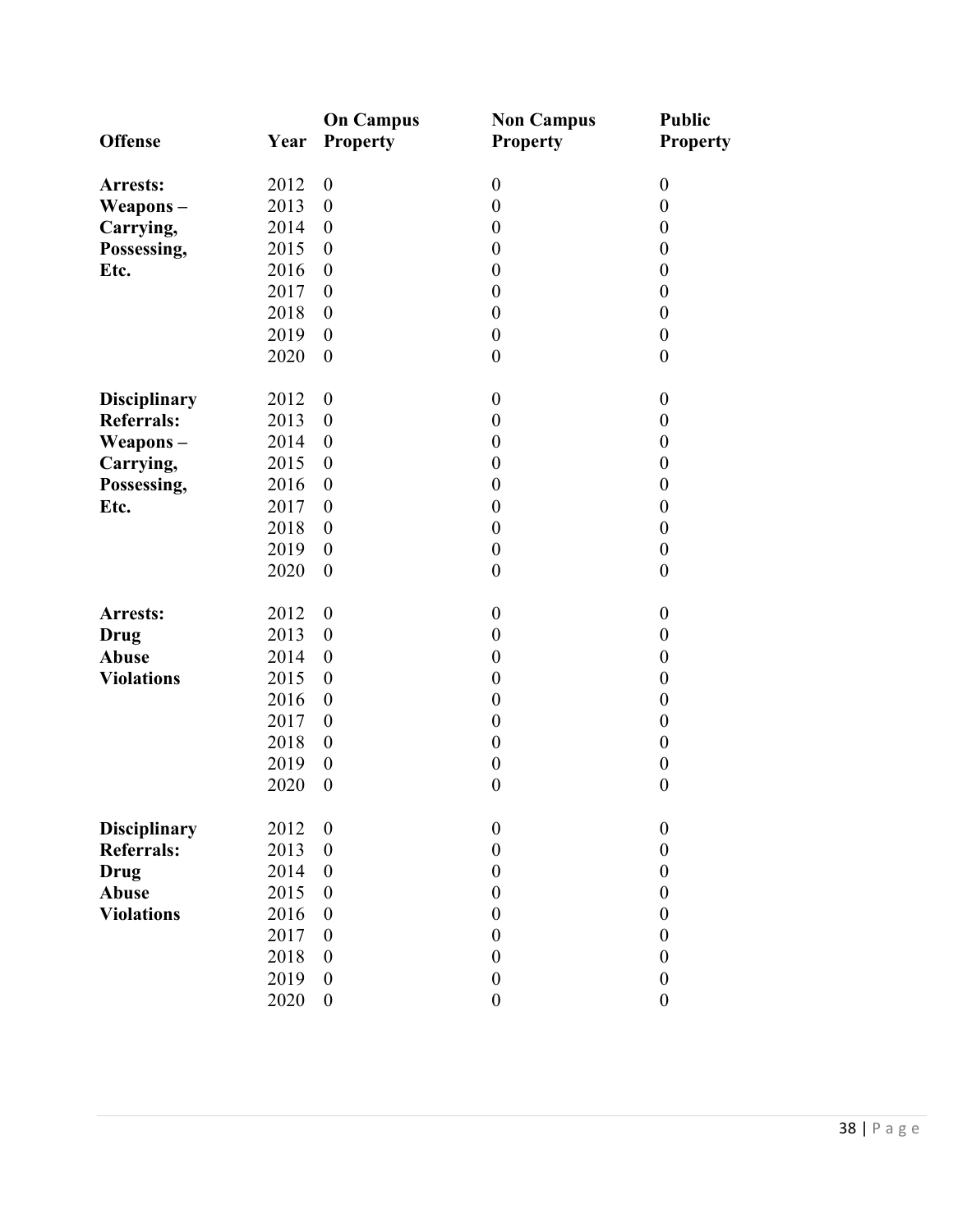|                     |      | <b>On Campus</b> | <b>Non Campus</b>                    | <b>Public</b>    |
|---------------------|------|------------------|--------------------------------------|------------------|
| <b>Offense</b>      | Year | <b>Property</b>  | <b>Property</b>                      | <b>Property</b>  |
|                     |      |                  |                                      |                  |
| Arrests:            | 2012 | $\boldsymbol{0}$ | $\boldsymbol{0}$                     | $\boldsymbol{0}$ |
| Weapons-            | 2013 | $\boldsymbol{0}$ | $\boldsymbol{0}$<br>$\boldsymbol{0}$ | $\boldsymbol{0}$ |
| Carrying,           | 2014 | $\boldsymbol{0}$ |                                      | $\boldsymbol{0}$ |
| Possessing,         | 2015 | $\boldsymbol{0}$ | $\boldsymbol{0}$                     | $\boldsymbol{0}$ |
| Etc.                | 2016 | $\boldsymbol{0}$ | $\boldsymbol{0}$                     | $\boldsymbol{0}$ |
|                     | 2017 | $\boldsymbol{0}$ | $\boldsymbol{0}$                     | $\boldsymbol{0}$ |
|                     | 2018 | $\boldsymbol{0}$ | $\boldsymbol{0}$                     | $\boldsymbol{0}$ |
|                     | 2019 | $\boldsymbol{0}$ | $\boldsymbol{0}$                     | $\boldsymbol{0}$ |
|                     | 2020 | $\boldsymbol{0}$ | $\boldsymbol{0}$                     | $\boldsymbol{0}$ |
| <b>Disciplinary</b> | 2012 | $\boldsymbol{0}$ | $\boldsymbol{0}$                     | $\boldsymbol{0}$ |
| <b>Referrals:</b>   | 2013 | $\boldsymbol{0}$ | $\boldsymbol{0}$                     | $\boldsymbol{0}$ |
| Weapons-            | 2014 | $\boldsymbol{0}$ | $\boldsymbol{0}$                     | $\boldsymbol{0}$ |
| Carrying,           | 2015 | $\boldsymbol{0}$ | $\boldsymbol{0}$                     | $\boldsymbol{0}$ |
| Possessing,         | 2016 | $\boldsymbol{0}$ | $\boldsymbol{0}$                     | $\boldsymbol{0}$ |
| Etc.                | 2017 | $\boldsymbol{0}$ | $\boldsymbol{0}$                     | $\boldsymbol{0}$ |
|                     | 2018 | $\boldsymbol{0}$ | $\boldsymbol{0}$                     | $\boldsymbol{0}$ |
|                     | 2019 | $\boldsymbol{0}$ | $\boldsymbol{0}$                     | $\boldsymbol{0}$ |
|                     | 2020 | $\boldsymbol{0}$ | $\boldsymbol{0}$                     | $\boldsymbol{0}$ |
| Arrests:            | 2012 | $\boldsymbol{0}$ | $\boldsymbol{0}$                     | $\boldsymbol{0}$ |
| Drug                | 2013 | $\boldsymbol{0}$ | $\boldsymbol{0}$                     | $\boldsymbol{0}$ |
| <b>Abuse</b>        | 2014 | $\boldsymbol{0}$ | $\boldsymbol{0}$                     | $\boldsymbol{0}$ |
| <b>Violations</b>   | 2015 | $\boldsymbol{0}$ | $\boldsymbol{0}$                     | $\boldsymbol{0}$ |
|                     | 2016 | $\boldsymbol{0}$ | $\boldsymbol{0}$                     | $\boldsymbol{0}$ |
|                     | 2017 | $\boldsymbol{0}$ | $\boldsymbol{0}$                     | $\boldsymbol{0}$ |
|                     | 2018 | $\boldsymbol{0}$ | $\boldsymbol{0}$                     | $\boldsymbol{0}$ |
|                     | 2019 | $\boldsymbol{0}$ | $\boldsymbol{0}$                     | $\boldsymbol{0}$ |
|                     | 2020 | $\boldsymbol{0}$ | $\boldsymbol{0}$                     | $\boldsymbol{0}$ |
|                     |      |                  |                                      |                  |
| <b>Disciplinary</b> | 2012 | $\boldsymbol{0}$ | $\boldsymbol{0}$                     | $\boldsymbol{0}$ |
| <b>Referrals:</b>   | 2013 | $\boldsymbol{0}$ | $\boldsymbol{0}$                     | $\boldsymbol{0}$ |
| <b>Drug</b>         | 2014 | $\boldsymbol{0}$ | $\boldsymbol{0}$                     | $\boldsymbol{0}$ |
| Abuse               | 2015 | $\boldsymbol{0}$ | $\boldsymbol{0}$                     | $\boldsymbol{0}$ |
| <b>Violations</b>   | 2016 | $\boldsymbol{0}$ | $\boldsymbol{0}$                     | $\boldsymbol{0}$ |
|                     | 2017 | $\boldsymbol{0}$ | $\boldsymbol{0}$                     | $\boldsymbol{0}$ |
|                     | 2018 | $\boldsymbol{0}$ | $\boldsymbol{0}$                     | $\boldsymbol{0}$ |
|                     | 2019 | $\boldsymbol{0}$ | $\boldsymbol{0}$                     | $\boldsymbol{0}$ |
|                     | 2020 | $\boldsymbol{0}$ | $\boldsymbol{0}$                     | $\boldsymbol{0}$ |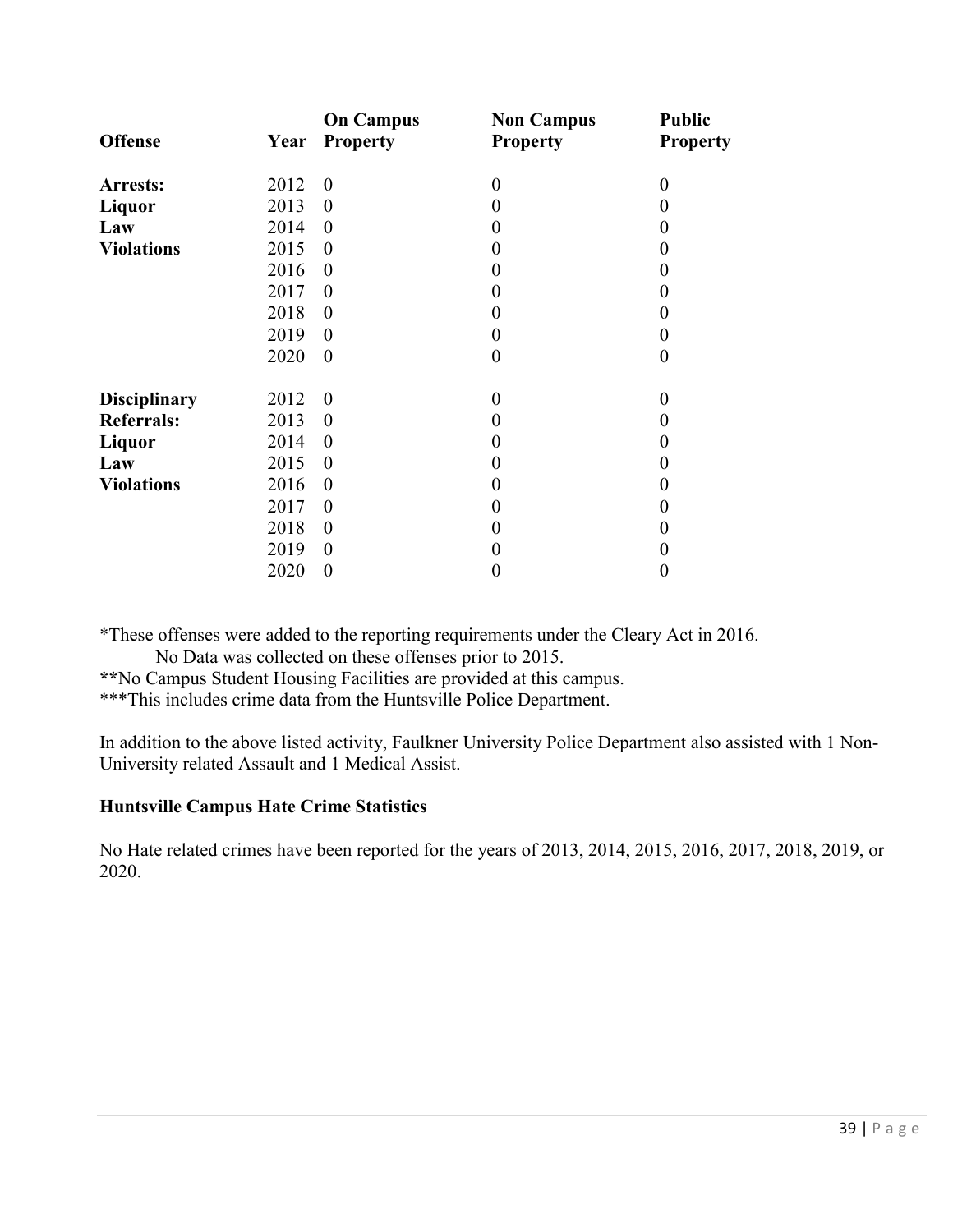|                     |      | <b>On Campus</b> | <b>Non Campus</b> | <b>Public</b>   |
|---------------------|------|------------------|-------------------|-----------------|
| <b>Offense</b>      | Year | <b>Property</b>  | <b>Property</b>   | <b>Property</b> |
| Arrests:            | 2012 | $\boldsymbol{0}$ | $\boldsymbol{0}$  | $\overline{0}$  |
| Liquor              | 2013 | $\theta$         | $\overline{0}$    | 0               |
| Law                 | 2014 | $\theta$         | $\theta$          |                 |
| <b>Violations</b>   | 2015 | $\theta$         | $\boldsymbol{0}$  | 0               |
|                     | 2016 | $\theta$         | $\boldsymbol{0}$  | 0               |
|                     | 2017 | $\theta$         | $\boldsymbol{0}$  | 0               |
|                     | 2018 | $\theta$         | $\boldsymbol{0}$  |                 |
|                     | 2019 | $\theta$         | $\boldsymbol{0}$  | 0               |
|                     | 2020 | $\boldsymbol{0}$ | $\boldsymbol{0}$  | 0               |
|                     |      |                  |                   |                 |
| <b>Disciplinary</b> | 2012 | $\theta$         | $\theta$          | $\Omega$        |
| <b>Referrals:</b>   | 2013 | $\theta$         | $\boldsymbol{0}$  | 0               |
| Liquor              | 2014 | $\theta$         | $\boldsymbol{0}$  |                 |
| Law                 | 2015 | $\theta$         | $\theta$          | 0               |
| <b>Violations</b>   | 2016 | $\theta$         | $\boldsymbol{0}$  | 0               |
|                     | 2017 | $\theta$         | $\theta$          |                 |
|                     | 2018 | $\theta$         | $\boldsymbol{0}$  |                 |
|                     | 2019 | $\theta$         | $\theta$          |                 |
|                     | 2020 | $\boldsymbol{0}$ | $\boldsymbol{0}$  | 0               |

\*These offenses were added to the reporting requirements under the Cleary Act in 2016.

No Data was collected on these offenses prior to 2015.

**\*\***No Campus Student Housing Facilities are provided at this campus.

\*\*\*This includes crime data from the Huntsville Police Department.

In addition to the above listed activity, Faulkner University Police Department also assisted with 1 Non-University related Assault and 1 Medical Assist.

#### **Huntsville Campus Hate Crime Statistics**

No Hate related crimes have been reported for the years of 2013, 2014, 2015, 2016, 2017, 2018, 2019, or 2020.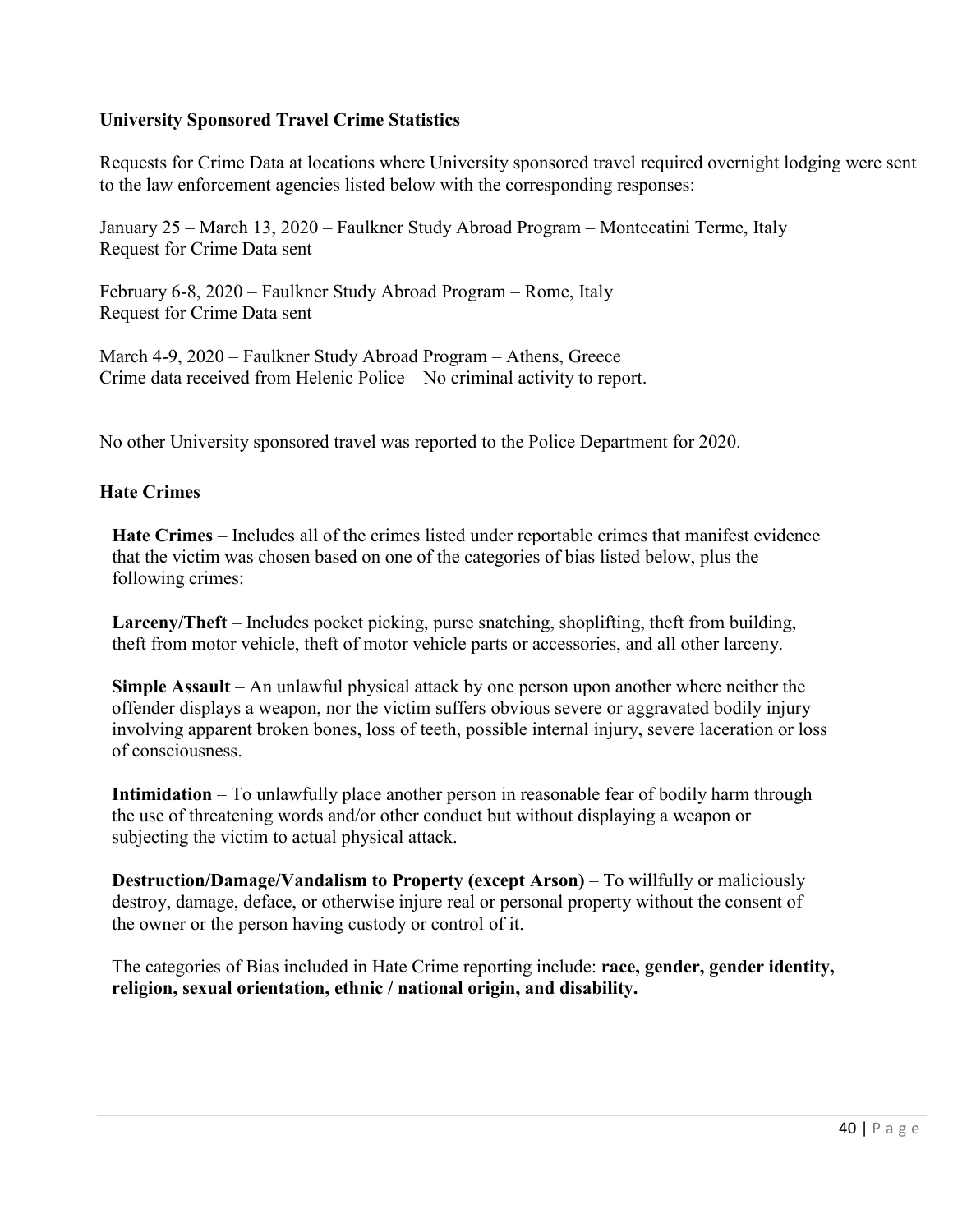# **University Sponsored Travel Crime Statistics**

Requests for Crime Data at locations where University sponsored travel required overnight lodging were sent to the law enforcement agencies listed below with the corresponding responses:

January 25 – March 13, 2020 – Faulkner Study Abroad Program – Montecatini Terme, Italy Request for Crime Data sent

February 6-8, 2020 – Faulkner Study Abroad Program – Rome, Italy Request for Crime Data sent

March 4-9, 2020 – Faulkner Study Abroad Program – Athens, Greece Crime data received from Helenic Police – No criminal activity to report.

No other University sponsored travel was reported to the Police Department for 2020.

## **Hate Crimes**

**Hate Crimes** – Includes all of the crimes listed under reportable crimes that manifest evidence that the victim was chosen based on one of the categories of bias listed below, plus the following crimes:

**Larceny/Theft** – Includes pocket picking, purse snatching, shoplifting, theft from building, theft from motor vehicle, theft of motor vehicle parts or accessories, and all other larceny.

**Simple Assault** – An unlawful physical attack by one person upon another where neither the offender displays a weapon, nor the victim suffers obvious severe or aggravated bodily injury involving apparent broken bones, loss of teeth, possible internal injury, severe laceration or loss of consciousness.

**Intimidation** – To unlawfully place another person in reasonable fear of bodily harm through the use of threatening words and/or other conduct but without displaying a weapon or subjecting the victim to actual physical attack.

**Destruction/Damage/Vandalism to Property (except Arson) – To willfully or maliciously** destroy, damage, deface, or otherwise injure real or personal property without the consent of the owner or the person having custody or control of it.

The categories of Bias included in Hate Crime reporting include: **race, gender, gender identity, religion, sexual orientation, ethnic / national origin, and disability.**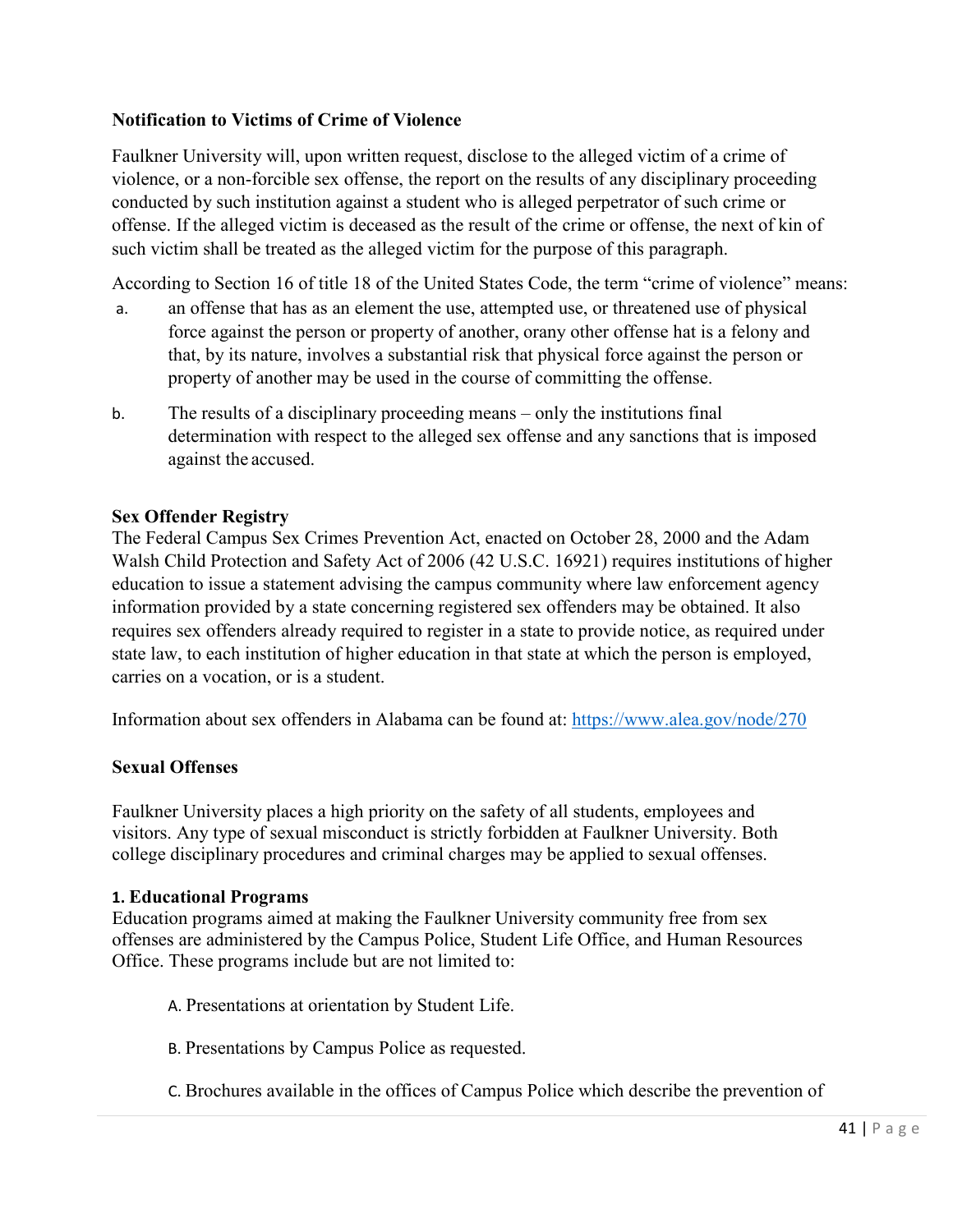# **Notification to Victims of Crime of Violence**

Faulkner University will, upon written request, disclose to the alleged victim of a crime of violence, or a non-forcible sex offense, the report on the results of any disciplinary proceeding conducted by such institution against a student who is alleged perpetrator of such crime or offense. If the alleged victim is deceased as the result of the crime or offense, the next of kin of such victim shall be treated as the alleged victim for the purpose of this paragraph.

According to Section 16 of title 18 of the United States Code, the term "crime of violence" means:

- a. an offense that has as an element the use, attempted use, or threatened use of physical force against the person or property of another, orany other offense hat is a felony and that, by its nature, involves a substantial risk that physical force against the person or property of another may be used in the course of committing the offense.
- b. The results of a disciplinary proceeding means only the institutions final determination with respect to the alleged sex offense and any sanctions that is imposed against the accused.

#### **Sex Offender Registry**

The Federal Campus Sex Crimes Prevention Act, enacted on October 28, 2000 and the Adam Walsh Child Protection and Safety Act of 2006 (42 U.S.C. 16921) requires institutions of higher education to issue a statement advising the campus community where law enforcement agency information provided by a state concerning registered sex offenders may be obtained. It also requires sex offenders already required to register in a state to provide notice, as required under state law, to each institution of higher education in that state at which the person is employed, carries on a vocation, or is a student.

Information about sex offenders in Alabama can be found at:<https://www.alea.gov/node/270>

## **Sexual Offenses**

Faulkner University places a high priority on the safety of all students, employees and visitors. Any type of sexual misconduct is strictly forbidden at Faulkner University. Both college disciplinary procedures and criminal charges may be applied to sexual offenses.

#### **1. Educational Programs**

Education programs aimed at making the Faulkner University community free from sex offenses are administered by the Campus Police, Student Life Office, and Human Resources Office. These programs include but are not limited to:

- A. Presentations at orientation by Student Life.
- B. Presentations by Campus Police as requested.
- C. Brochures available in the offices of Campus Police which describe the prevention of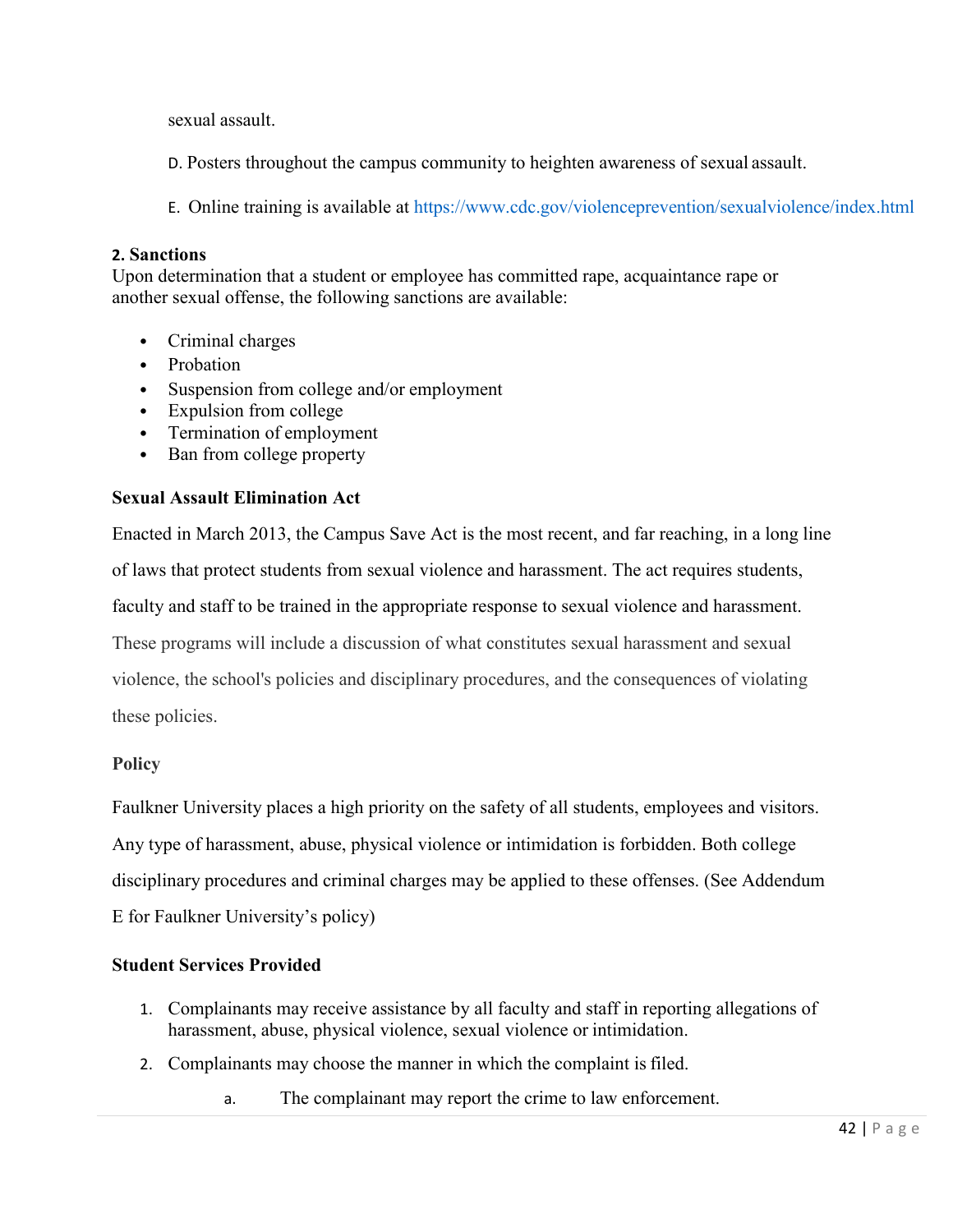sexual assault.

- D. Posters throughout the campus community to heighten awareness of sexual assault.
- E. Online training is available at https://www.cdc.gov/violenceprevention/sexualviolence/index.html

#### **2. Sanctions**

Upon determination that a student or employee has committed rape, acquaintance rape or another sexual offense, the following sanctions are available:

- Criminal charges
- Probation
- Suspension from college and/or employment
- Expulsion from college
- Termination of employment
- Ban from college property

## **Sexual Assault Elimination Act**

Enacted in March 2013, the Campus Save Act is the most recent, and far reaching, in a long line of laws that protect students from sexual violence and harassment. The act requires students, faculty and staff to be trained in the appropriate response to sexual violence and harassment. These programs will include a discussion of what constitutes sexual harassment and sexual violence, the school's policies and disciplinary procedures, and the consequences of violating these policies.

## **Policy**

Faulkner University places a high priority on the safety of all students, employees and visitors. Any type of harassment, abuse, physical violence or intimidation is forbidden. Both college disciplinary procedures and criminal charges may be applied to these offenses. (See Addendum E for Faulkner University's policy)

## **Student Services Provided**

- 1. Complainants may receive assistance by all faculty and staff in reporting allegations of harassment, abuse, physical violence, sexual violence or intimidation.
- 2. Complainants may choose the manner in which the complaint isfiled.
	- a. The complainant may report the crime to law enforcement.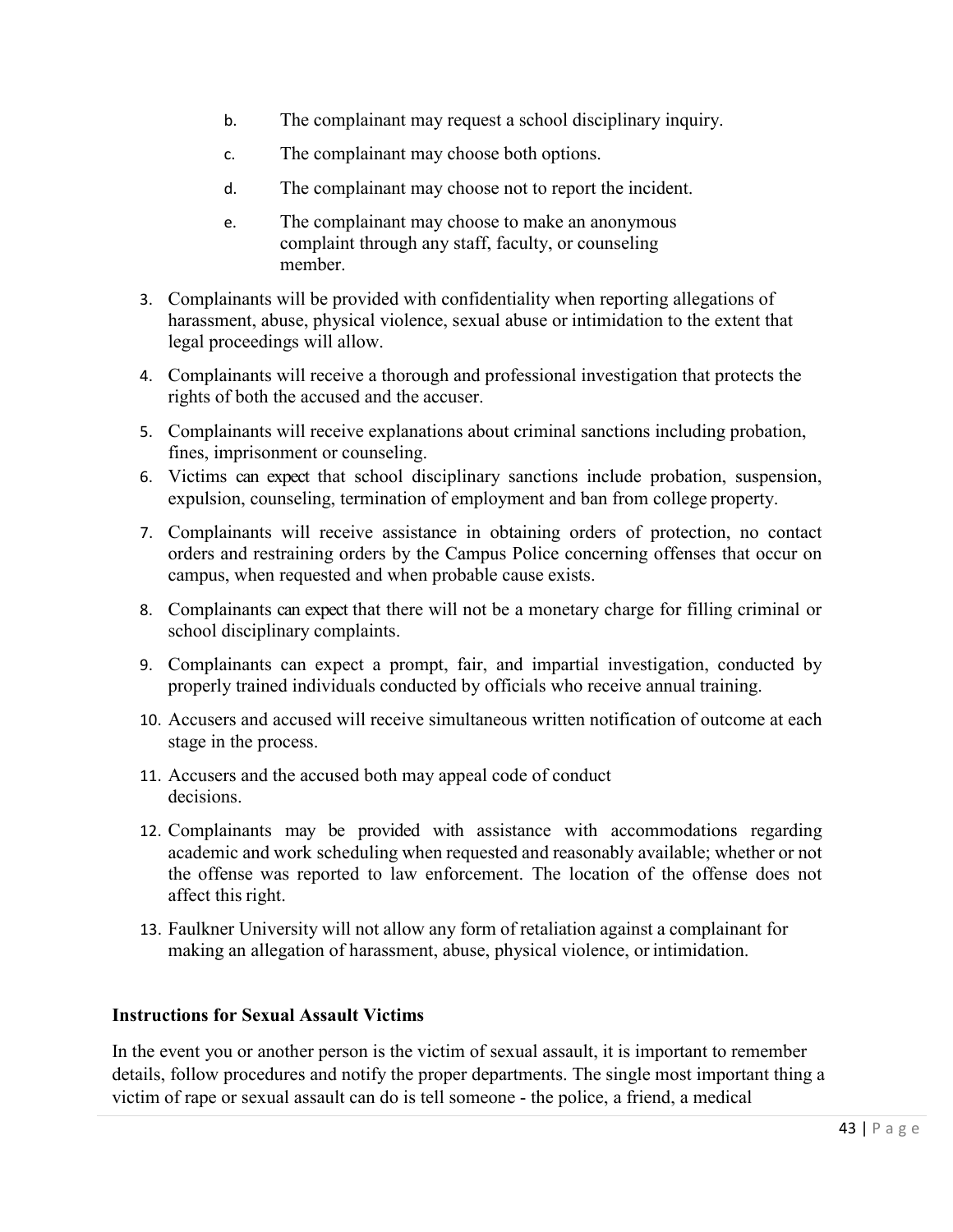- b. The complainant may request a school disciplinary inquiry.
- c. The complainant may choose both options.
- d. The complainant may choose not to report the incident.
- e. The complainant may choose to make an anonymous complaint through any staff, faculty, or counseling member.
- 3. Complainants will be provided with confidentiality when reporting allegations of harassment, abuse, physical violence, sexual abuse or intimidation to the extent that legal proceedings will allow.
- 4. Complainants will receive a thorough and professional investigation that protects the rights of both the accused and the accuser.
- 5. Complainants will receive explanations about criminal sanctions including probation, fines, imprisonment or counseling.
- 6. Victims can expect that school disciplinary sanctions include probation, suspension, expulsion, counseling, termination of employment and ban from college property.
- 7. Complainants will receive assistance in obtaining orders of protection, no contact orders and restraining orders by the Campus Police concerning offenses that occur on campus, when requested and when probable cause exists.
- 8. Complainants can expect that there will not be a monetary charge for filling criminal or school disciplinary complaints.
- 9. Complainants can expect a prompt, fair, and impartial investigation, conducted by properly trained individuals conducted by officials who receive annual training.
- 10. Accusers and accused will receive simultaneous written notification of outcome at each stage in the process.
- 11. Accusers and the accused both may appeal code of conduct decisions.
- 12. Complainants may be provided with assistance with accommodations regarding academic and work scheduling when requested and reasonably available; whether or not the offense was reported to law enforcement. The location of the offense does not affect this right.
- 13. Faulkner University will not allow any form of retaliation against a complainant for making an allegation of harassment, abuse, physical violence, or intimidation.

#### **Instructions for Sexual Assault Victims**

In the event you or another person is the victim of sexual assault, it is important to remember details, follow procedures and notify the proper departments. The single most important thing a victim of rape or sexual assault can do is tell someone - the police, a friend, a medical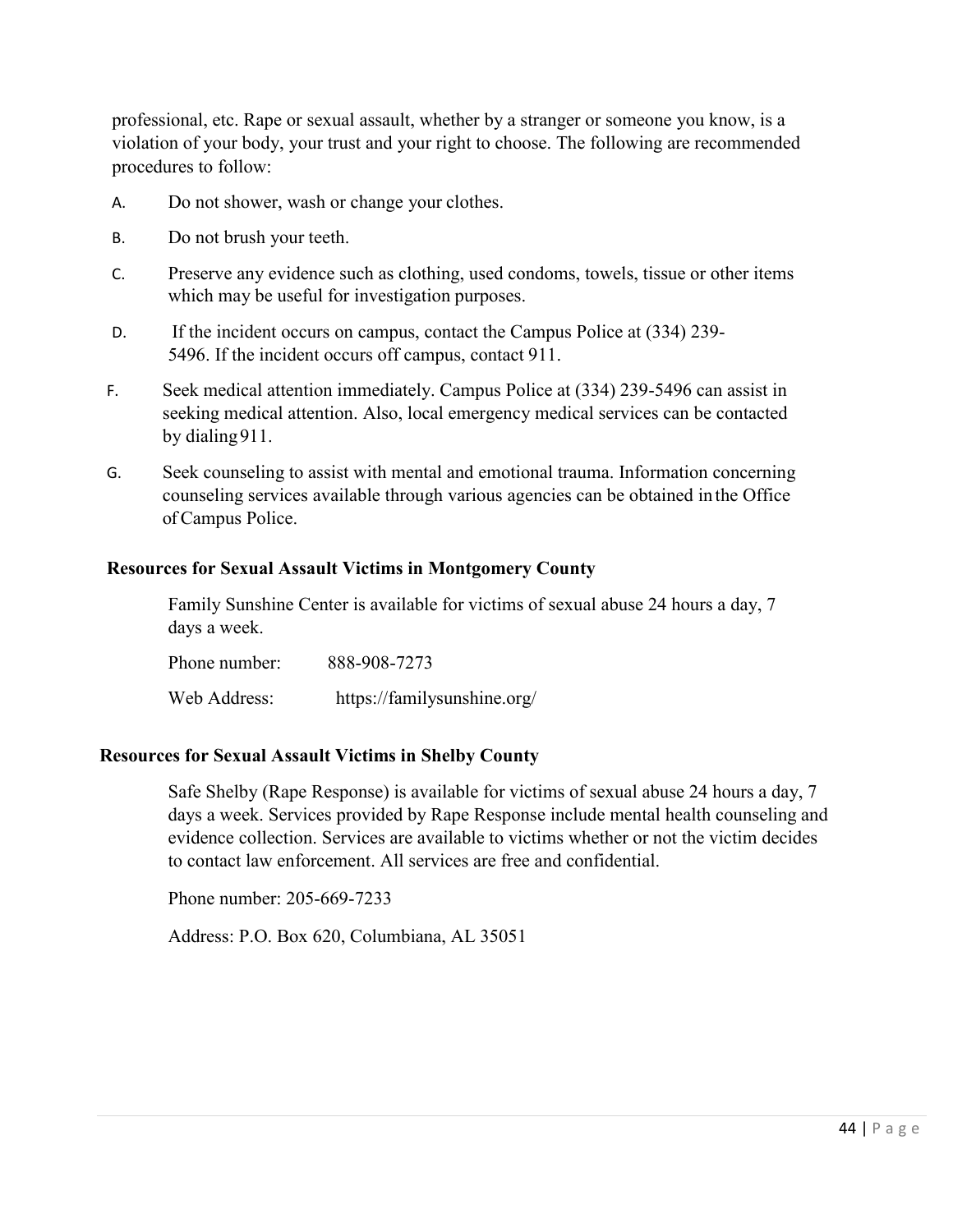professional, etc. Rape or sexual assault, whether by a stranger or someone you know, is a violation of your body, your trust and your right to choose. The following are recommended procedures to follow:

- A. Do not shower, wash or change your clothes.
- B. Do not brush your teeth.
- C. Preserve any evidence such as clothing, used condoms, towels, tissue or other items which may be useful for investigation purposes.
- D. If the incident occurs on campus, contact the Campus Police at (334) 239- 5496. If the incident occurs off campus, contact 911.
- F. Seek medical attention immediately. Campus Police at (334) 239-5496 can assist in seeking medical attention. Also, local emergency medical services can be contacted by dialing911.
- G. Seek counseling to assist with mental and emotional trauma. Information concerning counseling services available through various agencies can be obtained in the Office of Campus Police.

#### **Resources for Sexual Assault Victims in Montgomery County**

Family Sunshine Center is available for victims of sexual abuse 24 hours a day, 7 days a week.

Phone number: 888-908-7273 Web Address: https://familysunshine.org/

#### **Resources for Sexual Assault Victims in Shelby County**

Safe Shelby (Rape Response) is available for victims of sexual abuse 24 hours a day, 7 days a week. Services provided by Rape Response include mental health counseling and evidence collection. Services are available to victims whether or not the victim decides to contact law enforcement. All services are free and confidential.

Phone number: 205-669-7233

Address: P.O. Box 620, Columbiana, AL 35051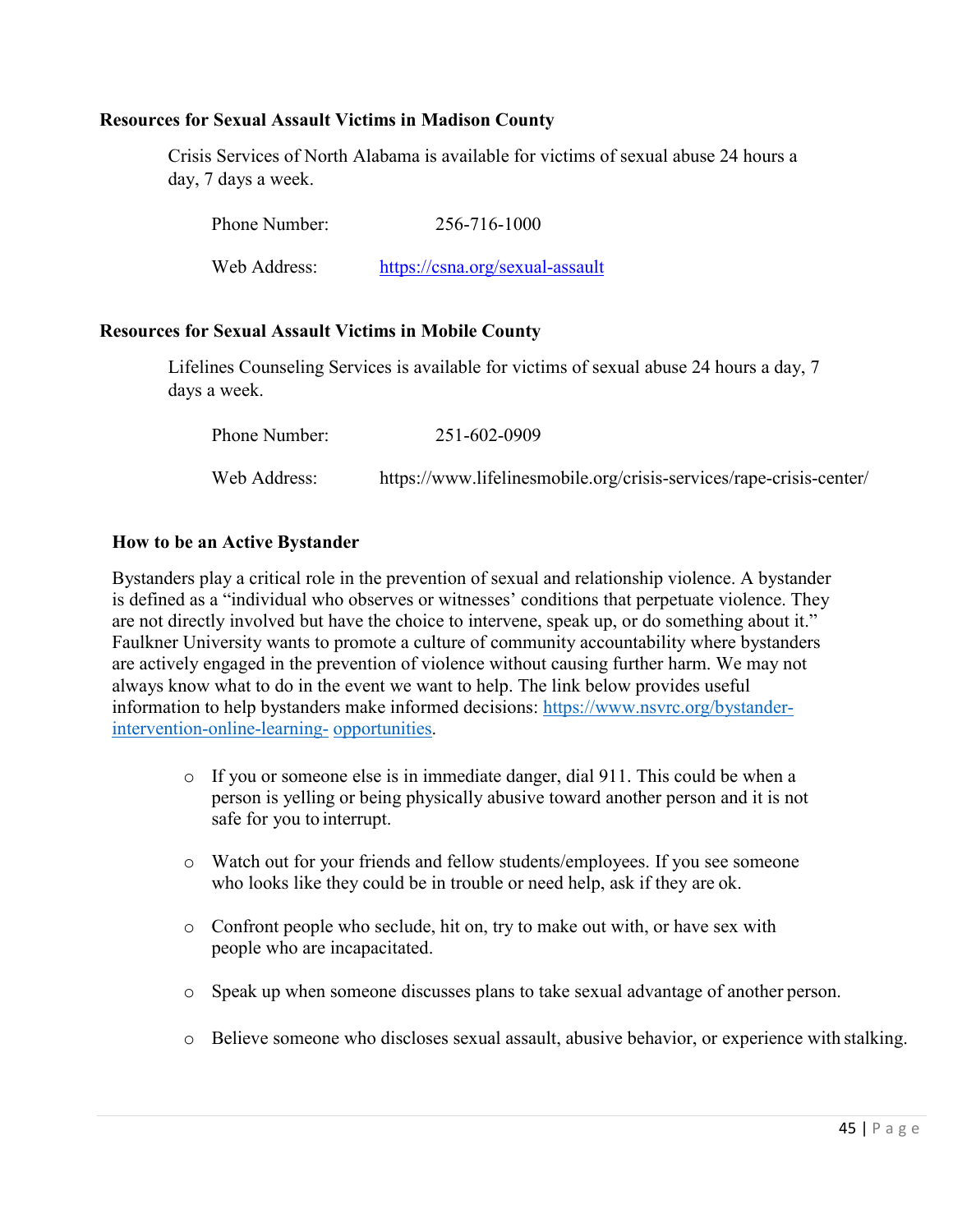#### **Resources for Sexual Assault Victims in Madison County**

Crisis Services of North Alabama is available for victims of sexual abuse 24 hours a day, 7 days a week.

| Phone Number: | 256-716-1000                    |
|---------------|---------------------------------|
| Web Address:  | https://csna.org/sexual-assault |

#### **Resources for Sexual Assault Victims in Mobile County**

Lifelines Counseling Services is available for victims of sexual abuse 24 hours a day, 7 days a week.

| <b>Phone Number:</b> | 251-602-0909                                                        |
|----------------------|---------------------------------------------------------------------|
| Web Address:         | https://www.lifelinesmobile.org/crisis-services/rape-crisis-center/ |

#### **How to be an Active Bystander**

Bystanders play a critical role in the prevention of sexual and relationship violence. A bystander is defined as a "individual who observes or witnesses' conditions that perpetuate violence. They are not directly involved but have the choice to intervene, speak up, or do something about it." Faulkner University wants to promote a culture of community accountability where bystanders are actively engaged in the prevention of violence without causing further harm. We may not always know what to do in the event we want to help. The link below provides useful information to help bystanders make informed decisions: [https://www.nsvrc.org/bystander](https://www.nsvrc.org/bystander-intervention-online-learning-opportunities)[intervention-online-learning-](https://www.nsvrc.org/bystander-intervention-online-learning-opportunities) [opportunities.](https://www.nsvrc.org/bystander-intervention-online-learning-opportunities)

- o If you or someone else is in immediate danger, dial 911. This could be when a person is yelling or being physically abusive toward another person and it is not safe for you to interrupt.
- o Watch out for your friends and fellow students/employees. If you see someone who looks like they could be in trouble or need help, ask if they are ok.
- o Confront people who seclude, hit on, try to make out with, or have sex with people who are incapacitated.
- o Speak up when someone discusses plans to take sexual advantage of another person.
- o Believe someone who discloses sexual assault, abusive behavior, or experience with stalking.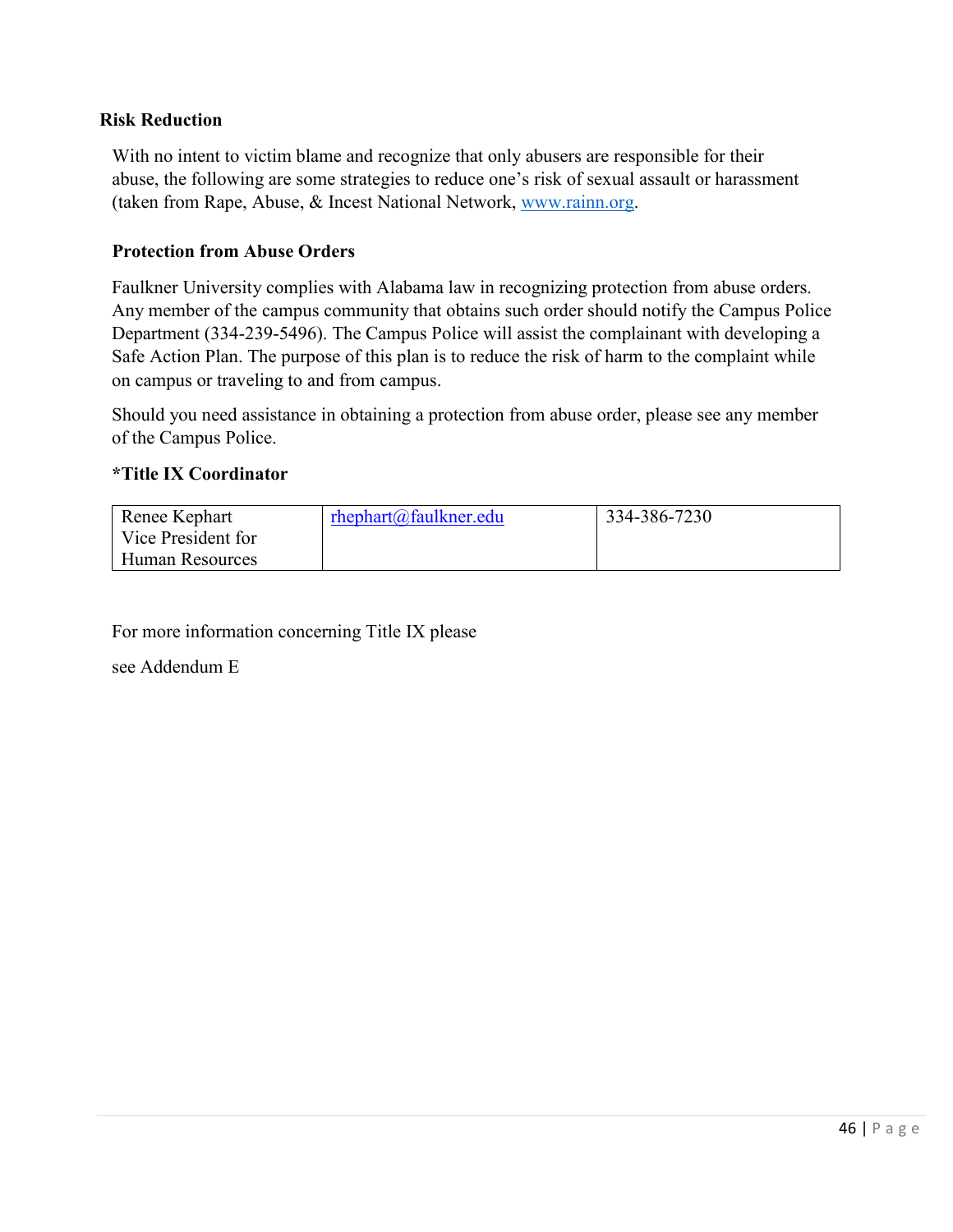## **Risk Reduction**

With no intent to victim blame and recognize that only abusers are responsible for their abuse, the following are some strategies to reduce one's risk of sexual assault or harassment (taken from Rape, Abuse, & Incest National Network, [www.rainn.org.](http://www.rainn.org/)

#### **Protection from Abuse Orders**

Faulkner University complies with Alabama law in recognizing protection from abuse orders. Any member of the campus community that obtains such order should notify the Campus Police Department (334-239-5496). The Campus Police will assist the complainant with developing a Safe Action Plan. The purpose of this plan is to reduce the risk of harm to the complaint while on campus or traveling to and from campus.

Should you need assistance in obtaining a protection from abuse order, please see any member of the Campus Police.

#### **\*Title IX Coordinator**

| Renee Kephart      | rhephart@faulkner.edu | 334-386-7230 |
|--------------------|-----------------------|--------------|
| Vice President for |                       |              |
| ∟Human Resources   |                       |              |

For more information concerning Title IX please

see Addendum E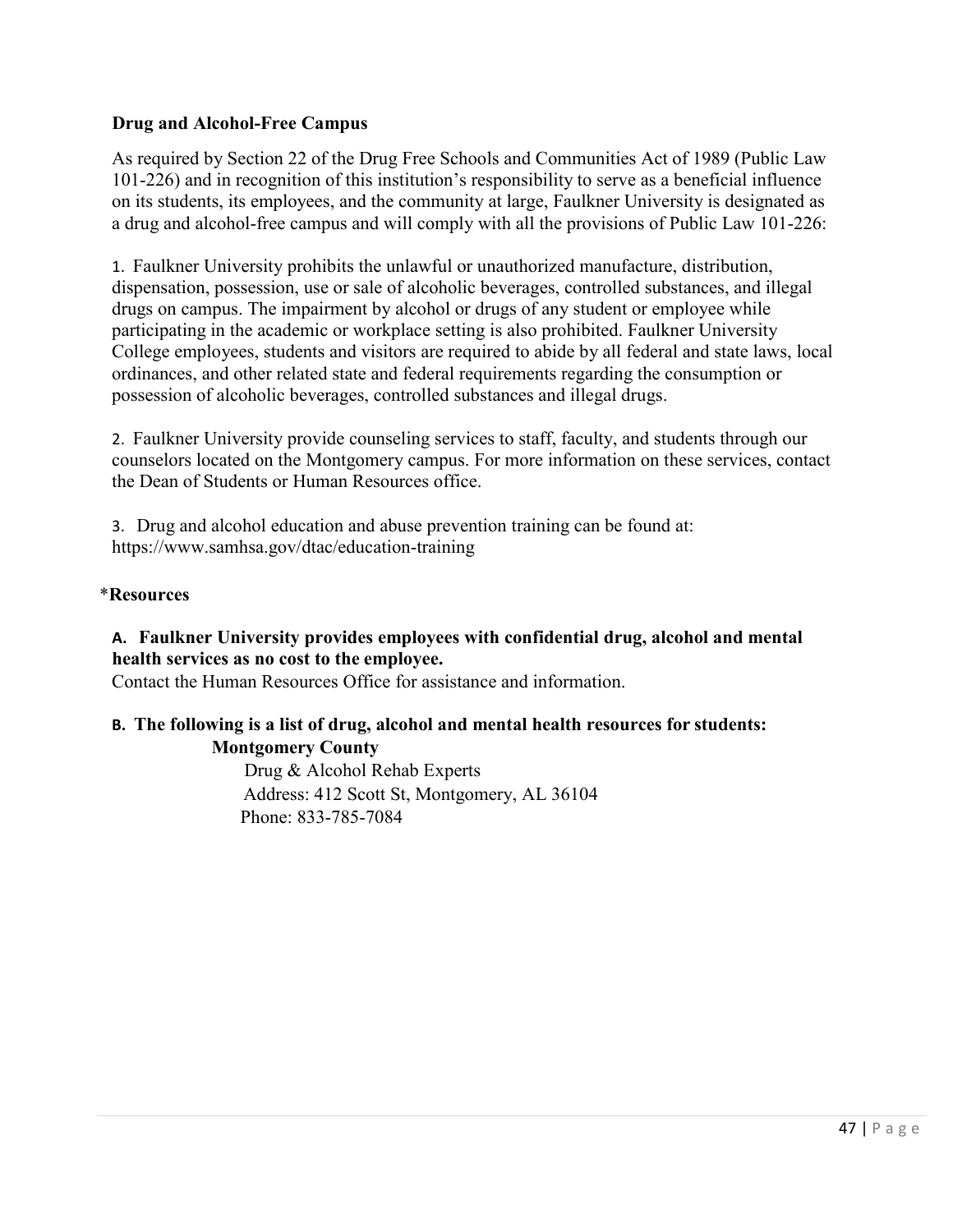# **Drug and Alcohol-Free Campus**

As required by Section 22 of the Drug Free Schools and Communities Act of 1989 (Public Law 101-226) and in recognition of this institution's responsibility to serve as a beneficial influence on its students, its employees, and the community at large, Faulkner University is designated as a drug and alcohol-free campus and will comply with all the provisions of Public Law 101-226:

1. Faulkner University prohibits the unlawful or unauthorized manufacture, distribution, dispensation, possession, use or sale of alcoholic beverages, controlled substances, and illegal drugs on campus. The impairment by alcohol or drugs of any student or employee while participating in the academic or workplace setting is also prohibited. Faulkner University College employees, students and visitors are required to abide by all federal and state laws, local ordinances, and other related state and federal requirements regarding the consumption or possession of alcoholic beverages, controlled substances and illegal drugs.

2. Faulkner University provide counseling services to staff, faculty, and students through our counselors located on the Montgomery campus. For more information on these services, contact the Dean of Students or Human Resources office.

3. Drug and alcohol education and abuse prevention training can be found at: https://www.samhsa.gov/dtac/education-training

#### \***Resources**

# **A. Faulkner University provides employees with confidential drug, alcohol and mental health services as no cost to the employee.**

Contact the Human Resources Office for assistance and information.

## **B. The following is a list of drug, alcohol and mental health resources for students: Montgomery County**

Drug & Alcohol Rehab Experts Address: 412 Scott St, Montgomery, AL 36104 Phone: 833-785-7084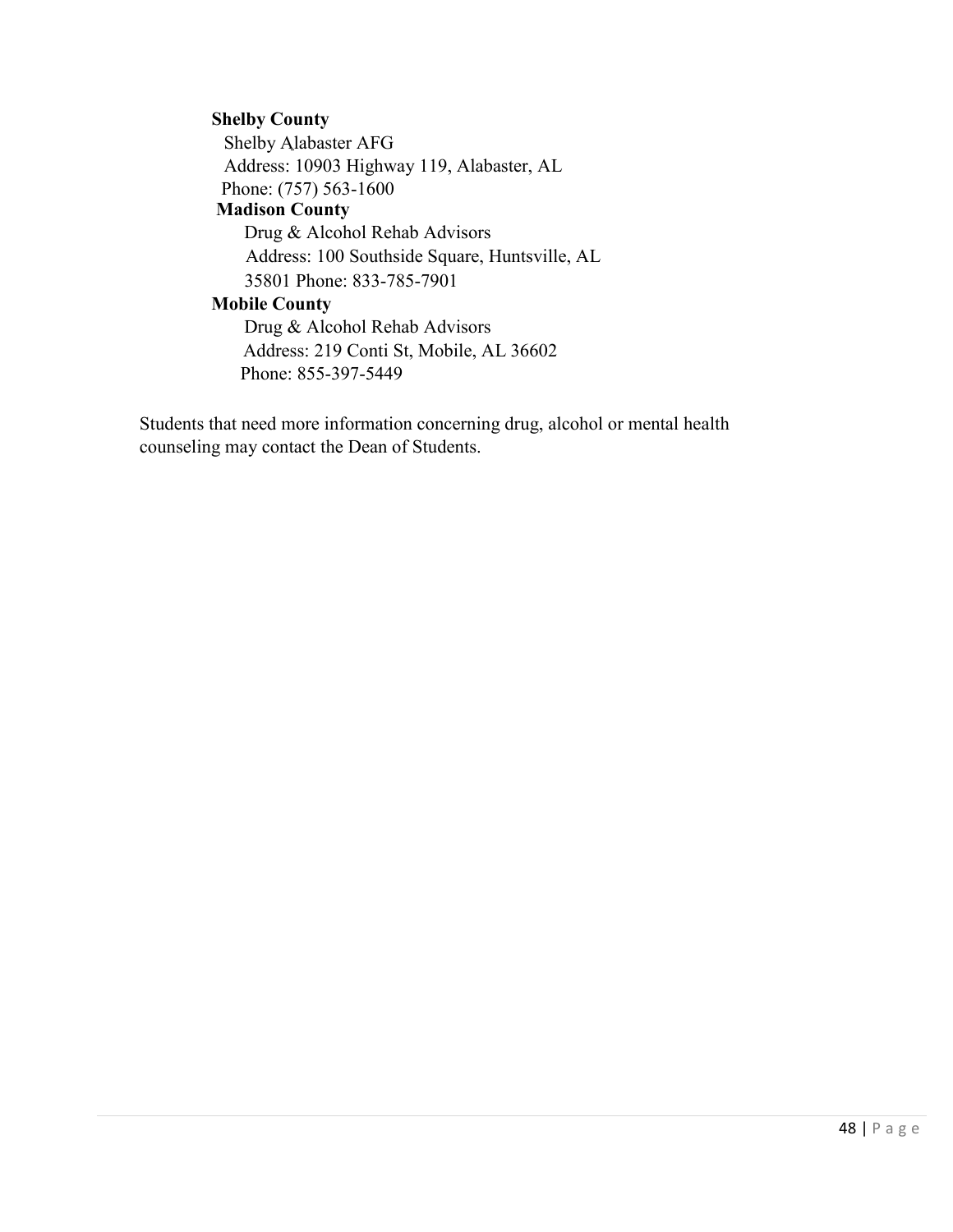#### **Shelby County**

Shelby Alabaster AFG Address: 10903 Highway 119, Alabaster, AL Phone: (757) 563-1600 **Madison County** Drug & Alcohol Rehab Advisors Address: 100 Southside Square, Huntsville, AL

35801 Phone: 833-785-7901

# **Mobile County**

Drug & Alcohol Rehab Advisors Address: 219 Conti St, Mobile, AL 36602 Phone: 855-397-5449

Students that need more information concerning drug, alcohol or mental health counseling may contact the Dean of Students.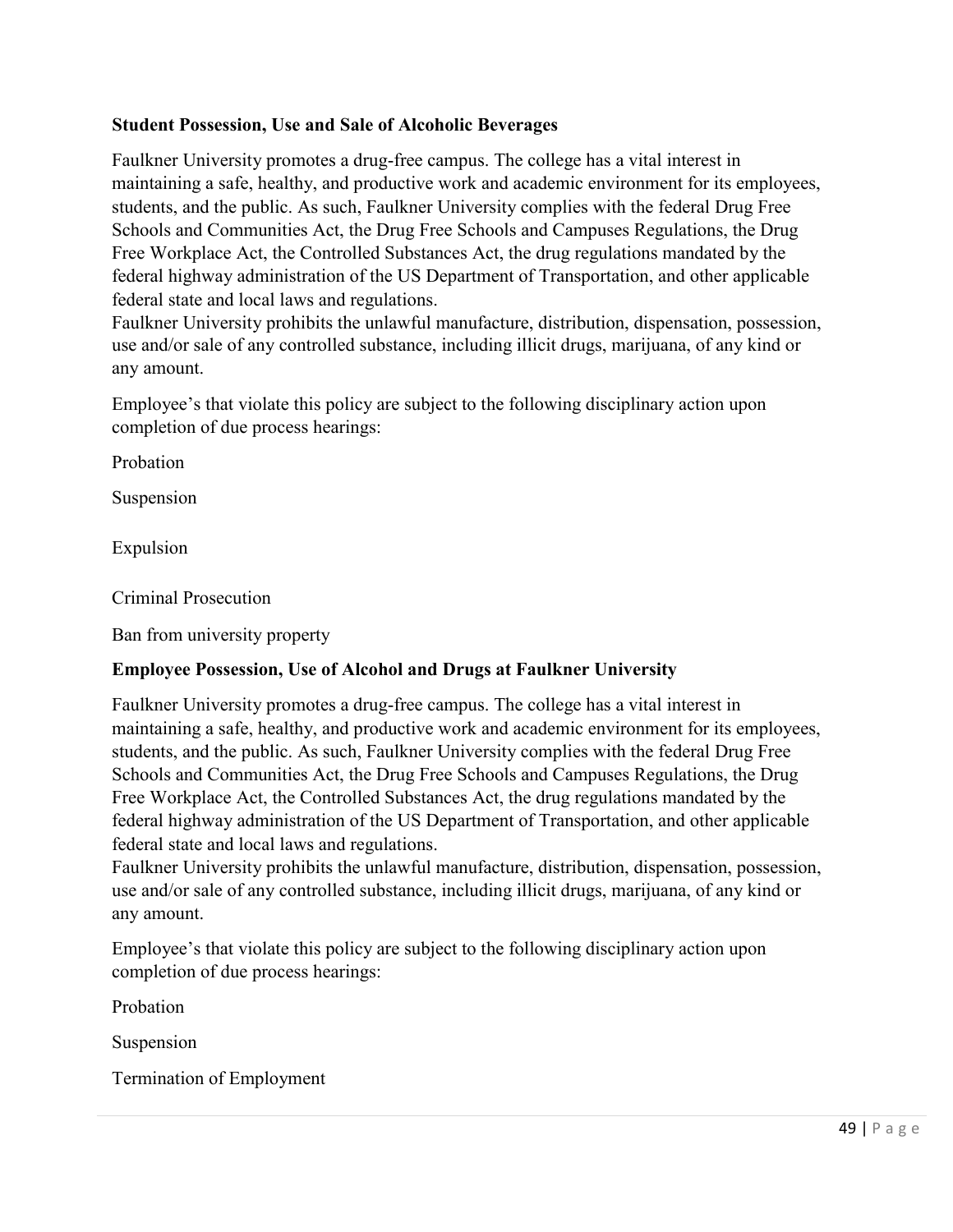# **Student Possession, Use and Sale of Alcoholic Beverages**

Faulkner University promotes a drug-free campus. The college has a vital interest in maintaining a safe, healthy, and productive work and academic environment for its employees, students, and the public. As such, Faulkner University complies with the federal Drug Free Schools and Communities Act, the Drug Free Schools and Campuses Regulations, the Drug Free Workplace Act, the Controlled Substances Act, the drug regulations mandated by the federal highway administration of the US Department of Transportation, and other applicable federal state and local laws and regulations.

Faulkner University prohibits the unlawful manufacture, distribution, dispensation, possession, use and/or sale of any controlled substance, including illicit drugs, marijuana, of any kind or any amount.

Employee's that violate this policy are subject to the following disciplinary action upon completion of due process hearings:

Probation

Suspension

Expulsion

Criminal Prosecution

Ban from university property

## **Employee Possession, Use of Alcohol and Drugs at Faulkner University**

Faulkner University promotes a drug-free campus. The college has a vital interest in maintaining a safe, healthy, and productive work and academic environment for its employees, students, and the public. As such, Faulkner University complies with the federal Drug Free Schools and Communities Act, the Drug Free Schools and Campuses Regulations, the Drug Free Workplace Act, the Controlled Substances Act, the drug regulations mandated by the federal highway administration of the US Department of Transportation, and other applicable federal state and local laws and regulations.

Faulkner University prohibits the unlawful manufacture, distribution, dispensation, possession, use and/or sale of any controlled substance, including illicit drugs, marijuana, of any kind or any amount.

Employee's that violate this policy are subject to the following disciplinary action upon completion of due process hearings:

Probation

Suspension

Termination of Employment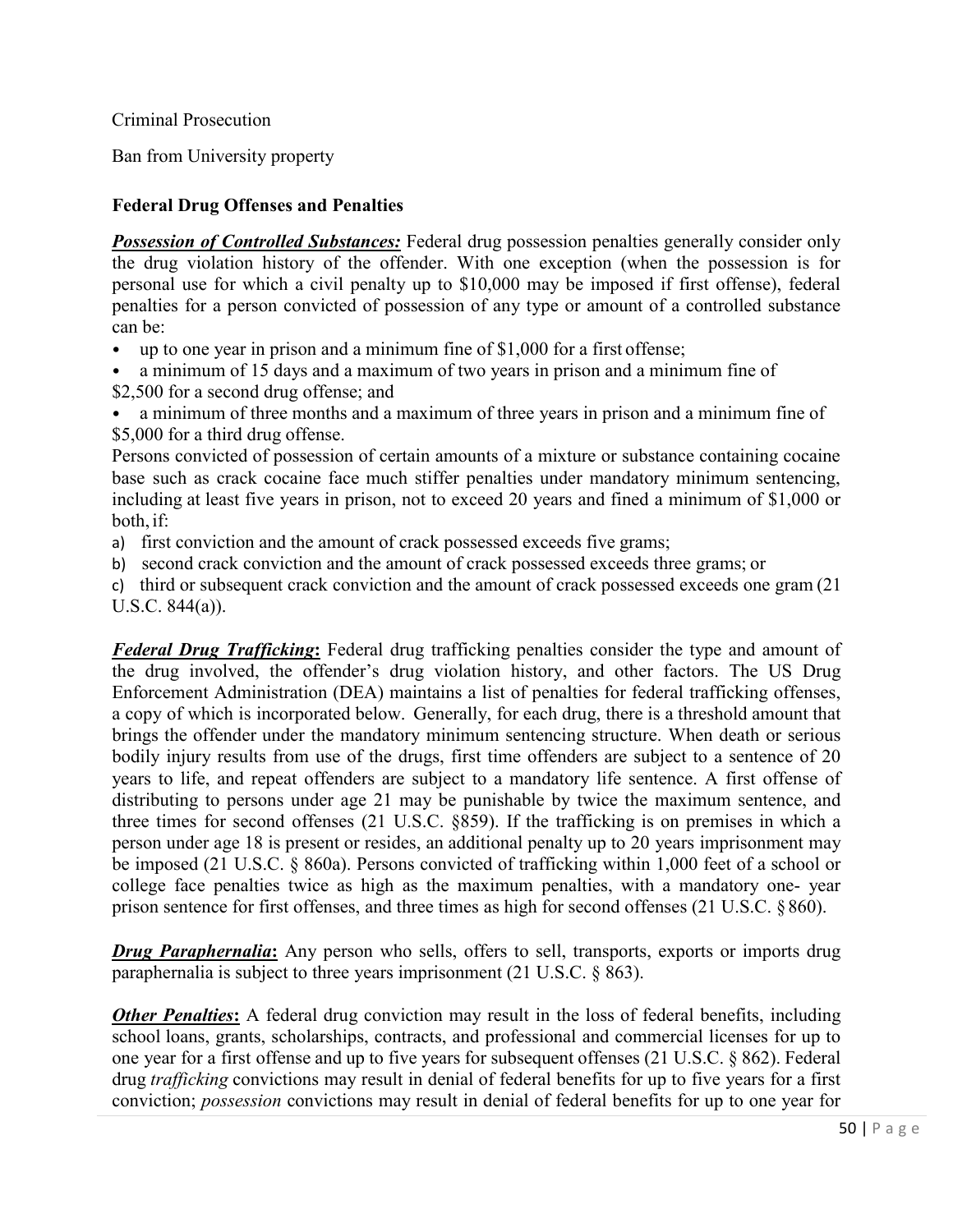Criminal Prosecution

Ban from University property

# **Federal Drug Offenses and Penalties**

**Possession of Controlled Substances:** Federal drug possession penalties generally consider only the drug violation history of the offender. With one exception (when the possession is for personal use for which a civil penalty up to \$10,000 may be imposed if first offense), federal penalties for a person convicted of possession of any type or amount of a controlled substance can be:

- up to one year in prison and a minimum fine of \$1,000 for a first offense;
- a minimum of 15 days and a maximum of two years in prison and a minimum fine of \$2,500 for a second drug offense; and
- a minimum of three months and a maximum of three years in prison and a minimum fine of \$5,000 for a third drug offense.

Persons convicted of possession of certain amounts of a mixture or substance containing cocaine base such as crack cocaine face much stiffer penalties under mandatory minimum sentencing, including at least five years in prison, not to exceed 20 years and fined a minimum of \$1,000 or both, if:

- a) first conviction and the amount of crack possessed exceeds five grams;
- b) second crack conviction and the amount of crack possessed exceeds three grams; or
- c) third or subsequent crack conviction and the amount of crack possessed exceeds one gram (21 U.S.C. 844(a)).

*Federal Drug Trafficking***:** Federal drug trafficking penalties consider the type and amount of the drug involved, the offender's drug violation history, and other factors. The US Drug Enforcement Administration (DEA) maintains a list of penalties for federal trafficking offenses, a copy of which is incorporated below. Generally, for each drug, there is a threshold amount that brings the offender under the mandatory minimum sentencing structure. When death or serious bodily injury results from use of the drugs, first time offenders are subject to a sentence of 20 years to life, and repeat offenders are subject to a mandatory life sentence. A first offense of distributing to persons under age 21 may be punishable by twice the maximum sentence, and three times for second offenses (21 U.S.C. §859). If the trafficking is on premises in which a person under age 18 is present or resides, an additional penalty up to 20 years imprisonment may be imposed (21 U.S.C. § 860a). Persons convicted of trafficking within 1,000 feet of a school or college face penalties twice as high as the maximum penalties, with a mandatory one- year prison sentence for first offenses, and three times as high for second offenses (21 U.S.C. § 860).

*Drug Paraphernalia*: Any person who sells, offers to sell, transports, exports or imports drug paraphernalia is subject to three years imprisonment (21 U.S.C. § 863).

*Other Penalties***:** A federal drug conviction may result in the loss of federal benefits, including school loans, grants, scholarships, contracts, and professional and commercial licenses for up to one year for a first offense and up to five years for subsequent offenses (21 U.S.C. § 862). Federal drug *trafficking* convictions may result in denial of federal benefits for up to five years for a first conviction; *possession* convictions may result in denial of federal benefits for up to one year for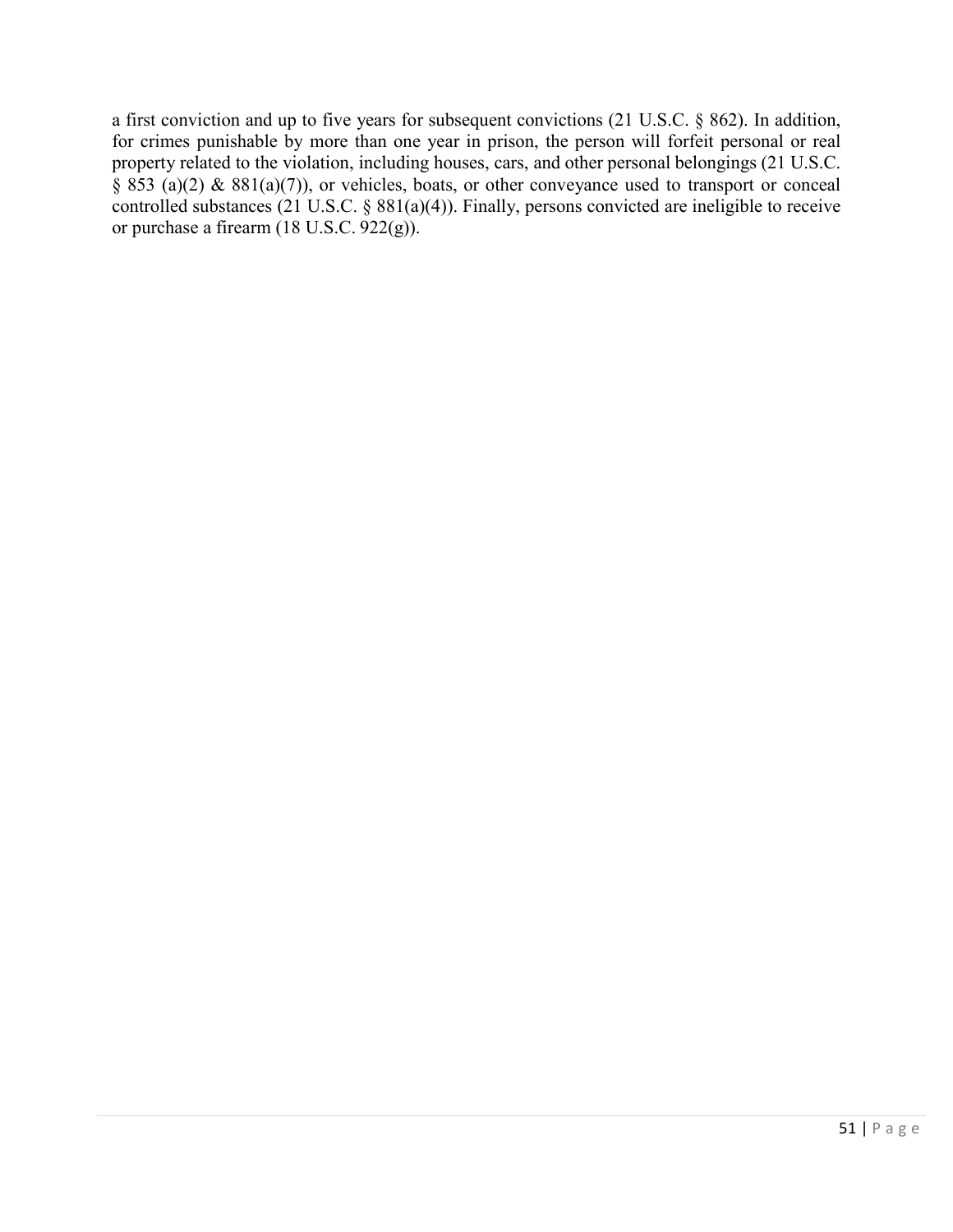a first conviction and up to five years for subsequent convictions (21 U.S.C. § 862). In addition, for crimes punishable by more than one year in prison, the person will forfeit personal or real property related to the violation, including houses, cars, and other personal belongings (21 U.S.C.  $\S$  853 (a)(2) & 881(a)(7)), or vehicles, boats, or other conveyance used to transport or conceal controlled substances (21 U.S.C. § 881(a)(4)). Finally, persons convicted are ineligible to receive or purchase a firearm (18 U.S.C. 922(g)).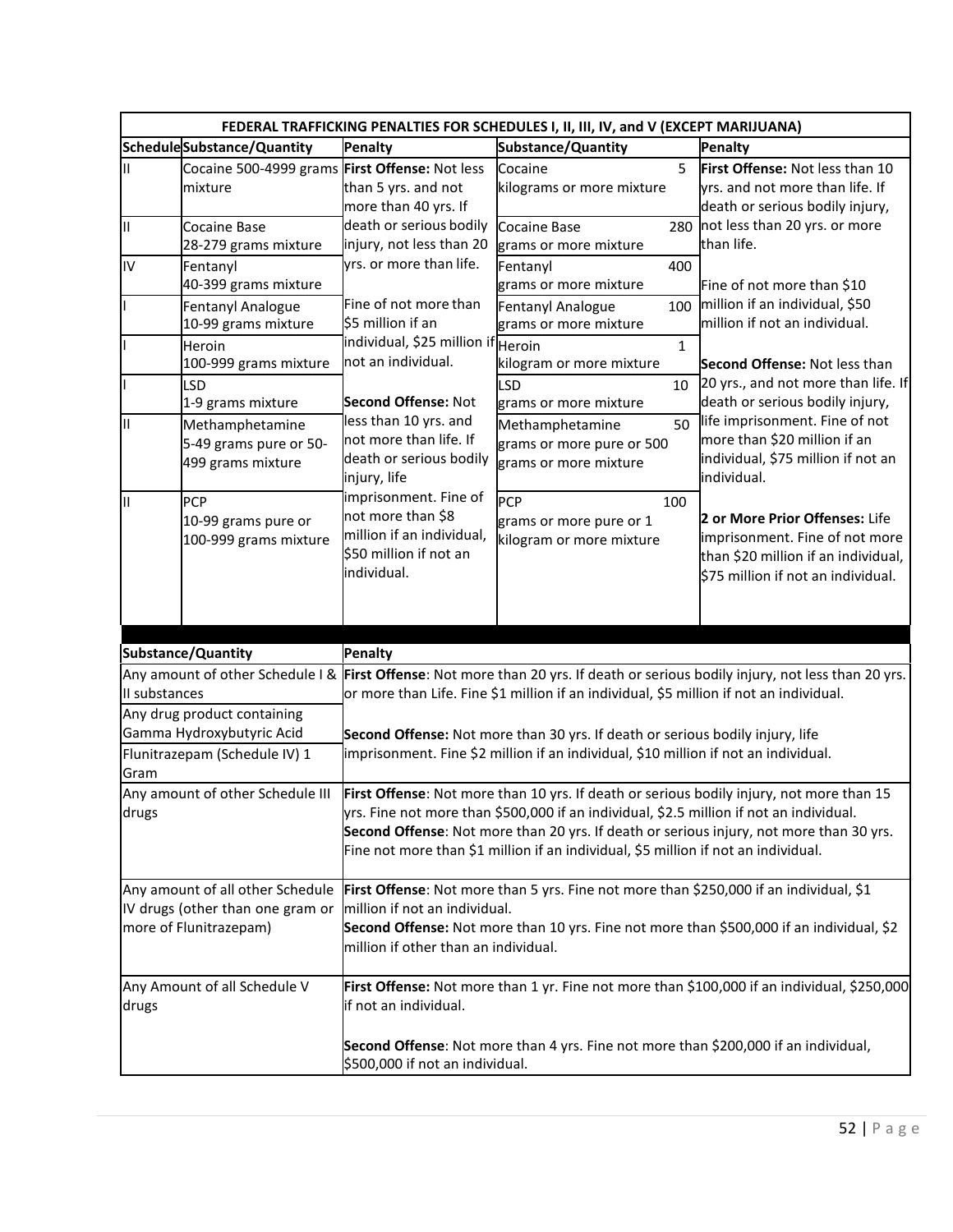|               | FEDERAL TRAFFICKING PENALTIES FOR SCHEDULES I, II, III, IV, and V (EXCEPT MARIJUANA)              |                                                                                                                                  |                                                                                                                                                                               |                                                                                                                                                                                     |  |  |  |
|---------------|---------------------------------------------------------------------------------------------------|----------------------------------------------------------------------------------------------------------------------------------|-------------------------------------------------------------------------------------------------------------------------------------------------------------------------------|-------------------------------------------------------------------------------------------------------------------------------------------------------------------------------------|--|--|--|
|               | ScheduleSubstance/Quantity                                                                        | Penalty                                                                                                                          | Substance/Quantity                                                                                                                                                            | Penalty                                                                                                                                                                             |  |  |  |
| Ш             | Cocaine 500-4999 grams First Offense: Not less<br>mixture                                         | than 5 yrs. and not<br>more than 40 yrs. If                                                                                      | 5<br>Cocaine<br>kilograms or more mixture                                                                                                                                     | First Offense: Not less than 10<br>yrs. and not more than life. If<br>death or serious bodily injury,                                                                               |  |  |  |
| III           | <b>Cocaine Base</b><br>28-279 grams mixture                                                       | death or serious bodily<br>injury, not less than 20                                                                              | <b>Cocaine Base</b><br>grams or more mixture                                                                                                                                  | 280 not less than 20 yrs. or more<br>than life.                                                                                                                                     |  |  |  |
| IV            | Fentanyl<br>40-399 grams mixture<br><b>Fentanyl Analogue</b>                                      | yrs. or more than life.<br>Fine of not more than                                                                                 | 400<br>Fentanyl<br>grams or more mixture<br><b>Fentanyl Analogue</b><br>100                                                                                                   | Fine of not more than \$10<br>million if an individual, \$50                                                                                                                        |  |  |  |
|               | 10-99 grams mixture<br>Heroin<br>100-999 grams mixture                                            | \$5 million if an<br>individual, \$25 million if Heroin<br>not an individual.                                                    | grams or more mixture<br>$\mathbf{1}$<br>kilogram or more mixture                                                                                                             | million if not an individual.<br>Second Offense: Not less than<br>20 yrs., and not more than life. If                                                                               |  |  |  |
| I۱            | <b>LSD</b><br>1-9 grams mixture<br>Methamphetamine<br>5-49 grams pure or 50-<br>499 grams mixture | <b>Second Offense: Not</b><br>less than 10 yrs. and<br>not more than life. If<br>death or serious bodily                         | <b>LSD</b><br>10<br>grams or more mixture<br>50<br>Methamphetamine<br>grams or more pure or 500<br>grams or more mixture                                                      | death or serious bodily injury,<br>life imprisonment. Fine of not<br>more than \$20 million if an<br>individual, \$75 million if not an                                             |  |  |  |
| I۱            | PCP<br>10-99 grams pure or<br>100-999 grams mixture                                               | injury, life<br>imprisonment. Fine of<br>not more than \$8<br>million if an individual,<br>\$50 million if not an<br>individual. | PCP<br>100<br>grams or more pure or 1<br>kilogram or more mixture                                                                                                             | individual.<br>2 or More Prior Offenses: Life<br>imprisonment. Fine of not more<br>than \$20 million if an individual,<br>\$75 million if not an individual.                        |  |  |  |
|               |                                                                                                   |                                                                                                                                  |                                                                                                                                                                               |                                                                                                                                                                                     |  |  |  |
| II substances | Substance/Quantity<br>Any drug product containing                                                 | <b>Penalty</b>                                                                                                                   | or more than Life. Fine \$1 million if an individual, \$5 million if not an individual.                                                                                       | Any amount of other Schedule I & First Offense: Not more than 20 yrs. If death or serious bodily injury, not less than 20 yrs.                                                      |  |  |  |
| Gram          | Gamma Hydroxybutyric Acid<br>Flunitrazepam (Schedule IV) 1                                        |                                                                                                                                  | Second Offense: Not more than 30 yrs. If death or serious bodily injury, life<br>imprisonment. Fine \$2 million if an individual, \$10 million if not an individual.          |                                                                                                                                                                                     |  |  |  |
| drugs         | Any amount of other Schedule III                                                                  |                                                                                                                                  | yrs. Fine not more than \$500,000 if an individual, \$2.5 million if not an individual.<br>Fine not more than \$1 million if an individual, \$5 million if not an individual. | First Offense: Not more than 10 yrs. If death or serious bodily injury, not more than 15<br>Second Offense: Not more than 20 yrs. If death or serious injury, not more than 30 yrs. |  |  |  |
|               | Any amount of all other Schedule<br>IV drugs (other than one gram or<br>more of Flunitrazepam)    | million if not an individual.<br>million if other than an individual.                                                            | First Offense: Not more than 5 yrs. Fine not more than \$250,000 if an individual, \$1                                                                                        | Second Offense: Not more than 10 yrs. Fine not more than \$500,000 if an individual, \$2                                                                                            |  |  |  |
| drugs         | Any Amount of all Schedule V                                                                      | if not an individual.                                                                                                            |                                                                                                                                                                               | First Offense: Not more than 1 yr. Fine not more than \$100,000 if an individual, \$250,000                                                                                         |  |  |  |
|               |                                                                                                   | \$500,000 if not an individual.                                                                                                  | Second Offense: Not more than 4 yrs. Fine not more than \$200,000 if an individual,                                                                                           |                                                                                                                                                                                     |  |  |  |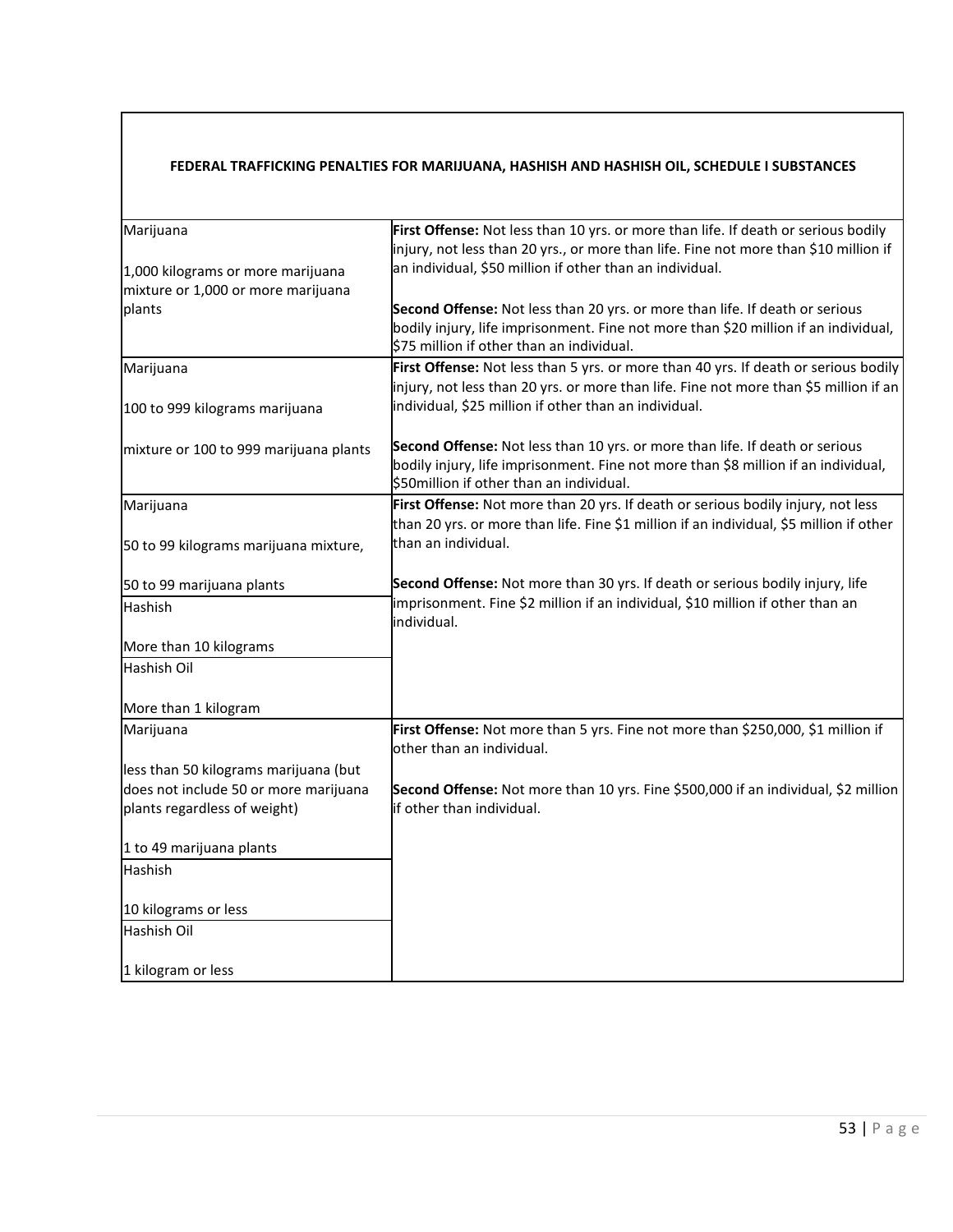#### **FEDERAL TRAFFICKING PENALTIES FOR MARIJUANA, HASHISH AND HASHISH OIL, SCHEDULE I SUBSTANCES**

| Marijuana                              | First Offense: Not less than 10 yrs. or more than life. If death or serious bodily      |
|----------------------------------------|-----------------------------------------------------------------------------------------|
|                                        | injury, not less than 20 yrs., or more than life. Fine not more than \$10 million if    |
| 1,000 kilograms or more marijuana      | an individual, \$50 million if other than an individual.                                |
| mixture or 1,000 or more marijuana     |                                                                                         |
| plants                                 | Second Offense: Not less than 20 yrs. or more than life. If death or serious            |
|                                        | bodily injury, life imprisonment. Fine not more than \$20 million if an individual,     |
|                                        | \$75 million if other than an individual.                                               |
|                                        |                                                                                         |
| Marijuana                              | First Offense: Not less than 5 yrs. or more than 40 yrs. If death or serious bodily     |
|                                        | injury, not less than 20 yrs. or more than life. Fine not more than \$5 million if an   |
| 100 to 999 kilograms marijuana         | individual, \$25 million if other than an individual.                                   |
|                                        |                                                                                         |
| mixture or 100 to 999 marijuana plants | Second Offense: Not less than 10 yrs. or more than life. If death or serious            |
|                                        | bodily injury, life imprisonment. Fine not more than \$8 million if an individual,      |
|                                        | \$50 million if other than an individual.                                               |
| Marijuana                              | First Offense: Not more than 20 yrs. If death or serious bodily injury, not less        |
|                                        | than 20 yrs. or more than life. Fine \$1 million if an individual, \$5 million if other |
| 50 to 99 kilograms marijuana mixture,  | than an individual.                                                                     |
|                                        |                                                                                         |
| 50 to 99 marijuana plants              | Second Offense: Not more than 30 yrs. If death or serious bodily injury, life           |
| Hashish                                | imprisonment. Fine \$2 million if an individual, \$10 million if other than an          |
|                                        | individual.                                                                             |
| More than 10 kilograms                 |                                                                                         |
| Hashish Oil                            |                                                                                         |
|                                        |                                                                                         |
|                                        |                                                                                         |
| More than 1 kilogram                   |                                                                                         |
| Marijuana                              | First Offense: Not more than 5 yrs. Fine not more than \$250,000, \$1 million if        |
|                                        | other than an individual.                                                               |
| less than 50 kilograms marijuana (but  |                                                                                         |
| does not include 50 or more marijuana  | Second Offense: Not more than 10 yrs. Fine \$500,000 if an individual, \$2 million      |
| plants regardless of weight)           | if other than individual.                                                               |
|                                        |                                                                                         |
| 1 to 49 marijuana plants               |                                                                                         |
| Hashish                                |                                                                                         |
|                                        |                                                                                         |
| 10 kilograms or less                   |                                                                                         |
| Hashish Oil                            |                                                                                         |
|                                        |                                                                                         |
|                                        |                                                                                         |
| 1 kilogram or less                     |                                                                                         |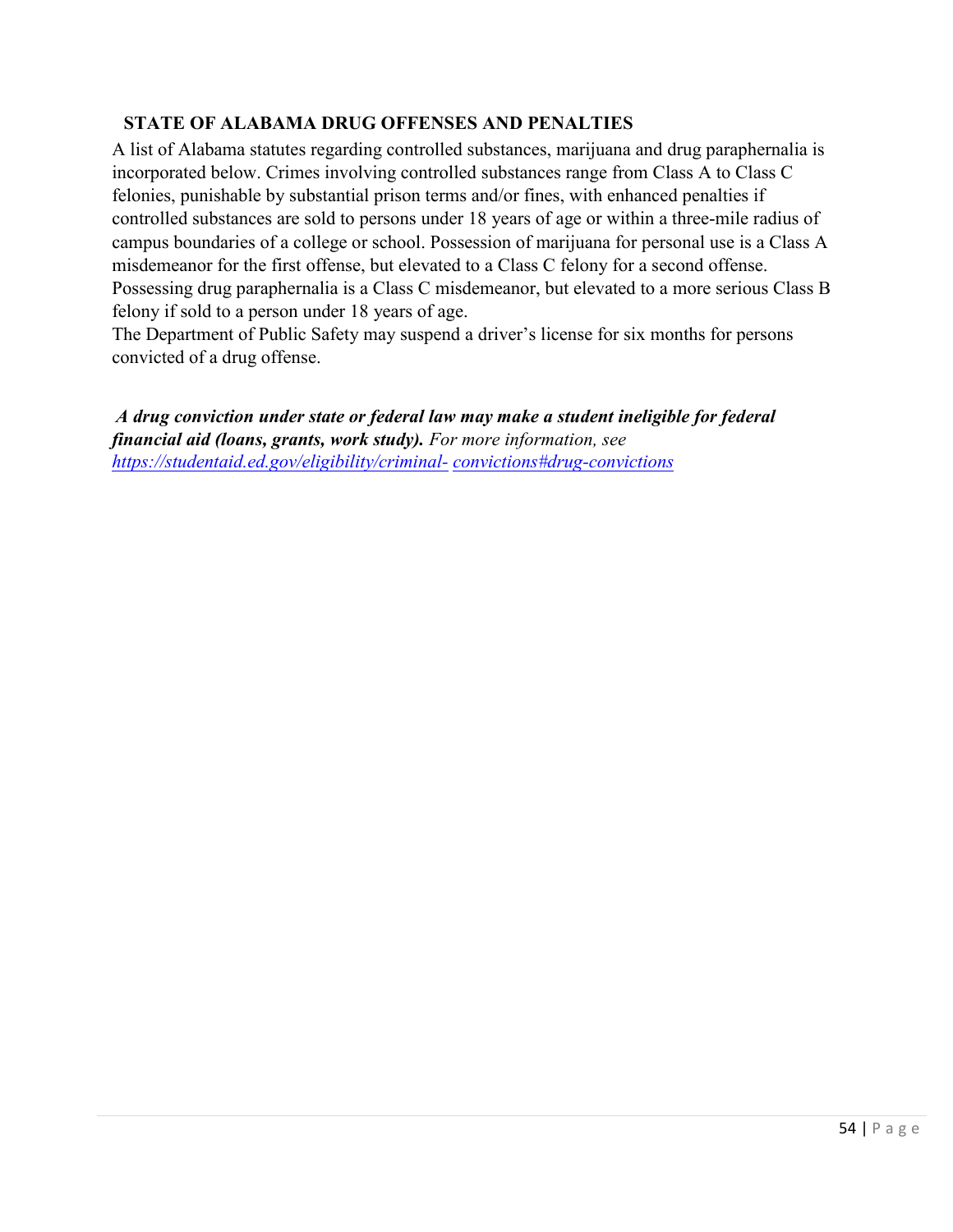# **STATE OF ALABAMA DRUG OFFENSES AND PENALTIES**

A list of Alabama statutes regarding controlled substances, marijuana and drug paraphernalia is incorporated below. Crimes involving controlled substances range from Class A to Class C felonies, punishable by substantial prison terms and/or fines, with enhanced penalties if controlled substances are sold to persons under 18 years of age or within a three-mile radius of campus boundaries of a college or school. Possession of marijuana for personal use is a Class A misdemeanor for the first offense, but elevated to a Class C felony for a second offense. Possessing drug paraphernalia is a Class C misdemeanor, but elevated to a more serious Class B felony if sold to a person under 18 years of age.

The Department of Public Safety may suspend a driver's license for six months for persons convicted of a drug offense.

*A drug conviction under state or federal law may make a student ineligible for federal financial aid (loans, grants, work study). For more information, see [https://studentaid.ed.gov/eligibility/criminal-](https://studentaid.ed.gov/eligibility/criminal-convictions#drug-convictions) [convictions#drug-convictions](https://studentaid.ed.gov/eligibility/criminal-convictions#drug-convictions)*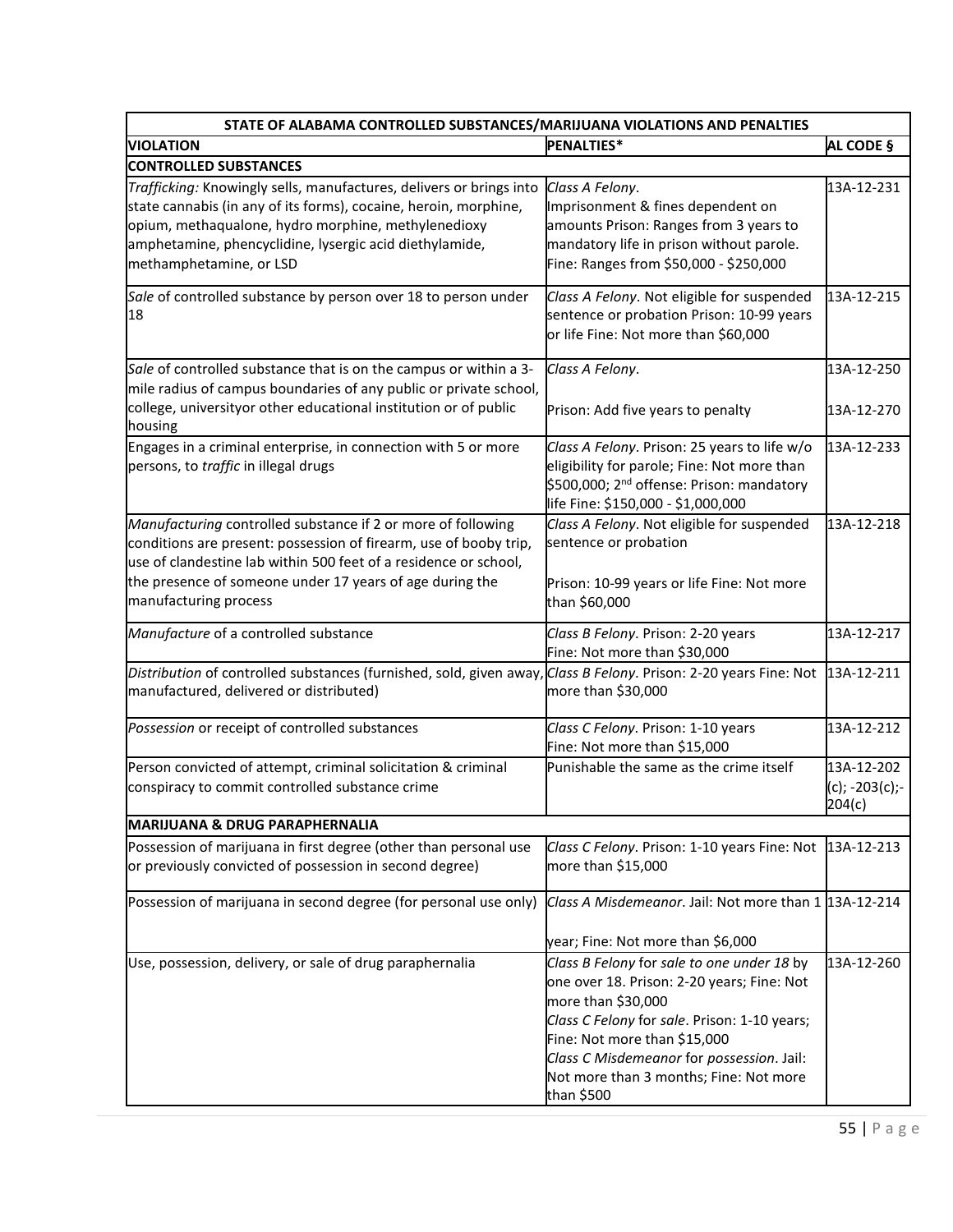| STATE OF ALABAMA CONTROLLED SUBSTANCES/MARIJUANA VIOLATIONS AND PENALTIES                                                                                                                                                                                                                  |                                                                                                                                                                                                                                                                                                     |                                           |  |  |  |
|--------------------------------------------------------------------------------------------------------------------------------------------------------------------------------------------------------------------------------------------------------------------------------------------|-----------------------------------------------------------------------------------------------------------------------------------------------------------------------------------------------------------------------------------------------------------------------------------------------------|-------------------------------------------|--|--|--|
| <b>VIOLATION</b>                                                                                                                                                                                                                                                                           | PENALTIES*                                                                                                                                                                                                                                                                                          | AL CODE §                                 |  |  |  |
| <b>CONTROLLED SUBSTANCES</b>                                                                                                                                                                                                                                                               |                                                                                                                                                                                                                                                                                                     |                                           |  |  |  |
| Trafficking: Knowingly sells, manufactures, delivers or brings into<br>state cannabis (in any of its forms), cocaine, heroin, morphine,<br>opium, methaqualone, hydro morphine, methylenedioxy<br>amphetamine, phencyclidine, lysergic acid diethylamide,<br>methamphetamine, or LSD       | Class A Felony.<br>Imprisonment & fines dependent on<br>amounts Prison: Ranges from 3 years to<br>mandatory life in prison without parole.<br>Fine: Ranges from \$50,000 - \$250,000                                                                                                                | 13A-12-231                                |  |  |  |
| Sale of controlled substance by person over 18 to person under<br>18                                                                                                                                                                                                                       | Class A Felony. Not eligible for suspended<br>sentence or probation Prison: 10-99 years<br>or life Fine: Not more than \$60,000                                                                                                                                                                     | 13A-12-215                                |  |  |  |
| Sale of controlled substance that is on the campus or within a 3-<br>mile radius of campus boundaries of any public or private school,<br>college, universityor other educational institution or of public<br>housing                                                                      | Class A Felony.<br>Prison: Add five years to penalty                                                                                                                                                                                                                                                | 13A-12-250<br>13A-12-270                  |  |  |  |
| Engages in a criminal enterprise, in connection with 5 or more<br>persons, to traffic in illegal drugs                                                                                                                                                                                     | Class A Felony. Prison: 25 years to life w/o<br>eligibility for parole; Fine: Not more than<br>\$500,000; 2 <sup>nd</sup> offense: Prison: mandatory<br>life Fine: \$150,000 - \$1,000,000                                                                                                          | 13A-12-233                                |  |  |  |
| Manufacturing controlled substance if 2 or more of following<br>conditions are present: possession of firearm, use of booby trip,<br>use of clandestine lab within 500 feet of a residence or school,<br>the presence of someone under 17 years of age during the<br>manufacturing process | Class A Felony. Not eligible for suspended<br>sentence or probation<br>Prison: 10-99 years or life Fine: Not more<br>than \$60,000                                                                                                                                                                  | 13A-12-218                                |  |  |  |
| Manufacture of a controlled substance                                                                                                                                                                                                                                                      | Class B Felony. Prison: 2-20 years<br>Fine: Not more than \$30,000                                                                                                                                                                                                                                  | 13A-12-217                                |  |  |  |
| Distribution of controlled substances (furnished, sold, given away, Class B Felony. Prison: 2-20 years Fine: Not<br>manufactured, delivered or distributed)                                                                                                                                | more than \$30,000                                                                                                                                                                                                                                                                                  | 13A-12-211                                |  |  |  |
| Possession or receipt of controlled substances                                                                                                                                                                                                                                             | Class C Felony. Prison: 1-10 years<br>Fine: Not more than \$15,000                                                                                                                                                                                                                                  | 13A-12-212                                |  |  |  |
| Person convicted of attempt, criminal solicitation & criminal<br>conspiracy to commit controlled substance crime                                                                                                                                                                           | Punishable the same as the crime itself                                                                                                                                                                                                                                                             | 13A-12-202<br>$(c); -203(c); -$<br>204(c) |  |  |  |
| <b>MARIJUANA &amp; DRUG PARAPHERNALIA</b>                                                                                                                                                                                                                                                  |                                                                                                                                                                                                                                                                                                     |                                           |  |  |  |
| Possession of marijuana in first degree (other than personal use<br>or previously convicted of possession in second degree)                                                                                                                                                                | Class C Felony. Prison: 1-10 years Fine: Not<br>more than \$15,000                                                                                                                                                                                                                                  | 13A-12-213                                |  |  |  |
| Possession of marijuana in second degree (for personal use only)                                                                                                                                                                                                                           | Class A Misdemeanor. Jail: Not more than 1 13A-12-214<br>year; Fine: Not more than \$6,000                                                                                                                                                                                                          |                                           |  |  |  |
| Use, possession, delivery, or sale of drug paraphernalia                                                                                                                                                                                                                                   | Class B Felony for sale to one under 18 by<br>one over 18. Prison: 2-20 years; Fine: Not<br>more than \$30,000<br>Class C Felony for sale. Prison: 1-10 years;<br>Fine: Not more than \$15,000<br>Class C Misdemeanor for possession. Jail:<br>Not more than 3 months; Fine: Not more<br>than \$500 | 13A-12-260                                |  |  |  |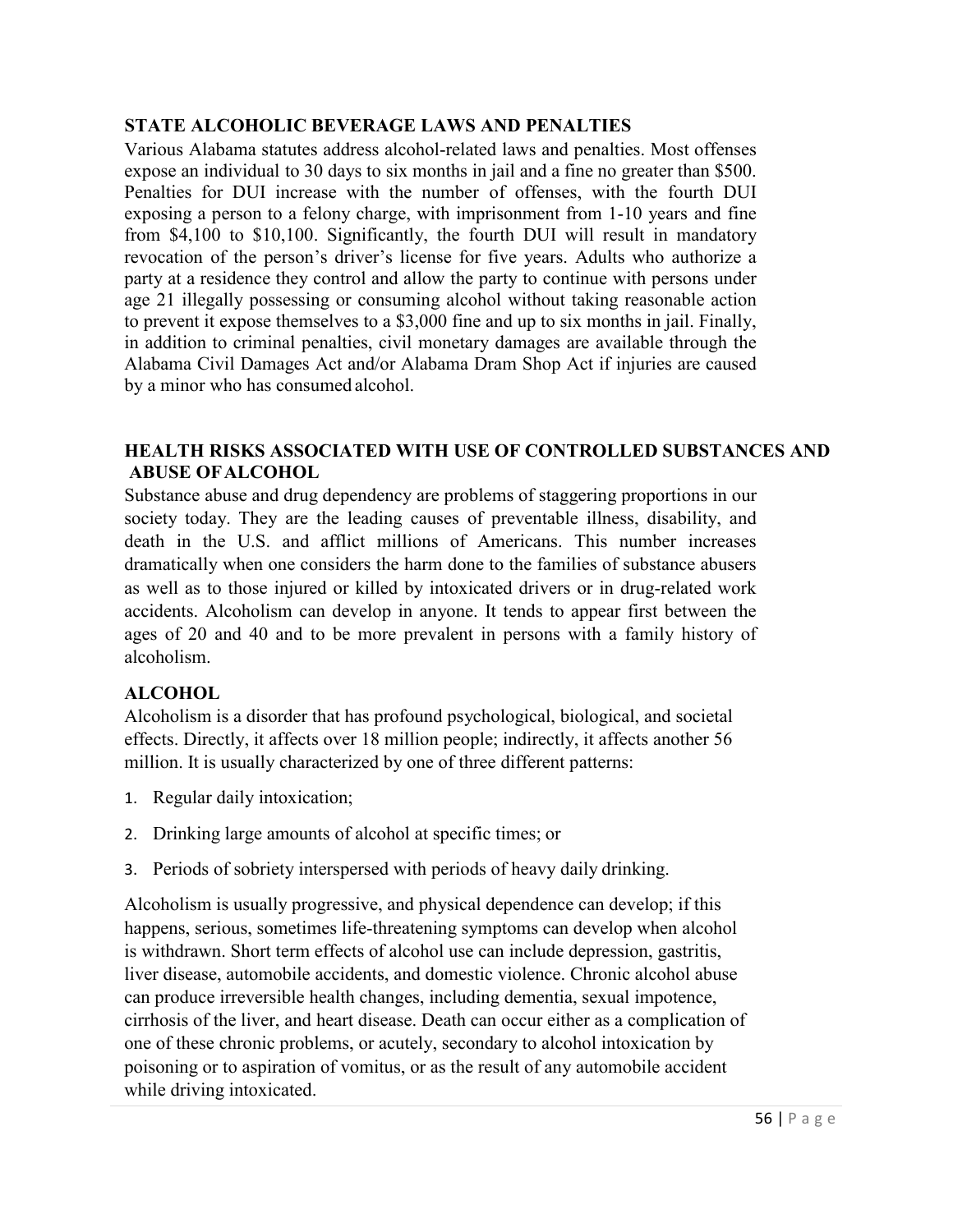#### **STATE ALCOHOLIC BEVERAGE LAWS AND PENALTIES**

Various Alabama statutes address alcohol-related laws and penalties. Most offenses expose an individual to 30 days to six months in jail and a fine no greater than \$500. Penalties for DUI increase with the number of offenses, with the fourth DUI exposing a person to a felony charge, with imprisonment from 1-10 years and fine from \$4,100 to \$10,100. Significantly, the fourth DUI will result in mandatory revocation of the person's driver's license for five years. Adults who authorize a party at a residence they control and allow the party to continue with persons under age 21 illegally possessing or consuming alcohol without taking reasonable action to prevent it expose themselves to a \$3,000 fine and up to six months in jail. Finally, in addition to criminal penalties, civil monetary damages are available through the Alabama Civil Damages Act and/or Alabama Dram Shop Act if injuries are caused by a minor who has consumed alcohol.

## **HEALTH RISKS ASSOCIATED WITH USE OF CONTROLLED SUBSTANCES AND ABUSE OFALCOHOL**

Substance abuse and drug dependency are problems of staggering proportions in our society today. They are the leading causes of preventable illness, disability, and death in the U.S. and afflict millions of Americans. This number increases dramatically when one considers the harm done to the families of substance abusers as well as to those injured or killed by intoxicated drivers or in drug-related work accidents. Alcoholism can develop in anyone. It tends to appear first between the ages of 20 and 40 and to be more prevalent in persons with a family history of alcoholism.

## **ALCOHOL**

Alcoholism is a disorder that has profound psychological, biological, and societal effects. Directly, it affects over 18 million people; indirectly, it affects another 56 million. It is usually characterized by one of three different patterns:

- 1. Regular daily intoxication;
- 2. Drinking large amounts of alcohol at specific times; or
- 3. Periods of sobriety interspersed with periods of heavy daily drinking.

Alcoholism is usually progressive, and physical dependence can develop; if this happens, serious, sometimes life-threatening symptoms can develop when alcohol is withdrawn. Short term effects of alcohol use can include depression, gastritis, liver disease, automobile accidents, and domestic violence. Chronic alcohol abuse can produce irreversible health changes, including dementia, sexual impotence, cirrhosis of the liver, and heart disease. Death can occur either as a complication of one of these chronic problems, or acutely, secondary to alcohol intoxication by poisoning or to aspiration of vomitus, or as the result of any automobile accident while driving intoxicated.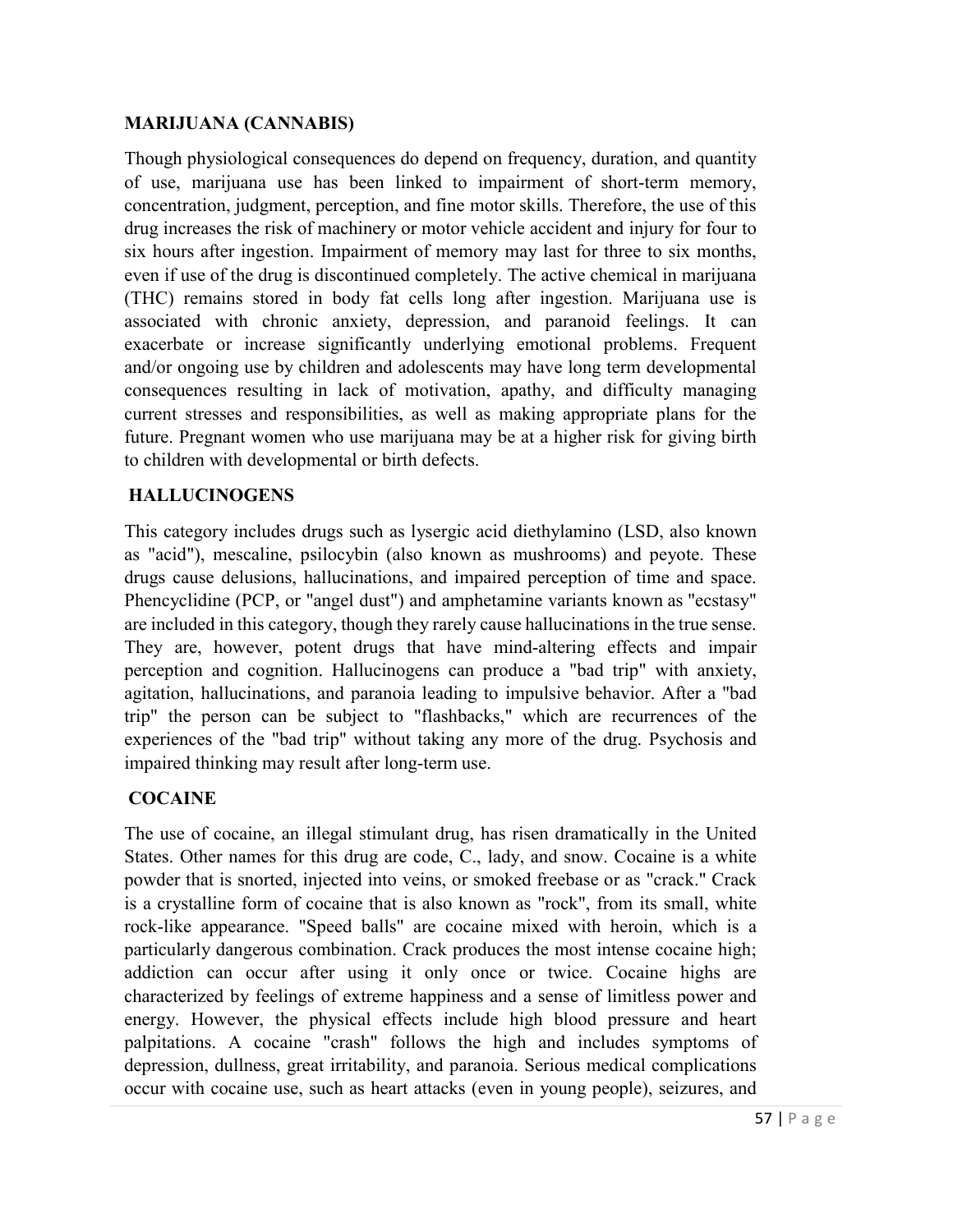#### **MARIJUANA (CANNABIS)**

Though physiological consequences do depend on frequency, duration, and quantity of use, marijuana use has been linked to impairment of short-term memory, concentration, judgment, perception, and fine motor skills. Therefore, the use of this drug increases the risk of machinery or motor vehicle accident and injury for four to six hours after ingestion. Impairment of memory may last for three to six months, even if use of the drug is discontinued completely. The active chemical in marijuana (THC) remains stored in body fat cells long after ingestion. Marijuana use is associated with chronic anxiety, depression, and paranoid feelings. It can exacerbate or increase significantly underlying emotional problems. Frequent and/or ongoing use by children and adolescents may have long term developmental consequences resulting in lack of motivation, apathy, and difficulty managing current stresses and responsibilities, as well as making appropriate plans for the future. Pregnant women who use marijuana may be at a higher risk for giving birth to children with developmental or birth defects.

## **HALLUCINOGENS**

This category includes drugs such as lysergic acid diethylamino (LSD, also known as "acid"), mescaline, psilocybin (also known as mushrooms) and peyote. These drugs cause delusions, hallucinations, and impaired perception of time and space. Phencyclidine (PCP, or "angel dust") and amphetamine variants known as "ecstasy" are included in this category, though they rarely cause hallucinations in the true sense. They are, however, potent drugs that have mind-altering effects and impair perception and cognition. Hallucinogens can produce a "bad trip" with anxiety, agitation, hallucinations, and paranoia leading to impulsive behavior. After a "bad trip" the person can be subject to "flashbacks," which are recurrences of the experiences of the "bad trip" without taking any more of the drug. Psychosis and impaired thinking may result after long-term use.

## **COCAINE**

The use of cocaine, an illegal stimulant drug, has risen dramatically in the United States. Other names for this drug are code, C., lady, and snow. Cocaine is a white powder that is snorted, injected into veins, or smoked freebase or as "crack." Crack is a crystalline form of cocaine that is also known as "rock", from its small, white rock-like appearance. "Speed balls" are cocaine mixed with heroin, which is a particularly dangerous combination. Crack produces the most intense cocaine high; addiction can occur after using it only once or twice. Cocaine highs are characterized by feelings of extreme happiness and a sense of limitless power and energy. However, the physical effects include high blood pressure and heart palpitations. A cocaine "crash" follows the high and includes symptoms of depression, dullness, great irritability, and paranoia. Serious medical complications occur with cocaine use, such as heart attacks (even in young people), seizures, and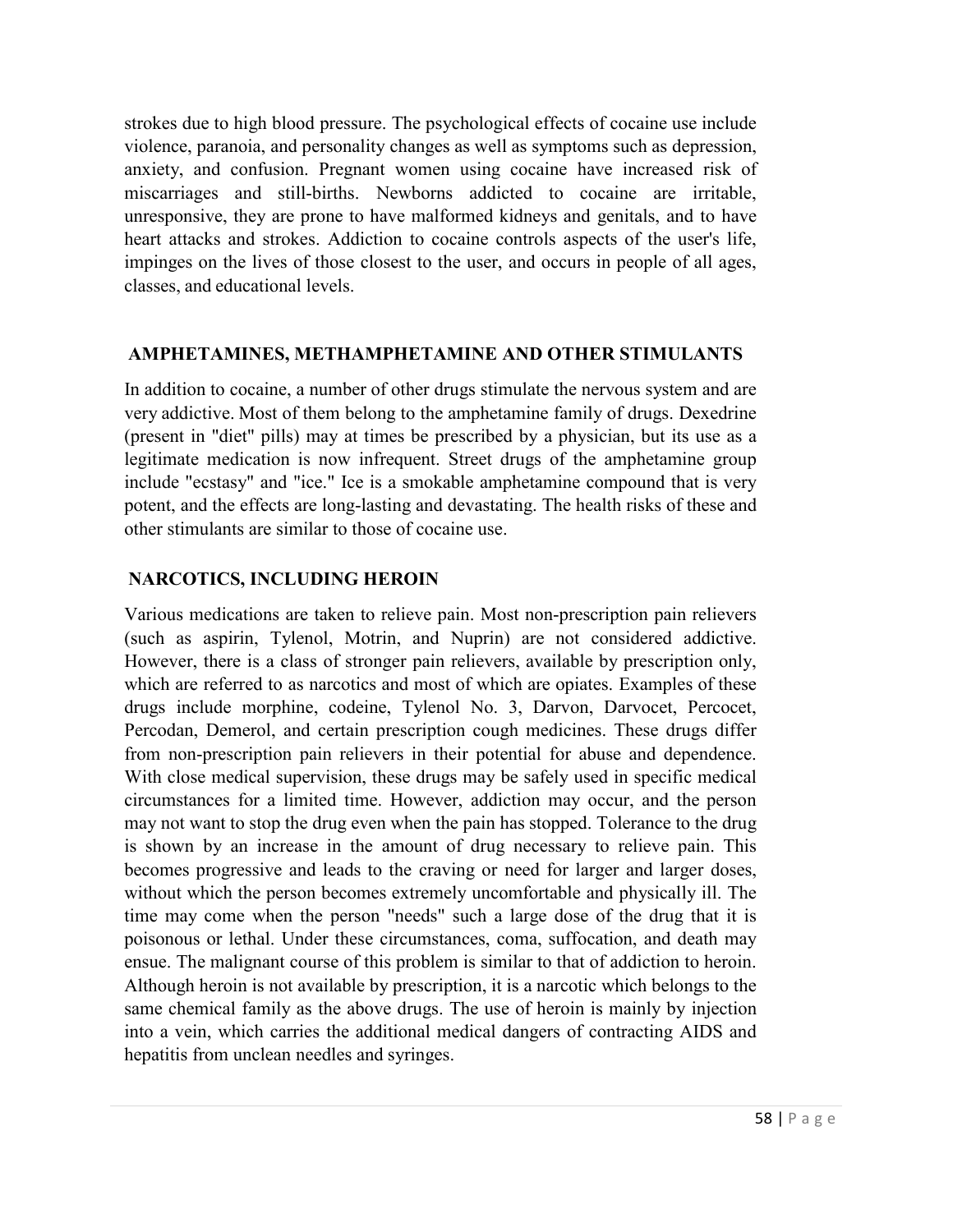strokes due to high blood pressure. The psychological effects of cocaine use include violence, paranoia, and personality changes as well as symptoms such as depression, anxiety, and confusion. Pregnant women using cocaine have increased risk of miscarriages and still-births. Newborns addicted to cocaine are irritable, unresponsive, they are prone to have malformed kidneys and genitals, and to have heart attacks and strokes. Addiction to cocaine controls aspects of the user's life, impinges on the lives of those closest to the user, and occurs in people of all ages, classes, and educational levels.

#### **AMPHETAMINES, METHAMPHETAMINE AND OTHER STIMULANTS**

In addition to cocaine, a number of other drugs stimulate the nervous system and are very addictive. Most of them belong to the amphetamine family of drugs. Dexedrine (present in "diet" pills) may at times be prescribed by a physician, but its use as a legitimate medication is now infrequent. Street drugs of the amphetamine group include "ecstasy" and "ice." Ice is a smokable amphetamine compound that is very potent, and the effects are long-lasting and devastating. The health risks of these and other stimulants are similar to those of cocaine use.

# **NARCOTICS, INCLUDING HEROIN**

Various medications are taken to relieve pain. Most non-prescription pain relievers (such as aspirin, Tylenol, Motrin, and Nuprin) are not considered addictive. However, there is a class of stronger pain relievers, available by prescription only, which are referred to as narcotics and most of which are opiates. Examples of these drugs include morphine, codeine, Tylenol No. 3, Darvon, Darvocet, Percocet, Percodan, Demerol, and certain prescription cough medicines. These drugs differ from non-prescription pain relievers in their potential for abuse and dependence. With close medical supervision, these drugs may be safely used in specific medical circumstances for a limited time. However, addiction may occur, and the person may not want to stop the drug even when the pain has stopped. Tolerance to the drug is shown by an increase in the amount of drug necessary to relieve pain. This becomes progressive and leads to the craving or need for larger and larger doses, without which the person becomes extremely uncomfortable and physically ill. The time may come when the person "needs" such a large dose of the drug that it is poisonous or lethal. Under these circumstances, coma, suffocation, and death may ensue. The malignant course of this problem is similar to that of addiction to heroin. Although heroin is not available by prescription, it is a narcotic which belongs to the same chemical family as the above drugs. The use of heroin is mainly by injection into a vein, which carries the additional medical dangers of contracting AIDS and hepatitis from unclean needles and syringes.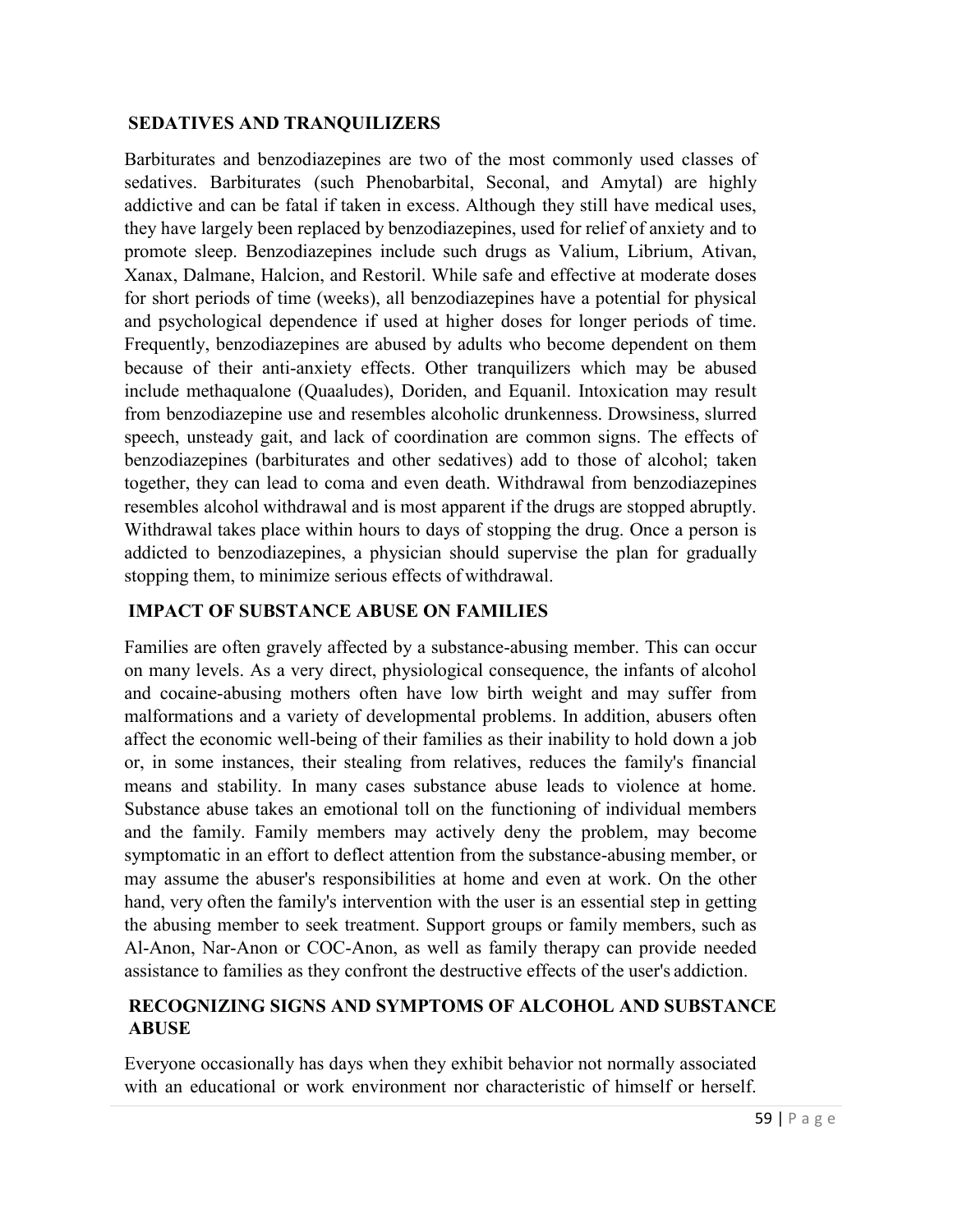#### **SEDATIVES AND TRANQUILIZERS**

Barbiturates and benzodiazepines are two of the most commonly used classes of sedatives. Barbiturates (such Phenobarbital, Seconal, and Amytal) are highly addictive and can be fatal if taken in excess. Although they still have medical uses, they have largely been replaced by benzodiazepines, used for relief of anxiety and to promote sleep. Benzodiazepines include such drugs as Valium, Librium, Ativan, Xanax, Dalmane, Halcion, and Restoril. While safe and effective at moderate doses for short periods of time (weeks), all benzodiazepines have a potential for physical and psychological dependence if used at higher doses for longer periods of time. Frequently, benzodiazepines are abused by adults who become dependent on them because of their anti-anxiety effects. Other tranquilizers which may be abused include methaqualone (Quaaludes), Doriden, and Equanil. Intoxication may result from benzodiazepine use and resembles alcoholic drunkenness. Drowsiness, slurred speech, unsteady gait, and lack of coordination are common signs. The effects of benzodiazepines (barbiturates and other sedatives) add to those of alcohol; taken together, they can lead to coma and even death. Withdrawal from benzodiazepines resembles alcohol withdrawal and is most apparent if the drugs are stopped abruptly. Withdrawal takes place within hours to days of stopping the drug. Once a person is addicted to benzodiazepines, a physician should supervise the plan for gradually stopping them, to minimize serious effects of withdrawal.

#### **IMPACT OF SUBSTANCE ABUSE ON FAMILIES**

Families are often gravely affected by a substance-abusing member. This can occur on many levels. As a very direct, physiological consequence, the infants of alcohol and cocaine-abusing mothers often have low birth weight and may suffer from malformations and a variety of developmental problems. In addition, abusers often affect the economic well-being of their families as their inability to hold down a job or, in some instances, their stealing from relatives, reduces the family's financial means and stability. In many cases substance abuse leads to violence at home. Substance abuse takes an emotional toll on the functioning of individual members and the family. Family members may actively deny the problem, may become symptomatic in an effort to deflect attention from the substance-abusing member, or may assume the abuser's responsibilities at home and even at work. On the other hand, very often the family's intervention with the user is an essential step in getting the abusing member to seek treatment. Support groups or family members, such as Al-Anon, Nar-Anon or COC-Anon, as well as family therapy can provide needed assistance to families as they confront the destructive effects of the user's addiction.

#### **RECOGNIZING SIGNS AND SYMPTOMS OF ALCOHOL AND SUBSTANCE ABUSE**

Everyone occasionally has days when they exhibit behavior not normally associated with an educational or work environment nor characteristic of himself or herself.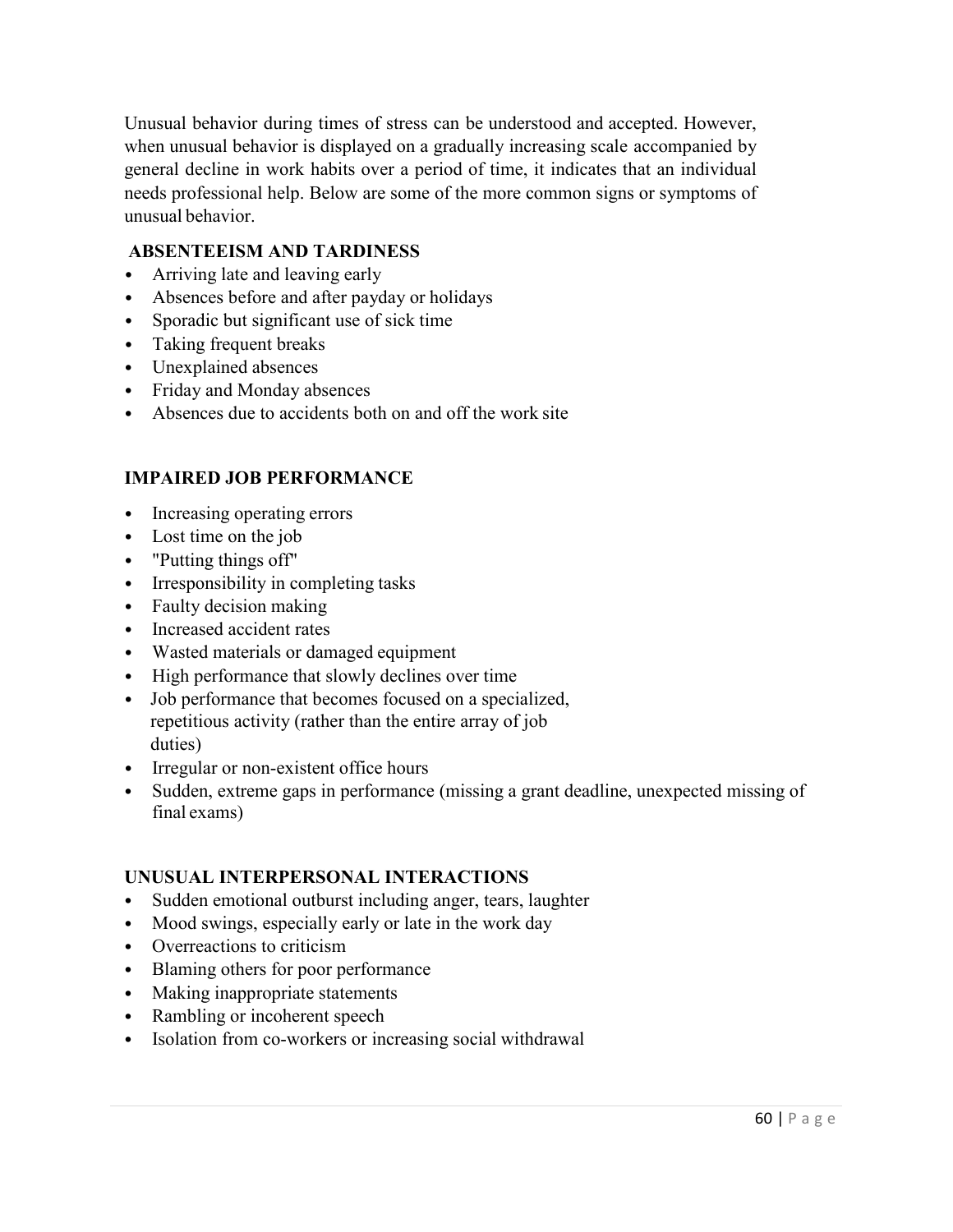Unusual behavior during times of stress can be understood and accepted. However, when unusual behavior is displayed on a gradually increasing scale accompanied by general decline in work habits over a period of time, it indicates that an individual needs professional help. Below are some of the more common signs or symptoms of unusual behavior.

# **ABSENTEEISM AND TARDINESS**

- Arriving late and leaving early
- Absences before and after payday or holidays
- Sporadic but significant use of sick time
- Taking frequent breaks
- Unexplained absences
- Friday and Monday absences
- Absences due to accidents both on and off the work site

## **IMPAIRED JOB PERFORMANCE**

- Increasing operating errors
- Lost time on the job
- "Putting things off"
- Irresponsibility in completing tasks
- Faulty decision making
- Increased accident rates
- Wasted materials or damaged equipment
- High performance that slowly declines over time
- Job performance that becomes focused on a specialized, repetitious activity (rather than the entire array of job duties)
- Irregular or non-existent office hours
- Sudden, extreme gaps in performance (missing a grant deadline, unexpected missing of final exams)

## **UNUSUAL INTERPERSONAL INTERACTIONS**

- Sudden emotional outburst including anger, tears, laughter
- Mood swings, especially early or late in the work day
- Overreactions to criticism
- Blaming others for poor performance
- Making inappropriate statements
- Rambling or incoherent speech
- Isolation from co-workers or increasing social withdrawal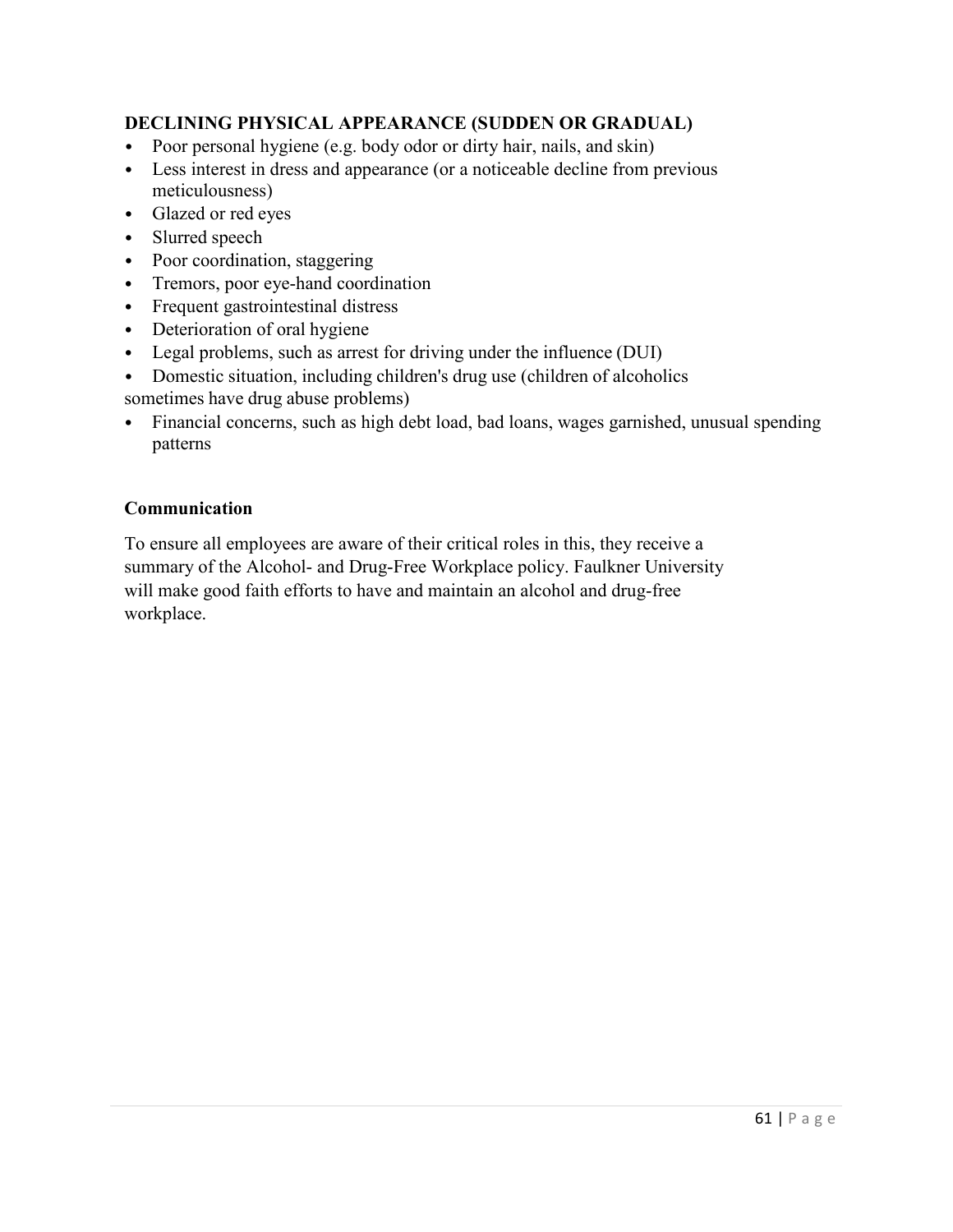# **DECLINING PHYSICAL APPEARANCE (SUDDEN OR GRADUAL)**

- Poor personal hygiene (e.g. body odor or dirty hair, nails, and skin)
- Less interest in dress and appearance (or a noticeable decline from previous meticulousness)
- Glazed or red eyes
- Slurred speech
- Poor coordination, staggering
- Tremors, poor eye-hand coordination
- Frequent gastrointestinal distress
- Deterioration of oral hygiene
- Legal problems, such as arrest for driving under the influence (DUI)
- Domestic situation, including children's drug use (children of alcoholics sometimes have drug abuse problems)
- Financial concerns, such as high debt load, bad loans, wages garnished, unusual spending patterns

## **Communication**

To ensure all employees are aware of their critical roles in this, they receive a summary of the Alcohol- and Drug-Free Workplace policy. Faulkner University will make good faith efforts to have and maintain an alcohol and drug-free workplace.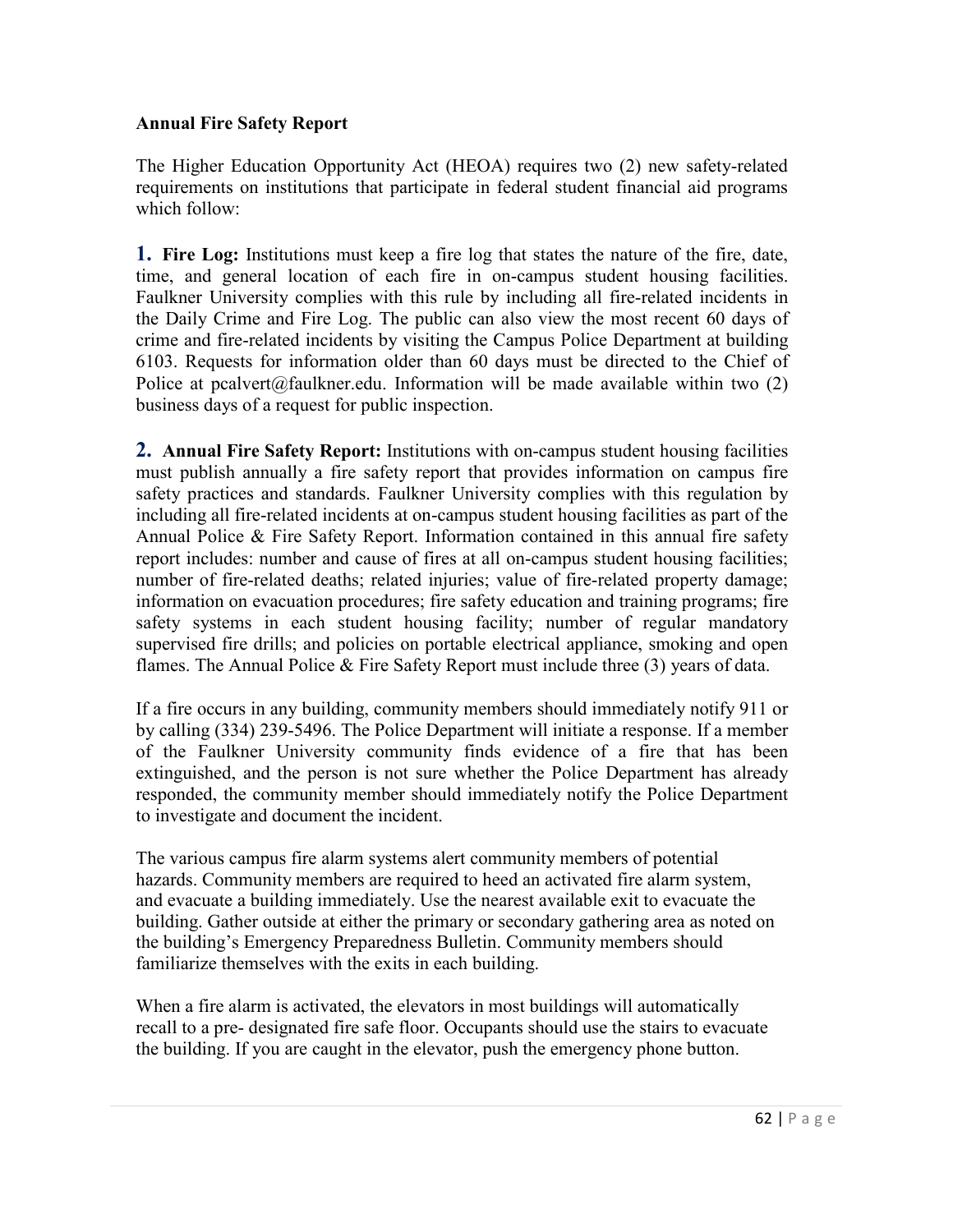#### **Annual Fire Safety Report**

The Higher Education Opportunity Act (HEOA) requires two (2) new safety-related requirements on institutions that participate in federal student financial aid programs which follow:

**1. Fire Log:** Institutions must keep a fire log that states the nature of the fire, date, time, and general location of each fire in on-campus student housing facilities. Faulkner University complies with this rule by including all fire-related incidents in the Daily Crime and Fire Log. The public can also view the most recent 60 days of crime and fire-related incidents by visiting the Campus Police Department at building 6103. Requests for information older than 60 days must be directed to the Chief of Police at pcalver[t@faulkner.edu. I](mailto:tdean@faulkner.edu)nformation will be made available within two  $(2)$ business days of a request for public inspection.

**2. Annual Fire Safety Report:** Institutions with on-campus student housing facilities must publish annually a fire safety report that provides information on campus fire safety practices and standards. Faulkner University complies with this regulation by including all fire-related incidents at on-campus student housing facilities as part of the Annual Police & Fire Safety Report. Information contained in this annual fire safety report includes: number and cause of fires at all on-campus student housing facilities; number of fire-related deaths; related injuries; value of fire-related property damage; information on evacuation procedures; fire safety education and training programs; fire safety systems in each student housing facility; number of regular mandatory supervised fire drills; and policies on portable electrical appliance, smoking and open flames. The Annual Police & Fire Safety Report must include three (3) years of data.

If a fire occurs in any building, community members should immediately notify 911 or by calling (334) 239-5496. The Police Department will initiate a response. If a member of the Faulkner University community finds evidence of a fire that has been extinguished, and the person is not sure whether the Police Department has already responded, the community member should immediately notify the Police Department to investigate and document the incident.

The various campus fire alarm systems alert community members of potential hazards. Community members are required to heed an activated fire alarm system, and evacuate a building immediately. Use the nearest available exit to evacuate the building. Gather outside at either the primary or secondary gathering area as noted on the building's Emergency Preparedness Bulletin. Community members should familiarize themselves with the exits in each building.

When a fire alarm is activated, the elevators in most buildings will automatically recall to a pre- designated fire safe floor. Occupants should use the stairs to evacuate the building. If you are caught in the elevator, push the emergency phone button.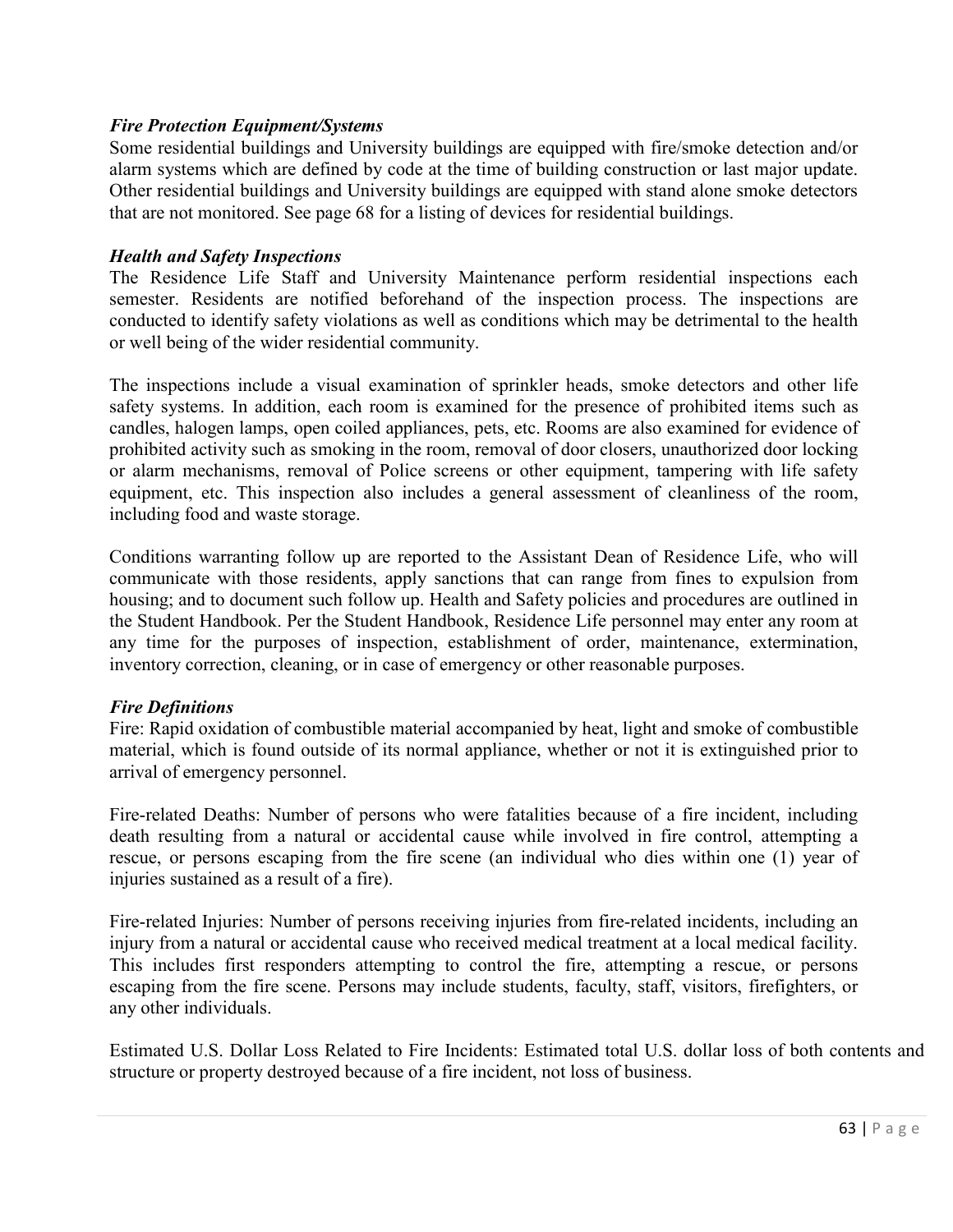#### *Fire Protection Equipment/Systems*

Some residential buildings and University buildings are equipped with fire/smoke detection and/or alarm systems which are defined by code at the time of building construction or last major update. Other residential buildings and University buildings are equipped with stand alone smoke detectors that are not monitored. See page 68 for a listing of devices for residential buildings.

#### *Health and Safety Inspections*

The Residence Life Staff and University Maintenance perform residential inspections each semester. Residents are notified beforehand of the inspection process. The inspections are conducted to identify safety violations as well as conditions which may be detrimental to the health or well being of the wider residential community.

The inspections include a visual examination of sprinkler heads, smoke detectors and other life safety systems. In addition, each room is examined for the presence of prohibited items such as candles, halogen lamps, open coiled appliances, pets, etc. Rooms are also examined for evidence of prohibited activity such as smoking in the room, removal of door closers, unauthorized door locking or alarm mechanisms, removal of Police screens or other equipment, tampering with life safety equipment, etc. This inspection also includes a general assessment of cleanliness of the room, including food and waste storage.

Conditions warranting follow up are reported to the Assistant Dean of Residence Life, who will communicate with those residents, apply sanctions that can range from fines to expulsion from housing; and to document such follow up. Health and Safety policies and procedures are outlined in the Student Handbook. Per the Student Handbook, Residence Life personnel may enter any room at any time for the purposes of inspection, establishment of order, maintenance, extermination, inventory correction, cleaning, or in case of emergency or other reasonable purposes.

## *Fire Definitions*

Fire: Rapid oxidation of combustible material accompanied by heat, light and smoke of combustible material, which is found outside of its normal appliance, whether or not it is extinguished prior to arrival of emergency personnel.

Fire-related Deaths: Number of persons who were fatalities because of a fire incident, including death resulting from a natural or accidental cause while involved in fire control, attempting a rescue, or persons escaping from the fire scene (an individual who dies within one (1) year of injuries sustained as a result of a fire).

Fire-related Injuries: Number of persons receiving injuries from fire-related incidents, including an injury from a natural or accidental cause who received medical treatment at a local medical facility. This includes first responders attempting to control the fire, attempting a rescue, or persons escaping from the fire scene. Persons may include students, faculty, staff, visitors, firefighters, or any other individuals.

Estimated U.S. Dollar Loss Related to Fire Incidents: Estimated total U.S. dollar loss of both contents and structure or property destroyed because of a fire incident, not loss of business.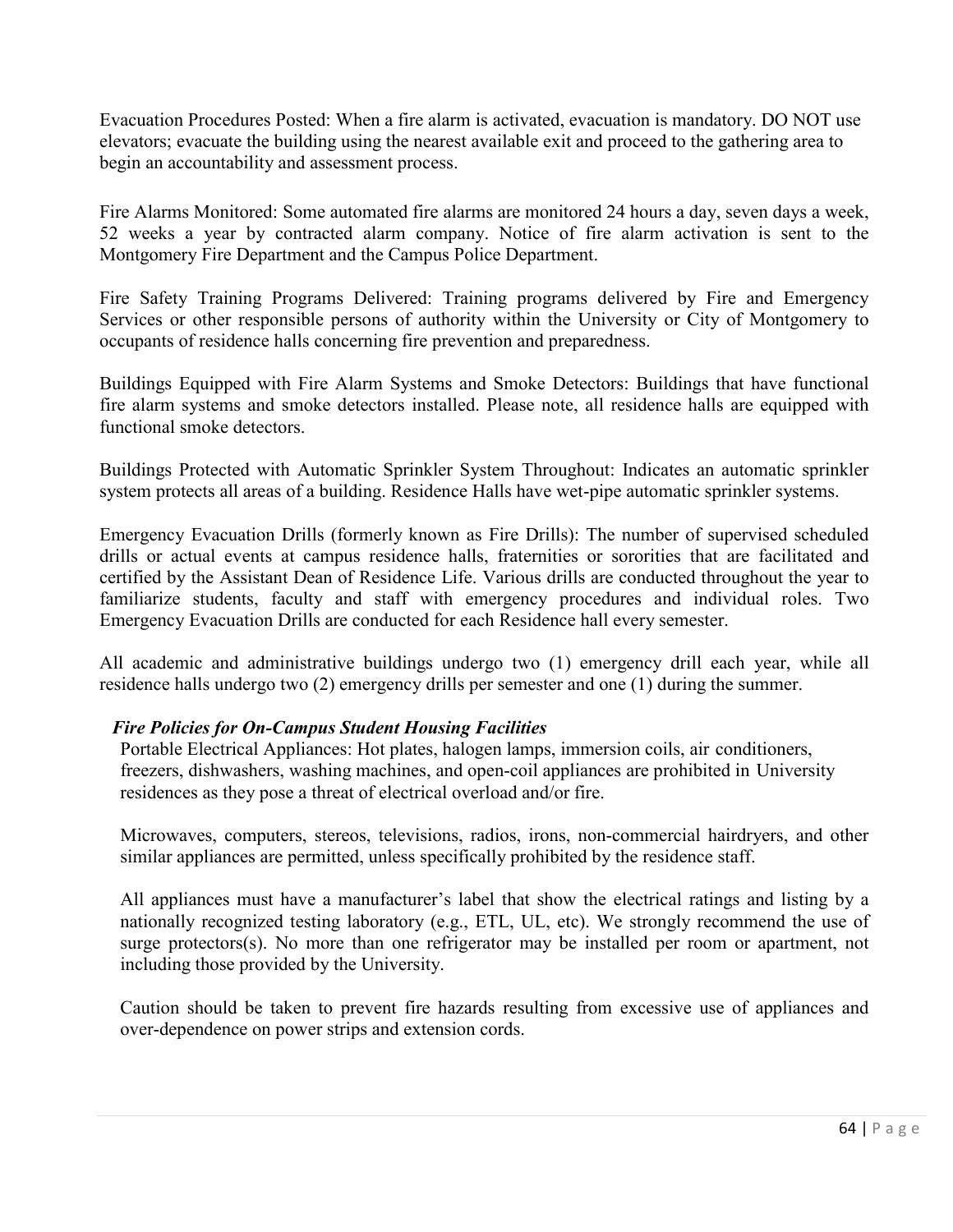Evacuation Procedures Posted: When a fire alarm is activated, evacuation is mandatory. DO NOT use elevators; evacuate the building using the nearest available exit and proceed to the gathering area to begin an accountability and assessment process.

Fire Alarms Monitored: Some automated fire alarms are monitored 24 hours a day, seven days a week, 52 weeks a year by contracted alarm company. Notice of fire alarm activation is sent to the Montgomery Fire Department and the Campus Police Department.

Fire Safety Training Programs Delivered: Training programs delivered by Fire and Emergency Services or other responsible persons of authority within the University or City of Montgomery to occupants of residence halls concerning fire prevention and preparedness.

Buildings Equipped with Fire Alarm Systems and Smoke Detectors: Buildings that have functional fire alarm systems and smoke detectors installed. Please note, all residence halls are equipped with functional smoke detectors.

Buildings Protected with Automatic Sprinkler System Throughout: Indicates an automatic sprinkler system protects all areas of a building. Residence Halls have wet-pipe automatic sprinkler systems.

Emergency Evacuation Drills (formerly known as Fire Drills): The number of supervised scheduled drills or actual events at campus residence halls, fraternities or sororities that are facilitated and certified by the Assistant Dean of Residence Life. Various drills are conducted throughout the year to familiarize students, faculty and staff with emergency procedures and individual roles. Two Emergency Evacuation Drills are conducted for each Residence hall every semester.

All academic and administrative buildings undergo two (1) emergency drill each year, while all residence halls undergo two (2) emergency drills per semester and one (1) during the summer.

## *Fire Policies for On-Campus Student Housing Facilities*

Portable Electrical Appliances: Hot plates, halogen lamps, immersion coils, air conditioners, freezers, dishwashers, washing machines, and open-coil appliances are prohibited in University residences as they pose a threat of electrical overload and/or fire.

Microwaves, computers, stereos, televisions, radios, irons, non-commercial hairdryers, and other similar appliances are permitted, unless specifically prohibited by the residence staff.

All appliances must have a manufacturer's label that show the electrical ratings and listing by a nationally recognized testing laboratory (e.g., ETL, UL, etc). We strongly recommend the use of surge protectors(s). No more than one refrigerator may be installed per room or apartment, not including those provided by the University.

Caution should be taken to prevent fire hazards resulting from excessive use of appliances and over-dependence on power strips and extension cords.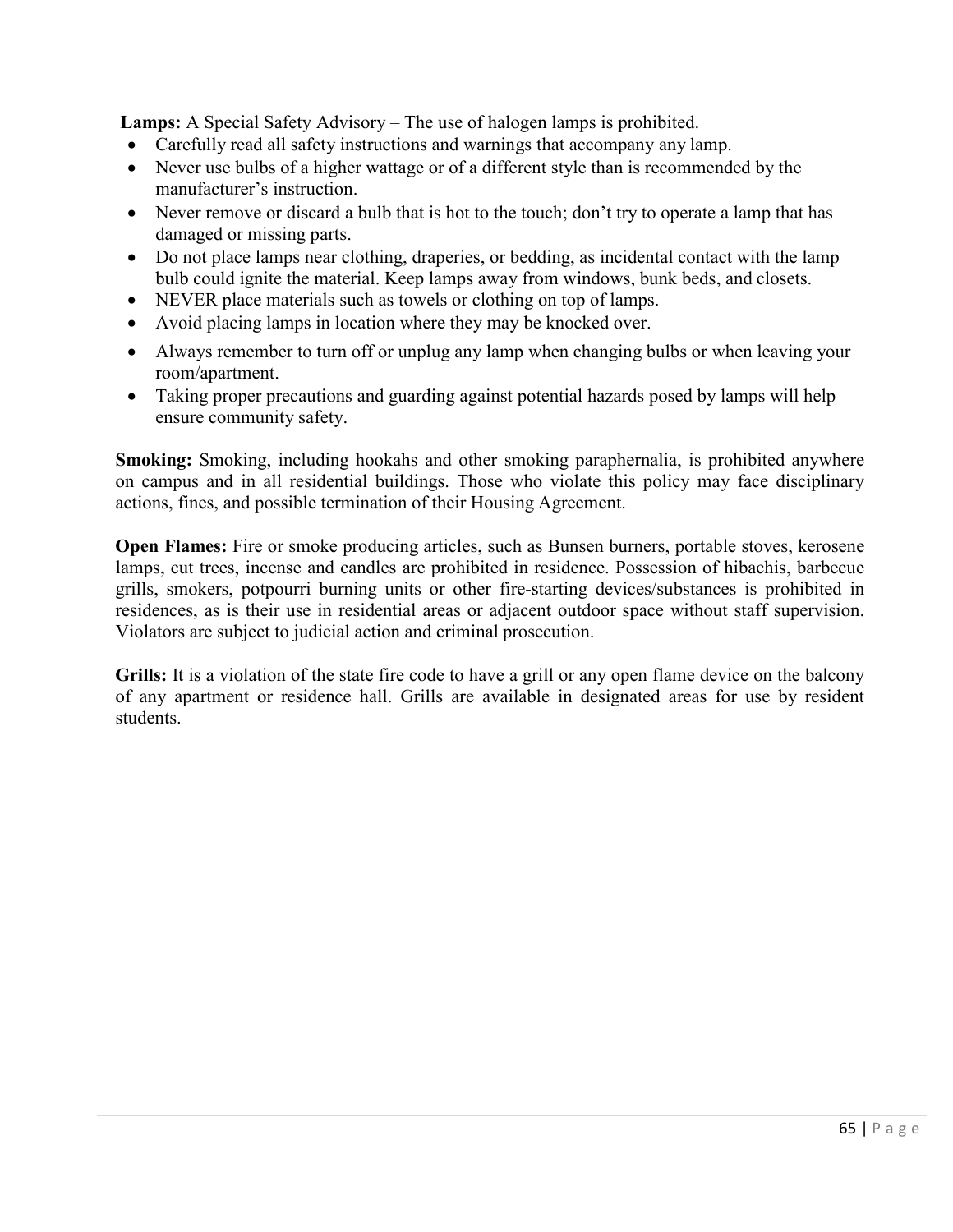**Lamps:** A Special Safety Advisory – The use of halogen lamps is prohibited.

- Carefully read all safety instructions and warnings that accompany any lamp.
- Never use bulbs of a higher wattage or of a different style than is recommended by the manufacturer's instruction.
- Never remove or discard a bulb that is hot to the touch; don't try to operate a lamp that has damaged or missing parts.
- Do not place lamps near clothing, draperies, or bedding, as incidental contact with the lamp bulb could ignite the material. Keep lamps away from windows, bunk beds, and closets.
- NEVER place materials such as towels or clothing on top of lamps.
- Avoid placing lamps in location where they may be knocked over.
- Always remember to turn off or unplug any lamp when changing bulbs or when leaving your room/apartment.
- Taking proper precautions and guarding against potential hazards posed by lamps will help ensure community safety.

**Smoking:** Smoking, including hookahs and other smoking paraphernalia, is prohibited anywhere on campus and in all residential buildings. Those who violate this policy may face disciplinary actions, fines, and possible termination of their Housing Agreement.

**Open Flames:** Fire or smoke producing articles, such as Bunsen burners, portable stoves, kerosene lamps, cut trees, incense and candles are prohibited in residence. Possession of hibachis, barbecue grills, smokers, potpourri burning units or other fire-starting devices/substances is prohibited in residences, as is their use in residential areas or adjacent outdoor space without staff supervision. Violators are subject to judicial action and criminal prosecution.

**Grills:** It is a violation of the state fire code to have a grill or any open flame device on the balcony of any apartment or residence hall. Grills are available in designated areas for use by resident students.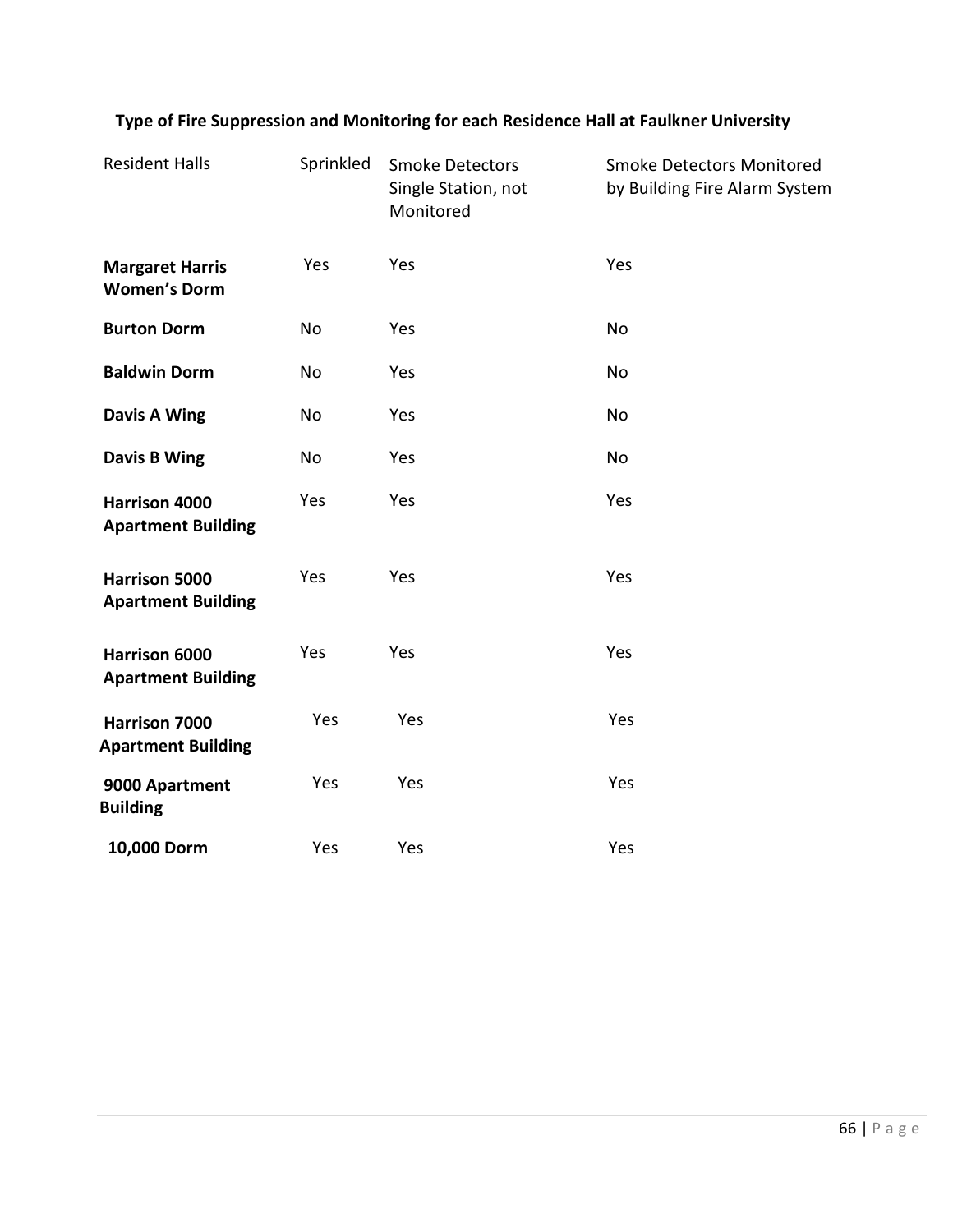| <b>Resident Halls</b>                         | Sprinkled | <b>Smoke Detectors</b><br>Single Station, not<br>Monitored | <b>Smoke Detectors Monitored</b><br>by Building Fire Alarm System |
|-----------------------------------------------|-----------|------------------------------------------------------------|-------------------------------------------------------------------|
| <b>Margaret Harris</b><br><b>Women's Dorm</b> | Yes       | Yes                                                        | Yes                                                               |
| <b>Burton Dorm</b>                            | No        | Yes                                                        | No                                                                |
| <b>Baldwin Dorm</b>                           | No        | Yes                                                        | No                                                                |
| Davis A Wing                                  | No        | Yes                                                        | No                                                                |
| Davis B Wing                                  | No        | Yes                                                        | No                                                                |
| Harrison 4000<br><b>Apartment Building</b>    | Yes       | Yes                                                        | Yes                                                               |
| Harrison 5000<br><b>Apartment Building</b>    | Yes       | Yes                                                        | Yes                                                               |
| Harrison 6000<br><b>Apartment Building</b>    | Yes       | Yes                                                        | Yes                                                               |
| Harrison 7000<br><b>Apartment Building</b>    | Yes       | Yes                                                        | Yes                                                               |
| 9000 Apartment<br><b>Building</b>             | Yes       | Yes                                                        | Yes                                                               |
| 10,000 Dorm                                   | Yes       | Yes                                                        | Yes                                                               |

# **Type of Fire Suppression and Monitoring for each Residence Hall at Faulkner University**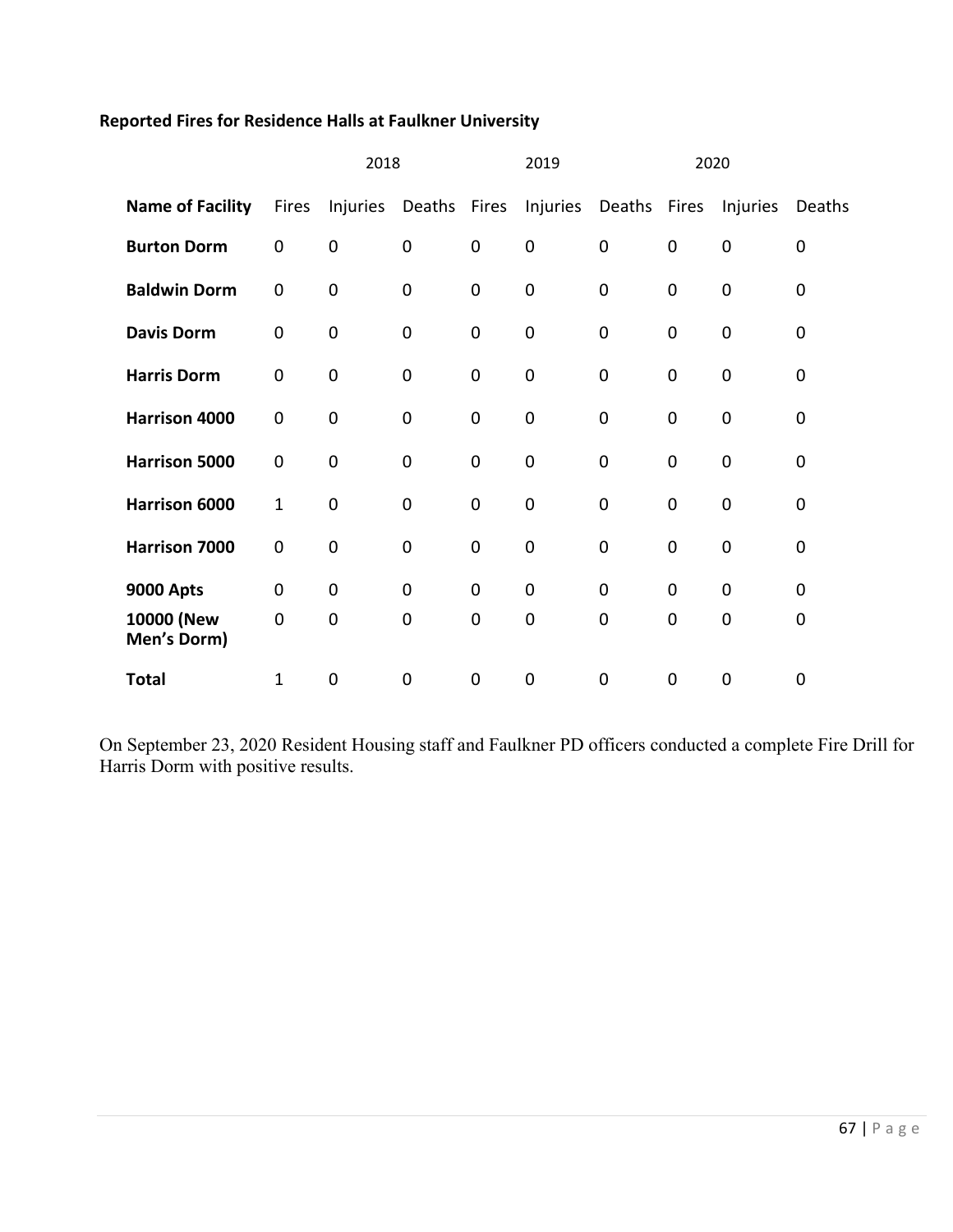# **Reported Fires for Residence Halls at Faulkner University**

|                           | 2018        |                |        | 2019<br>2020 |                |                       |             |                |        |
|---------------------------|-------------|----------------|--------|--------------|----------------|-----------------------|-------------|----------------|--------|
| <b>Name of Facility</b>   | Fires       | Injuries       | Deaths | Fires        |                | Injuries Deaths Fires |             | Injuries       | Deaths |
| <b>Burton Dorm</b>        | 0           | $\mathbf 0$    | 0      | $\mathbf 0$  | $\mathbf 0$    | $\mathbf 0$           | $\mathbf 0$ | $\mathbf 0$    | 0      |
| <b>Baldwin Dorm</b>       | 0           | $\mathbf 0$    | 0      | $\mathbf 0$  | $\mathbf 0$    | $\mathbf 0$           | $\mathbf 0$ | $\mathbf 0$    | 0      |
| <b>Davis Dorm</b>         | 0           | $\mathbf 0$    | 0      | $\mathbf 0$  | $\mathbf 0$    | $\mathbf 0$           | $\mathbf 0$ | $\mathbf 0$    | 0      |
| <b>Harris Dorm</b>        | 0           | $\mathbf 0$    | 0      | $\mathbf 0$  | $\mathbf 0$    | $\mathbf 0$           | $\mathbf 0$ | $\mathbf 0$    | 0      |
| Harrison 4000             | 0           | 0              | 0      | $\mathbf 0$  | $\mathbf 0$    | $\mathbf 0$           | $\mathbf 0$ | $\mathbf 0$    | 0      |
| Harrison 5000             | $\mathbf 0$ | $\mathbf 0$    | 0      | $\mathbf 0$  | $\mathbf 0$    | $\mathbf 0$           | $\mathbf 0$ | $\mathbf 0$    | 0      |
| Harrison 6000             | $\mathbf 1$ | $\mathbf 0$    | 0      | $\mathbf 0$  | $\mathbf 0$    | $\mathbf 0$           | $\mathbf 0$ | $\mathbf 0$    | 0      |
| Harrison 7000             | 0           | $\mathbf 0$    | 0      | $\mathbf 0$  | $\mathbf 0$    | $\mathbf 0$           | $\mathbf 0$ | $\mathbf 0$    | 0      |
| <b>9000 Apts</b>          | 0           | $\mathbf 0$    | 0      | $\mathbf 0$  | $\mathbf 0$    | $\mathbf 0$           | $\mathbf 0$ | $\overline{0}$ | 0      |
| 10000 (New<br>Men's Dorm) | 0           | $\overline{0}$ | 0      | $\mathbf 0$  | $\mathbf 0$    | $\mathbf 0$           | 0           | $\mathbf 0$    | 0      |
| <b>Total</b>              | 1           | 0              | 0      | $\mathbf 0$  | $\overline{0}$ | $\mathbf 0$           | 0           | 0              | 0      |

On September 23, 2020 Resident Housing staff and Faulkner PD officers conducted a complete Fire Drill for Harris Dorm with positive results.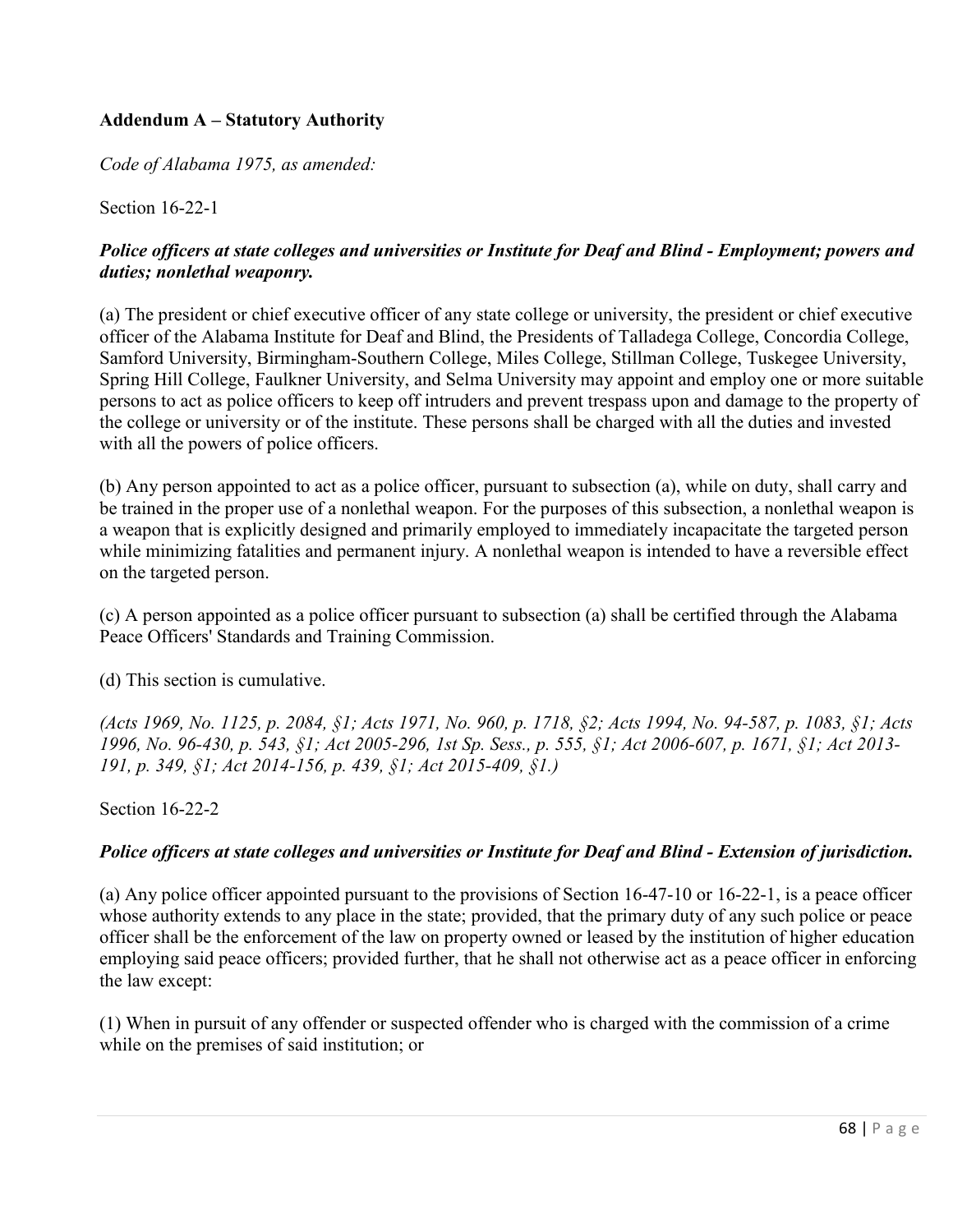# **Addendum A – Statutory Authority**

*Code of Alabama 1975, as amended:* 

Section 16-22-1

## *Police officers at state colleges and universities or Institute for Deaf and Blind - Employment; powers and duties; nonlethal weaponry.*

(a) The president or chief executive officer of any state college or university, the president or chief executive officer of the Alabama Institute for Deaf and Blind, the Presidents of Talladega College, Concordia College, Samford University, Birmingham-Southern College, Miles College, Stillman College, Tuskegee University, Spring Hill College, Faulkner University, and Selma University may appoint and employ one or more suitable persons to act as police officers to keep off intruders and prevent trespass upon and damage to the property of the college or university or of the institute. These persons shall be charged with all the duties and invested with all the powers of police officers.

(b) Any person appointed to act as a police officer, pursuant to subsection (a), while on duty, shall carry and be trained in the proper use of a nonlethal weapon. For the purposes of this subsection, a nonlethal weapon is a weapon that is explicitly designed and primarily employed to immediately incapacitate the targeted person while minimizing fatalities and permanent injury. A nonlethal weapon is intended to have a reversible effect on the targeted person.

(c) A person appointed as a police officer pursuant to subsection (a) shall be certified through the Alabama Peace Officers' Standards and Training Commission.

(d) This section is cumulative.

*(Acts 1969, No. 1125, p. 2084, §1; Acts 1971, No. 960, p. 1718, §2; Acts 1994, No. 94-587, p. 1083, §1; Acts 1996, No. 96-430, p. 543, §1; Act 2005-296, 1st Sp. Sess., p. 555, §1; Act 2006-607, p. 1671, §1; Act 2013- 191, p. 349, §1; Act 2014-156, p. 439, §1; Act 2015-409, §1.)* 

Section 16-22-2

## *Police officers at state colleges and universities or Institute for Deaf and Blind - Extension of jurisdiction.*

(a) Any police officer appointed pursuant to the provisions of Section 16-47-10 or 16-22-1, is a peace officer whose authority extends to any place in the state; provided, that the primary duty of any such police or peace officer shall be the enforcement of the law on property owned or leased by the institution of higher education employing said peace officers; provided further, that he shall not otherwise act as a peace officer in enforcing the law except:

(1) When in pursuit of any offender or suspected offender who is charged with the commission of a crime while on the premises of said institution; or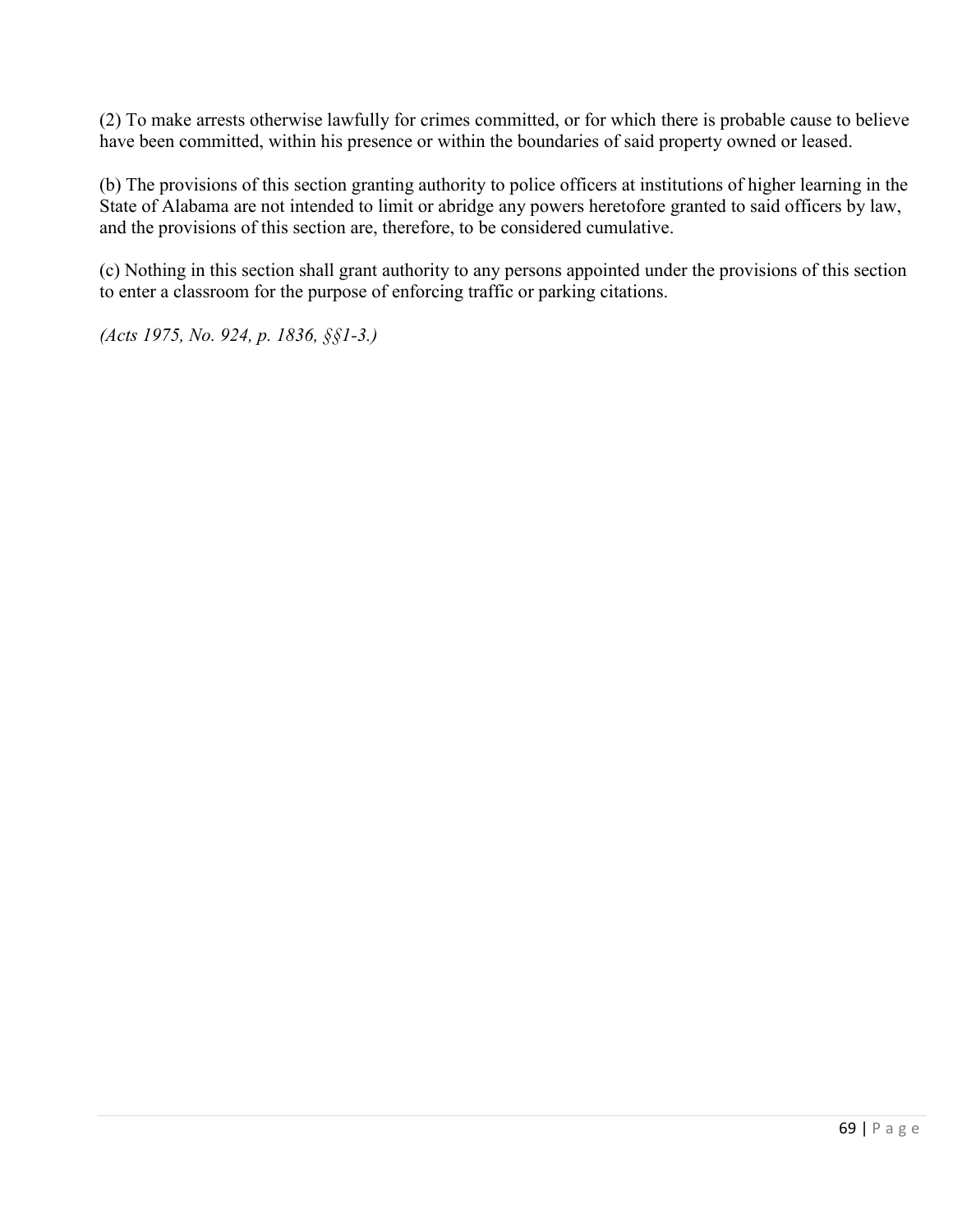(2) To make arrests otherwise lawfully for crimes committed, or for which there is probable cause to believe have been committed, within his presence or within the boundaries of said property owned or leased.

(b) The provisions of this section granting authority to police officers at institutions of higher learning in the State of Alabama are not intended to limit or abridge any powers heretofore granted to said officers by law, and the provisions of this section are, therefore, to be considered cumulative.

(c) Nothing in this section shall grant authority to any persons appointed under the provisions of this section to enter a classroom for the purpose of enforcing traffic or parking citations.

*(Acts 1975, No. 924, p. 1836, §§1-3.)*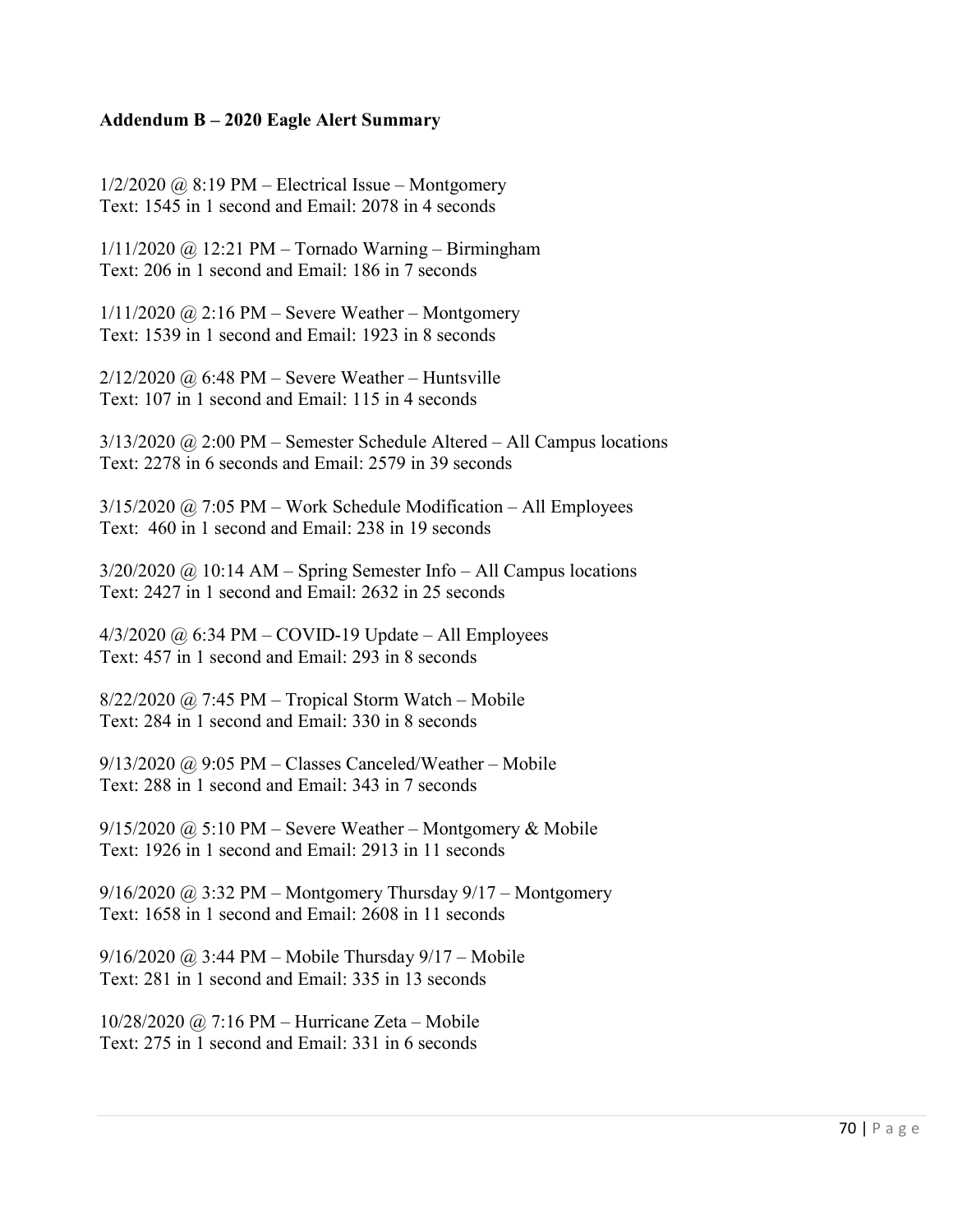#### **Addendum B – 2020 Eagle Alert Summary**

 $1/2/2020$  @ 8:19 PM – Electrical Issue – Montgomery Text: 1545 in 1 second and Email: 2078 in 4 seconds

1/11/2020 @ 12:21 PM – Tornado Warning – Birmingham Text: 206 in 1 second and Email: 186 in 7 seconds

 $1/11/2020$  @ 2:16 PM – Severe Weather – Montgomery Text: 1539 in 1 second and Email: 1923 in 8 seconds

 $2/12/2020$  @ 6:48 PM – Severe Weather – Huntsville Text: 107 in 1 second and Email: 115 in 4 seconds

3/13/2020 @ 2:00 PM – Semester Schedule Altered – All Campus locations Text: 2278 in 6 seconds and Email: 2579 in 39 seconds

 $3/15/2020$  @ 7:05 PM – Work Schedule Modification – All Employees Text: 460 in 1 second and Email: 238 in 19 seconds

3/20/2020 @ 10:14 AM – Spring Semester Info – All Campus locations Text: 2427 in 1 second and Email: 2632 in 25 seconds

4/3/2020 @ 6:34 PM – COVID-19 Update – All Employees Text: 457 in 1 second and Email: 293 in 8 seconds

 $8/22/2020$  @ 7:45 PM – Tropical Storm Watch – Mobile Text: 284 in 1 second and Email: 330 in 8 seconds

 $9/13/2020$  @ 9:05 PM – Classes Canceled/Weather – Mobile Text: 288 in 1 second and Email: 343 in 7 seconds

 $9/15/2020$  @ 5:10 PM – Severe Weather – Montgomery & Mobile Text: 1926 in 1 second and Email: 2913 in 11 seconds

 $9/16/2020$  @ 3:32 PM – Montgomery Thursday  $9/17$  – Montgomery Text: 1658 in 1 second and Email: 2608 in 11 seconds

9/16/2020 @ 3:44 PM – Mobile Thursday 9/17 – Mobile Text: 281 in 1 second and Email: 335 in 13 seconds

10/28/2020 @ 7:16 PM – Hurricane Zeta – Mobile Text: 275 in 1 second and Email: 331 in 6 seconds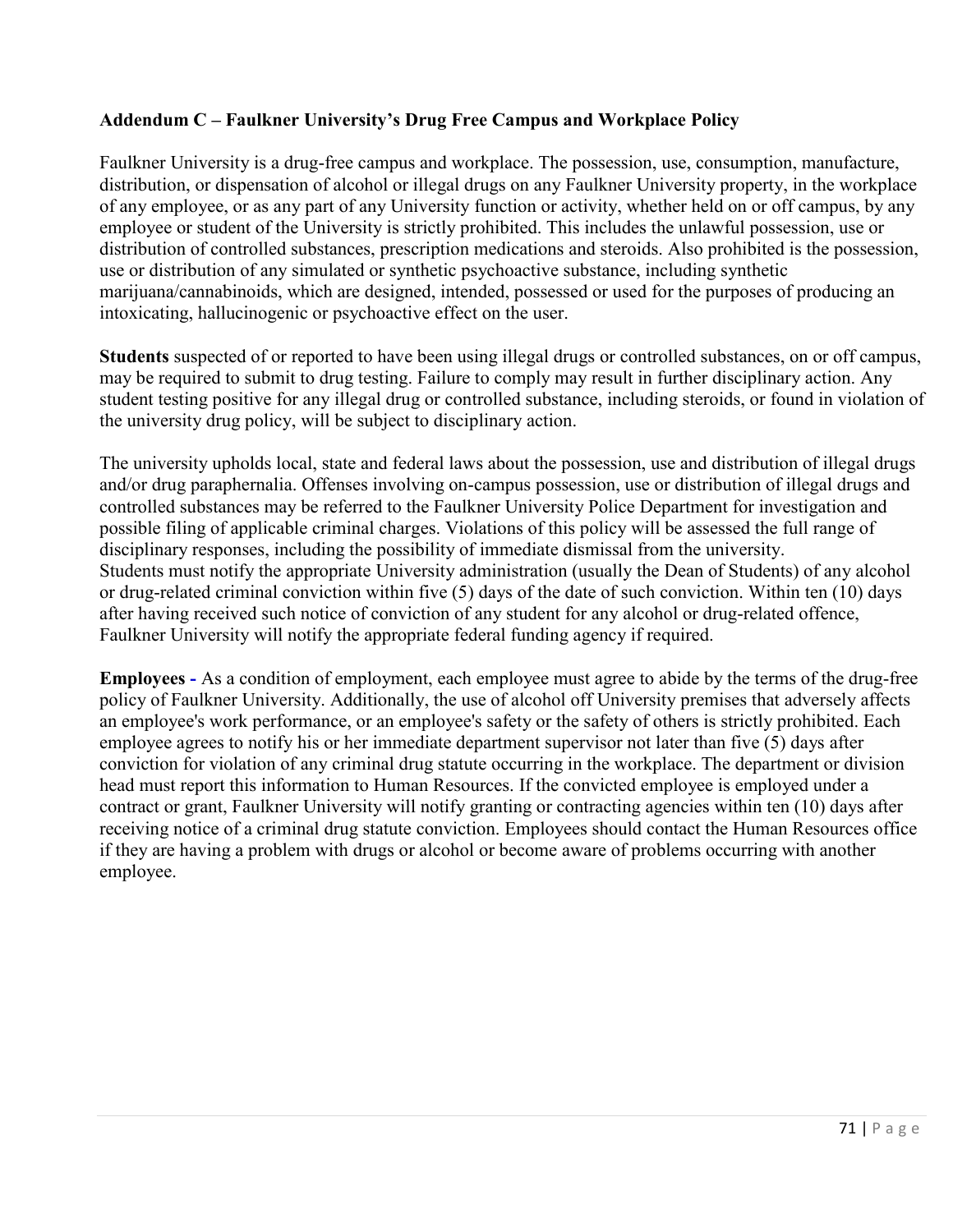# **Addendum C – Faulkner University's Drug Free Campus and Workplace Policy**

Faulkner University is a drug-free campus and workplace. The possession, use, consumption, manufacture, distribution, or dispensation of alcohol or illegal drugs on any Faulkner University property, in the workplace of any employee, or as any part of any University function or activity, whether held on or off campus, by any employee or student of the University is strictly prohibited. This includes the unlawful possession, use or distribution of controlled substances, prescription medications and steroids. Also prohibited is the possession, use or distribution of any simulated or synthetic psychoactive substance, including synthetic marijuana/cannabinoids, which are designed, intended, possessed or used for the purposes of producing an intoxicating, hallucinogenic or psychoactive effect on the user.

**Students** suspected of or reported to have been using illegal drugs or controlled substances, on or off campus, may be required to submit to drug testing. Failure to comply may result in further disciplinary action. Any student testing positive for any illegal drug or controlled substance, including steroids, or found in violation of the university drug policy, will be subject to disciplinary action.

The university upholds local, state and federal laws about the possession, use and distribution of illegal drugs and/or drug paraphernalia. Offenses involving on-campus possession, use or distribution of illegal drugs and controlled substances may be referred to the Faulkner University Police Department for investigation and possible filing of applicable criminal charges. Violations of this policy will be assessed the full range of disciplinary responses, including the possibility of immediate dismissal from the university. Students must notify the appropriate University administration (usually the Dean of Students) of any alcohol or drug-related criminal conviction within five (5) days of the date of such conviction. Within ten (10) days after having received such notice of conviction of any student for any alcohol or drug-related offence, Faulkner University will notify the appropriate federal funding agency if required.

**Employees -** As a condition of employment, each employee must agree to abide by the terms of the drug-free policy of Faulkner University. Additionally, the use of alcohol off University premises that adversely affects an employee's work performance, or an employee's safety or the safety of others is strictly prohibited. Each employee agrees to notify his or her immediate department supervisor not later than five (5) days after conviction for violation of any criminal drug statute occurring in the workplace. The department or division head must report this information to Human Resources. If the convicted employee is employed under a contract or grant, Faulkner University will notify granting or contracting agencies within ten (10) days after receiving notice of a criminal drug statute conviction. Employees should contact the Human Resources office if they are having a problem with drugs or alcohol or become aware of problems occurring with another employee.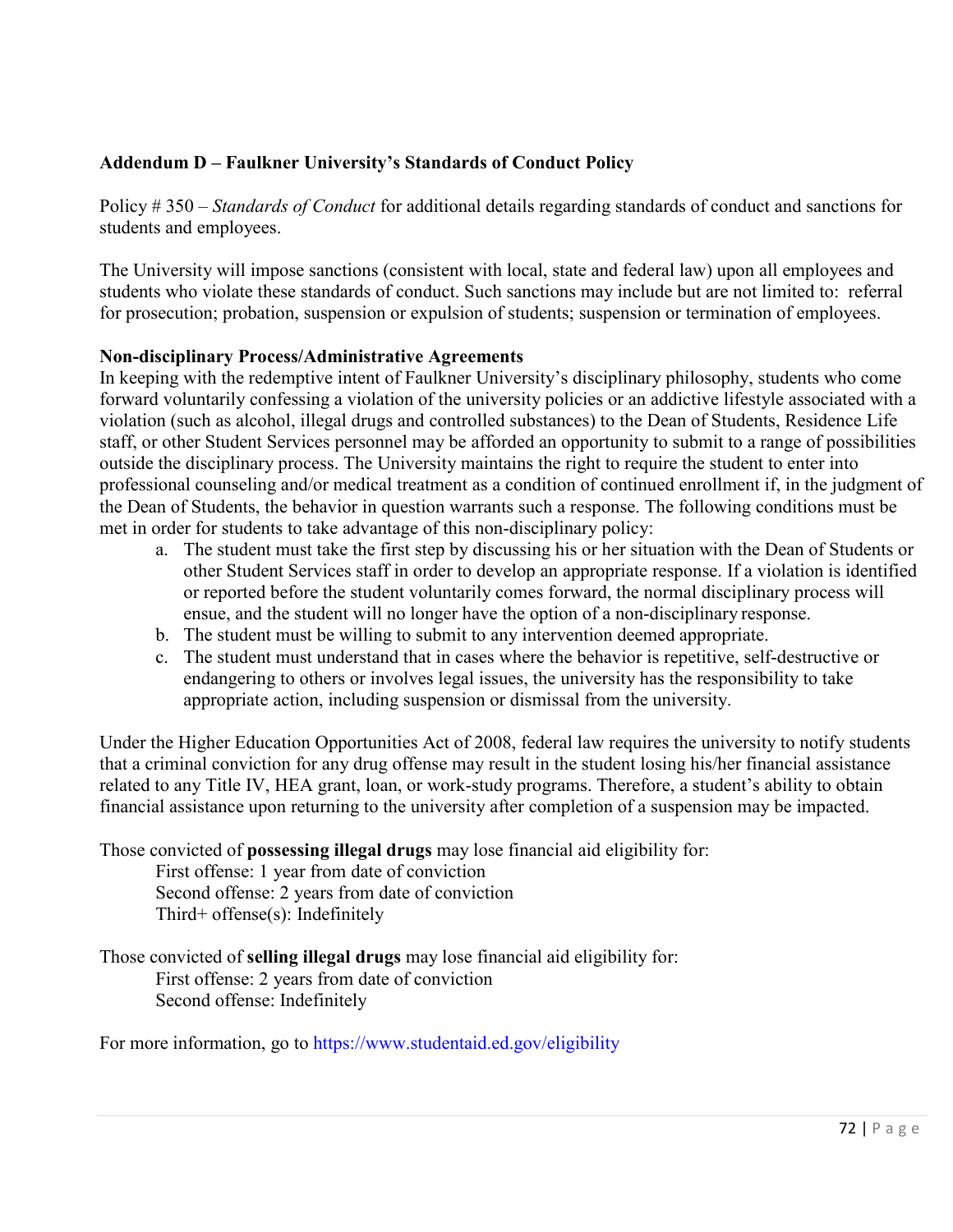# **Addendum D – Faulkner University's Standards of Conduct Policy**

Policy # 350 – *Standards of Conduct* for additional details regarding standards of conduct and sanctions for students and employees.

The University will impose sanctions (consistent with local, state and federal law) upon all employees and students who violate these standards of conduct. Such sanctions may include but are not limited to: referral for prosecution; probation, suspension or expulsion of students; suspension or termination of employees.

## **Non-disciplinary Process/Administrative Agreements**

In keeping with the redemptive intent of Faulkner University's disciplinary philosophy, students who come forward voluntarily confessing a violation of the university policies or an addictive lifestyle associated with a violation (such as alcohol, illegal drugs and controlled substances) to the Dean of Students, Residence Life staff, or other Student Services personnel may be afforded an opportunity to submit to a range of possibilities outside the disciplinary process. The University maintains the right to require the student to enter into professional counseling and/or medical treatment as a condition of continued enrollment if, in the judgment of the Dean of Students, the behavior in question warrants such a response. The following conditions must be met in order for students to take advantage of this non-disciplinary policy:

- a. The student must take the first step by discussing his or her situation with the Dean of Students or other Student Services staff in order to develop an appropriate response. If a violation is identified or reported before the student voluntarily comes forward, the normal disciplinary process will ensue, and the student will no longer have the option of a non-disciplinary response.
- b. The student must be willing to submit to any intervention deemed appropriate.
- c. The student must understand that in cases where the behavior is repetitive, self-destructive or endangering to others or involves legal issues, the university has the responsibility to take appropriate action, including suspension or dismissal from the university.

Under the Higher Education Opportunities Act of 2008, federal law requires the university to notify students that a criminal conviction for any drug offense may result in the student losing his/her financial assistance related to any Title IV, HEA grant, loan, or work-study programs. Therefore, a student's ability to obtain financial assistance upon returning to the university after completion of a suspension may be impacted.

Those convicted of **possessing illegal drugs** may lose financial aid eligibility for:

First offense: 1 year from date of conviction Second offense: 2 years from date of conviction Third+ offense(s): Indefinitely

Those convicted of **selling illegal drugs** may lose financial aid eligibility for: First offense: 2 years from date of conviction Second offense: Indefinitely

For more information, go to<https://www.studentaid.ed.gov/eligibility>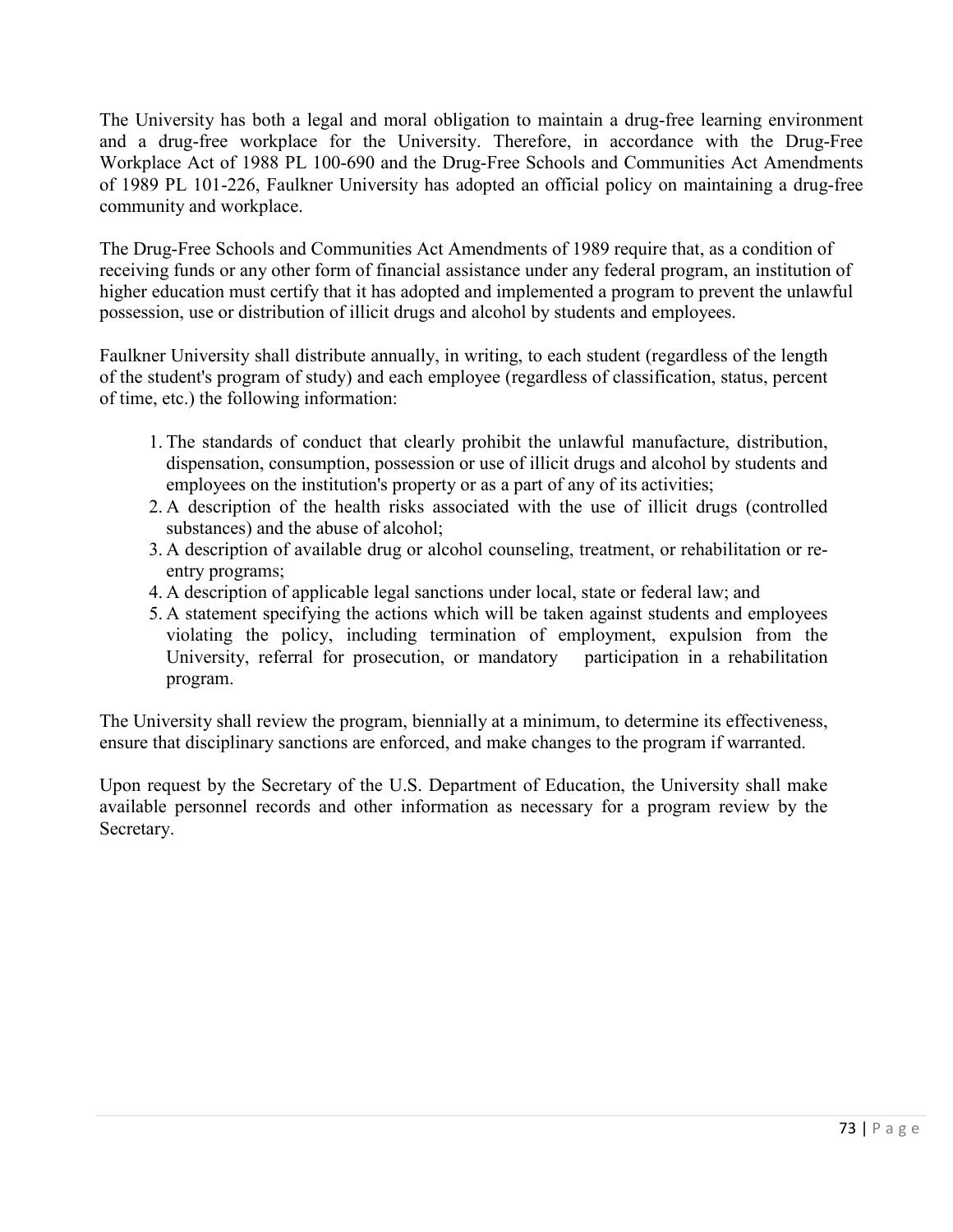The University has both a legal and moral obligation to maintain a drug-free learning environment and a drug-free workplace for the University. Therefore, in accordance with the Drug-Free Workplace Act of 1988 PL 100-690 and the Drug-Free Schools and Communities Act Amendments of 1989 PL 101-226, Faulkner University has adopted an official policy on maintaining a drug-free community and workplace.

The Drug-Free Schools and Communities Act Amendments of 1989 require that, as a condition of receiving funds or any other form of financial assistance under any federal program, an institution of higher education must certify that it has adopted and implemented a program to prevent the unlawful possession, use or distribution of illicit drugs and alcohol by students and employees.

Faulkner University shall distribute annually, in writing, to each student (regardless of the length of the student's program of study) and each employee (regardless of classification, status, percent of time, etc.) the following information:

- 1. The standards of conduct that clearly prohibit the unlawful manufacture, distribution, dispensation, consumption, possession or use of illicit drugs and alcohol by students and employees on the institution's property or as a part of any of its activities;
- 2. A description of the health risks associated with the use of illicit drugs (controlled substances) and the abuse of alcohol;
- 3. A description of available drug or alcohol counseling, treatment, or rehabilitation or reentry programs;
- 4. A description of applicable legal sanctions under local, state or federal law; and
- 5. A statement specifying the actions which will be taken against students and employees violating the policy, including termination of employment, expulsion from the University, referral for prosecution, or mandatory participation in a rehabilitation program.

The University shall review the program, biennially at a minimum, to determine its effectiveness, ensure that disciplinary sanctions are enforced, and make changes to the program if warranted.

Upon request by the Secretary of the U.S. Department of Education, the University shall make available personnel records and other information as necessary for a program review by the Secretary.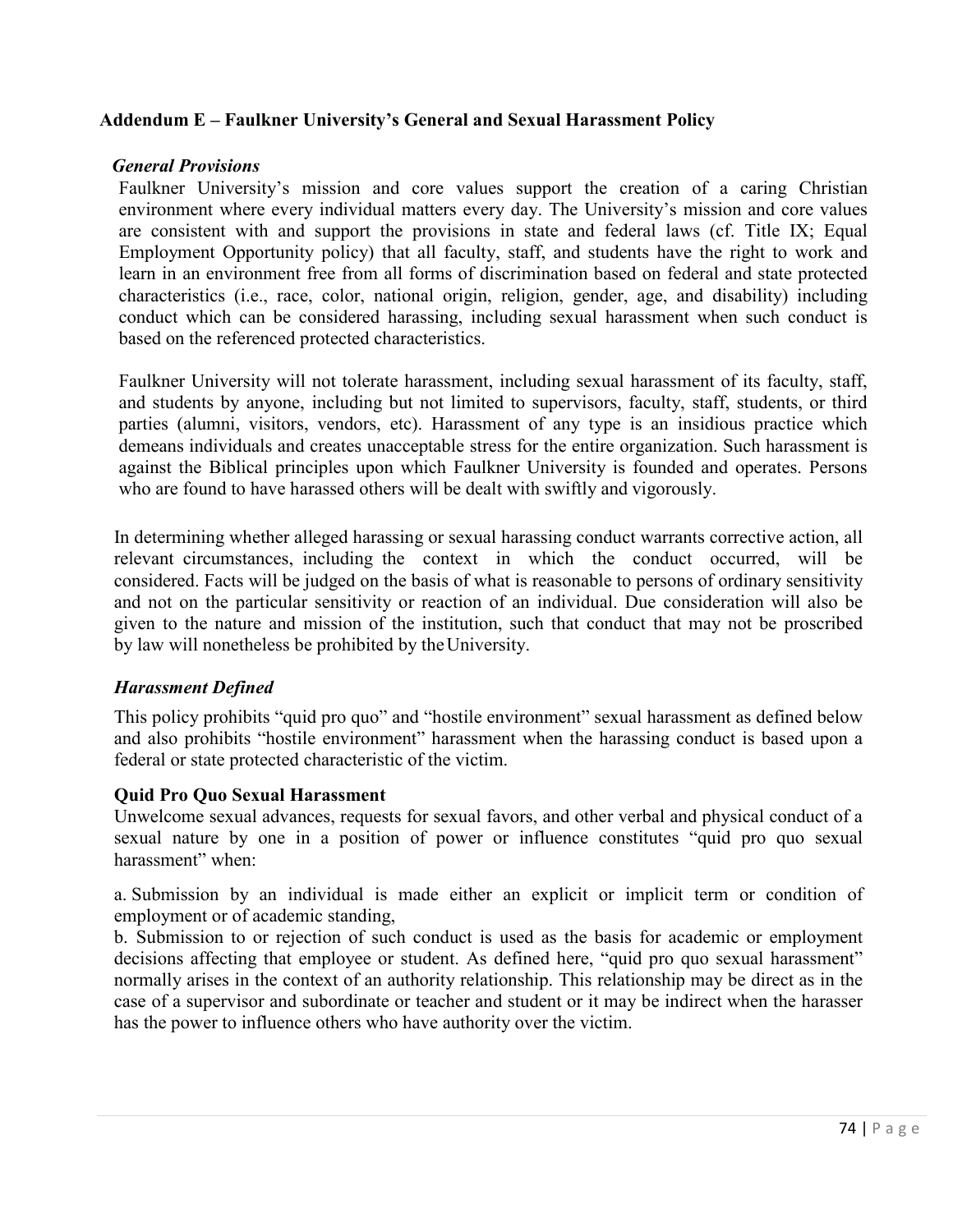## **Addendum E – Faulkner University's General and Sexual Harassment Policy**

#### *General Provisions*

Faulkner University's mission and core values support the creation of a caring Christian environment where every individual matters every day. The University's mission and core values are consistent with and support the provisions in state and federal laws (cf. Title IX; Equal Employment Opportunity policy) that all faculty, staff, and students have the right to work and learn in an environment free from all forms of discrimination based on federal and state protected characteristics (i.e., race, color, national origin, religion, gender, age, and disability) including conduct which can be considered harassing, including sexual harassment when such conduct is based on the referenced protected characteristics.

Faulkner University will not tolerate harassment, including sexual harassment of its faculty, staff, and students by anyone, including but not limited to supervisors, faculty, staff, students, or third parties (alumni, visitors, vendors, etc). Harassment of any type is an insidious practice which demeans individuals and creates unacceptable stress for the entire organization. Such harassment is against the Biblical principles upon which Faulkner University is founded and operates. Persons who are found to have harassed others will be dealt with swiftly and vigorously.

In determining whether alleged harassing or sexual harassing conduct warrants corrective action, all relevant circumstances, including the context in which the conduct occurred, will be considered. Facts will be judged on the basis of what is reasonable to persons of ordinary sensitivity and not on the particular sensitivity or reaction of an individual. Due consideration will also be given to the nature and mission of the institution, such that conduct that may not be proscribed by law will nonetheless be prohibited by theUniversity.

### *Harassment Defined*

This policy prohibits "quid pro quo" and "hostile environment" sexual harassment as defined below and also prohibits "hostile environment" harassment when the harassing conduct is based upon a federal or state protected characteristic of the victim.

### **Quid Pro Quo Sexual Harassment**

Unwelcome sexual advances, requests for sexual favors, and other verbal and physical conduct of a sexual nature by one in a position of power or influence constitutes "quid pro quo sexual harassment" when:

a. Submission by an individual is made either an explicit or implicit term or condition of employment or of academic standing,

b. Submission to or rejection of such conduct is used as the basis for academic or employment decisions affecting that employee or student. As defined here, "quid pro quo sexual harassment" normally arises in the context of an authority relationship. This relationship may be direct as in the case of a supervisor and subordinate or teacher and student or it may be indirect when the harasser has the power to influence others who have authority over the victim.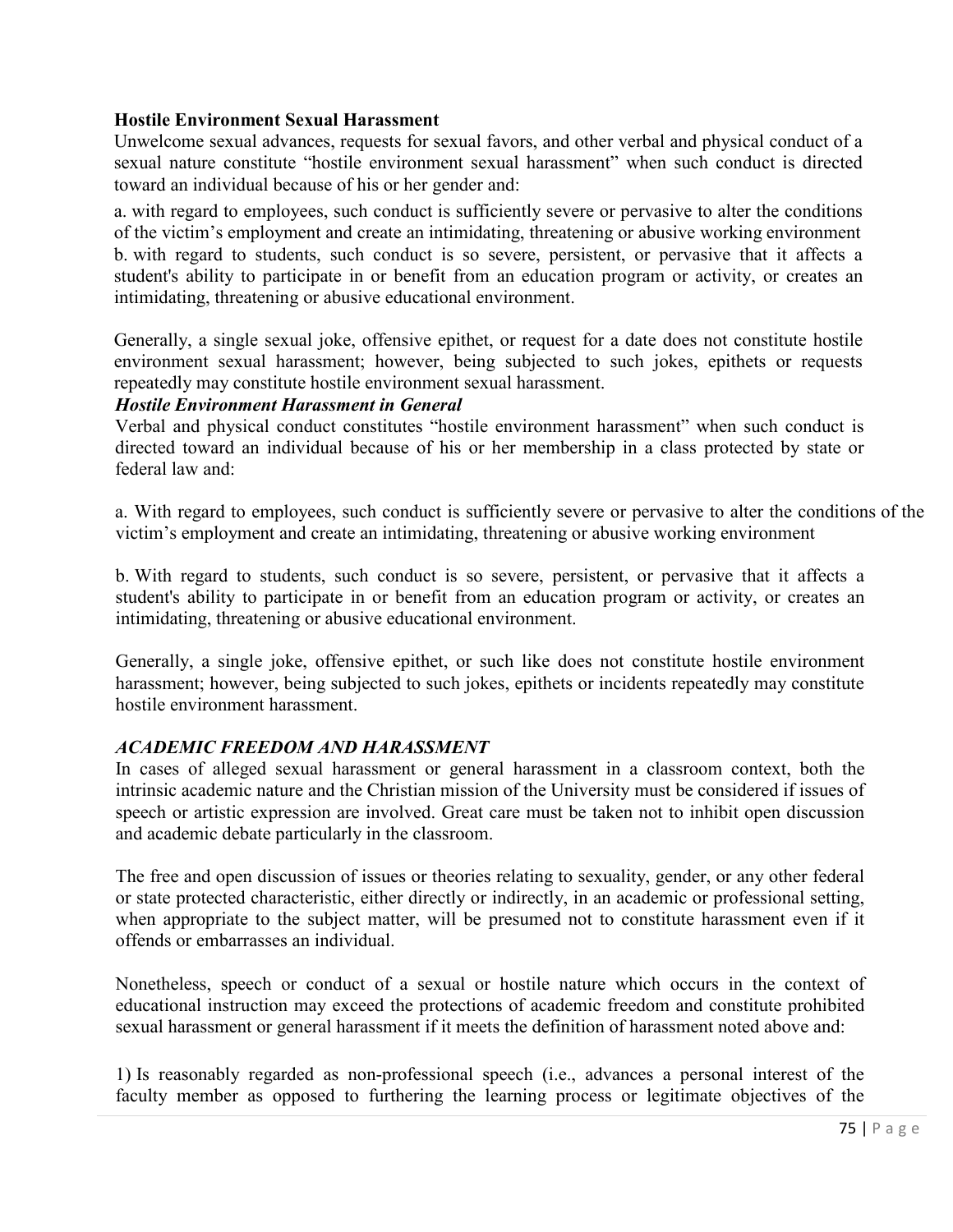## **Hostile Environment Sexual Harassment**

Unwelcome sexual advances, requests for sexual favors, and other verbal and physical conduct of a sexual nature constitute "hostile environment sexual harassment" when such conduct is directed toward an individual because of his or her gender and:

a. with regard to employees, such conduct is sufficiently severe or pervasive to alter the conditions of the victim's employment and create an intimidating, threatening or abusive working environment b. with regard to students, such conduct is so severe, persistent, or pervasive that it affects a student's ability to participate in or benefit from an education program or activity, or creates an intimidating, threatening or abusive educational environment.

Generally, a single sexual joke, offensive epithet, or request for a date does not constitute hostile environment sexual harassment; however, being subjected to such jokes, epithets or requests repeatedly may constitute hostile environment sexual harassment.

### *Hostile Environment Harassment in General*

Verbal and physical conduct constitutes "hostile environment harassment" when such conduct is directed toward an individual because of his or her membership in a class protected by state or federal law and:

a. With regard to employees, such conduct is sufficiently severe or pervasive to alter the conditions of the victim's employment and create an intimidating, threatening or abusive working environment

b. With regard to students, such conduct is so severe, persistent, or pervasive that it affects a student's ability to participate in or benefit from an education program or activity, or creates an intimidating, threatening or abusive educational environment.

Generally, a single joke, offensive epithet, or such like does not constitute hostile environment harassment; however, being subjected to such jokes, epithets or incidents repeatedly may constitute hostile environment harassment.

### *ACADEMIC FREEDOM AND HARASSMENT*

In cases of alleged sexual harassment or general harassment in a classroom context, both the intrinsic academic nature and the Christian mission of the University must be considered if issues of speech or artistic expression are involved. Great care must be taken not to inhibit open discussion and academic debate particularly in the classroom.

The free and open discussion of issues or theories relating to sexuality, gender, or any other federal or state protected characteristic, either directly or indirectly, in an academic or professional setting, when appropriate to the subject matter, will be presumed not to constitute harassment even if it offends or embarrasses an individual.

Nonetheless, speech or conduct of a sexual or hostile nature which occurs in the context of educational instruction may exceed the protections of academic freedom and constitute prohibited sexual harassment or general harassment if it meets the definition of harassment noted above and:

1) Is reasonably regarded as non-professional speech (i.e., advances a personal interest of the faculty member as opposed to furthering the learning process or legitimate objectives of the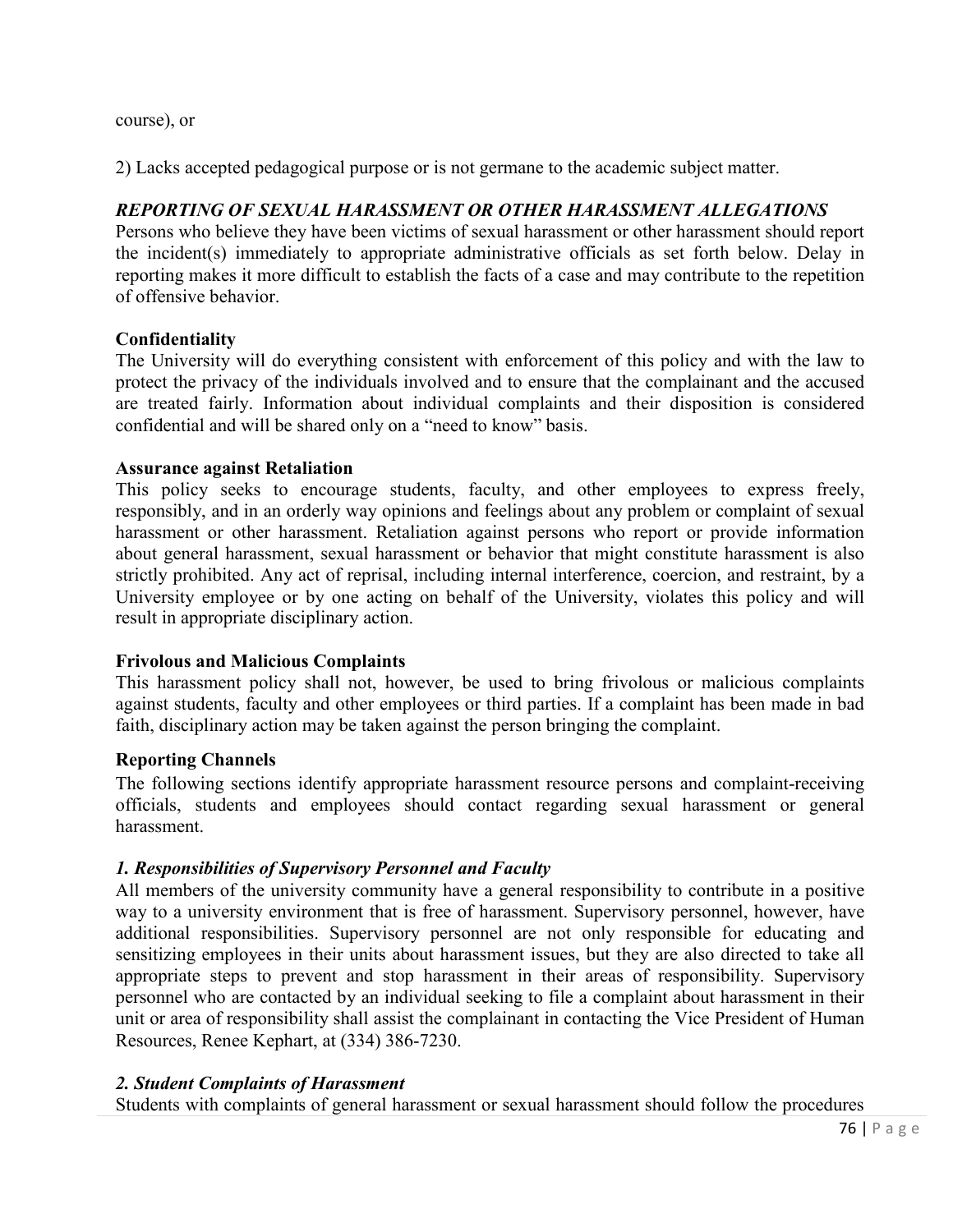course), or

2) Lacks accepted pedagogical purpose or is not germane to the academic subject matter.

# *REPORTING OF SEXUAL HARASSMENT OR OTHER HARASSMENT ALLEGATIONS*

Persons who believe they have been victims of sexual harassment or other harassment should report the incident(s) immediately to appropriate administrative officials as set forth below. Delay in reporting makes it more difficult to establish the facts of a case and may contribute to the repetition of offensive behavior.

### **Confidentiality**

The University will do everything consistent with enforcement of this policy and with the law to protect the privacy of the individuals involved and to ensure that the complainant and the accused are treated fairly. Information about individual complaints and their disposition is considered confidential and will be shared only on a "need to know" basis.

#### **Assurance against Retaliation**

This policy seeks to encourage students, faculty, and other employees to express freely, responsibly, and in an orderly way opinions and feelings about any problem or complaint of sexual harassment or other harassment. Retaliation against persons who report or provide information about general harassment, sexual harassment or behavior that might constitute harassment is also strictly prohibited. Any act of reprisal, including internal interference, coercion, and restraint, by a University employee or by one acting on behalf of the University, violates this policy and will result in appropriate disciplinary action.

### **Frivolous and Malicious Complaints**

This harassment policy shall not, however, be used to bring frivolous or malicious complaints against students, faculty and other employees or third parties. If a complaint has been made in bad faith, disciplinary action may be taken against the person bringing the complaint.

### **Reporting Channels**

The following sections identify appropriate harassment resource persons and complaint-receiving officials, students and employees should contact regarding sexual harassment or general harassment.

### *1. Responsibilities of Supervisory Personnel and Faculty*

All members of the university community have a general responsibility to contribute in a positive way to a university environment that is free of harassment. Supervisory personnel, however, have additional responsibilities. Supervisory personnel are not only responsible for educating and sensitizing employees in their units about harassment issues, but they are also directed to take all appropriate steps to prevent and stop harassment in their areas of responsibility. Supervisory personnel who are contacted by an individual seeking to file a complaint about harassment in their unit or area of responsibility shall assist the complainant in contacting the Vice President of Human Resources, Renee Kephart, at (334) 386-7230.

### *2. Student Complaints of Harassment*

Students with complaints of general harassment or sexual harassment should follow the procedures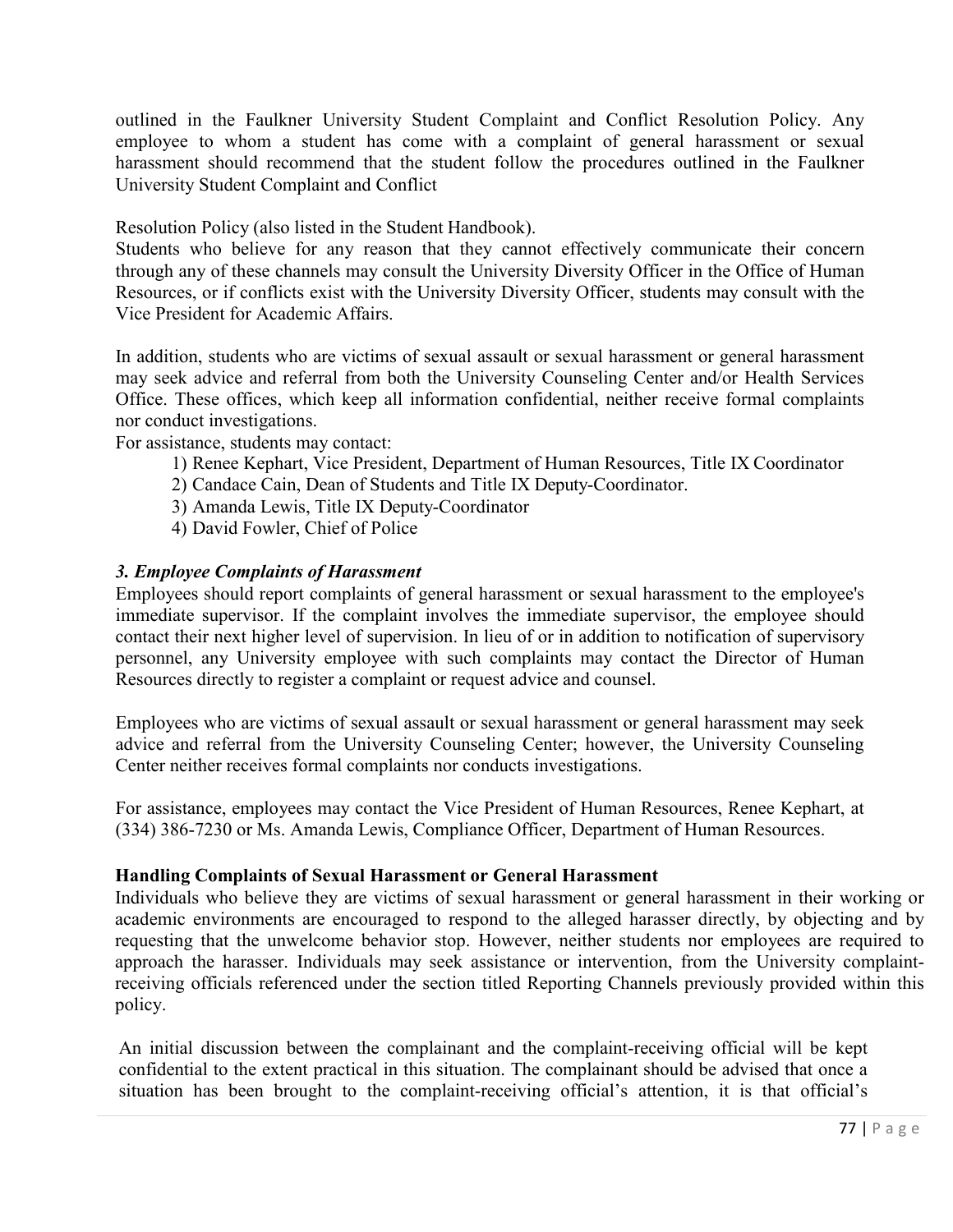outlined in the Faulkner University Student Complaint and Conflict Resolution Policy. Any employee to whom a student has come with a complaint of general harassment or sexual harassment should recommend that the student follow the procedures outlined in the Faulkner University Student Complaint and Conflict

Resolution Policy (also listed in the Student Handbook).

Students who believe for any reason that they cannot effectively communicate their concern through any of these channels may consult the University Diversity Officer in the Office of Human Resources, or if conflicts exist with the University Diversity Officer, students may consult with the Vice President for Academic Affairs.

In addition, students who are victims of sexual assault or sexual harassment or general harassment may seek advice and referral from both the University Counseling Center and/or Health Services Office. These offices, which keep all information confidential, neither receive formal complaints nor conduct investigations.

For assistance, students may contact:

- 1) Renee Kephart, Vice President, Department of Human Resources, Title IX Coordinator
- 2) Candace Cain, Dean of Students and Title IX Deputy-Coordinator.
- 3) Amanda Lewis, Title IX Deputy-Coordinator
- 4) David Fowler, Chief of Police

# *3. Employee Complaints of Harassment*

Employees should report complaints of general harassment or sexual harassment to the employee's immediate supervisor. If the complaint involves the immediate supervisor, the employee should contact their next higher level of supervision. In lieu of or in addition to notification of supervisory personnel, any University employee with such complaints may contact the Director of Human Resources directly to register a complaint or request advice and counsel.

Employees who are victims of sexual assault or sexual harassment or general harassment may seek advice and referral from the University Counseling Center; however, the University Counseling Center neither receives formal complaints nor conducts investigations.

For assistance, employees may contact the Vice President of Human Resources, Renee Kephart, at (334) 386-7230 or Ms. Amanda Lewis, Compliance Officer, Department of Human Resources.

### **Handling Complaints of Sexual Harassment or General Harassment**

Individuals who believe they are victims of sexual harassment or general harassment in their working or academic environments are encouraged to respond to the alleged harasser directly, by objecting and by requesting that the unwelcome behavior stop. However, neither students nor employees are required to approach the harasser. Individuals may seek assistance or intervention, from the University complaintreceiving officials referenced under the section titled Reporting Channels previously provided within this policy.

An initial discussion between the complainant and the complaint-receiving official will be kept confidential to the extent practical in this situation. The complainant should be advised that once a situation has been brought to the complaint-receiving official's attention, it is that official's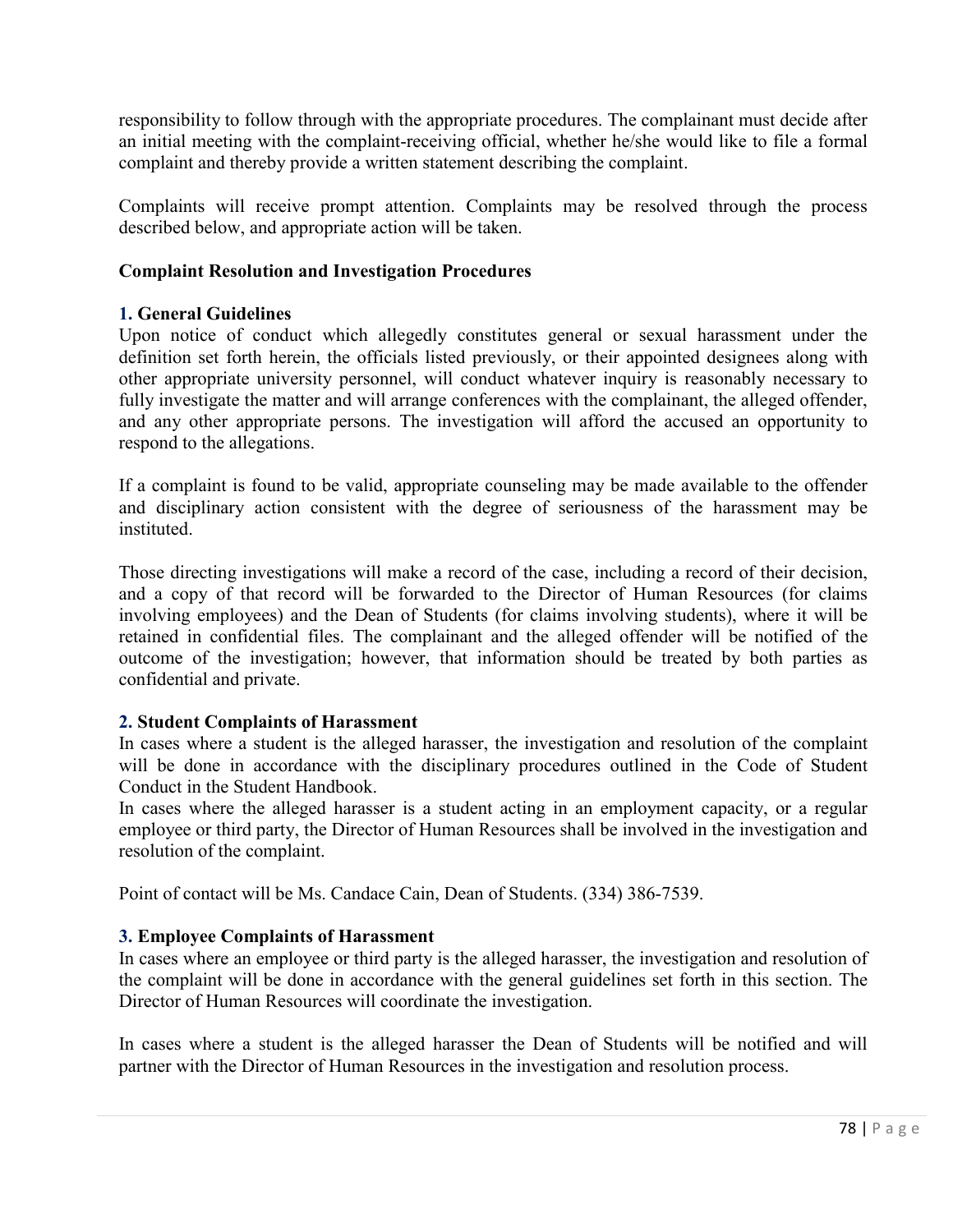responsibility to follow through with the appropriate procedures. The complainant must decide after an initial meeting with the complaint-receiving official, whether he/she would like to file a formal complaint and thereby provide a written statement describing the complaint.

Complaints will receive prompt attention. Complaints may be resolved through the process described below, and appropriate action will be taken.

## **Complaint Resolution and Investigation Procedures**

## **1. General Guidelines**

Upon notice of conduct which allegedly constitutes general or sexual harassment under the definition set forth herein, the officials listed previously, or their appointed designees along with other appropriate university personnel, will conduct whatever inquiry is reasonably necessary to fully investigate the matter and will arrange conferences with the complainant, the alleged offender, and any other appropriate persons. The investigation will afford the accused an opportunity to respond to the allegations.

If a complaint is found to be valid, appropriate counseling may be made available to the offender and disciplinary action consistent with the degree of seriousness of the harassment may be instituted.

Those directing investigations will make a record of the case, including a record of their decision, and a copy of that record will be forwarded to the Director of Human Resources (for claims involving employees) and the Dean of Students (for claims involving students), where it will be retained in confidential files. The complainant and the alleged offender will be notified of the outcome of the investigation; however, that information should be treated by both parties as confidential and private.

# **2. Student Complaints of Harassment**

In cases where a student is the alleged harasser, the investigation and resolution of the complaint will be done in accordance with the disciplinary procedures outlined in the Code of Student Conduct in the Student Handbook.

In cases where the alleged harasser is a student acting in an employment capacity, or a regular employee or third party, the Director of Human Resources shall be involved in the investigation and resolution of the complaint.

Point of contact will be Ms. Candace Cain, Dean of Students. (334) 386-7539.

# **3. Employee Complaints of Harassment**

In cases where an employee or third party is the alleged harasser, the investigation and resolution of the complaint will be done in accordance with the general guidelines set forth in this section. The Director of Human Resources will coordinate the investigation.

In cases where a student is the alleged harasser the Dean of Students will be notified and will partner with the Director of Human Resources in the investigation and resolution process.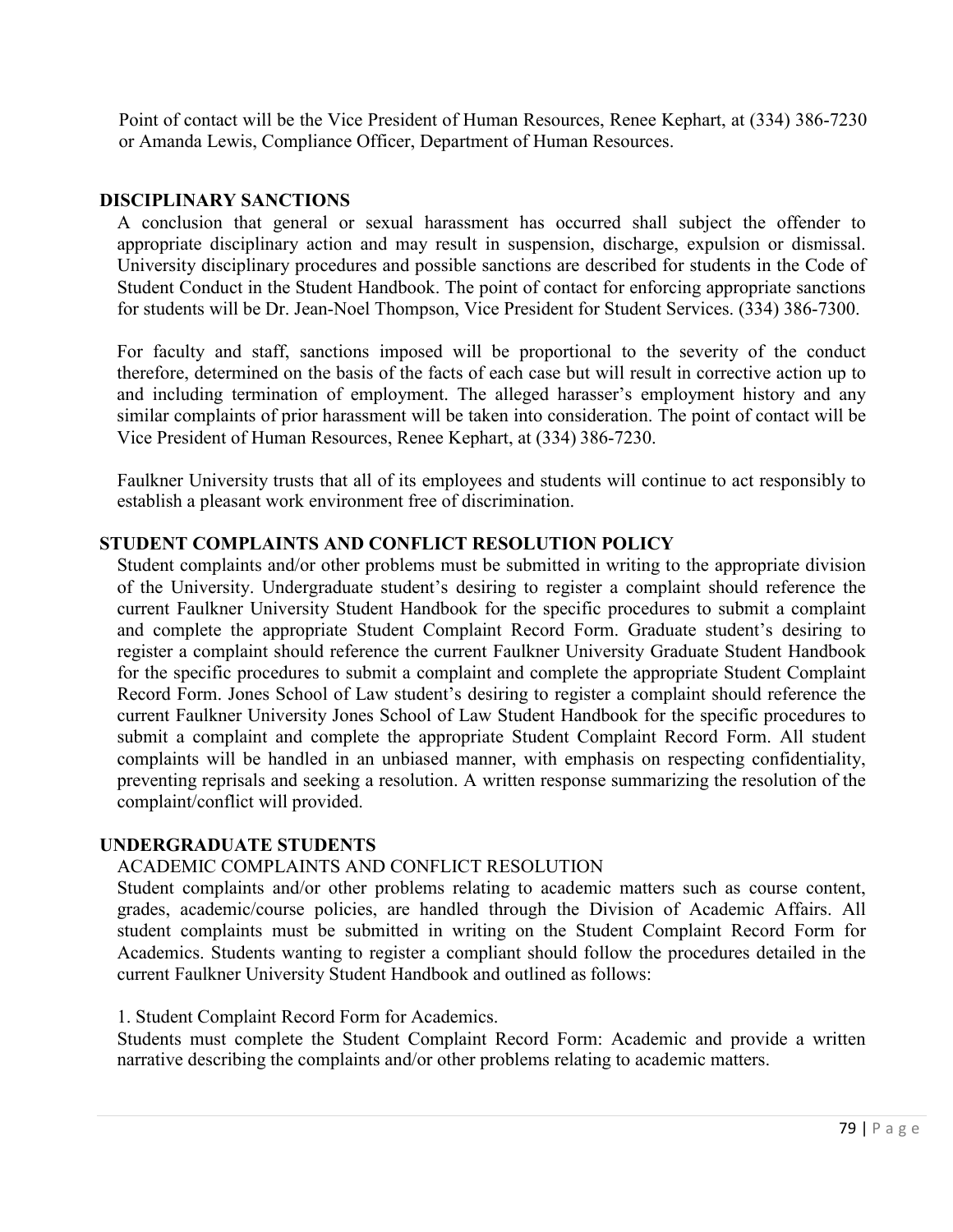Point of contact will be the Vice President of Human Resources, Renee Kephart, at (334) 386-7230 or Amanda Lewis, Compliance Officer, Department of Human Resources.

### **DISCIPLINARY SANCTIONS**

A conclusion that general or sexual harassment has occurred shall subject the offender to appropriate disciplinary action and may result in suspension, discharge, expulsion or dismissal. University disciplinary procedures and possible sanctions are described for students in the Code of Student Conduct in the Student Handbook. The point of contact for enforcing appropriate sanctions for students will be Dr. Jean-Noel Thompson, Vice President for Student Services. (334) 386-7300.

For faculty and staff, sanctions imposed will be proportional to the severity of the conduct therefore, determined on the basis of the facts of each case but will result in corrective action up to and including termination of employment. The alleged harasser's employment history and any similar complaints of prior harassment will be taken into consideration. The point of contact will be Vice President of Human Resources, Renee Kephart, at (334) 386-7230.

Faulkner University trusts that all of its employees and students will continue to act responsibly to establish a pleasant work environment free of discrimination.

### **STUDENT COMPLAINTS AND CONFLICT RESOLUTION POLICY**

Student complaints and/or other problems must be submitted in writing to the appropriate division of the University. Undergraduate student's desiring to register a complaint should reference the current Faulkner University Student Handbook for the specific procedures to submit a complaint and complete the appropriate Student Complaint Record Form. Graduate student's desiring to register a complaint should reference the current Faulkner University Graduate Student Handbook for the specific procedures to submit a complaint and complete the appropriate Student Complaint Record Form. Jones School of Law student's desiring to register a complaint should reference the current Faulkner University Jones School of Law Student Handbook for the specific procedures to submit a complaint and complete the appropriate Student Complaint Record Form. All student complaints will be handled in an unbiased manner, with emphasis on respecting confidentiality, preventing reprisals and seeking a resolution. A written response summarizing the resolution of the complaint/conflict will provided.

### **UNDERGRADUATE STUDENTS**

### ACADEMIC COMPLAINTS AND CONFLICT RESOLUTION

Student complaints and/or other problems relating to academic matters such as course content, grades, academic/course policies, are handled through the Division of Academic Affairs. All student complaints must be submitted in writing on the Student Complaint Record Form for Academics. Students wanting to register a compliant should follow the procedures detailed in the current Faulkner University Student Handbook and outlined as follows:

### 1. Student Complaint Record Form for Academics.

Students must complete the Student Complaint Record Form: Academic and provide a written narrative describing the complaints and/or other problems relating to academic matters.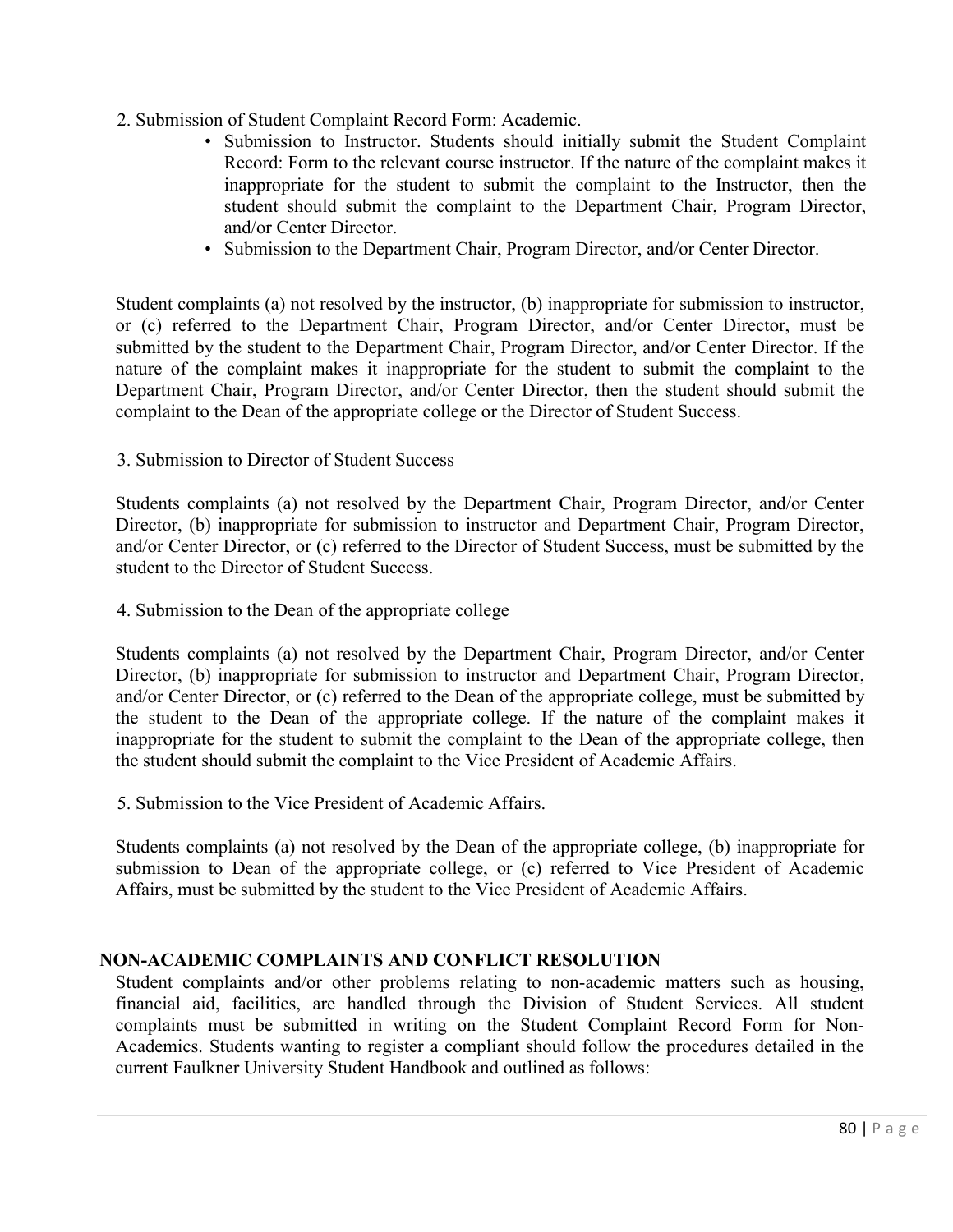- 2. Submission of Student Complaint Record Form: Academic.
	- Submission to Instructor. Students should initially submit the Student Complaint Record: Form to the relevant course instructor. If the nature of the complaint makes it inappropriate for the student to submit the complaint to the Instructor, then the student should submit the complaint to the Department Chair, Program Director, and/or Center Director.
	- Submission to the Department Chair, Program Director, and/or Center Director.

Student complaints (a) not resolved by the instructor, (b) inappropriate for submission to instructor, or (c) referred to the Department Chair, Program Director, and/or Center Director, must be submitted by the student to the Department Chair, Program Director, and/or Center Director. If the nature of the complaint makes it inappropriate for the student to submit the complaint to the Department Chair, Program Director, and/or Center Director, then the student should submit the complaint to the Dean of the appropriate college or the Director of Student Success.

3. Submission to Director of Student Success

Students complaints (a) not resolved by the Department Chair, Program Director, and/or Center Director, (b) inappropriate for submission to instructor and Department Chair, Program Director, and/or Center Director, or (c) referred to the Director of Student Success, must be submitted by the student to the Director of Student Success.

4. Submission to the Dean of the appropriate college

Students complaints (a) not resolved by the Department Chair, Program Director, and/or Center Director, (b) inappropriate for submission to instructor and Department Chair, Program Director, and/or Center Director, or (c) referred to the Dean of the appropriate college, must be submitted by the student to the Dean of the appropriate college. If the nature of the complaint makes it inappropriate for the student to submit the complaint to the Dean of the appropriate college, then the student should submit the complaint to the Vice President of Academic Affairs.

5. Submission to the Vice President of Academic Affairs.

Students complaints (a) not resolved by the Dean of the appropriate college, (b) inappropriate for submission to Dean of the appropriate college, or (c) referred to Vice President of Academic Affairs, must be submitted by the student to the Vice President of Academic Affairs.

# **NON-ACADEMIC COMPLAINTS AND CONFLICT RESOLUTION**

Student complaints and/or other problems relating to non-academic matters such as housing, financial aid, facilities, are handled through the Division of Student Services. All student complaints must be submitted in writing on the Student Complaint Record Form for Non-Academics. Students wanting to register a compliant should follow the procedures detailed in the current Faulkner University Student Handbook and outlined as follows: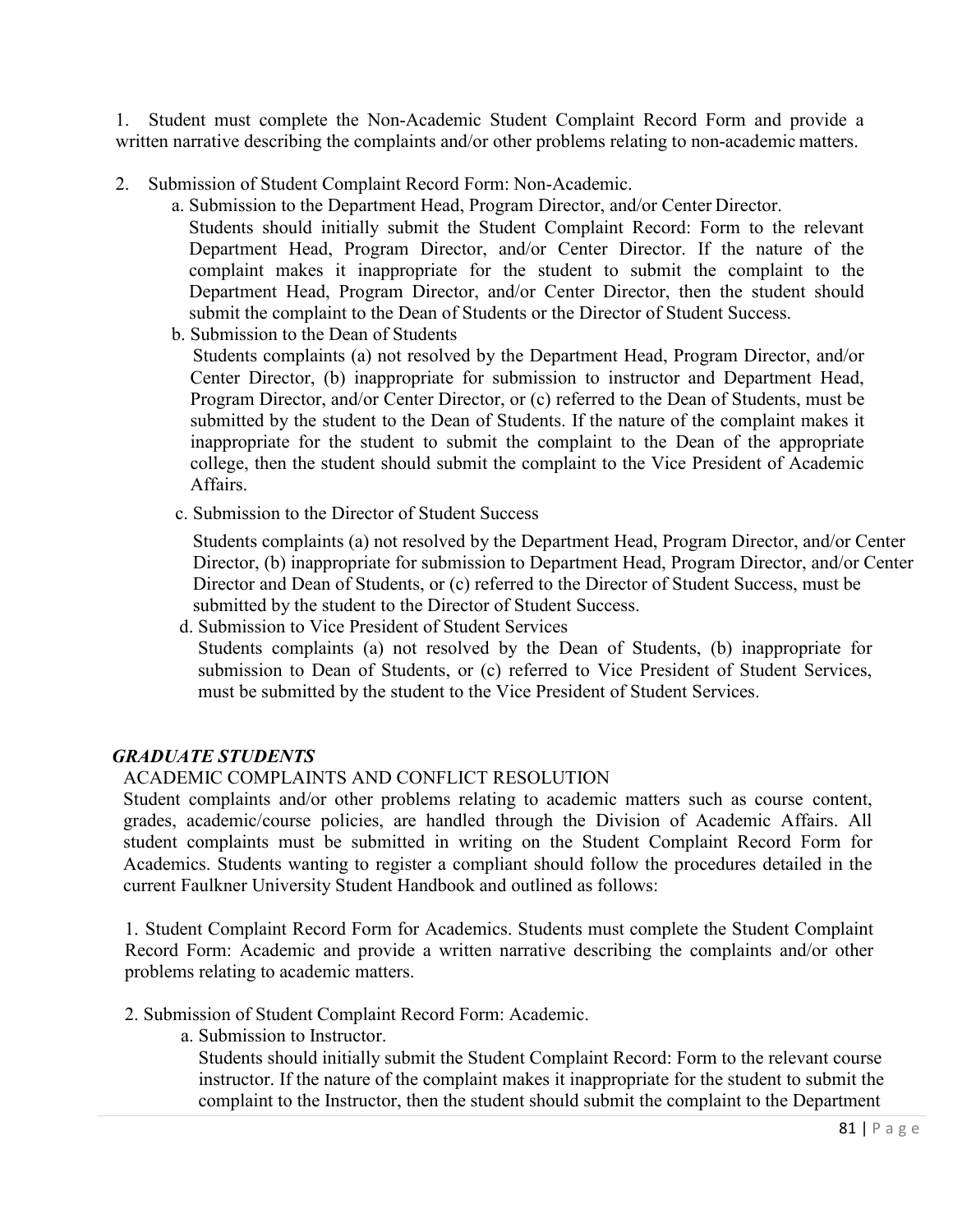1. Student must complete the Non-Academic Student Complaint Record Form and provide a written narrative describing the complaints and/or other problems relating to non-academic matters.

- 2. Submission of Student Complaint Record Form: Non-Academic.
	- a. Submission to the Department Head, Program Director, and/or Center Director.

Students should initially submit the Student Complaint Record: Form to the relevant Department Head, Program Director, and/or Center Director. If the nature of the complaint makes it inappropriate for the student to submit the complaint to the Department Head, Program Director, and/or Center Director, then the student should submit the complaint to the Dean of Students or the Director of Student Success.

b. Submission to the Dean of Students

Students complaints (a) not resolved by the Department Head, Program Director, and/or Center Director, (b) inappropriate for submission to instructor and Department Head, Program Director, and/or Center Director, or (c) referred to the Dean of Students, must be submitted by the student to the Dean of Students. If the nature of the complaint makes it inappropriate for the student to submit the complaint to the Dean of the appropriate college, then the student should submit the complaint to the Vice President of Academic Affairs.

c. Submission to the Director of Student Success

Students complaints (a) not resolved by the Department Head, Program Director, and/or Center Director, (b) inappropriate for submission to Department Head, Program Director, and/or Center Director and Dean of Students, or (c) referred to the Director of Student Success, must be submitted by the student to the Director of Student Success.

d. Submission to Vice President of Student Services Students complaints (a) not resolved by the Dean of Students, (b) inappropriate for submission to Dean of Students, or (c) referred to Vice President of Student Services, must be submitted by the student to the Vice President of Student Services.

# *GRADUATE STUDENTS*

# ACADEMIC COMPLAINTS AND CONFLICT RESOLUTION

Student complaints and/or other problems relating to academic matters such as course content, grades, academic/course policies, are handled through the Division of Academic Affairs. All student complaints must be submitted in writing on the Student Complaint Record Form for Academics. Students wanting to register a compliant should follow the procedures detailed in the current Faulkner University Student Handbook and outlined as follows:

1. Student Complaint Record Form for Academics. Students must complete the Student Complaint Record Form: Academic and provide a written narrative describing the complaints and/or other problems relating to academic matters.

- 2. Submission of Student Complaint Record Form: Academic.
	- a. Submission to Instructor.

Students should initially submit the Student Complaint Record: Form to the relevant course instructor. If the nature of the complaint makes it inappropriate for the student to submit the complaint to the Instructor, then the student should submit the complaint to the Department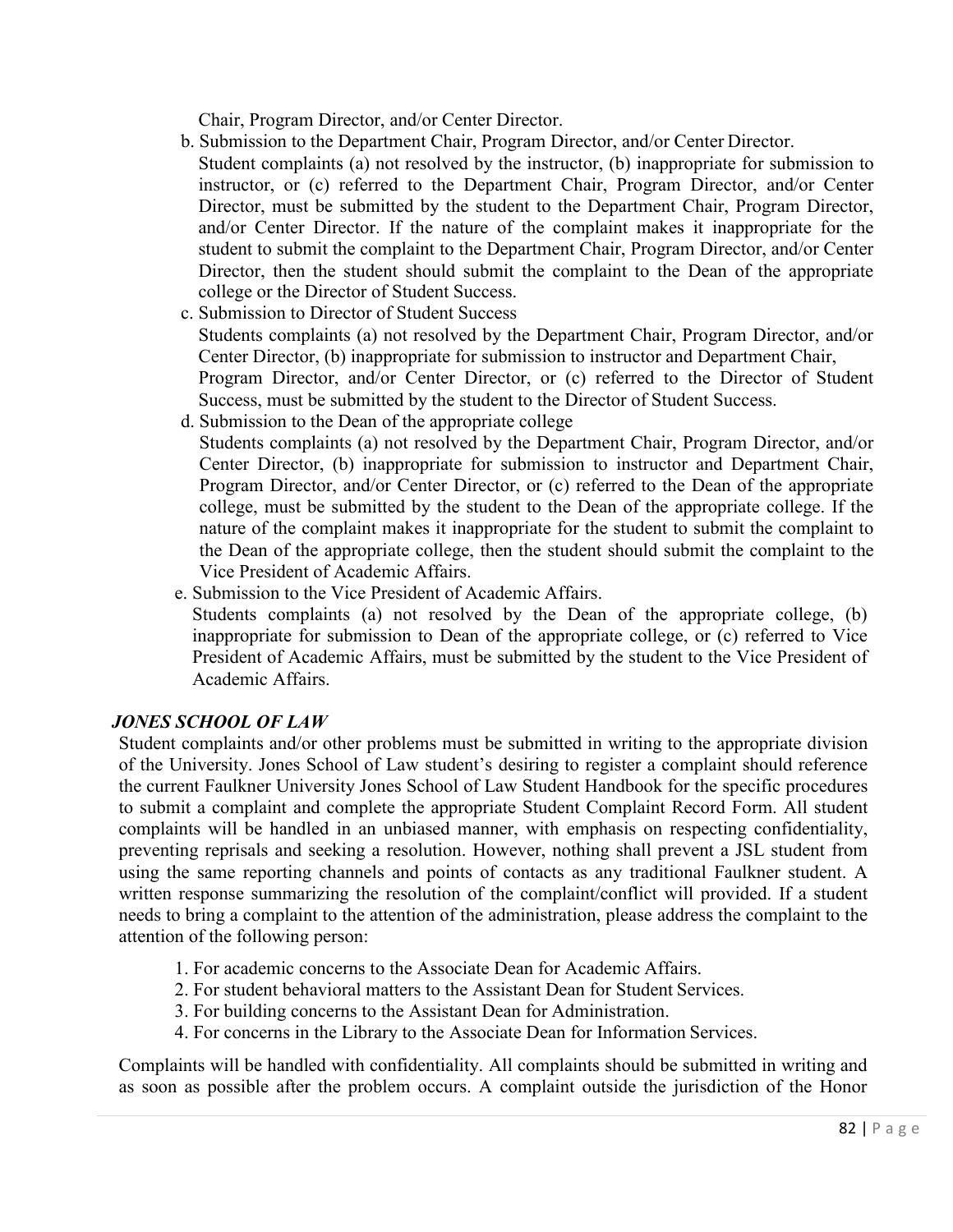Chair, Program Director, and/or Center Director.

- b. Submission to the Department Chair, Program Director, and/or Center Director. Student complaints (a) not resolved by the instructor, (b) inappropriate for submission to instructor, or (c) referred to the Department Chair, Program Director, and/or Center Director, must be submitted by the student to the Department Chair, Program Director, and/or Center Director. If the nature of the complaint makes it inappropriate for the student to submit the complaint to the Department Chair, Program Director, and/or Center Director, then the student should submit the complaint to the Dean of the appropriate college or the Director of Student Success.
- c. Submission to Director of Student Success

Students complaints (a) not resolved by the Department Chair, Program Director, and/or Center Director, (b) inappropriate for submission to instructor and Department Chair, Program Director, and/or Center Director, or (c) referred to the Director of Student Success, must be submitted by the student to the Director of Student Success.

d. Submission to the Dean of the appropriate college

Students complaints (a) not resolved by the Department Chair, Program Director, and/or Center Director, (b) inappropriate for submission to instructor and Department Chair, Program Director, and/or Center Director, or (c) referred to the Dean of the appropriate college, must be submitted by the student to the Dean of the appropriate college. If the nature of the complaint makes it inappropriate for the student to submit the complaint to the Dean of the appropriate college, then the student should submit the complaint to the Vice President of Academic Affairs.

- e. Submission to the Vice President of Academic Affairs.
- Students complaints (a) not resolved by the Dean of the appropriate college, (b) inappropriate for submission to Dean of the appropriate college, or (c) referred to Vice President of Academic Affairs, must be submitted by the student to the Vice President of Academic Affairs.

# *JONES SCHOOL OF LAW*

Student complaints and/or other problems must be submitted in writing to the appropriate division of the University. Jones School of Law student's desiring to register a complaint should reference the current Faulkner University Jones School of Law Student Handbook for the specific procedures to submit a complaint and complete the appropriate Student Complaint Record Form. All student complaints will be handled in an unbiased manner, with emphasis on respecting confidentiality, preventing reprisals and seeking a resolution. However, nothing shall prevent a JSL student from using the same reporting channels and points of contacts as any traditional Faulkner student. A written response summarizing the resolution of the complaint/conflict will provided. If a student needs to bring a complaint to the attention of the administration, please address the complaint to the attention of the following person:

- 1. For academic concerns to the Associate Dean for Academic Affairs.
- 2. For student behavioral matters to the Assistant Dean for Student Services.
- 3. For building concerns to the Assistant Dean for Administration.
- 4. For concerns in the Library to the Associate Dean for Information Services.

Complaints will be handled with confidentiality. All complaints should be submitted in writing and as soon as possible after the problem occurs. A complaint outside the jurisdiction of the Honor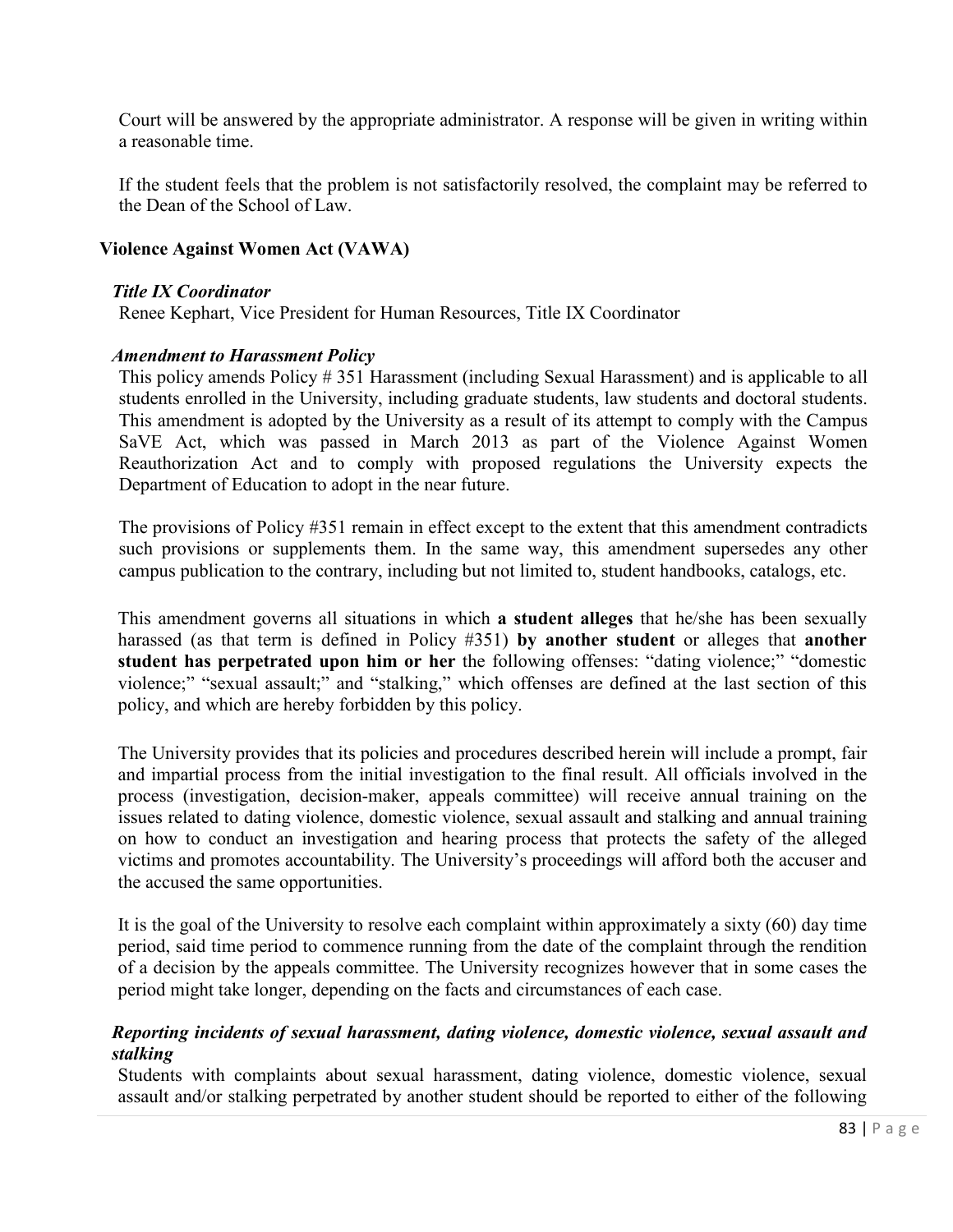Court will be answered by the appropriate administrator. A response will be given in writing within a reasonable time.

If the student feels that the problem is not satisfactorily resolved, the complaint may be referred to the Dean of the School of Law.

### **Violence Against Women Act (VAWA)**

#### *Title IX Coordinator*

Renee Kephart, Vice President for Human Resources, Title IX Coordinator

#### *Amendment to Harassment Policy*

This policy amends Policy # 351 Harassment (including Sexual Harassment) and is applicable to all students enrolled in the University, including graduate students, law students and doctoral students. This amendment is adopted by the University as a result of its attempt to comply with the Campus SaVE Act, which was passed in March 2013 as part of the Violence Against Women Reauthorization Act and to comply with proposed regulations the University expects the Department of Education to adopt in the near future.

The provisions of Policy #351 remain in effect except to the extent that this amendment contradicts such provisions or supplements them. In the same way, this amendment supersedes any other campus publication to the contrary, including but not limited to, student handbooks, catalogs, etc.

This amendment governs all situations in which **a student alleges** that he/she has been sexually harassed (as that term is defined in Policy #351) **by another student** or alleges that **another student has perpetrated upon him or her** the following offenses: "dating violence;" "domestic violence;" "sexual assault;" and "stalking," which offenses are defined at the last section of this policy, and which are hereby forbidden by this policy.

The University provides that its policies and procedures described herein will include a prompt, fair and impartial process from the initial investigation to the final result. All officials involved in the process (investigation, decision-maker, appeals committee) will receive annual training on the issues related to dating violence, domestic violence, sexual assault and stalking and annual training on how to conduct an investigation and hearing process that protects the safety of the alleged victims and promotes accountability. The University's proceedings will afford both the accuser and the accused the same opportunities.

It is the goal of the University to resolve each complaint within approximately a sixty (60) day time period, said time period to commence running from the date of the complaint through the rendition of a decision by the appeals committee. The University recognizes however that in some cases the period might take longer, depending on the facts and circumstances of each case.

## *Reporting incidents of sexual harassment, dating violence, domestic violence, sexual assault and stalking*

Students with complaints about sexual harassment, dating violence, domestic violence, sexual assault and/or stalking perpetrated by another student should be reported to either of the following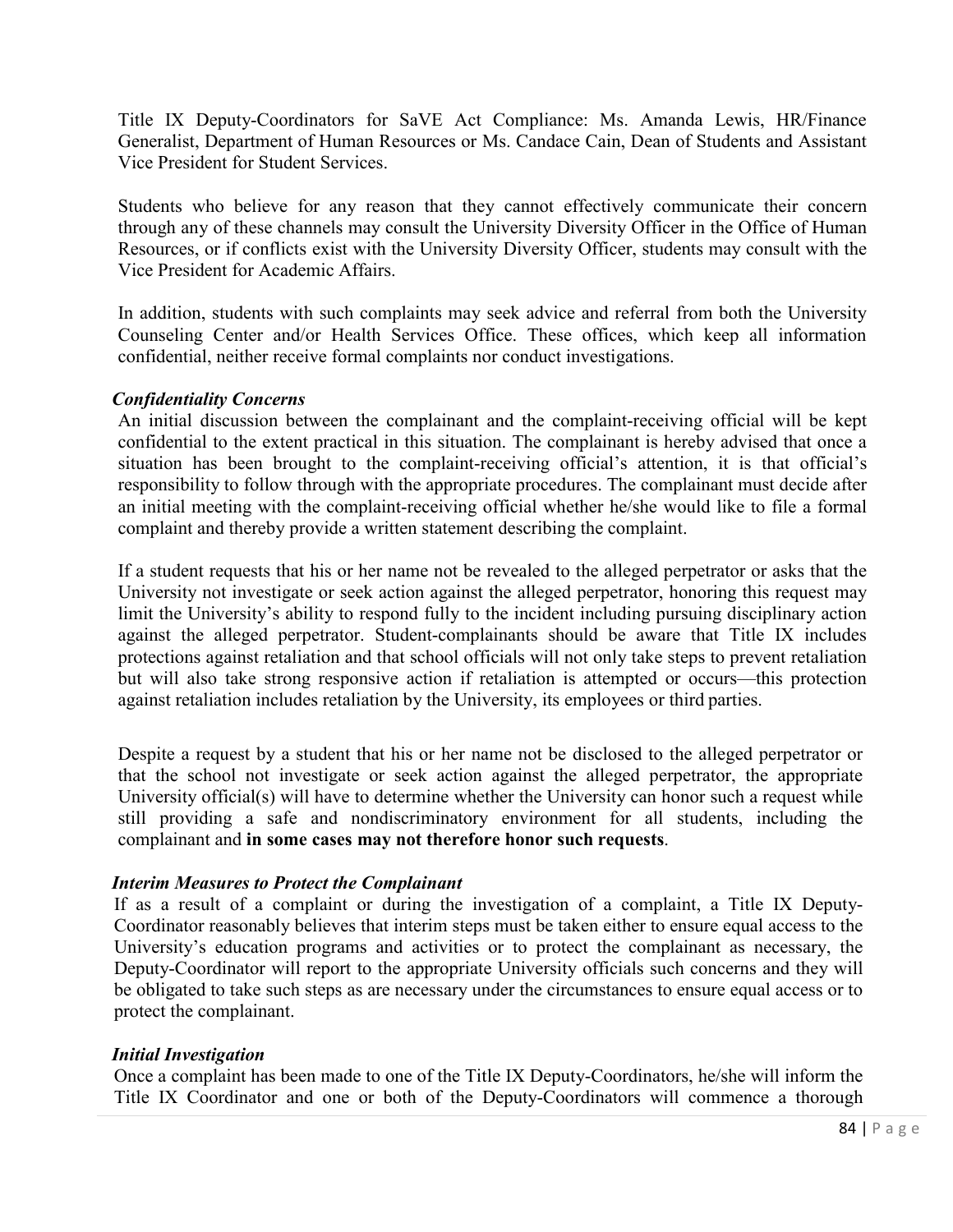Title IX Deputy-Coordinators for SaVE Act Compliance: Ms. Amanda Lewis, HR/Finance Generalist, Department of Human Resources or Ms. Candace Cain, Dean of Students and Assistant Vice President for Student Services.

Students who believe for any reason that they cannot effectively communicate their concern through any of these channels may consult the University Diversity Officer in the Office of Human Resources, or if conflicts exist with the University Diversity Officer, students may consult with the Vice President for Academic Affairs.

In addition, students with such complaints may seek advice and referral from both the University Counseling Center and/or Health Services Office. These offices, which keep all information confidential, neither receive formal complaints nor conduct investigations.

## *Confidentiality Concerns*

An initial discussion between the complainant and the complaint-receiving official will be kept confidential to the extent practical in this situation. The complainant is hereby advised that once a situation has been brought to the complaint-receiving official's attention, it is that official's responsibility to follow through with the appropriate procedures. The complainant must decide after an initial meeting with the complaint-receiving official whether he/she would like to file a formal complaint and thereby provide a written statement describing the complaint.

If a student requests that his or her name not be revealed to the alleged perpetrator or asks that the University not investigate or seek action against the alleged perpetrator, honoring this request may limit the University's ability to respond fully to the incident including pursuing disciplinary action against the alleged perpetrator. Student-complainants should be aware that Title IX includes protections against retaliation and that school officials will not only take steps to prevent retaliation but will also take strong responsive action if retaliation is attempted or occurs—this protection against retaliation includes retaliation by the University, its employees or third parties.

Despite a request by a student that his or her name not be disclosed to the alleged perpetrator or that the school not investigate or seek action against the alleged perpetrator, the appropriate University official(s) will have to determine whether the University can honor such a request while still providing a safe and nondiscriminatory environment for all students, including the complainant and **in some cases may not therefore honor such requests**.

### *Interim Measures to Protect the Complainant*

If as a result of a complaint or during the investigation of a complaint, a Title IX Deputy-Coordinator reasonably believes that interim steps must be taken either to ensure equal access to the University's education programs and activities or to protect the complainant as necessary, the Deputy-Coordinator will report to the appropriate University officials such concerns and they will be obligated to take such steps as are necessary under the circumstances to ensure equal access or to protect the complainant.

### *Initial Investigation*

Once a complaint has been made to one of the Title IX Deputy-Coordinators, he/she will inform the Title IX Coordinator and one or both of the Deputy-Coordinators will commence a thorough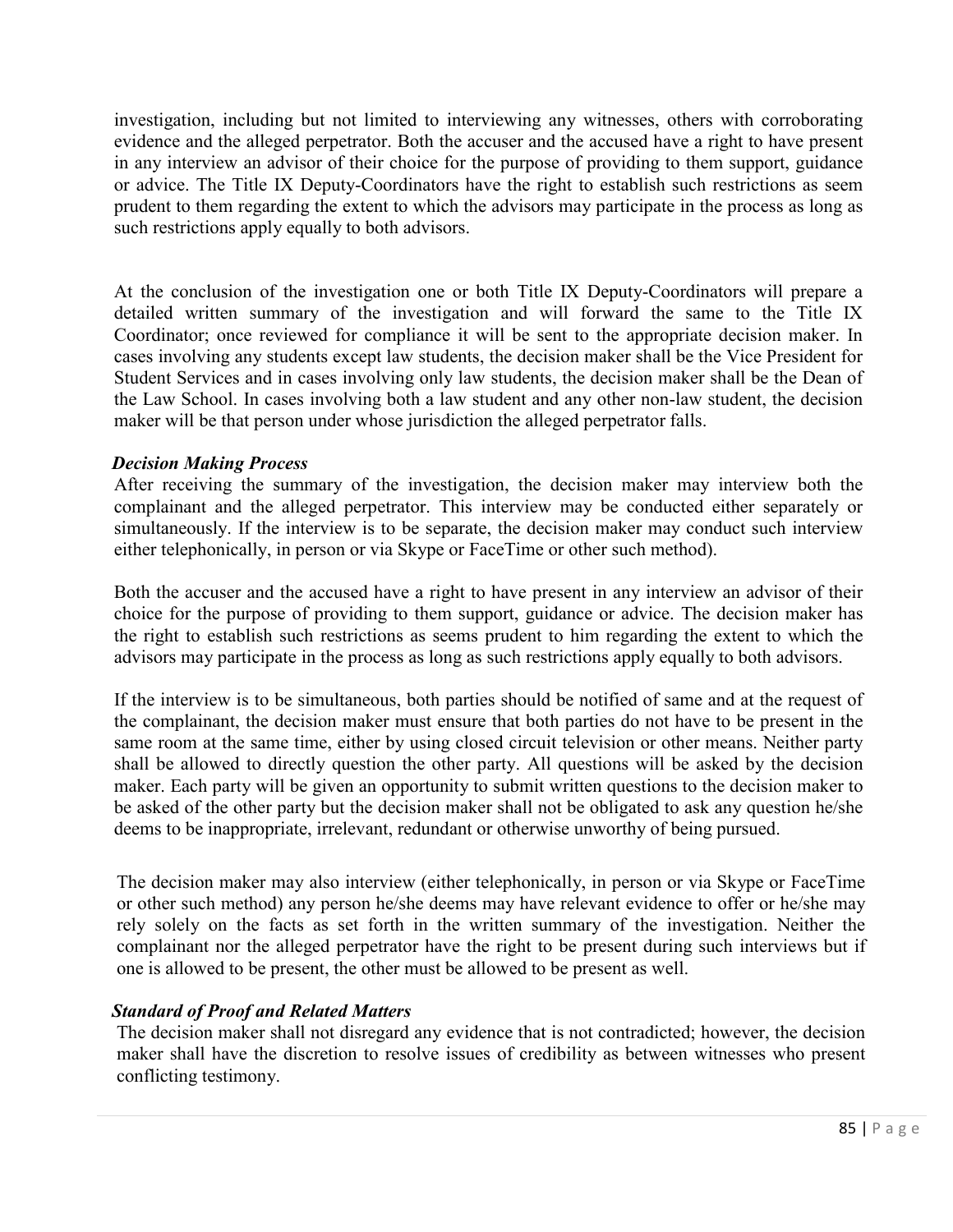investigation, including but not limited to interviewing any witnesses, others with corroborating evidence and the alleged perpetrator. Both the accuser and the accused have a right to have present in any interview an advisor of their choice for the purpose of providing to them support, guidance or advice. The Title IX Deputy-Coordinators have the right to establish such restrictions as seem prudent to them regarding the extent to which the advisors may participate in the process as long as such restrictions apply equally to both advisors.

At the conclusion of the investigation one or both Title IX Deputy-Coordinators will prepare a detailed written summary of the investigation and will forward the same to the Title IX Coordinator; once reviewed for compliance it will be sent to the appropriate decision maker. In cases involving any students except law students, the decision maker shall be the Vice President for Student Services and in cases involving only law students, the decision maker shall be the Dean of the Law School. In cases involving both a law student and any other non-law student, the decision maker will be that person under whose jurisdiction the alleged perpetrator falls.

### *Decision Making Process*

After receiving the summary of the investigation, the decision maker may interview both the complainant and the alleged perpetrator. This interview may be conducted either separately or simultaneously. If the interview is to be separate, the decision maker may conduct such interview either telephonically, in person or via Skype or FaceTime or other such method).

Both the accuser and the accused have a right to have present in any interview an advisor of their choice for the purpose of providing to them support, guidance or advice. The decision maker has the right to establish such restrictions as seems prudent to him regarding the extent to which the advisors may participate in the process as long as such restrictions apply equally to both advisors.

If the interview is to be simultaneous, both parties should be notified of same and at the request of the complainant, the decision maker must ensure that both parties do not have to be present in the same room at the same time, either by using closed circuit television or other means. Neither party shall be allowed to directly question the other party. All questions will be asked by the decision maker. Each party will be given an opportunity to submit written questions to the decision maker to be asked of the other party but the decision maker shall not be obligated to ask any question he/she deems to be inappropriate, irrelevant, redundant or otherwise unworthy of being pursued.

The decision maker may also interview (either telephonically, in person or via Skype or FaceTime or other such method) any person he/she deems may have relevant evidence to offer or he/she may rely solely on the facts as set forth in the written summary of the investigation. Neither the complainant nor the alleged perpetrator have the right to be present during such interviews but if one is allowed to be present, the other must be allowed to be present as well.

# *Standard of Proof and Related Matters*

The decision maker shall not disregard any evidence that is not contradicted; however, the decision maker shall have the discretion to resolve issues of credibility as between witnesses who present conflicting testimony.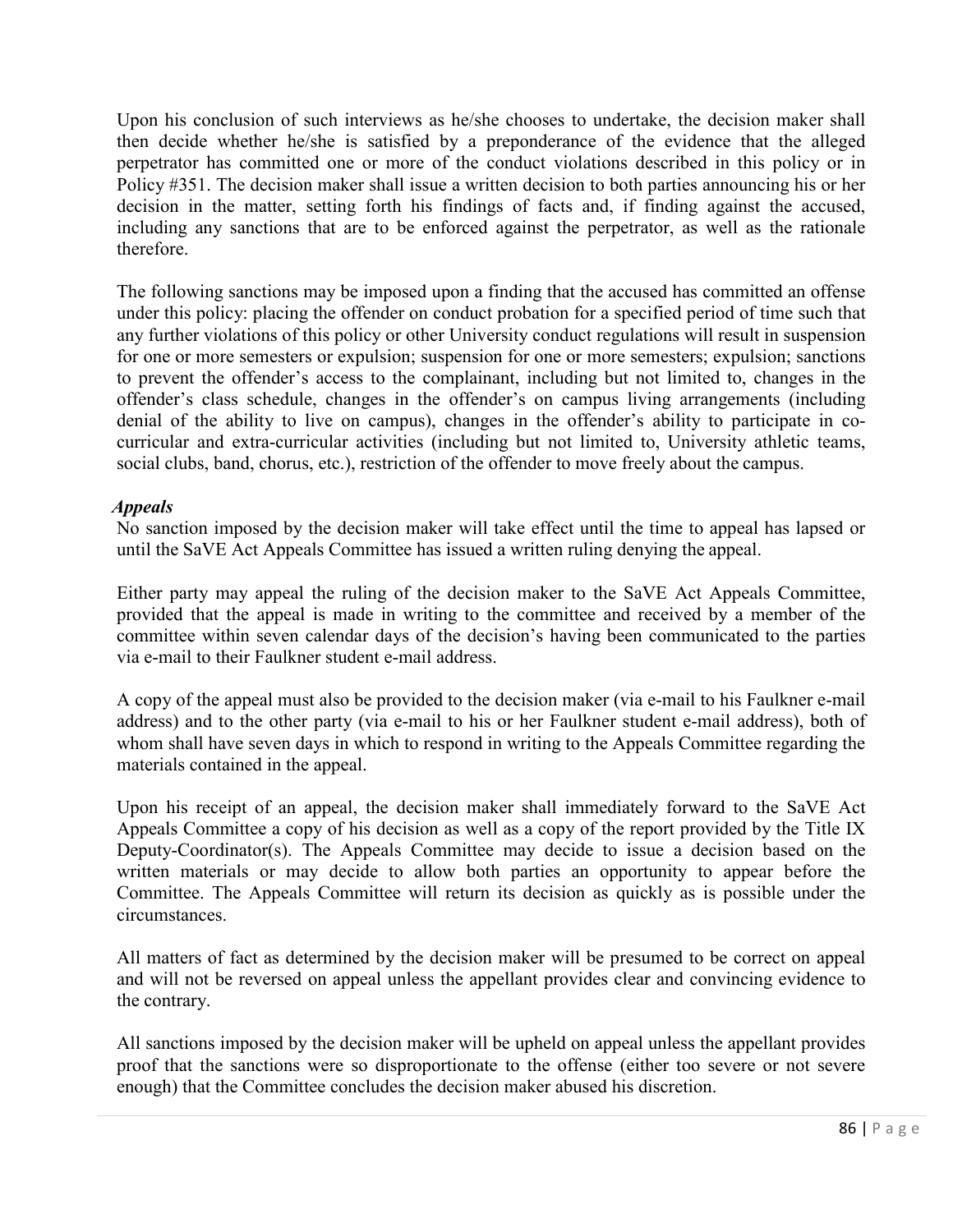Upon his conclusion of such interviews as he/she chooses to undertake, the decision maker shall then decide whether he/she is satisfied by a preponderance of the evidence that the alleged perpetrator has committed one or more of the conduct violations described in this policy or in Policy #351. The decision maker shall issue a written decision to both parties announcing his or her decision in the matter, setting forth his findings of facts and, if finding against the accused, including any sanctions that are to be enforced against the perpetrator, as well as the rationale therefore.

The following sanctions may be imposed upon a finding that the accused has committed an offense under this policy: placing the offender on conduct probation for a specified period of time such that any further violations of this policy or other University conduct regulations will result in suspension for one or more semesters or expulsion; suspension for one or more semesters; expulsion; sanctions to prevent the offender's access to the complainant, including but not limited to, changes in the offender's class schedule, changes in the offender's on campus living arrangements (including denial of the ability to live on campus), changes in the offender's ability to participate in cocurricular and extra-curricular activities (including but not limited to, University athletic teams, social clubs, band, chorus, etc.), restriction of the offender to move freely about the campus.

## *Appeals*

No sanction imposed by the decision maker will take effect until the time to appeal has lapsed or until the SaVE Act Appeals Committee has issued a written ruling denying the appeal.

Either party may appeal the ruling of the decision maker to the SaVE Act Appeals Committee, provided that the appeal is made in writing to the committee and received by a member of the committee within seven calendar days of the decision's having been communicated to the parties via e-mail to their Faulkner student e-mail address.

A copy of the appeal must also be provided to the decision maker (via e-mail to his Faulkner e-mail address) and to the other party (via e-mail to his or her Faulkner student e-mail address), both of whom shall have seven days in which to respond in writing to the Appeals Committee regarding the materials contained in the appeal.

Upon his receipt of an appeal, the decision maker shall immediately forward to the SaVE Act Appeals Committee a copy of his decision as well as a copy of the report provided by the Title IX Deputy-Coordinator(s). The Appeals Committee may decide to issue a decision based on the written materials or may decide to allow both parties an opportunity to appear before the Committee. The Appeals Committee will return its decision as quickly as is possible under the circumstances.

All matters of fact as determined by the decision maker will be presumed to be correct on appeal and will not be reversed on appeal unless the appellant provides clear and convincing evidence to the contrary.

All sanctions imposed by the decision maker will be upheld on appeal unless the appellant provides proof that the sanctions were so disproportionate to the offense (either too severe or not severe enough) that the Committee concludes the decision maker abused his discretion.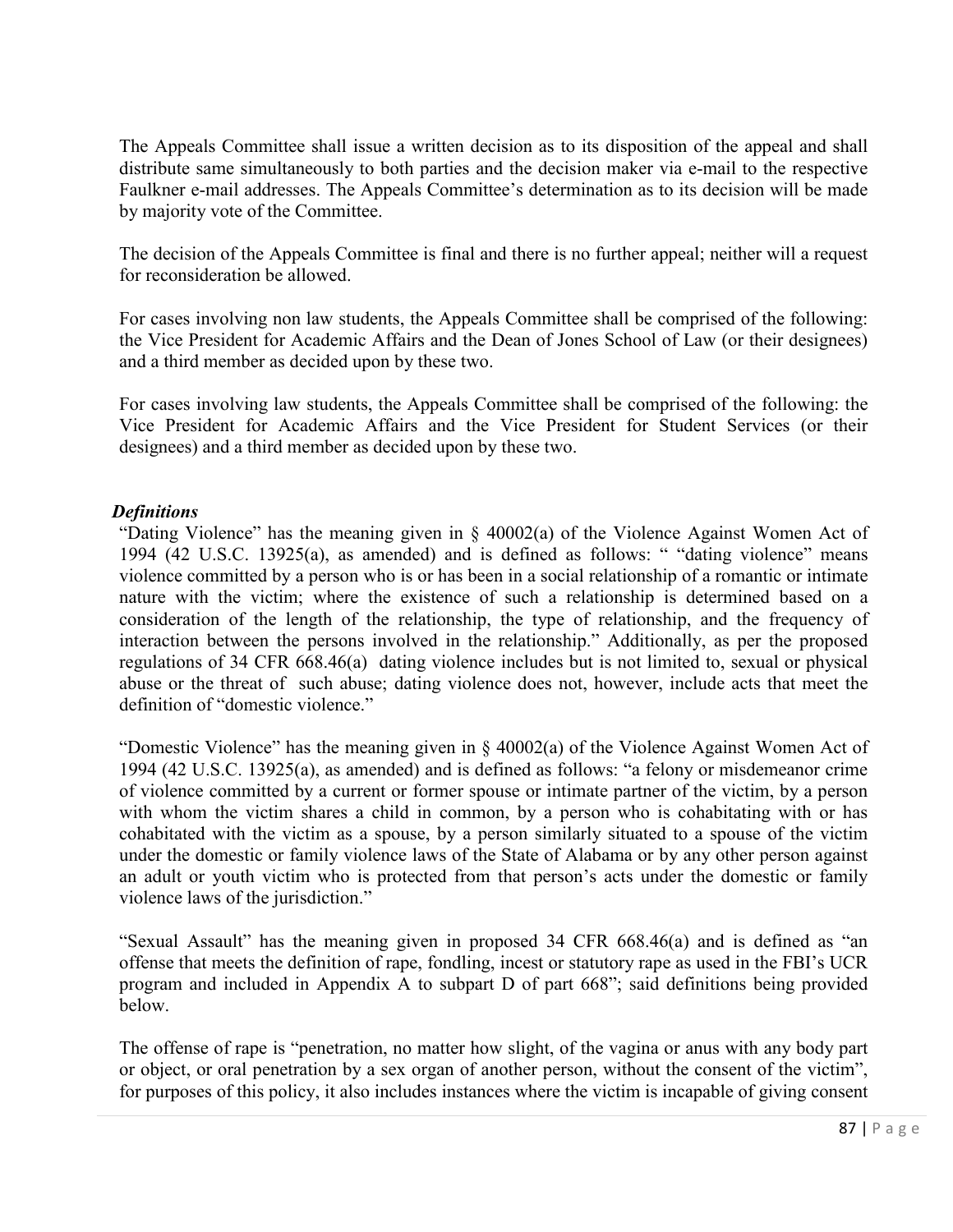The Appeals Committee shall issue a written decision as to its disposition of the appeal and shall distribute same simultaneously to both parties and the decision maker via e-mail to the respective Faulkner e-mail addresses. The Appeals Committee's determination as to its decision will be made by majority vote of the Committee.

The decision of the Appeals Committee is final and there is no further appeal; neither will a request for reconsideration be allowed.

For cases involving non law students, the Appeals Committee shall be comprised of the following: the Vice President for Academic Affairs and the Dean of Jones School of Law (or their designees) and a third member as decided upon by these two.

For cases involving law students, the Appeals Committee shall be comprised of the following: the Vice President for Academic Affairs and the Vice President for Student Services (or their designees) and a third member as decided upon by these two.

## *Definitions*

"Dating Violence" has the meaning given in § 40002(a) of the Violence Against Women Act of 1994 (42 U.S.C. 13925(a), as amended) and is defined as follows: " "dating violence" means violence committed by a person who is or has been in a social relationship of a romantic or intimate nature with the victim; where the existence of such a relationship is determined based on a consideration of the length of the relationship, the type of relationship, and the frequency of interaction between the persons involved in the relationship." Additionally, as per the proposed regulations of 34 CFR 668.46(a) dating violence includes but is not limited to, sexual or physical abuse or the threat of such abuse; dating violence does not, however, include acts that meet the definition of "domestic violence."

"Domestic Violence" has the meaning given in § 40002(a) of the Violence Against Women Act of 1994 (42 U.S.C. 13925(a), as amended) and is defined as follows: "a felony or misdemeanor crime of violence committed by a current or former spouse or intimate partner of the victim, by a person with whom the victim shares a child in common, by a person who is cohabitating with or has cohabitated with the victim as a spouse, by a person similarly situated to a spouse of the victim under the domestic or family violence laws of the State of Alabama or by any other person against an adult or youth victim who is protected from that person's acts under the domestic or family violence laws of the jurisdiction."

"Sexual Assault" has the meaning given in proposed 34 CFR 668.46(a) and is defined as "an offense that meets the definition of rape, fondling, incest or statutory rape as used in the FBI's UCR program and included in Appendix A to subpart D of part 668"; said definitions being provided below.

The offense of rape is "penetration, no matter how slight, of the vagina or anus with any body part or object, or oral penetration by a sex organ of another person, without the consent of the victim", for purposes of this policy, it also includes instances where the victim is incapable of giving consent